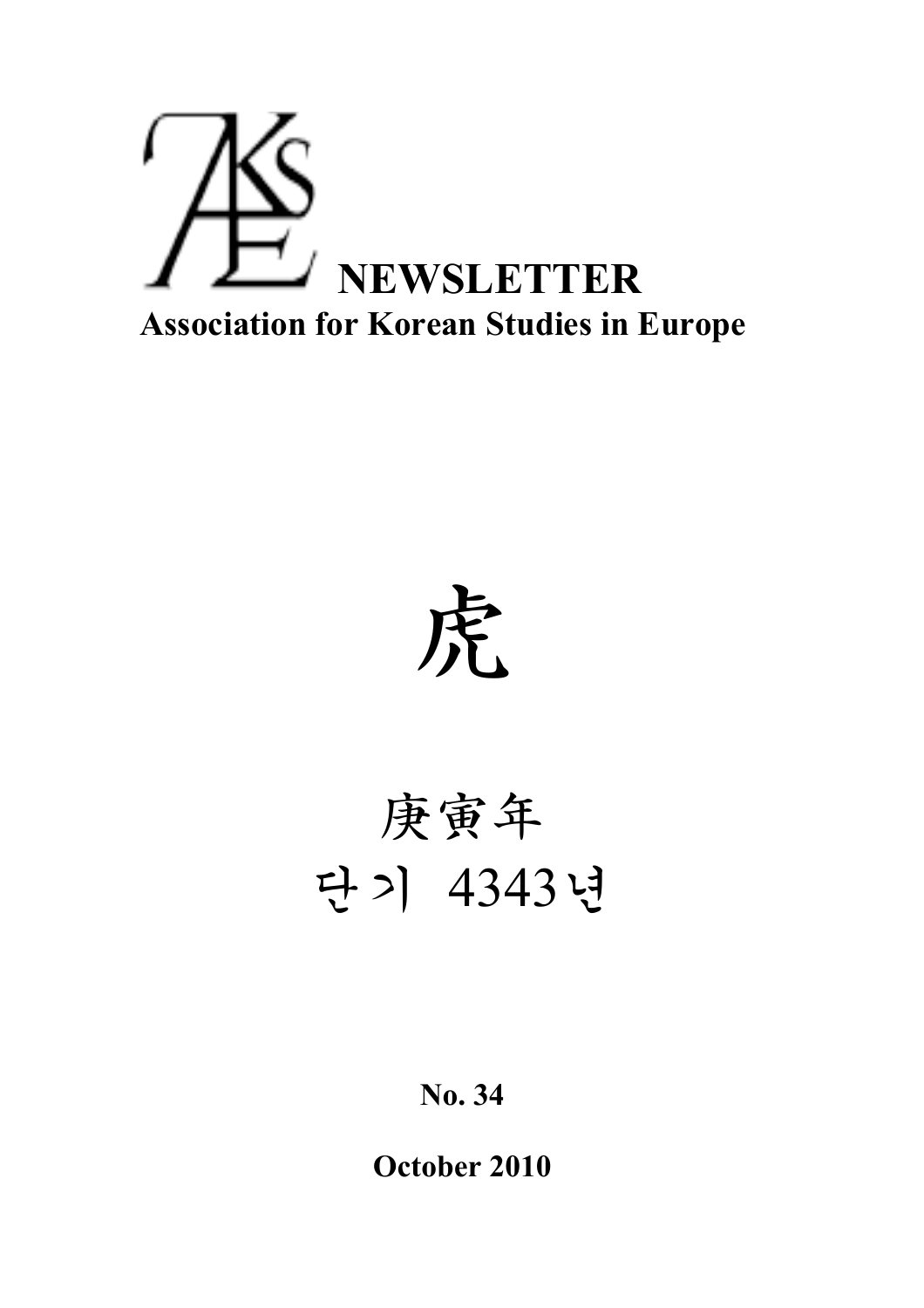

虎

# 庚寅年 단기 4343년

**No. 34**

**October 2010**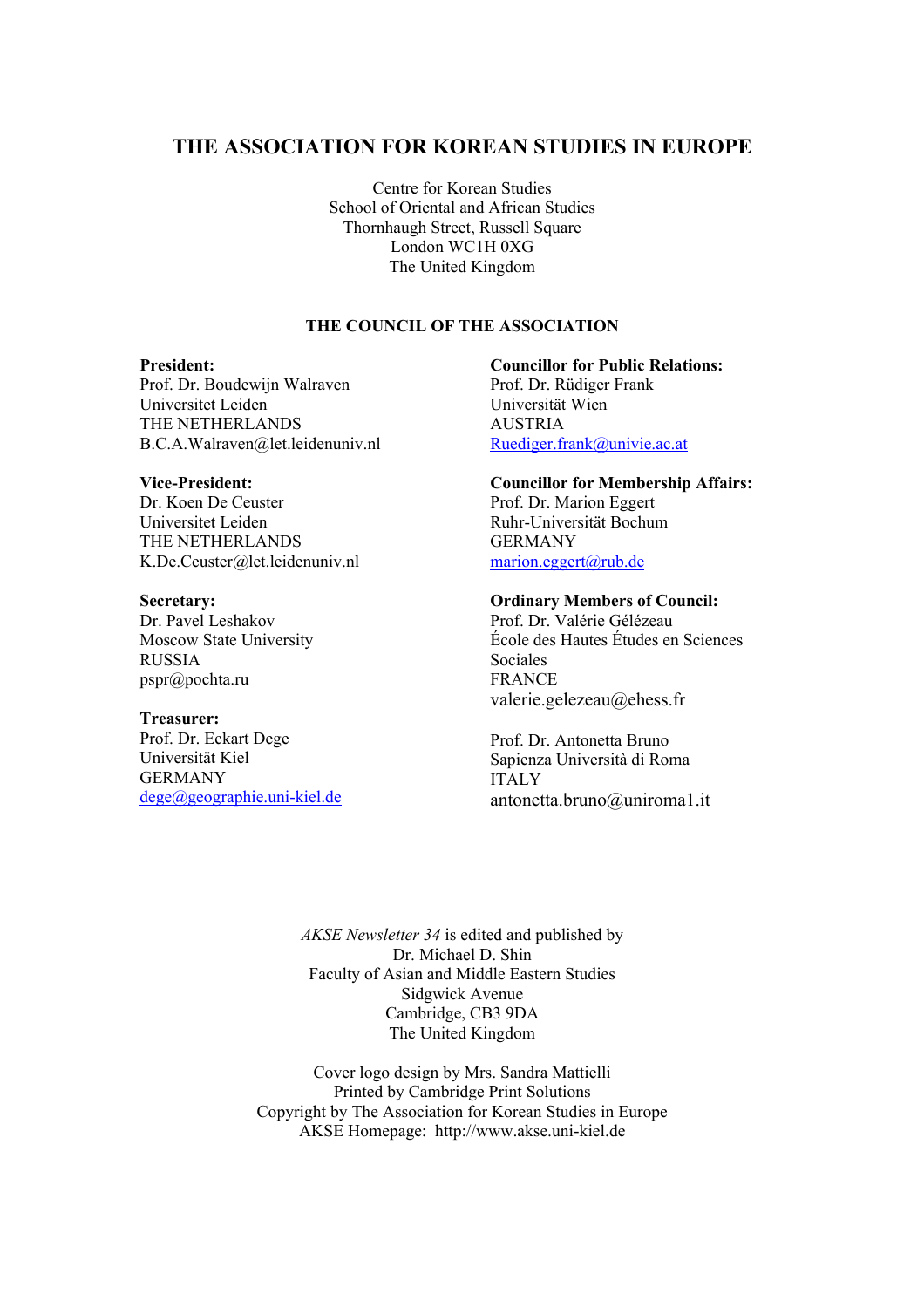# **THE ASSOCIATION FOR KOREAN STUDIES IN EUROPE**

Centre for Korean Studies School of Oriental and African Studies Thornhaugh Street, Russell Square London WC1H 0XG The United Kingdom

#### **THE COUNCIL OF THE ASSOCIATION**

#### **President:**

Prof. Dr. Boudewijn Walraven Universitet Leiden THE NETHERLANDS B.C.A.Walraven@let.leidenuniv.nl

#### **Vice-President:**

Dr. Koen De Ceuster Universitet Leiden THE NETHERLANDS K.De.Ceuster@let.leidenuniv.nl

#### **Secretary:**

Dr. Pavel Leshakov Moscow State University RUSSIA pspr@pochta.ru

#### **Treasurer:**

Prof. Dr. Eckart Dege Universität Kiel GERMANY dege@geographie.uni-kiel.de **Councillor for Public Relations:** Prof. Dr. Rüdiger Frank Universität Wien **AUSTRIA** Ruediger.frank@univie.ac.at

#### **Councillor for Membership Affairs:** Prof. Dr. Marion Eggert Ruhr-Universität Bochum GERMANY

marion.eggert@rub.de

#### **Ordinary Members of Council:**

Prof. Dr. Valérie Gélézeau École des Hautes Études en Sciences Sociales FRANCE valerie.gelezeau@ehess.fr

Prof. Dr. Antonetta Bruno Sapienza Università di Roma ITALY antonetta.bruno@uniroma1.it

*AKSE Newsletter 34* is edited and published by Dr. Michael D. Shin Faculty of Asian and Middle Eastern Studies Sidgwick Avenue Cambridge, CB3 9DA The United Kingdom

Cover logo design by Mrs. Sandra Mattielli Printed by Cambridge Print Solutions Copyright by The Association for Korean Studies in Europe AKSE Homepage: http://www.akse.uni-kiel.de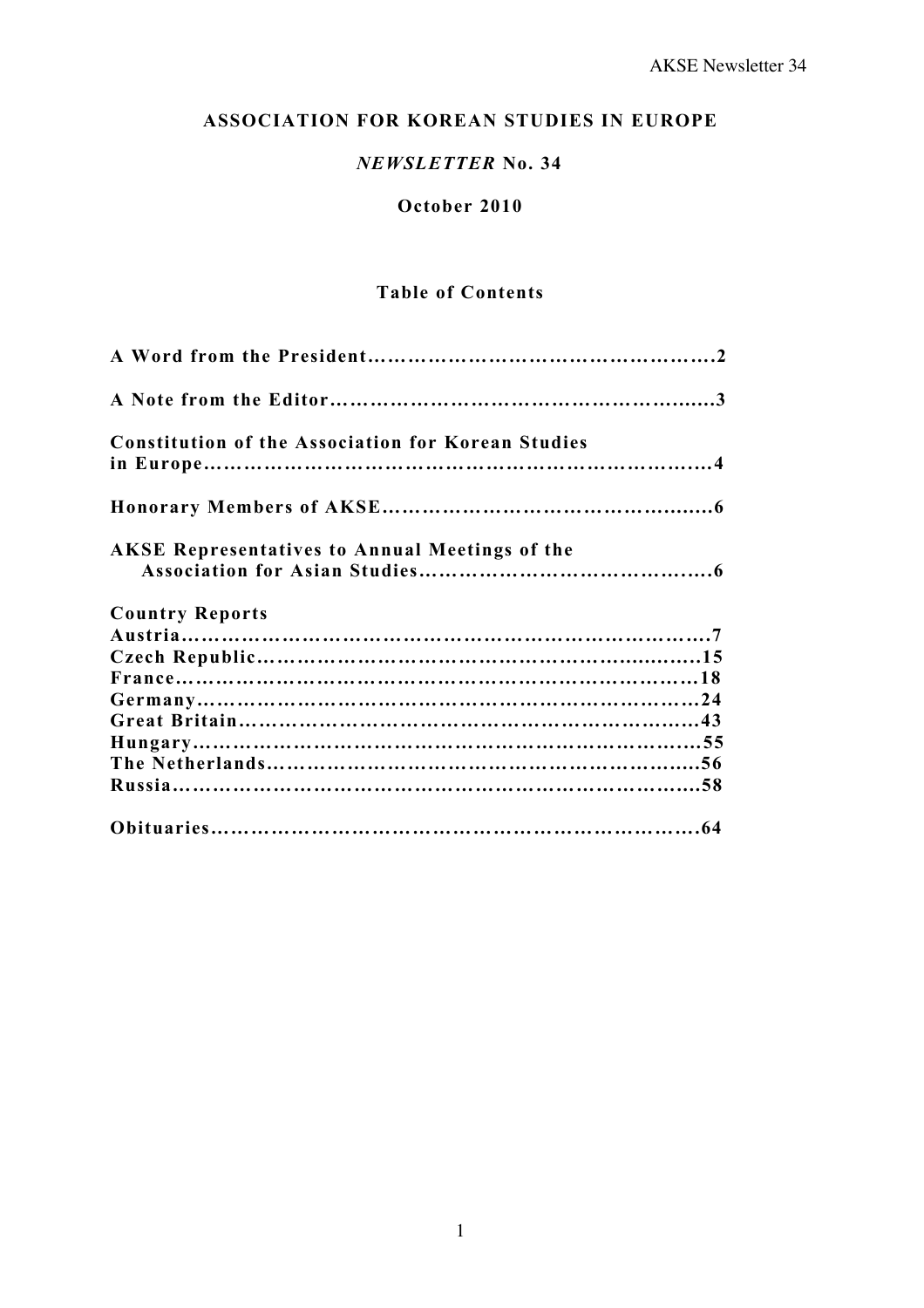# **ASSOCIATION FOR KOREAN STUDIES IN EUROPE**

# *NEWSLETTER* **No. 34**

## **October 2010**

# **Table of Contents**

| <b>Constitution of the Association for Korean Studies</b> |  |
|-----------------------------------------------------------|--|
|                                                           |  |
| <b>AKSE Representatives to Annual Meetings of the</b>     |  |
| <b>Country Reports</b>                                    |  |
|                                                           |  |
|                                                           |  |
|                                                           |  |
|                                                           |  |
|                                                           |  |
|                                                           |  |
|                                                           |  |
|                                                           |  |
|                                                           |  |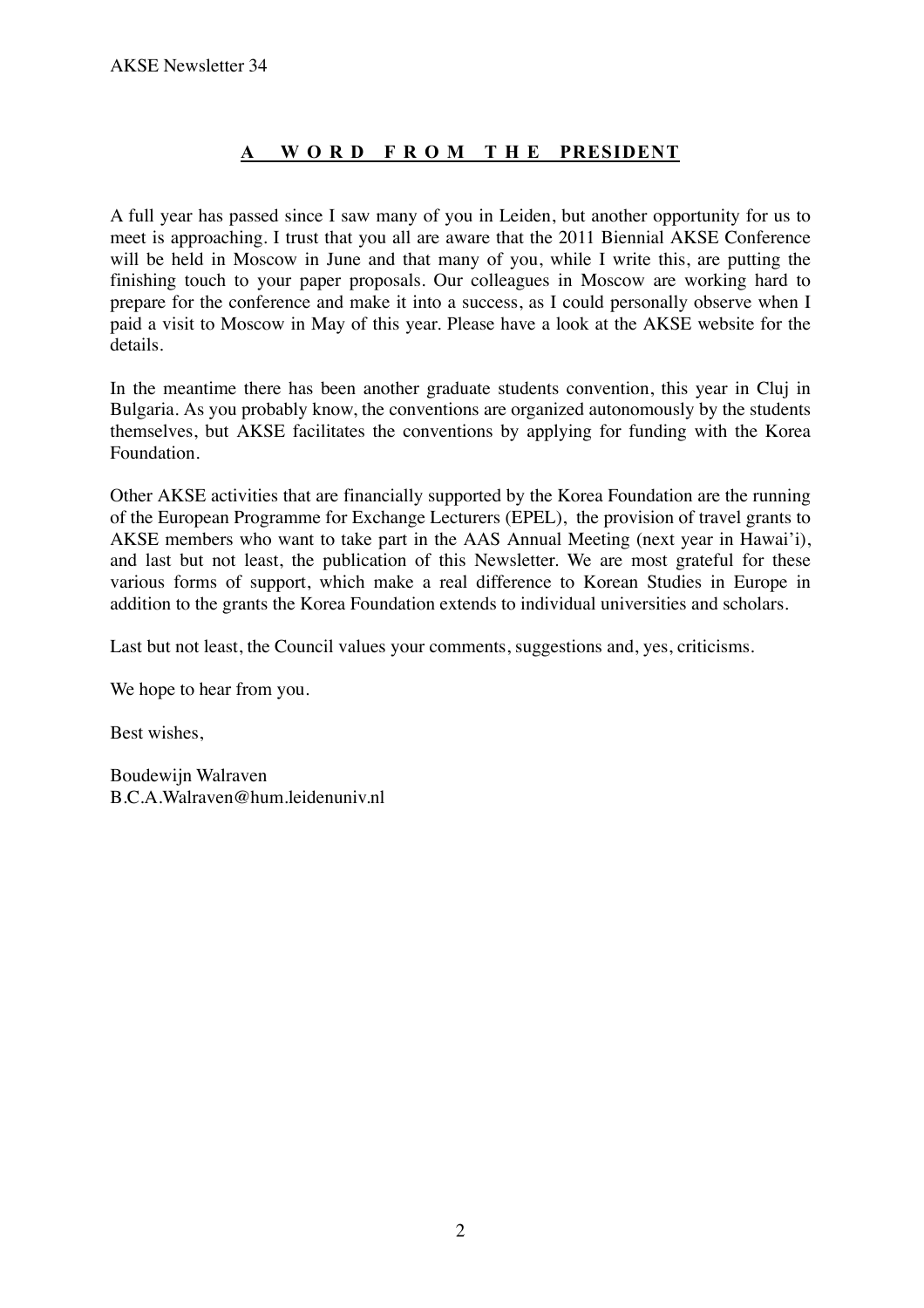# **A W O R D F R O M T H E PRESIDENT**

A full year has passed since I saw many of you in Leiden, but another opportunity for us to meet is approaching. I trust that you all are aware that the 2011 Biennial AKSE Conference will be held in Moscow in June and that many of you, while I write this, are putting the finishing touch to your paper proposals. Our colleagues in Moscow are working hard to prepare for the conference and make it into a success, as I could personally observe when I paid a visit to Moscow in May of this year. Please have a look at the AKSE website for the details.

In the meantime there has been another graduate students convention, this year in Cluj in Bulgaria. As you probably know, the conventions are organized autonomously by the students themselves, but AKSE facilitates the conventions by applying for funding with the Korea Foundation.

Other AKSE activities that are financially supported by the Korea Foundation are the running of the European Programme for Exchange Lecturers (EPEL), the provision of travel grants to AKSE members who want to take part in the AAS Annual Meeting (next year in Hawai'i), and last but not least, the publication of this Newsletter. We are most grateful for these various forms of support, which make a real difference to Korean Studies in Europe in addition to the grants the Korea Foundation extends to individual universities and scholars.

Last but not least, the Council values your comments, suggestions and, yes, criticisms.

We hope to hear from you.

Best wishes,

Boudewijn Walraven B.C.A.Walraven@hum.leidenuniv.nl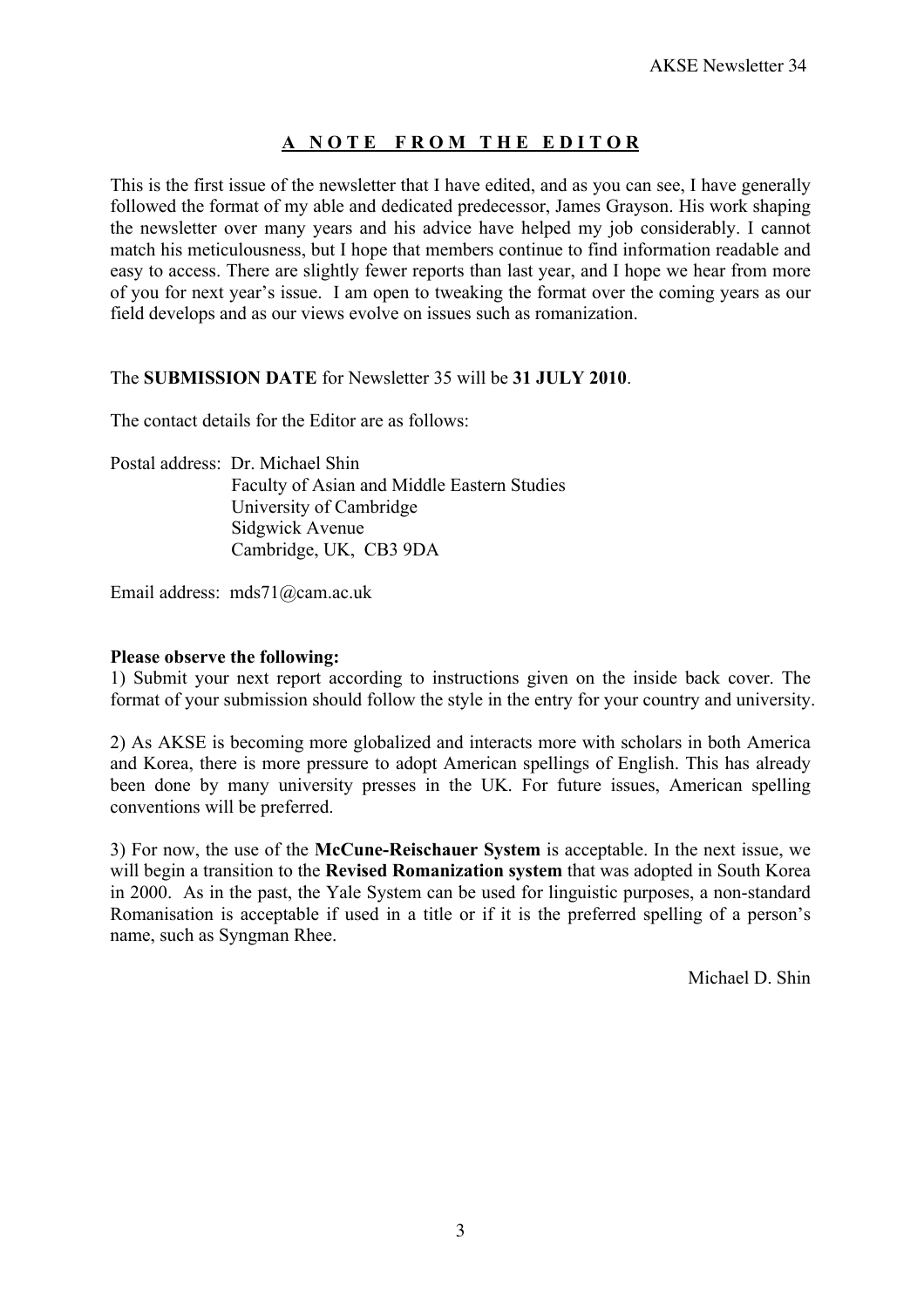# **A N O T E F R O M T H E E D I T O R**

This is the first issue of the newsletter that I have edited, and as you can see, I have generally followed the format of my able and dedicated predecessor, James Grayson. His work shaping the newsletter over many years and his advice have helped my job considerably. I cannot match his meticulousness, but I hope that members continue to find information readable and easy to access. There are slightly fewer reports than last year, and I hope we hear from more of you for next year's issue. I am open to tweaking the format over the coming years as our field develops and as our views evolve on issues such as romanization.

## The **SUBMISSION DATE** for Newsletter 35 will be **31 JULY 2010**.

The contact details for the Editor are as follows:

Postal address: Dr. Michael Shin Faculty of Asian and Middle Eastern Studies University of Cambridge Sidgwick Avenue Cambridge, UK, CB3 9DA

Email address: mds71@cam.ac.uk

#### **Please observe the following:**

1) Submit your next report according to instructions given on the inside back cover. The format of your submission should follow the style in the entry for your country and university.

2) As AKSE is becoming more globalized and interacts more with scholars in both America and Korea, there is more pressure to adopt American spellings of English. This has already been done by many university presses in the UK. For future issues, American spelling conventions will be preferred.

3) For now, the use of the **McCune-Reischauer System** is acceptable. In the next issue, we will begin a transition to the **Revised Romanization system** that was adopted in South Korea in 2000. As in the past, the Yale System can be used for linguistic purposes, a non-standard Romanisation is acceptable if used in a title or if it is the preferred spelling of a person's name, such as Syngman Rhee.

Michael D. Shin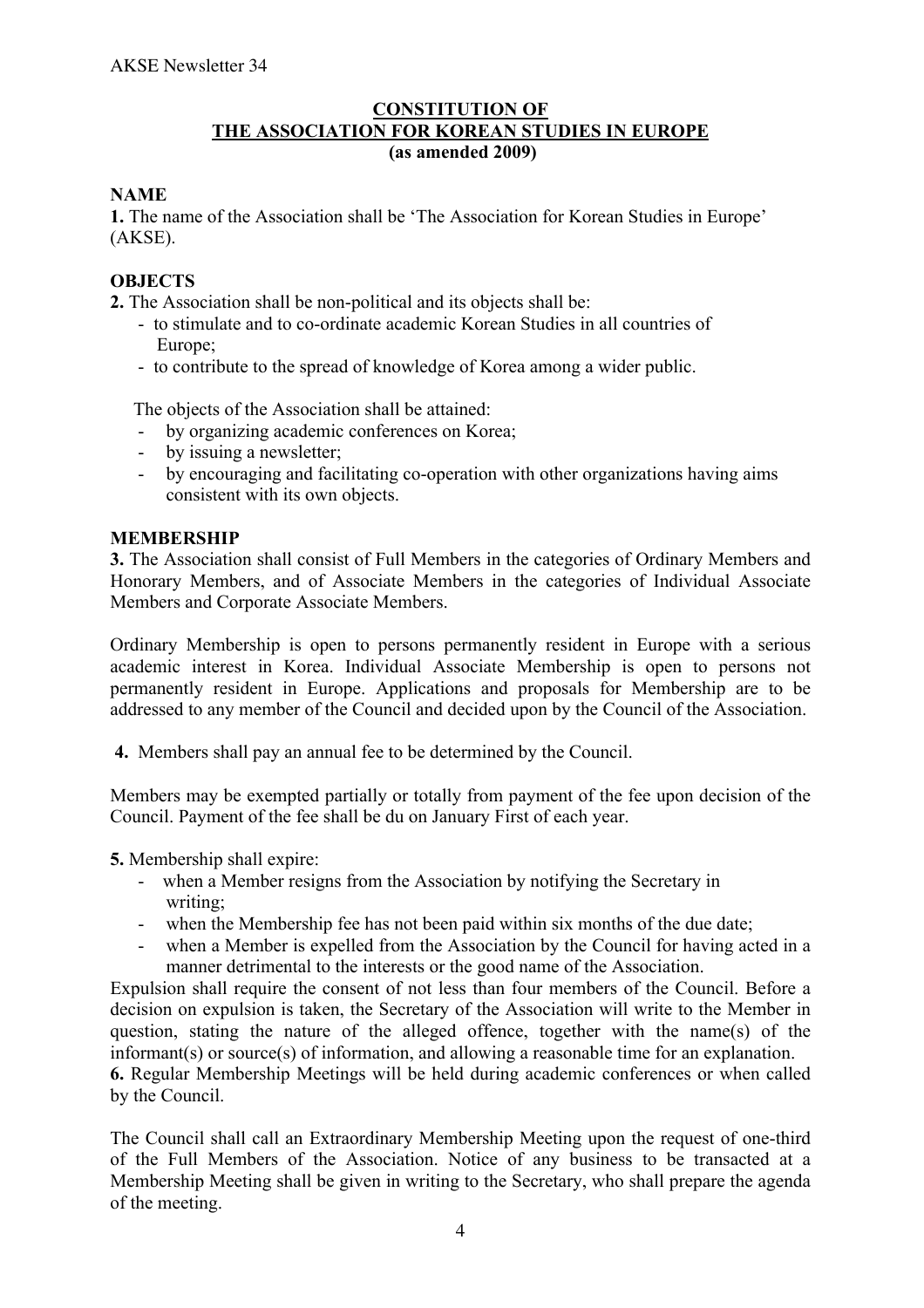## **CONSTITUTION OF THE ASSOCIATION FOR KOREAN STUDIES IN EUROPE (as amended 2009)**

## **NAME**

**1.** The name of the Association shall be 'The Association for Korean Studies in Europe' (AKSE).

## **OBJECTS**

**2.** The Association shall be non-political and its objects shall be:

- to stimulate and to co-ordinate academic Korean Studies in all countries of Europe;
- to contribute to the spread of knowledge of Korea among a wider public.

The objects of the Association shall be attained:

- by organizing academic conferences on Korea;
- by issuing a newsletter;
- by encouraging and facilitating co-operation with other organizations having aims consistent with its own objects.

## **MEMBERSHIP**

**3.** The Association shall consist of Full Members in the categories of Ordinary Members and Honorary Members, and of Associate Members in the categories of Individual Associate Members and Corporate Associate Members.

Ordinary Membership is open to persons permanently resident in Europe with a serious academic interest in Korea. Individual Associate Membership is open to persons not permanently resident in Europe. Applications and proposals for Membership are to be addressed to any member of the Council and decided upon by the Council of the Association.

**4.** Members shall pay an annual fee to be determined by the Council.

Members may be exempted partially or totally from payment of the fee upon decision of the Council. Payment of the fee shall be du on January First of each year.

**5.** Membership shall expire:

- when a Member resigns from the Association by notifying the Secretary in writing;
- when the Membership fee has not been paid within six months of the due date;
- when a Member is expelled from the Association by the Council for having acted in a manner detrimental to the interests or the good name of the Association.

Expulsion shall require the consent of not less than four members of the Council. Before a decision on expulsion is taken, the Secretary of the Association will write to the Member in question, stating the nature of the alleged offence, together with the name(s) of the informant(s) or source(s) of information, and allowing a reasonable time for an explanation. **6.** Regular Membership Meetings will be held during academic conferences or when called by the Council.

The Council shall call an Extraordinary Membership Meeting upon the request of one-third of the Full Members of the Association. Notice of any business to be transacted at a Membership Meeting shall be given in writing to the Secretary, who shall prepare the agenda of the meeting.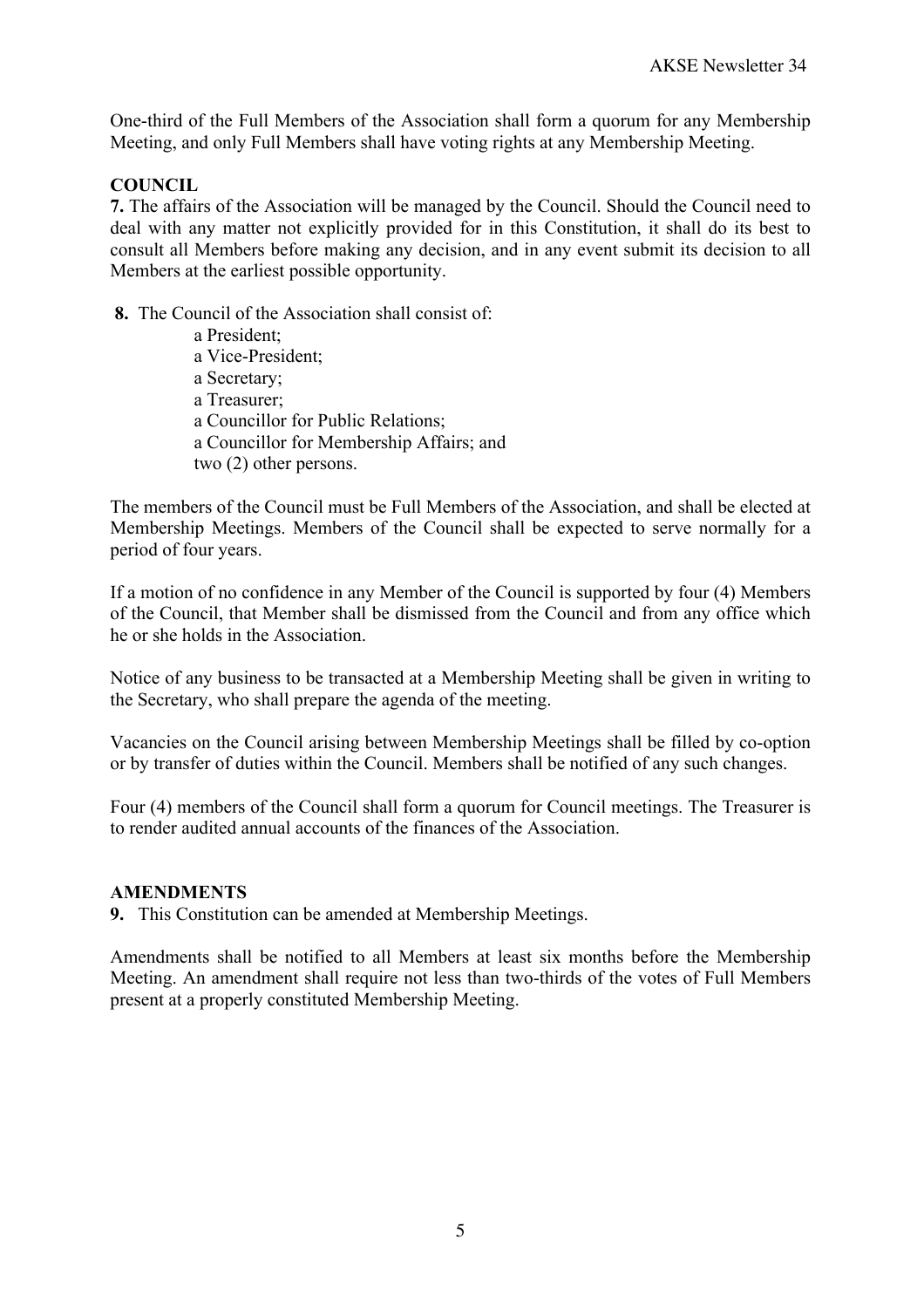One-third of the Full Members of the Association shall form a quorum for any Membership Meeting, and only Full Members shall have voting rights at any Membership Meeting.

## **COUNCIL**

**7.** The affairs of the Association will be managed by the Council. Should the Council need to deal with any matter not explicitly provided for in this Constitution, it shall do its best to consult all Members before making any decision, and in any event submit its decision to all Members at the earliest possible opportunity.

**8.** The Council of the Association shall consist of:

 a President; a Vice-President; a Secretary; a Treasurer; a Councillor for Public Relations; a Councillor for Membership Affairs; and two (2) other persons.

The members of the Council must be Full Members of the Association, and shall be elected at Membership Meetings. Members of the Council shall be expected to serve normally for a period of four years.

If a motion of no confidence in any Member of the Council is supported by four (4) Members of the Council, that Member shall be dismissed from the Council and from any office which he or she holds in the Association.

Notice of any business to be transacted at a Membership Meeting shall be given in writing to the Secretary, who shall prepare the agenda of the meeting.

Vacancies on the Council arising between Membership Meetings shall be filled by co-option or by transfer of duties within the Council. Members shall be notified of any such changes.

Four (4) members of the Council shall form a quorum for Council meetings. The Treasurer is to render audited annual accounts of the finances of the Association.

## **AMENDMENTS**

**9.** This Constitution can be amended at Membership Meetings.

Amendments shall be notified to all Members at least six months before the Membership Meeting. An amendment shall require not less than two-thirds of the votes of Full Members present at a properly constituted Membership Meeting.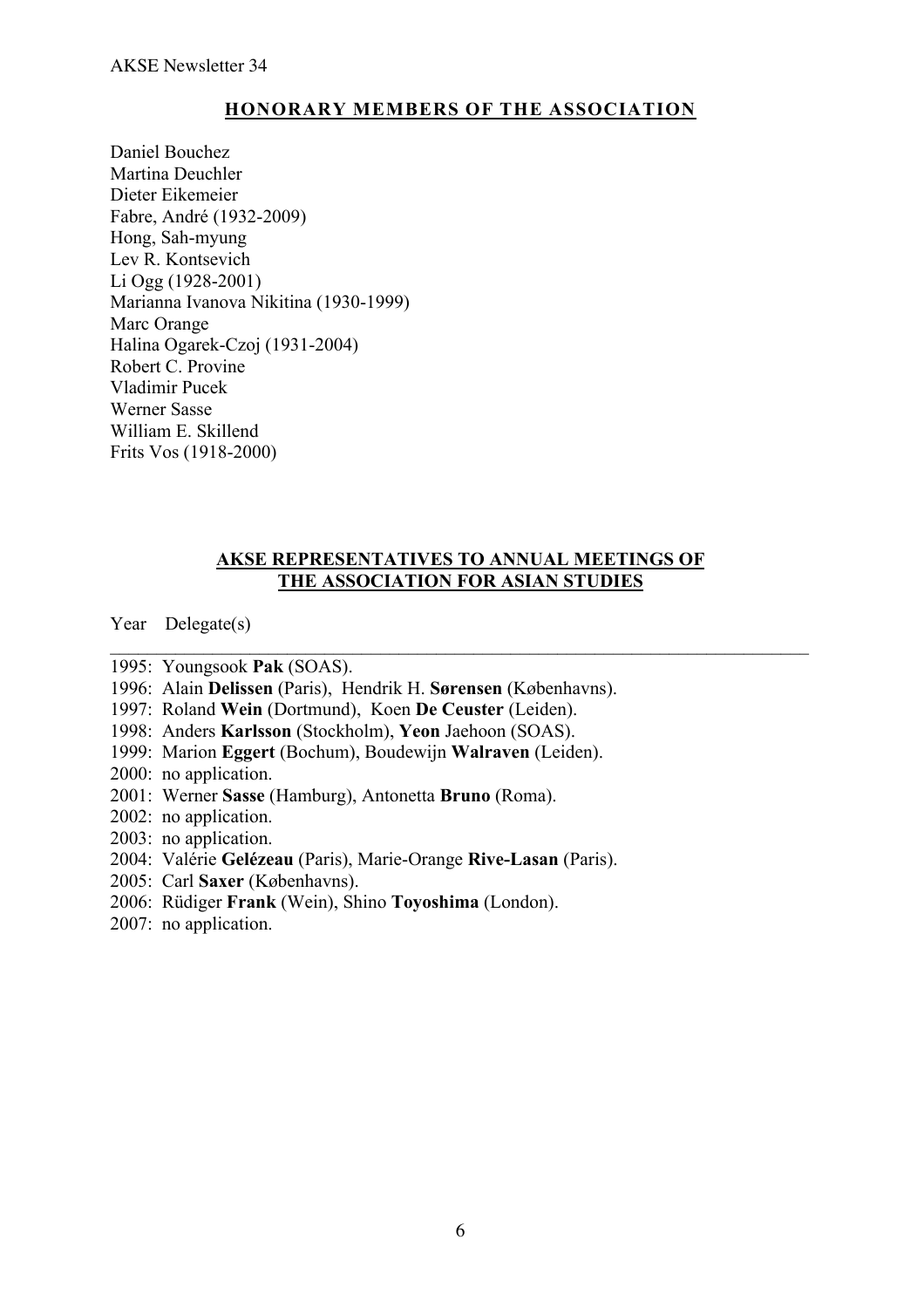# **HONORARY MEMBERS OF THE ASSOCIATION**

Daniel Bouchez Martina Deuchler Dieter Eikemeier Fabre, André (1932-2009) Hong, Sah-myung Lev R. Kontsevich Li Ogg (1928-2001) Marianna Ivanova Nikitina (1930-1999) Marc Orange Halina Ogarek-Czoj (1931-2004) Robert C. Provine Vladimir Pucek Werner Sasse William E. Skillend Frits Vos (1918-2000)

## **AKSE REPRESENTATIVES TO ANNUAL MEETINGS OF THE ASSOCIATION FOR ASIAN STUDIES**

 $\mathcal{L}_\text{max}$  , and the contribution of the contribution of the contribution of the contribution of the contribution of the contribution of the contribution of the contribution of the contribution of the contribution of t

Year Delegate(s)

1995: Youngsook **Pak** (SOAS).

1996: Alain **Delissen** (Paris), Hendrik H. **Sørensen** (Københavns).

1997: Roland **Wein** (Dortmund), Koen **De Ceuster** (Leiden).

1998: Anders **Karlsson** (Stockholm), **Yeon** Jaehoon (SOAS).

1999: Marion **Eggert** (Bochum), Boudewijn **Walraven** (Leiden).

2000: no application.

2001: Werner **Sasse** (Hamburg), Antonetta **Bruno** (Roma).

2002: no application.

2003: no application.

2004: Valérie **Gelézeau** (Paris), Marie-Orange **Rive-Lasan** (Paris).

2005: Carl **Saxer** (Københavns).

2006: Rüdiger **Frank** (Wein), Shino **Toyoshima** (London).

2007: no application.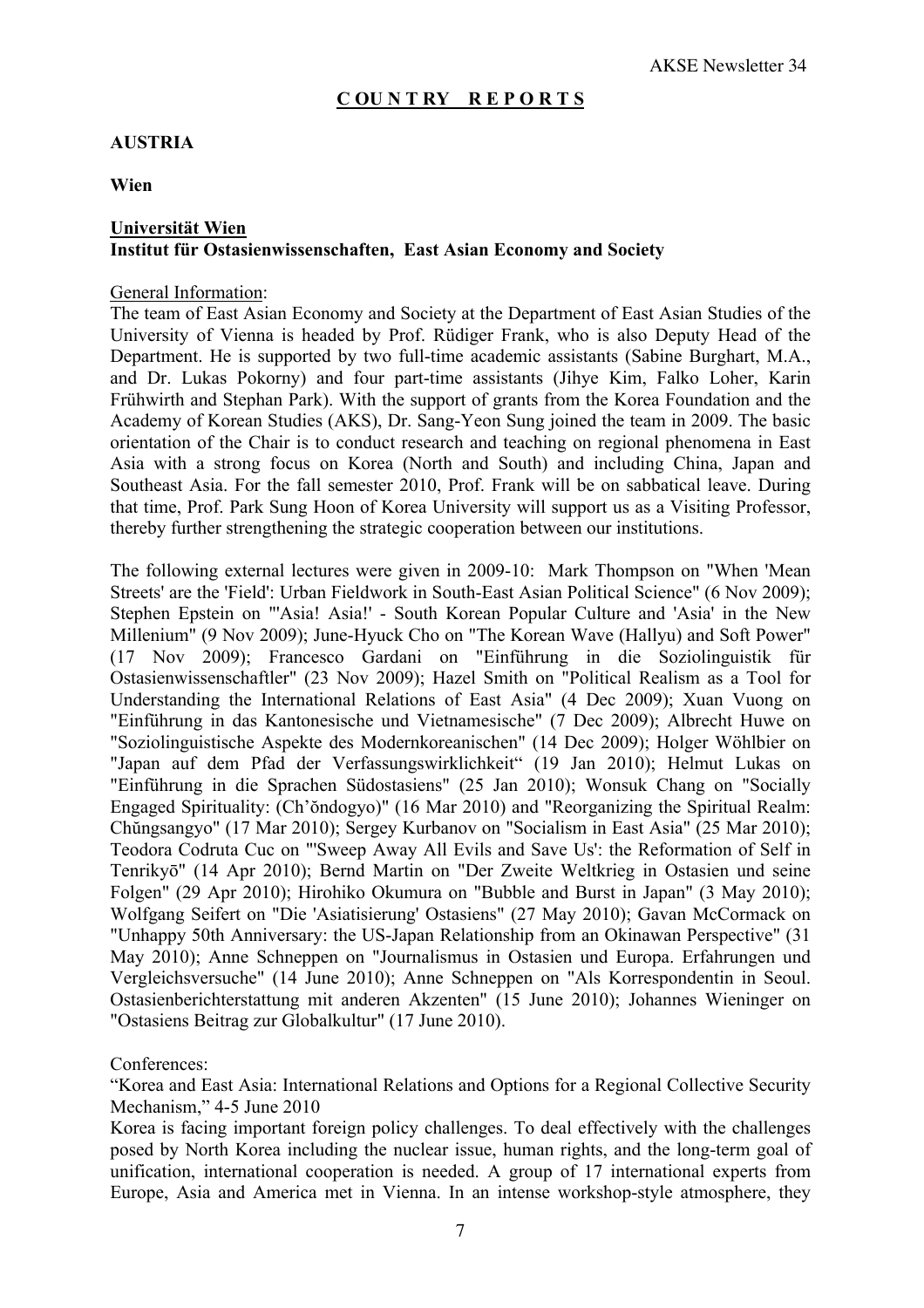#### **C OU N T RY R E P O R T S**

## **AUSTRIA**

**Wien**

## **Universität Wien Institut für Ostasienwissenschaften, East Asian Economy and Society**

#### General Information:

The team of East Asian Economy and Society at the Department of East Asian Studies of the University of Vienna is headed by Prof. Rüdiger Frank, who is also Deputy Head of the Department. He is supported by two full-time academic assistants (Sabine Burghart, M.A., and Dr. Lukas Pokorny) and four part-time assistants (Jihye Kim, Falko Loher, Karin Frühwirth and Stephan Park). With the support of grants from the Korea Foundation and the Academy of Korean Studies (AKS), Dr. Sang-Yeon Sung joined the team in 2009. The basic orientation of the Chair is to conduct research and teaching on regional phenomena in East Asia with a strong focus on Korea (North and South) and including China, Japan and Southeast Asia. For the fall semester 2010, Prof. Frank will be on sabbatical leave. During that time, Prof. Park Sung Hoon of Korea University will support us as a Visiting Professor, thereby further strengthening the strategic cooperation between our institutions.

The following external lectures were given in 2009-10: Mark Thompson on "When 'Mean Streets' are the 'Field': Urban Fieldwork in South-East Asian Political Science" (6 Nov 2009); Stephen Epstein on "'Asia! Asia!' - South Korean Popular Culture and 'Asia' in the New Millenium" (9 Nov 2009); June-Hyuck Cho on "The Korean Wave (Hallyu) and Soft Power" (17 Nov 2009); Francesco Gardani on "Einführung in die Soziolinguistik für Ostasienwissenschaftler" (23 Nov 2009); Hazel Smith on "Political Realism as a Tool for Understanding the International Relations of East Asia" (4 Dec 2009); Xuan Vuong on "Einführung in das Kantonesische und Vietnamesische" (7 Dec 2009); Albrecht Huwe on "Soziolinguistische Aspekte des Modernkoreanischen" (14 Dec 2009); Holger Wöhlbier on "Japan auf dem Pfad der Verfassungswirklichkeit" (19 Jan 2010); Helmut Lukas on "Einführung in die Sprachen Südostasiens" (25 Jan 2010); Wonsuk Chang on "Socially Engaged Spirituality: (Ch'ŏndogyo)" (16 Mar 2010) and "Reorganizing the Spiritual Realm: Chŭngsangyo" (17 Mar 2010); Sergey Kurbanov on "Socialism in East Asia" (25 Mar 2010); Teodora Codruta Cuc on "'Sweep Away All Evils and Save Us': the Reformation of Self in Tenrikyō" (14 Apr 2010); Bernd Martin on "Der Zweite Weltkrieg in Ostasien und seine Folgen" (29 Apr 2010); Hirohiko Okumura on "Bubble and Burst in Japan" (3 May 2010); Wolfgang Seifert on "Die 'Asiatisierung' Ostasiens" (27 May 2010); Gavan McCormack on "Unhappy 50th Anniversary: the US-Japan Relationship from an Okinawan Perspective" (31 May 2010); Anne Schneppen on "Journalismus in Ostasien und Europa. Erfahrungen und Vergleichsversuche" (14 June 2010); Anne Schneppen on "Als Korrespondentin in Seoul. Ostasienberichterstattung mit anderen Akzenten" (15 June 2010); Johannes Wieninger on "Ostasiens Beitrag zur Globalkultur" (17 June 2010).

#### Conferences:

"Korea and East Asia: International Relations and Options for a Regional Collective Security Mechanism," 4-5 June 2010

Korea is facing important foreign policy challenges. To deal effectively with the challenges posed by North Korea including the nuclear issue, human rights, and the long-term goal of unification, international cooperation is needed. A group of 17 international experts from Europe, Asia and America met in Vienna. In an intense workshop-style atmosphere, they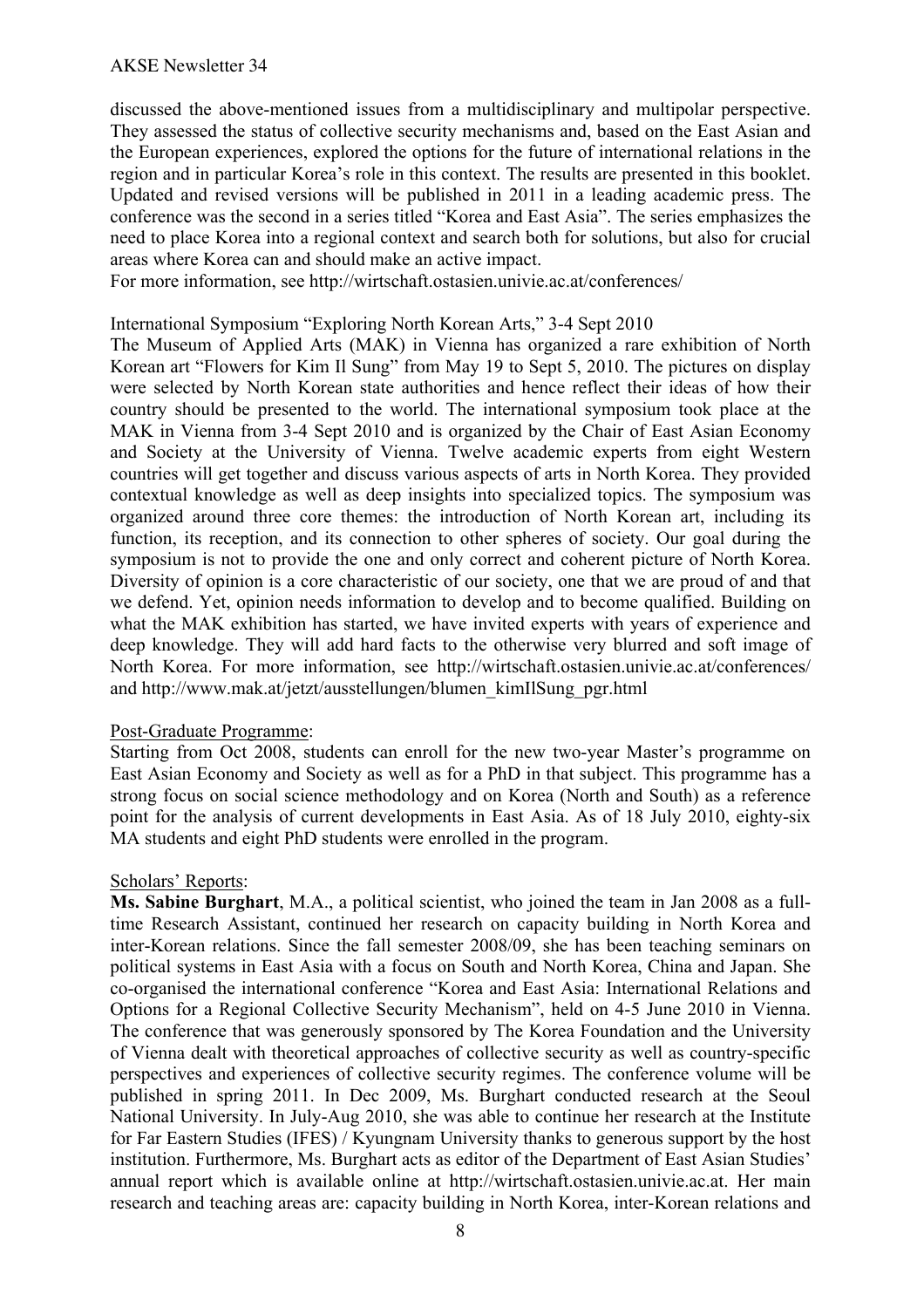discussed the above-mentioned issues from a multidisciplinary and multipolar perspective. They assessed the status of collective security mechanisms and, based on the East Asian and the European experiences, explored the options for the future of international relations in the region and in particular Korea's role in this context. The results are presented in this booklet. Updated and revised versions will be published in 2011 in a leading academic press. The conference was the second in a series titled "Korea and East Asia". The series emphasizes the need to place Korea into a regional context and search both for solutions, but also for crucial areas where Korea can and should make an active impact.

For more information, see http://wirtschaft.ostasien.univie.ac.at/conferences/

#### International Symposium "Exploring North Korean Arts," 3-4 Sept 2010

The Museum of Applied Arts (MAK) in Vienna has organized a rare exhibition of North Korean art "Flowers for Kim Il Sung" from May 19 to Sept 5, 2010. The pictures on display were selected by North Korean state authorities and hence reflect their ideas of how their country should be presented to the world. The international symposium took place at the MAK in Vienna from 3-4 Sept 2010 and is organized by the Chair of East Asian Economy and Society at the University of Vienna. Twelve academic experts from eight Western countries will get together and discuss various aspects of arts in North Korea. They provided contextual knowledge as well as deep insights into specialized topics. The symposium was organized around three core themes: the introduction of North Korean art, including its function, its reception, and its connection to other spheres of society. Our goal during the symposium is not to provide the one and only correct and coherent picture of North Korea. Diversity of opinion is a core characteristic of our society, one that we are proud of and that we defend. Yet, opinion needs information to develop and to become qualified. Building on what the MAK exhibition has started, we have invited experts with years of experience and deep knowledge. They will add hard facts to the otherwise very blurred and soft image of North Korea. For more information, see http://wirtschaft.ostasien.univie.ac.at/conferences/ and http://www.mak.at/jetzt/ausstellungen/blumen\_kimIlSung\_pgr.html

#### Post-Graduate Programme:

Starting from Oct 2008, students can enroll for the new two-year Master's programme on East Asian Economy and Society as well as for a PhD in that subject. This programme has a strong focus on social science methodology and on Korea (North and South) as a reference point for the analysis of current developments in East Asia. As of 18 July 2010, eighty-six MA students and eight PhD students were enrolled in the program.

#### Scholars' Reports:

**Ms. Sabine Burghart**, M.A., a political scientist, who joined the team in Jan 2008 as a fulltime Research Assistant, continued her research on capacity building in North Korea and inter-Korean relations. Since the fall semester 2008/09, she has been teaching seminars on political systems in East Asia with a focus on South and North Korea, China and Japan. She co-organised the international conference "Korea and East Asia: International Relations and Options for a Regional Collective Security Mechanism", held on 4-5 June 2010 in Vienna. The conference that was generously sponsored by The Korea Foundation and the University of Vienna dealt with theoretical approaches of collective security as well as country-specific perspectives and experiences of collective security regimes. The conference volume will be published in spring 2011. In Dec 2009, Ms. Burghart conducted research at the Seoul National University. In July-Aug 2010, she was able to continue her research at the Institute for Far Eastern Studies (IFES) / Kyungnam University thanks to generous support by the host institution. Furthermore, Ms. Burghart acts as editor of the Department of East Asian Studies' annual report which is available online at http://wirtschaft.ostasien.univie.ac.at. Her main research and teaching areas are: capacity building in North Korea, inter-Korean relations and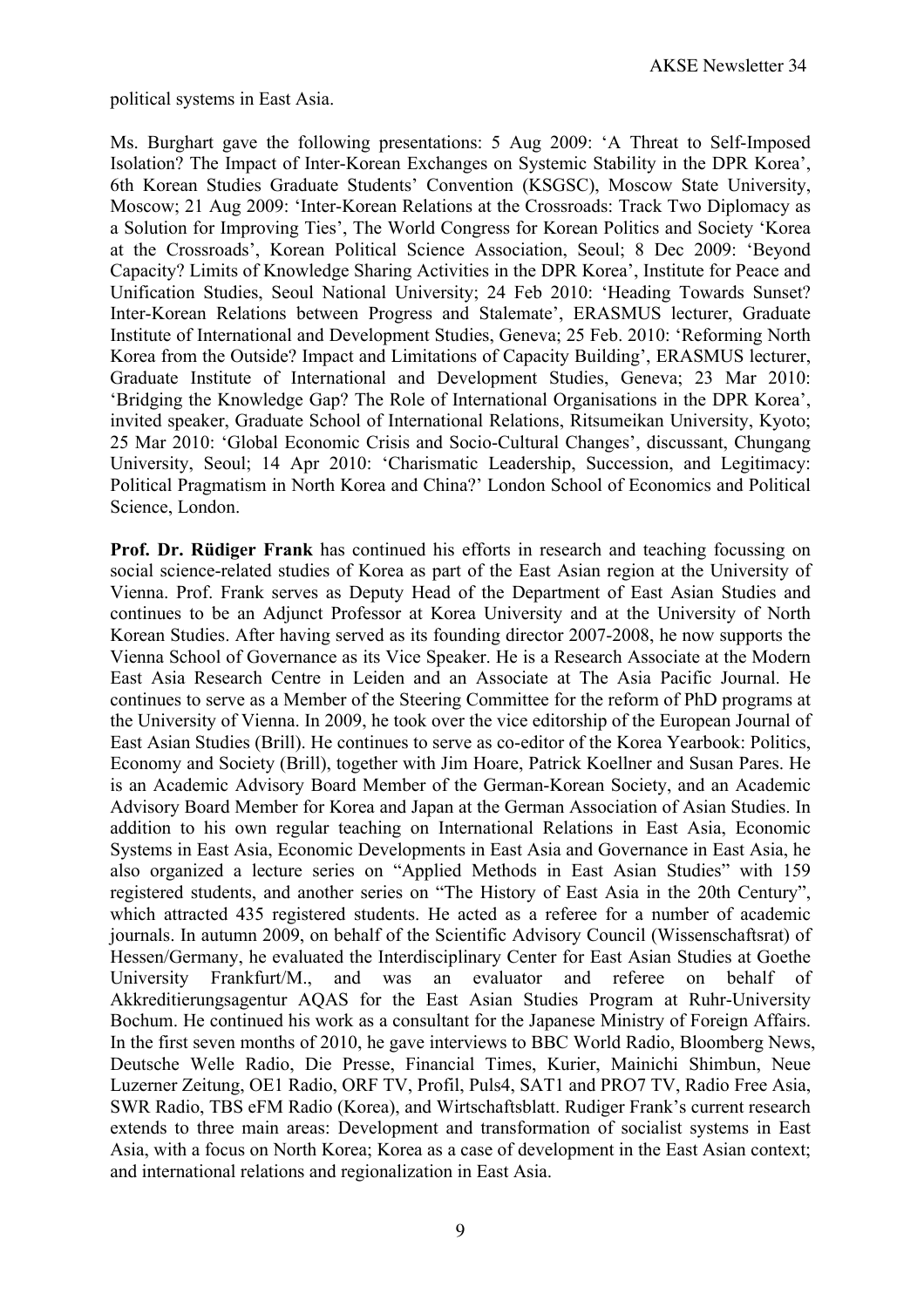political systems in East Asia.

Ms. Burghart gave the following presentations: 5 Aug 2009: 'A Threat to Self-Imposed Isolation? The Impact of Inter-Korean Exchanges on Systemic Stability in the DPR Korea', 6th Korean Studies Graduate Students' Convention (KSGSC), Moscow State University, Moscow; 21 Aug 2009: 'Inter-Korean Relations at the Crossroads: Track Two Diplomacy as a Solution for Improving Ties', The World Congress for Korean Politics and Society 'Korea at the Crossroads', Korean Political Science Association, Seoul; 8 Dec 2009: 'Beyond Capacity? Limits of Knowledge Sharing Activities in the DPR Korea', Institute for Peace and Unification Studies, Seoul National University; 24 Feb 2010: 'Heading Towards Sunset? Inter-Korean Relations between Progress and Stalemate', ERASMUS lecturer, Graduate Institute of International and Development Studies, Geneva; 25 Feb. 2010: 'Reforming North Korea from the Outside? Impact and Limitations of Capacity Building', ERASMUS lecturer, Graduate Institute of International and Development Studies, Geneva; 23 Mar 2010: 'Bridging the Knowledge Gap? The Role of International Organisations in the DPR Korea', invited speaker, Graduate School of International Relations, Ritsumeikan University, Kyoto; 25 Mar 2010: 'Global Economic Crisis and Socio-Cultural Changes', discussant, Chungang University, Seoul; 14 Apr 2010: 'Charismatic Leadership, Succession, and Legitimacy: Political Pragmatism in North Korea and China?' London School of Economics and Political Science, London.

**Prof. Dr. Rüdiger Frank** has continued his efforts in research and teaching focussing on social science-related studies of Korea as part of the East Asian region at the University of Vienna. Prof. Frank serves as Deputy Head of the Department of East Asian Studies and continues to be an Adjunct Professor at Korea University and at the University of North Korean Studies. After having served as its founding director 2007-2008, he now supports the Vienna School of Governance as its Vice Speaker. He is a Research Associate at the Modern East Asia Research Centre in Leiden and an Associate at The Asia Pacific Journal. He continues to serve as a Member of the Steering Committee for the reform of PhD programs at the University of Vienna. In 2009, he took over the vice editorship of the European Journal of East Asian Studies (Brill). He continues to serve as co-editor of the Korea Yearbook: Politics, Economy and Society (Brill), together with Jim Hoare, Patrick Koellner and Susan Pares. He is an Academic Advisory Board Member of the German-Korean Society, and an Academic Advisory Board Member for Korea and Japan at the German Association of Asian Studies. In addition to his own regular teaching on International Relations in East Asia, Economic Systems in East Asia, Economic Developments in East Asia and Governance in East Asia, he also organized a lecture series on "Applied Methods in East Asian Studies" with 159 registered students, and another series on "The History of East Asia in the 20th Century", which attracted 435 registered students. He acted as a referee for a number of academic journals. In autumn 2009, on behalf of the Scientific Advisory Council (Wissenschaftsrat) of Hessen/Germany, he evaluated the Interdisciplinary Center for East Asian Studies at Goethe University Frankfurt/M., and was an evaluator and referee on behalf of Akkreditierungsagentur AQAS for the East Asian Studies Program at Ruhr-University Bochum. He continued his work as a consultant for the Japanese Ministry of Foreign Affairs. In the first seven months of 2010, he gave interviews to BBC World Radio, Bloomberg News, Deutsche Welle Radio, Die Presse, Financial Times, Kurier, Mainichi Shimbun, Neue Luzerner Zeitung, OE1 Radio, ORF TV, Profil, Puls4, SAT1 and PRO7 TV, Radio Free Asia, SWR Radio, TBS eFM Radio (Korea), and Wirtschaftsblatt. Rudiger Frank's current research extends to three main areas: Development and transformation of socialist systems in East Asia, with a focus on North Korea; Korea as a case of development in the East Asian context; and international relations and regionalization in East Asia.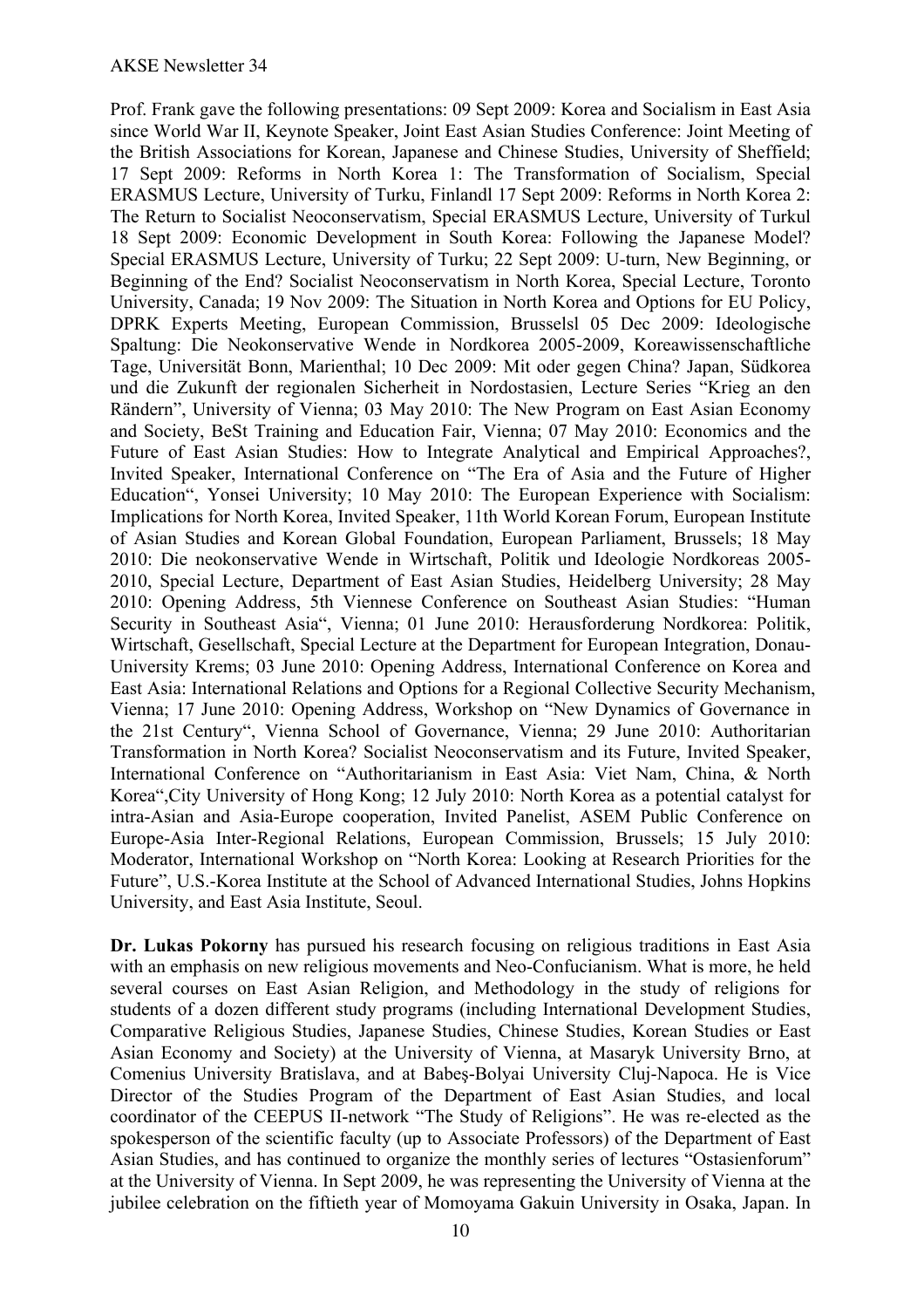Prof. Frank gave the following presentations: 09 Sept 2009: Korea and Socialism in East Asia since World War II, Keynote Speaker, Joint East Asian Studies Conference: Joint Meeting of the British Associations for Korean, Japanese and Chinese Studies, University of Sheffield; 17 Sept 2009: Reforms in North Korea 1: The Transformation of Socialism, Special ERASMUS Lecture, University of Turku, Finlandl 17 Sept 2009: Reforms in North Korea 2: The Return to Socialist Neoconservatism, Special ERASMUS Lecture, University of Turkul 18 Sept 2009: Economic Development in South Korea: Following the Japanese Model? Special ERASMUS Lecture, University of Turku; 22 Sept 2009: U-turn, New Beginning, or Beginning of the End? Socialist Neoconservatism in North Korea, Special Lecture, Toronto University, Canada; 19 Nov 2009: The Situation in North Korea and Options for EU Policy, DPRK Experts Meeting, European Commission, Brusselsl 05 Dec 2009: Ideologische Spaltung: Die Neokonservative Wende in Nordkorea 2005-2009, Koreawissenschaftliche Tage, Universität Bonn, Marienthal; 10 Dec 2009: Mit oder gegen China? Japan, Südkorea und die Zukunft der regionalen Sicherheit in Nordostasien, Lecture Series "Krieg an den Rändern", University of Vienna; 03 May 2010: The New Program on East Asian Economy and Society, BeSt Training and Education Fair, Vienna; 07 May 2010: Economics and the Future of East Asian Studies: How to Integrate Analytical and Empirical Approaches?, Invited Speaker, International Conference on "The Era of Asia and the Future of Higher Education", Yonsei University; 10 May 2010: The European Experience with Socialism: Implications for North Korea, Invited Speaker, 11th World Korean Forum, European Institute of Asian Studies and Korean Global Foundation, European Parliament, Brussels; 18 May 2010: Die neokonservative Wende in Wirtschaft, Politik und Ideologie Nordkoreas 2005- 2010, Special Lecture, Department of East Asian Studies, Heidelberg University; 28 May 2010: Opening Address, 5th Viennese Conference on Southeast Asian Studies: "Human Security in Southeast Asia", Vienna; 01 June 2010: Herausforderung Nordkorea: Politik, Wirtschaft, Gesellschaft, Special Lecture at the Department for European Integration, Donau-University Krems; 03 June 2010: Opening Address, International Conference on Korea and East Asia: International Relations and Options for a Regional Collective Security Mechanism, Vienna; 17 June 2010: Opening Address, Workshop on "New Dynamics of Governance in the 21st Century", Vienna School of Governance, Vienna; 29 June 2010: Authoritarian Transformation in North Korea? Socialist Neoconservatism and its Future, Invited Speaker, International Conference on "Authoritarianism in East Asia: Viet Nam, China, & North Korea",City University of Hong Kong; 12 July 2010: North Korea as a potential catalyst for intra-Asian and Asia-Europe cooperation, Invited Panelist, ASEM Public Conference on Europe-Asia Inter-Regional Relations, European Commission, Brussels; 15 July 2010: Moderator, International Workshop on "North Korea: Looking at Research Priorities for the Future", U.S.-Korea Institute at the School of Advanced International Studies, Johns Hopkins University, and East Asia Institute, Seoul.

**Dr. Lukas Pokorny** has pursued his research focusing on religious traditions in East Asia with an emphasis on new religious movements and Neo-Confucianism. What is more, he held several courses on East Asian Religion, and Methodology in the study of religions for students of a dozen different study programs (including International Development Studies, Comparative Religious Studies, Japanese Studies, Chinese Studies, Korean Studies or East Asian Economy and Society) at the University of Vienna, at Masaryk University Brno, at Comenius University Bratislava, and at Babeş-Bolyai University Cluj-Napoca. He is Vice Director of the Studies Program of the Department of East Asian Studies, and local coordinator of the CEEPUS II-network "The Study of Religions". He was re-elected as the spokesperson of the scientific faculty (up to Associate Professors) of the Department of East Asian Studies, and has continued to organize the monthly series of lectures "Ostasienforum" at the University of Vienna. In Sept 2009, he was representing the University of Vienna at the jubilee celebration on the fiftieth year of Momoyama Gakuin University in Osaka, Japan. In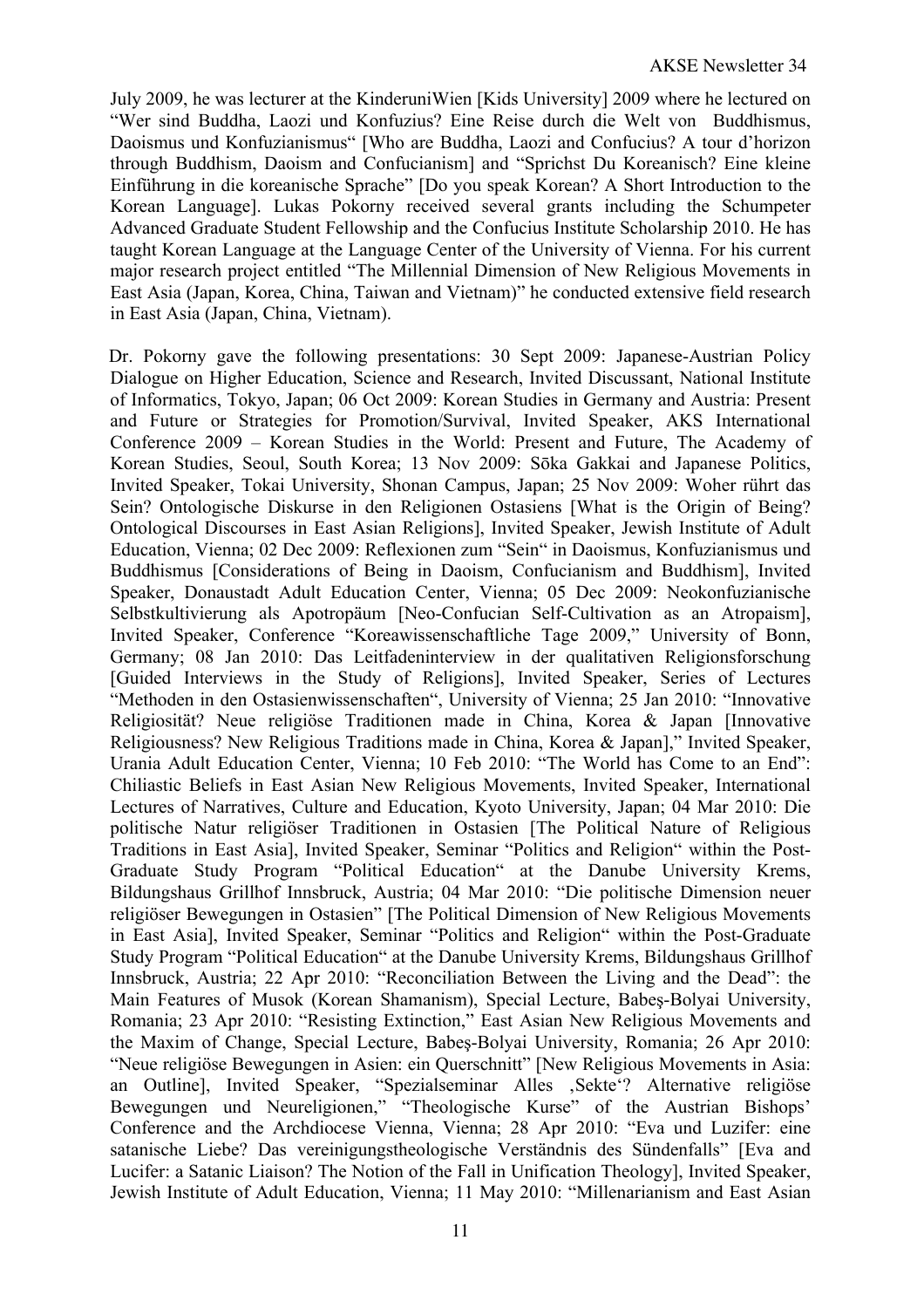July 2009, he was lecturer at the KinderuniWien [Kids University] 2009 where he lectured on "Wer sind Buddha, Laozi und Konfuzius? Eine Reise durch die Welt von Buddhismus, Daoismus und Konfuzianismus" [Who are Buddha, Laozi and Confucius? A tour d'horizon through Buddhism, Daoism and Confucianism] and "Sprichst Du Koreanisch? Eine kleine Einführung in die koreanische Sprache" [Do you speak Korean? A Short Introduction to the Korean Language]. Lukas Pokorny received several grants including the Schumpeter Advanced Graduate Student Fellowship and the Confucius Institute Scholarship 2010. He has taught Korean Language at the Language Center of the University of Vienna. For his current major research project entitled "The Millennial Dimension of New Religious Movements in East Asia (Japan, Korea, China, Taiwan and Vietnam)" he conducted extensive field research in East Asia (Japan, China, Vietnam).

Dr. Pokorny gave the following presentations: 30 Sept 2009: Japanese-Austrian Policy Dialogue on Higher Education, Science and Research, Invited Discussant, National Institute of Informatics, Tokyo, Japan; 06 Oct 2009: Korean Studies in Germany and Austria: Present and Future or Strategies for Promotion/Survival, Invited Speaker, AKS International Conference 2009 – Korean Studies in the World: Present and Future, The Academy of Korean Studies, Seoul, South Korea; 13 Nov 2009: Sōka Gakkai and Japanese Politics, Invited Speaker, Tokai University, Shonan Campus, Japan; 25 Nov 2009: Woher rührt das Sein? Ontologische Diskurse in den Religionen Ostasiens [What is the Origin of Being? Ontological Discourses in East Asian Religions], Invited Speaker, Jewish Institute of Adult Education, Vienna; 02 Dec 2009: Reflexionen zum "Sein" in Daoismus, Konfuzianismus und Buddhismus [Considerations of Being in Daoism, Confucianism and Buddhism], Invited Speaker, Donaustadt Adult Education Center, Vienna; 05 Dec 2009: Neokonfuzianische Selbstkultivierung als Apotropäum [Neo-Confucian Self-Cultivation as an Atropaism], Invited Speaker, Conference "Koreawissenschaftliche Tage 2009," University of Bonn, Germany; 08 Jan 2010: Das Leitfadeninterview in der qualitativen Religionsforschung [Guided Interviews in the Study of Religions], Invited Speaker, Series of Lectures "Methoden in den Ostasienwissenschaften", University of Vienna; 25 Jan 2010: "Innovative Religiosität? Neue religiöse Traditionen made in China, Korea & Japan [Innovative Religiousness? New Religious Traditions made in China, Korea & Japan]," Invited Speaker, Urania Adult Education Center, Vienna; 10 Feb 2010: "The World has Come to an End": Chiliastic Beliefs in East Asian New Religious Movements, Invited Speaker, International Lectures of Narratives, Culture and Education, Kyoto University, Japan; 04 Mar 2010: Die politische Natur religiöser Traditionen in Ostasien [The Political Nature of Religious Traditions in East Asia], Invited Speaker, Seminar "Politics and Religion" within the Post-Graduate Study Program "Political Education" at the Danube University Krems, Bildungshaus Grillhof Innsbruck, Austria; 04 Mar 2010: "Die politische Dimension neuer religiöser Bewegungen in Ostasien" [The Political Dimension of New Religious Movements in East Asia], Invited Speaker, Seminar "Politics and Religion" within the Post-Graduate Study Program "Political Education" at the Danube University Krems, Bildungshaus Grillhof Innsbruck, Austria; 22 Apr 2010: "Reconciliation Between the Living and the Dead": the Main Features of Musok (Korean Shamanism), Special Lecture, Babeş-Bolyai University, Romania; 23 Apr 2010: "Resisting Extinction," East Asian New Religious Movements and the Maxim of Change, Special Lecture, Babeş-Bolyai University, Romania; 26 Apr 2010: "Neue religiöse Bewegungen in Asien: ein Querschnitt" [New Religious Movements in Asia: an Outline], Invited Speaker, "Spezialseminar Alles , Sekte"? Alternative religiöse Bewegungen und Neureligionen," "Theologische Kurse" of the Austrian Bishops' Conference and the Archdiocese Vienna, Vienna; 28 Apr 2010: "Eva und Luzifer: eine satanische Liebe? Das vereinigungstheologische Verständnis des Sündenfalls" [Eva and Lucifer: a Satanic Liaison? The Notion of the Fall in Unification Theology], Invited Speaker, Jewish Institute of Adult Education, Vienna; 11 May 2010: "Millenarianism and East Asian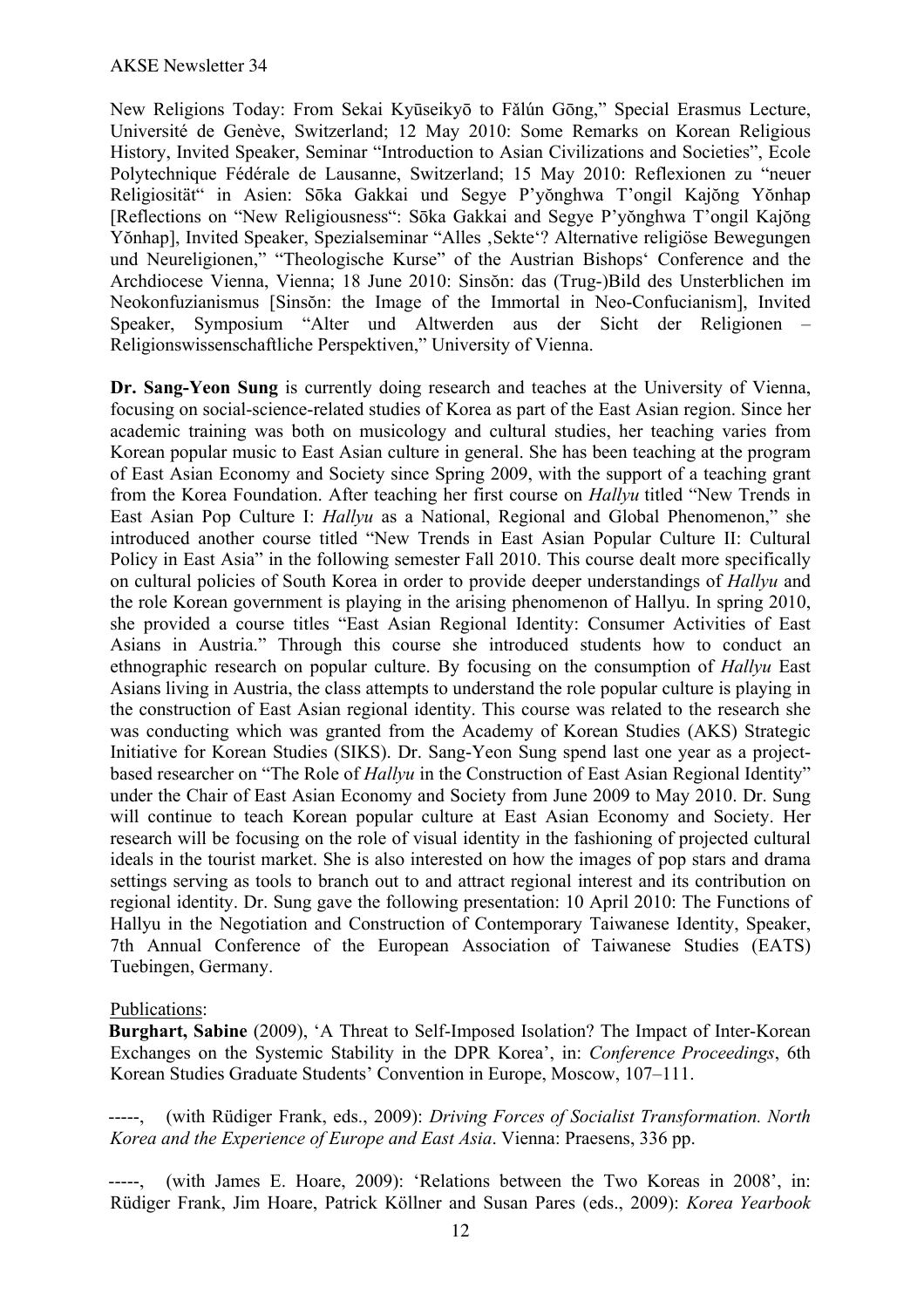New Religions Today: From Sekai Kyūseikyō to Fǎlún Gōng," Special Erasmus Lecture, Université de Genève, Switzerland; 12 May 2010: Some Remarks on Korean Religious History, Invited Speaker, Seminar "Introduction to Asian Civilizations and Societies", Ecole Polytechnique Fédérale de Lausanne, Switzerland; 15 May 2010: Reflexionen zu "neuer Religiosität" in Asien: Sōka Gakkai und Segye P'yŏnghwa T'ongil Kajŏng Yŏnhap [Reflections on "New Religiousness": Sōka Gakkai and Segye P'yŏnghwa T'ongil Kajŏng Yŏnhap], Invited Speaker, Spezialseminar "Alles , Sekte"? Alternative religiöse Bewegungen und Neureligionen," "Theologische Kurse" of the Austrian Bishops' Conference and the Archdiocese Vienna, Vienna; 18 June 2010: Sinsŏn: das (Trug-)Bild des Unsterblichen im Neokonfuzianismus [Sinsŏn: the Image of the Immortal in Neo-Confucianism], Invited Speaker, Symposium "Alter und Altwerden aus der Sicht der Religionen – Religionswissenschaftliche Perspektiven," University of Vienna.

**Dr. Sang-Yeon Sung** is currently doing research and teaches at the University of Vienna, focusing on social-science-related studies of Korea as part of the East Asian region. Since her academic training was both on musicology and cultural studies, her teaching varies from Korean popular music to East Asian culture in general. She has been teaching at the program of East Asian Economy and Society since Spring 2009, with the support of a teaching grant from the Korea Foundation. After teaching her first course on *Hallyu* titled "New Trends in East Asian Pop Culture I: *Hallyu* as a National, Regional and Global Phenomenon," she introduced another course titled "New Trends in East Asian Popular Culture II: Cultural Policy in East Asia" in the following semester Fall 2010. This course dealt more specifically on cultural policies of South Korea in order to provide deeper understandings of *Hallyu* and the role Korean government is playing in the arising phenomenon of Hallyu. In spring 2010, she provided a course titles "East Asian Regional Identity: Consumer Activities of East Asians in Austria." Through this course she introduced students how to conduct an ethnographic research on popular culture. By focusing on the consumption of *Hallyu* East Asians living in Austria, the class attempts to understand the role popular culture is playing in the construction of East Asian regional identity. This course was related to the research she was conducting which was granted from the Academy of Korean Studies (AKS) Strategic Initiative for Korean Studies (SIKS). Dr. Sang-Yeon Sung spend last one year as a projectbased researcher on "The Role of *Hallyu* in the Construction of East Asian Regional Identity" under the Chair of East Asian Economy and Society from June 2009 to May 2010. Dr. Sung will continue to teach Korean popular culture at East Asian Economy and Society. Her research will be focusing on the role of visual identity in the fashioning of projected cultural ideals in the tourist market. She is also interested on how the images of pop stars and drama settings serving as tools to branch out to and attract regional interest and its contribution on regional identity. Dr. Sung gave the following presentation: 10 April 2010: The Functions of Hallyu in the Negotiation and Construction of Contemporary Taiwanese Identity, Speaker, 7th Annual Conference of the European Association of Taiwanese Studies (EATS) Tuebingen, Germany.

## Publications:

**Burghart, Sabine** (2009), 'A Threat to Self-Imposed Isolation? The Impact of Inter-Korean Exchanges on the Systemic Stability in the DPR Korea', in: *Conference Proceedings*, 6th Korean Studies Graduate Students' Convention in Europe, Moscow, 107–111.

(with Rüdiger Frank, eds., 2009): *Driving Forces of Socialist Transformation. North Korea and the Experience of Europe and East Asia*. Vienna: Praesens, 336 pp.

-----, (with James E. Hoare, 2009): 'Relations between the Two Koreas in 2008', in: Rüdiger Frank, Jim Hoare, Patrick Köllner and Susan Pares (eds., 2009): *Korea Yearbook*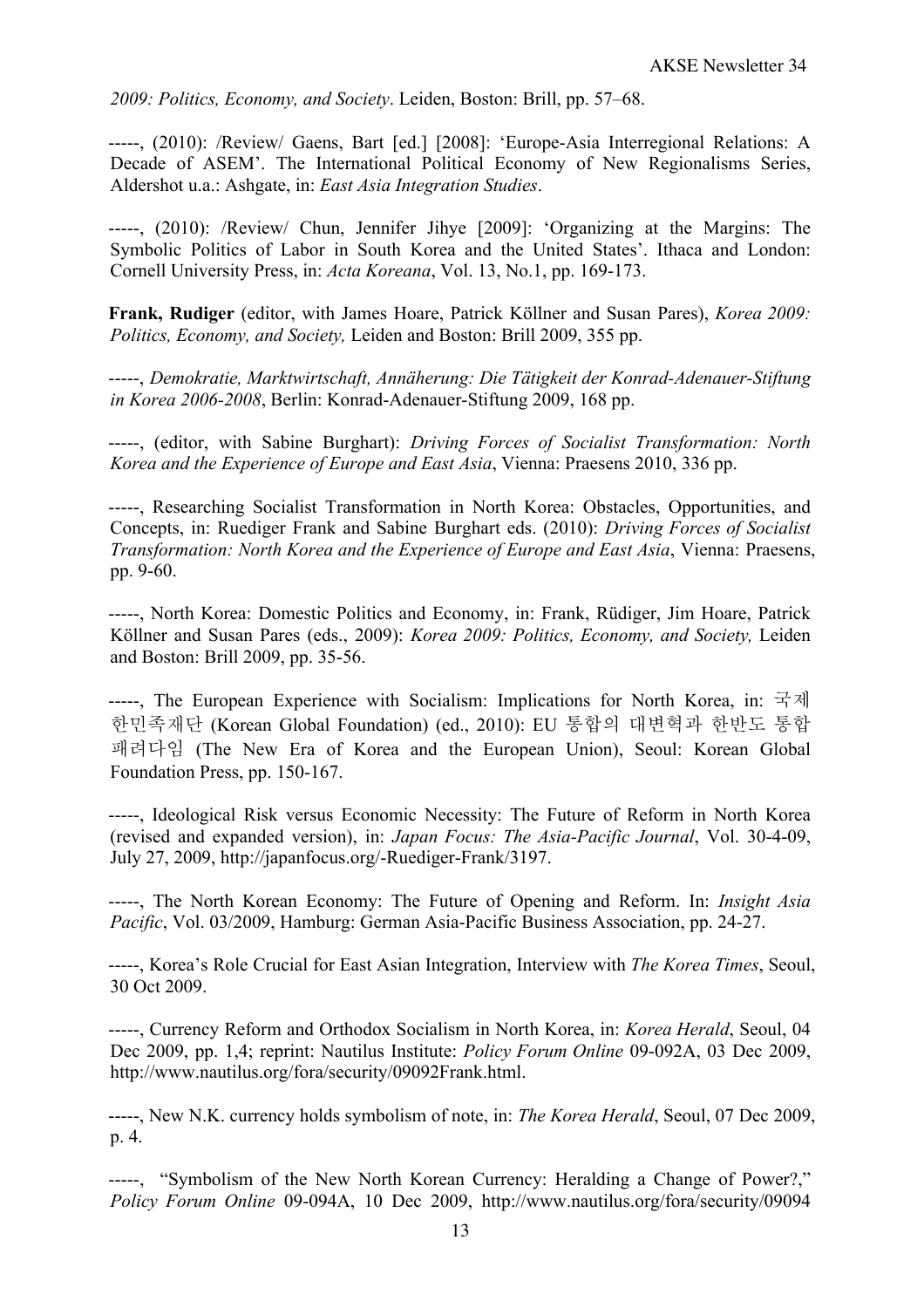*2009: Politics, Economy, and Society*. Leiden, Boston: Brill, pp. 57–68.

-----, (2010): /Review/ Gaens, Bart [ed.] [2008]: 'Europe-Asia Interregional Relations: A Decade of ASEM'. The International Political Economy of New Regionalisms Series, Aldershot u.a.: Ashgate, in: *East Asia Integration Studies*.

-----, (2010): /Review/ Chun, Jennifer Jihye [2009]: 'Organizing at the Margins: The Symbolic Politics of Labor in South Korea and the United States'. Ithaca and London: Cornell University Press, in: *Acta Koreana*, Vol. 13, No.1, pp. 169-173.

**Frank, Rudiger** (editor, with James Hoare, Patrick Köllner and Susan Pares), *Korea 2009: Politics, Economy, and Society,* Leiden and Boston: Brill 2009, 355 pp.

-----, *Demokratie, Marktwirtschaft, Annäherung: Die Tätigkeit der Konrad-Adenauer-Stiftung in Korea 2006-2008*, Berlin: Konrad-Adenauer-Stiftung 2009, 168 pp.

-----, (editor, with Sabine Burghart): *Driving Forces of Socialist Transformation: North Korea and the Experience of Europe and East Asia*, Vienna: Praesens 2010, 336 pp.

-----, Researching Socialist Transformation in North Korea: Obstacles, Opportunities, and Concepts, in: Ruediger Frank and Sabine Burghart eds. (2010): *Driving Forces of Socialist Transformation: North Korea and the Experience of Europe and East Asia*, Vienna: Praesens, pp. 9-60.

-----, North Korea: Domestic Politics and Economy, in: Frank, Rüdiger, Jim Hoare, Patrick Köllner and Susan Pares (eds., 2009): *Korea 2009: Politics, Economy, and Society,* Leiden and Boston: Brill 2009, pp. 35-56.

-----, The European Experience with Socialism: Implications for North Korea, in: 국제 한민족재단 (Korean Global Foundation) (ed., 2010): EU 통합의 대변혁과 한반도 통합 패려다임 (The New Era of Korea and the European Union), Seoul: Korean Global Foundation Press, pp. 150-167.

-----, Ideological Risk versus Economic Necessity: The Future of Reform in North Korea (revised and expanded version), in: *Japan Focus: The Asia-Pacific Journal*, Vol. 30-4-09, July 27, 2009, http://japanfocus.org/-Ruediger-Frank/3197.

-----, The North Korean Economy: The Future of Opening and Reform. In: *Insight Asia Pacific*, Vol. 03/2009, Hamburg: German Asia-Pacific Business Association, pp. 24-27.

-----, Korea's Role Crucial for East Asian Integration, Interview with *The Korea Times*, Seoul, 30 Oct 2009.

-----, Currency Reform and Orthodox Socialism in North Korea, in: *Korea Herald*, Seoul, 04 Dec 2009, pp. 1,4; reprint: Nautilus Institute: *Policy Forum Online* 09-092A, 03 Dec 2009, http://www.nautilus.org/fora/security/09092Frank.html.

-----, New N.K. currency holds symbolism of note, in: *The Korea Herald*, Seoul, 07 Dec 2009, p. 4.

-----, "Symbolism of the New North Korean Currency: Heralding a Change of Power?," *Policy Forum Online* 09-094A, 10 Dec 2009, http://www.nautilus.org/fora/security/09094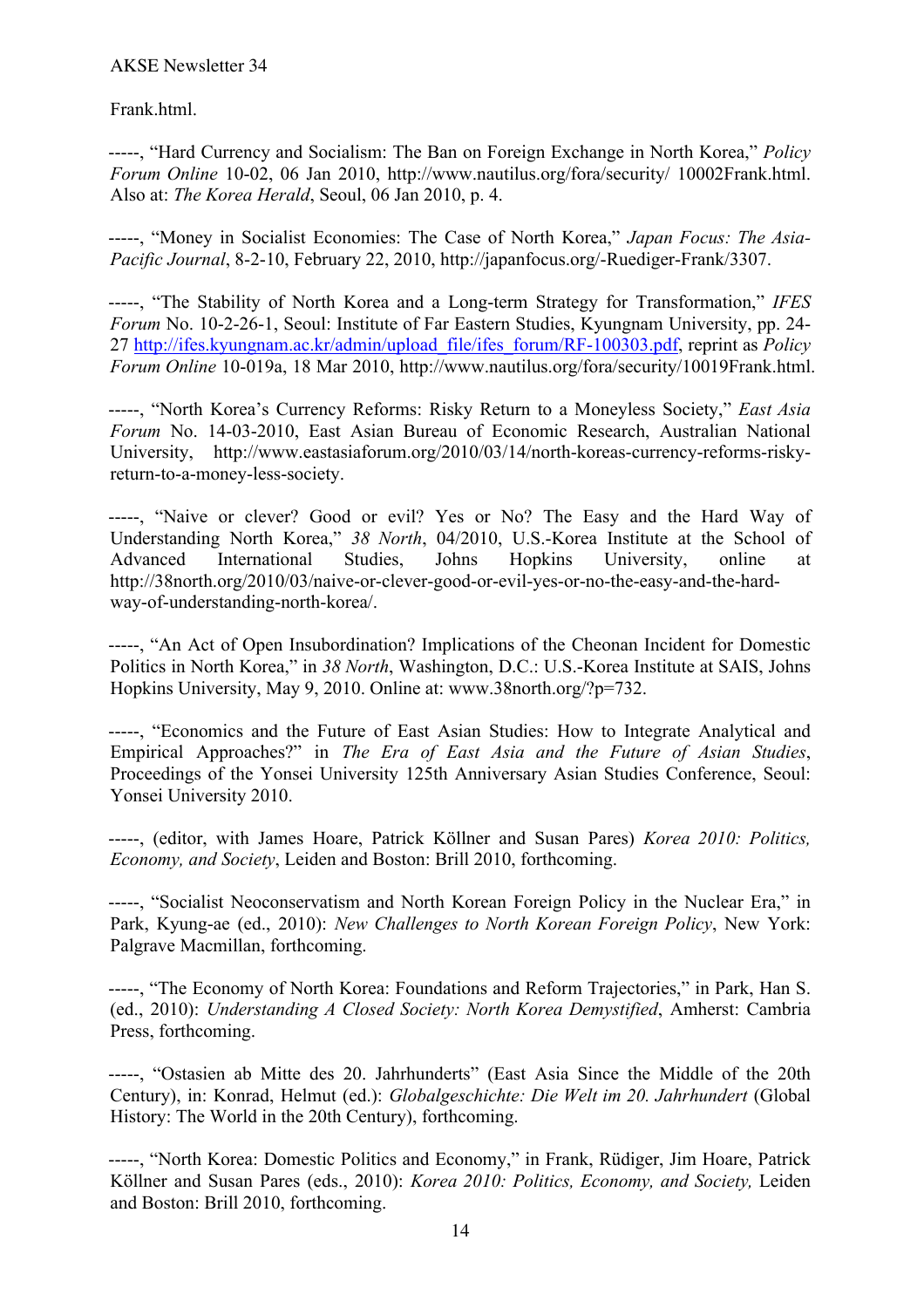AKSE Newsletter 34

Frank.html.

-----, "Hard Currency and Socialism: The Ban on Foreign Exchange in North Korea," *Policy Forum Online* 10-02, 06 Jan 2010, http://www.nautilus.org/fora/security/ 10002Frank.html. Also at: *The Korea Herald*, Seoul, 06 Jan 2010, p. 4.

-----, "Money in Socialist Economies: The Case of North Korea," *Japan Focus: The Asia-Pacific Journal*, 8-2-10, February 22, 2010, http://japanfocus.org/-Ruediger-Frank/3307.

-----, "The Stability of North Korea and a Long-term Strategy for Transformation," *IFES Forum* No. 10-2-26-1, Seoul: Institute of Far Eastern Studies, Kyungnam University, pp. 24- 27 http://ifes.kyungnam.ac.kr/admin/upload\_file/ifes\_forum/RF-100303.pdf, reprint as *Policy Forum Online* 10-019a, 18 Mar 2010, http://www.nautilus.org/fora/security/10019Frank.html.

-----, "North Korea's Currency Reforms: Risky Return to a Moneyless Society," *East Asia Forum* No. 14-03-2010, East Asian Bureau of Economic Research, Australian National University, http://www.eastasiaforum.org/2010/03/14/north-koreas-currency-reforms-riskyreturn-to-a-money-less-society.

-----, "Naive or clever? Good or evil? Yes or No? The Easy and the Hard Way of Understanding North Korea," *38 North*, 04/2010, U.S.-Korea Institute at the School of Advanced International Studies, Johns Hopkins University, online at http://38north.org/2010/03/naive-or-clever-good-or-evil-yes-or-no-the-easy-and-the-hardway-of-understanding-north-korea/.

-----, "An Act of Open Insubordination? Implications of the Cheonan Incident for Domestic Politics in North Korea," in *38 North*, Washington, D.C.: U.S.-Korea Institute at SAIS, Johns Hopkins University, May 9, 2010. Online at: www.38north.org/?p=732.

-----, "Economics and the Future of East Asian Studies: How to Integrate Analytical and Empirical Approaches?" in *The Era of East Asia and the Future of Asian Studies*, Proceedings of the Yonsei University 125th Anniversary Asian Studies Conference, Seoul: Yonsei University 2010.

-----, (editor, with James Hoare, Patrick Köllner and Susan Pares) *Korea 2010: Politics, Economy, and Society*, Leiden and Boston: Brill 2010, forthcoming.

-----, "Socialist Neoconservatism and North Korean Foreign Policy in the Nuclear Era," in Park, Kyung-ae (ed., 2010): *New Challenges to North Korean Foreign Policy*, New York: Palgrave Macmillan, forthcoming.

-----, "The Economy of North Korea: Foundations and Reform Trajectories," in Park, Han S. (ed., 2010): *Understanding A Closed Society: North Korea Demystified*, Amherst: Cambria Press, forthcoming.

-----, "Ostasien ab Mitte des 20. Jahrhunderts" (East Asia Since the Middle of the 20th Century), in: Konrad, Helmut (ed.): *Globalgeschichte: Die Welt im 20. Jahrhundert* (Global History: The World in the 20th Century), forthcoming.

-----, "North Korea: Domestic Politics and Economy," in Frank, Rüdiger, Jim Hoare, Patrick Köllner and Susan Pares (eds., 2010): *Korea 2010: Politics, Economy, and Society,* Leiden and Boston: Brill 2010, forthcoming.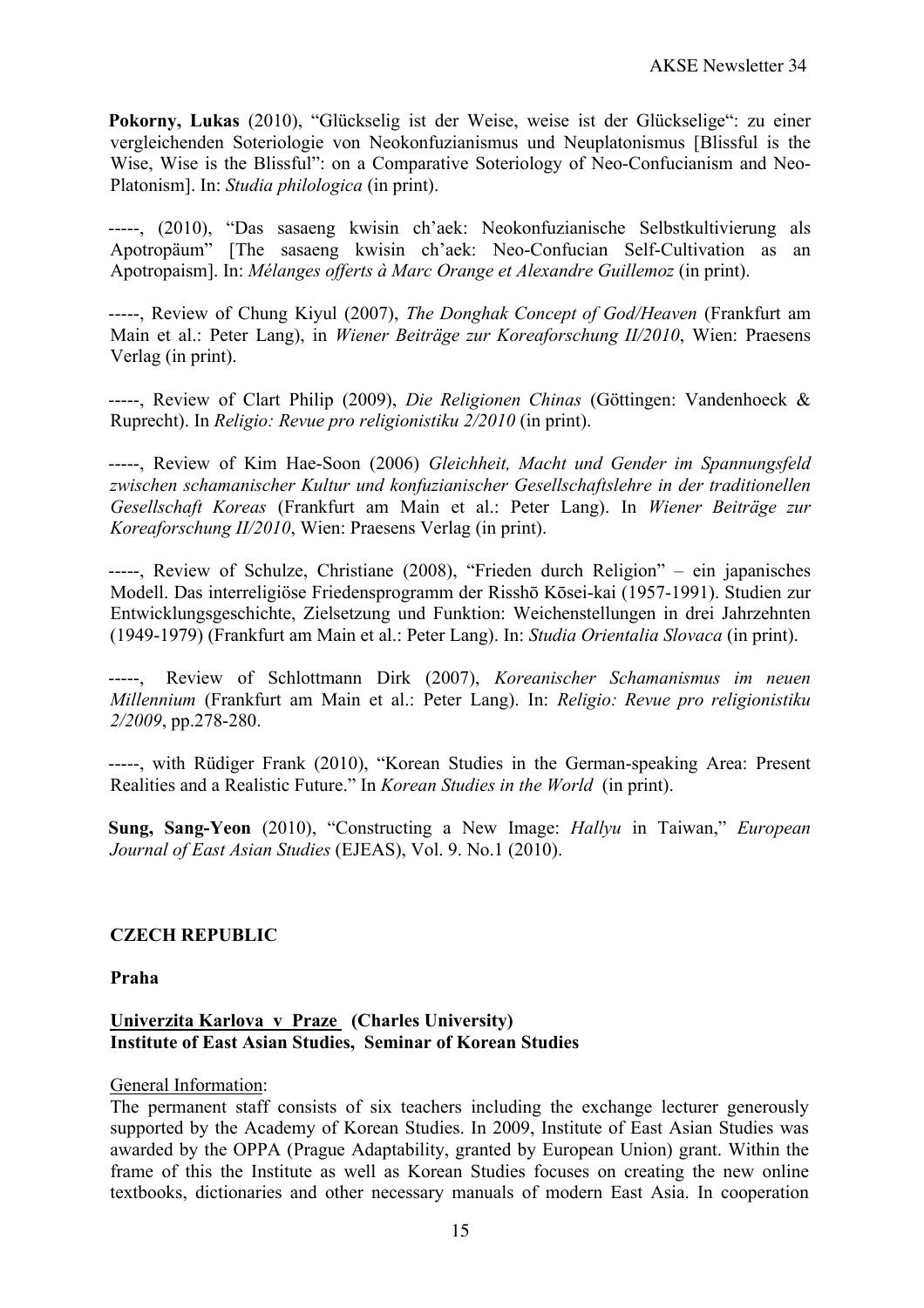**Pokorny, Lukas** (2010), "Glückselig ist der Weise, weise ist der Glückselige": zu einer vergleichenden Soteriologie von Neokonfuzianismus und Neuplatonismus [Blissful is the Wise, Wise is the Blissful": on a Comparative Soteriology of Neo-Confucianism and Neo-Platonism]. In: *Studia philologica* (in print).

-----, (2010), "Das sasaeng kwisin ch'aek: Neokonfuzianische Selbstkultivierung als Apotropäum" [The sasaeng kwisin ch'aek: Neo-Confucian Self-Cultivation as an Apotropaism]. In: *Mélanges offerts à Marc Orange et Alexandre Guillemoz* (in print).

-----, Review of Chung Kiyul (2007), *The Donghak Concept of God/Heaven* (Frankfurt am Main et al.: Peter Lang), in *Wiener Beiträge zur Koreaforschung II/2010*, Wien: Praesens Verlag (in print).

-----, Review of Clart Philip (2009), *Die Religionen Chinas* (Göttingen: Vandenhoeck & Ruprecht). In *Religio: Revue pro religionistiku 2/2010* (in print).

-----, Review of Kim Hae-Soon (2006) *Gleichheit, Macht und Gender im Spannungsfeld zwischen schamanischer Kultur und konfuzianischer Gesellschaftslehre in der traditionellen Gesellschaft Koreas* (Frankfurt am Main et al.: Peter Lang). In *Wiener Beiträge zur Koreaforschung II/2010*, Wien: Praesens Verlag (in print).

-----, Review of Schulze, Christiane (2008), "Frieden durch Religion" – ein japanisches Modell. Das interreligiöse Friedensprogramm der Risshō Kōsei-kai (1957-1991). Studien zur Entwicklungsgeschichte, Zielsetzung und Funktion: Weichenstellungen in drei Jahrzehnten (1949-1979) (Frankfurt am Main et al.: Peter Lang). In: *Studia Orientalia Slovaca* (in print).

-----, Review of Schlottmann Dirk (2007), *Koreanischer Schamanismus im neuen Millennium* (Frankfurt am Main et al.: Peter Lang). In: *Religio: Revue pro religionistiku 2/2009*, pp.278-280.

-----, with Rüdiger Frank (2010), "Korean Studies in the German-speaking Area: Present Realities and a Realistic Future." In *Korean Studies in the World* (in print).

**Sung, Sang-Yeon** (2010), "Constructing a New Image: *Hallyu* in Taiwan," *European Journal of East Asian Studies* (EJEAS), Vol. 9. No.1 (2010).

## **CZECH REPUBLIC**

**Praha**

## **Univerzita Karlova v Praze (Charles University) Institute of East Asian Studies, Seminar of Korean Studies**

#### General Information:

The permanent staff consists of six teachers including the exchange lecturer generously supported by the Academy of Korean Studies. In 2009, Institute of East Asian Studies was awarded by the OPPA (Prague Adaptability, granted by European Union) grant. Within the frame of this the Institute as well as Korean Studies focuses on creating the new online textbooks, dictionaries and other necessary manuals of modern East Asia. In cooperation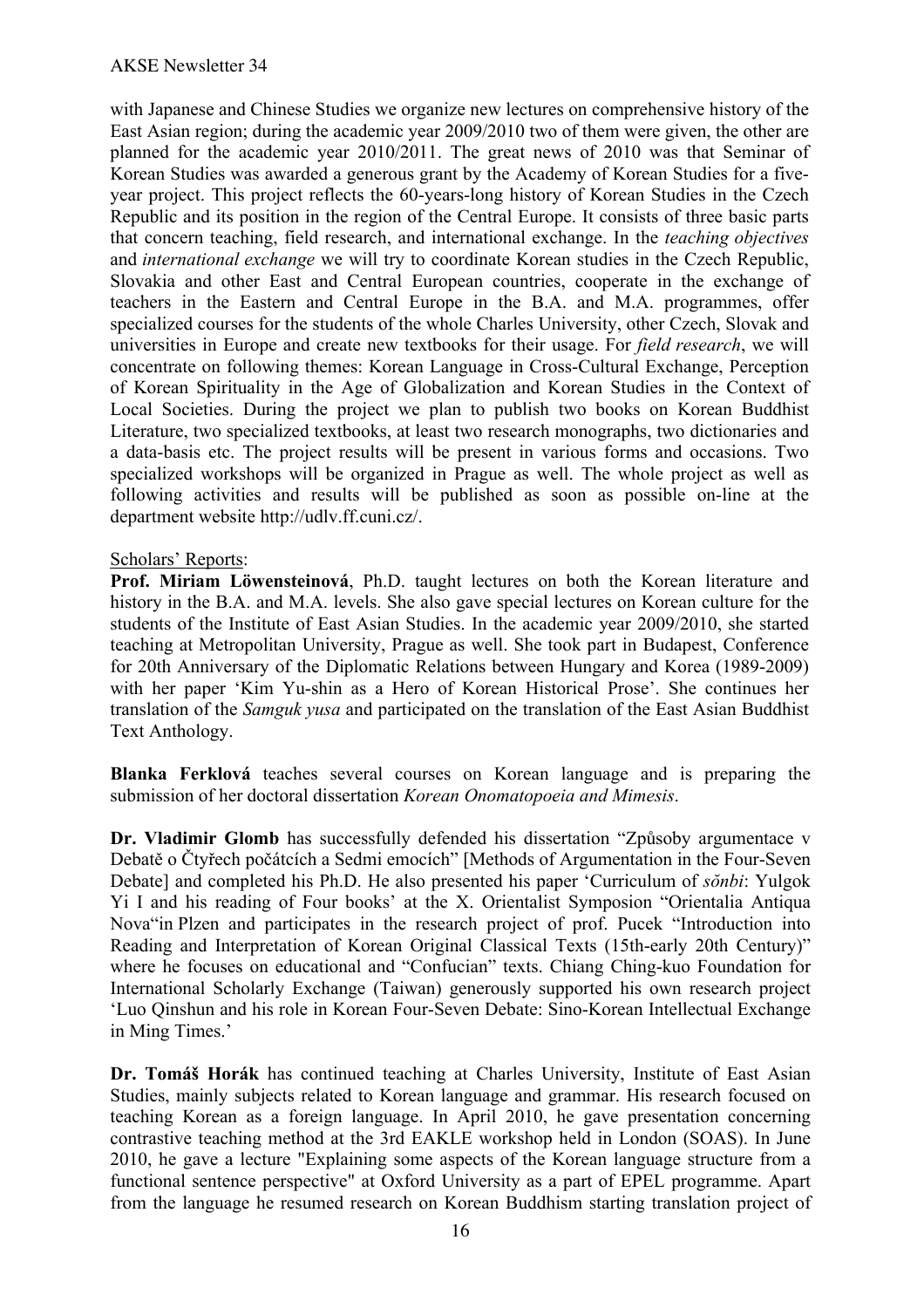with Japanese and Chinese Studies we organize new lectures on comprehensive history of the East Asian region; during the academic year 2009/2010 two of them were given, the other are planned for the academic year 2010/2011. The great news of 2010 was that Seminar of Korean Studies was awarded a generous grant by the Academy of Korean Studies for a fiveyear project. This project reflects the 60-years-long history of Korean Studies in the Czech Republic and its position in the region of the Central Europe. It consists of three basic parts that concern teaching, field research, and international exchange. In the *teaching objectives*  and *international exchange* we will try to coordinate Korean studies in the Czech Republic, Slovakia and other East and Central European countries, cooperate in the exchange of teachers in the Eastern and Central Europe in the B.A. and M.A. programmes, offer specialized courses for the students of the whole Charles University, other Czech, Slovak and universities in Europe and create new textbooks for their usage. For *field research*, we will concentrate on following themes: Korean Language in Cross-Cultural Exchange, Perception of Korean Spirituality in the Age of Globalization and Korean Studies in the Context of Local Societies. During the project we plan to publish two books on Korean Buddhist Literature, two specialized textbooks, at least two research monographs, two dictionaries and a data-basis etc. The project results will be present in various forms and occasions. Two specialized workshops will be organized in Prague as well. The whole project as well as following activities and results will be published as soon as possible on-line at the department website http://udlv.ff.cuni.cz/.

## Scholars' Reports:

**Prof. Miriam Löwensteinová**, Ph.D. taught lectures on both the Korean literature and history in the B.A. and M.A. levels. She also gave special lectures on Korean culture for the students of the Institute of East Asian Studies. In the academic year 2009/2010, she started teaching at Metropolitan University, Prague as well. She took part in Budapest, Conference for 20th Anniversary of the Diplomatic Relations between Hungary and Korea (1989-2009) with her paper 'Kim Yu-shin as a Hero of Korean Historical Prose'. She continues her translation of the *Samguk yusa* and participated on the translation of the East Asian Buddhist Text Anthology.

**Blanka Ferklová** teaches several courses on Korean language and is preparing the submission of her doctoral dissertation *Korean Onomatopoeia and Mimesis*.

**Dr. Vladimir Glomb** has successfully defended his dissertation "Způsoby argumentace v Debatě o Čtyřech počátcích a Sedmi emocích" [Methods of Argumentation in the Four-Seven Debate] and completed his Ph.D. He also presented his paper 'Curriculum of *sŏnbi*: Yulgok Yi I and his reading of Four books' at the X. Orientalist Symposion "Orientalia Antiqua Nova"in Plzen and participates in the research project of prof. Pucek "Introduction into Reading and Interpretation of Korean Original Classical Texts (15th-early 20th Century)" where he focuses on educational and "Confucian" texts. Chiang Ching-kuo Foundation for International Scholarly Exchange (Taiwan) generously supported his own research project 'Luo Qinshun and his role in Korean Four-Seven Debate: Sino-Korean Intellectual Exchange in Ming Times.'

**Dr. Tomáš Horák** has continued teaching at Charles University, Institute of East Asian Studies, mainly subjects related to Korean language and grammar. His research focused on teaching Korean as a foreign language. In April 2010, he gave presentation concerning contrastive teaching method at the 3rd EAKLE workshop held in London (SOAS). In June 2010, he gave a lecture "Explaining some aspects of the Korean language structure from a functional sentence perspective" at Oxford University as a part of EPEL programme. Apart from the language he resumed research on Korean Buddhism starting translation project of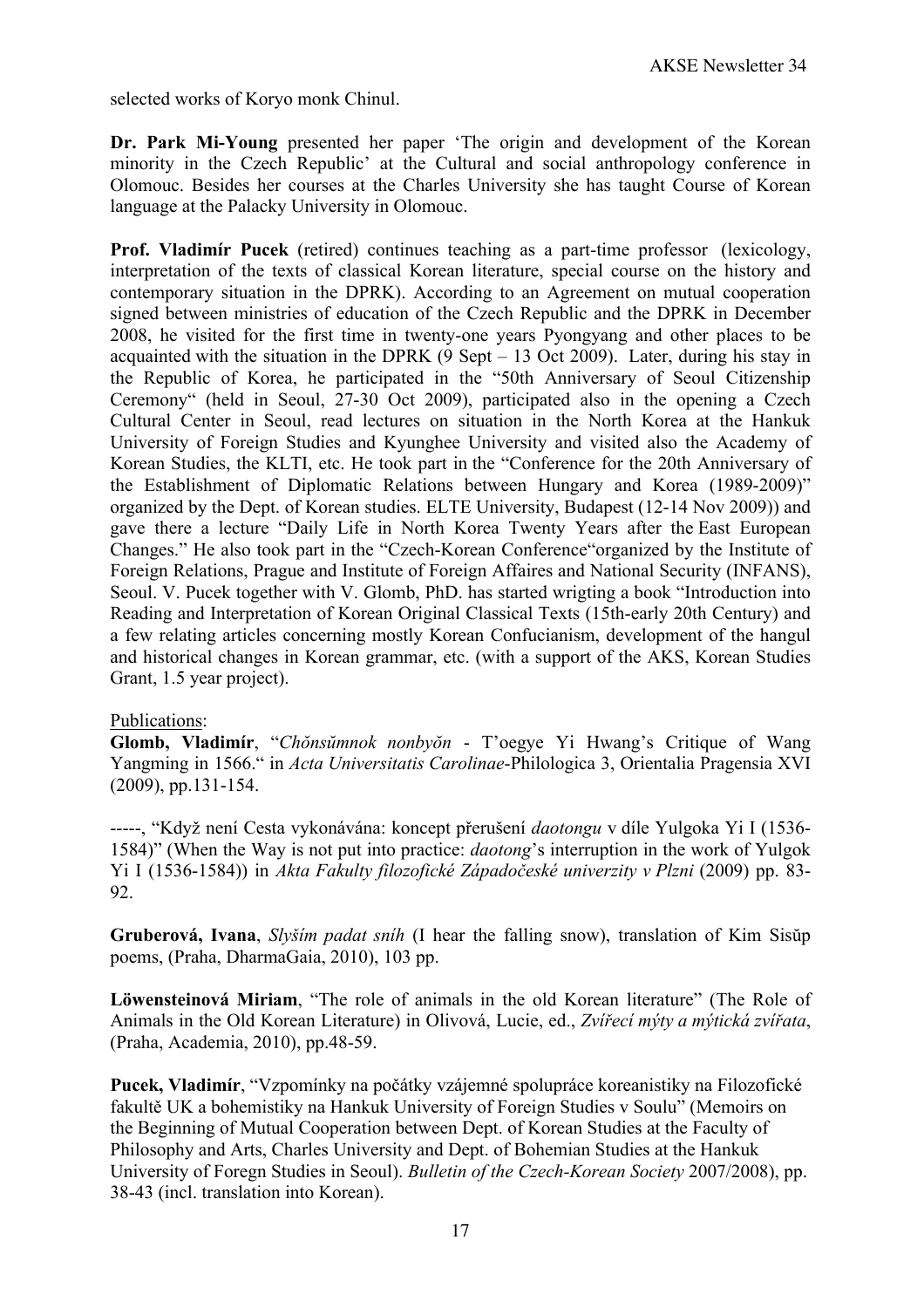selected works of Koryo monk Chinul.

**Dr. Park Mi-Young** presented her paper 'The origin and development of the Korean minority in the Czech Republic' at the Cultural and social anthropology conference in Olomouc. Besides her courses at the Charles University she has taught Course of Korean language at the Palacky University in Olomouc.

**Prof. Vladimír Pucek** (retired) continues teaching as a part-time professor (lexicology, interpretation of the texts of classical Korean literature, special course on the history and contemporary situation in the DPRK). According to an Agreement on mutual cooperation signed between ministries of education of the Czech Republic and the DPRK in December 2008, he visited for the first time in twenty-one years Pyongyang and other places to be acquainted with the situation in the DPRK  $(9$  Sept – 13 Oct 2009). Later, during his stay in the Republic of Korea, he participated in the "50th Anniversary of Seoul Citizenship Ceremony" (held in Seoul, 27-30 Oct 2009), participated also in the opening a Czech Cultural Center in Seoul, read lectures on situation in the North Korea at the Hankuk University of Foreign Studies and Kyunghee University and visited also the Academy of Korean Studies, the KLTI, etc. He took part in the "Conference for the 20th Anniversary of the Establishment of Diplomatic Relations between Hungary and Korea (1989-2009)" organized by the Dept. of Korean studies. ELTE University, Budapest (12-14 Nov 2009)) and gave there a lecture "Daily Life in North Korea Twenty Years after the East European Changes." He also took part in the "Czech-Korean Conference"organized by the Institute of Foreign Relations, Prague and Institute of Foreign Affaires and National Security (INFANS), Seoul. V. Pucek together with V. Glomb, PhD. has started wrigting a book "Introduction into Reading and Interpretation of Korean Original Classical Texts (15th-early 20th Century) and a few relating articles concerning mostly Korean Confucianism, development of the hangul and historical changes in Korean grammar, etc. (with a support of the AKS, Korean Studies Grant, 1.5 year project).

## Publications:

**Glomb, Vladimír**, "*Chŏnsŭmnok nonbyŏn* - T'oegye Yi Hwang's Critique of Wang Yangming in 1566." in *Acta Universitatis Carolinae*-Philologica 3, Orientalia Pragensia XVI (2009), pp.131-154.

-----, "Když není Cesta vykonávána: koncept přerušení *daotongu* v díle Yulgoka Yi I (1536- 1584)" (When the Way is not put into practice: *daotong*'s interruption in the work of Yulgok Yi I (1536-1584)) in *Akta Fakulty filozofické Západočeské univerzity v Plzni* (2009) pp. 83- 92.

**Gruberová, Ivana**, *Slyším padat sníh* (I hear the falling snow), translation of Kim Sisŭp poems, (Praha, DharmaGaia, 2010), 103 pp.

**Löwensteinová Miriam**, "The role of animals in the old Korean literature" (The Role of Animals in the Old Korean Literature) in Olivová, Lucie, ed., *Zvířecí mýty a mýtická zvířata*, (Praha, Academia, 2010), pp.48-59.

**Pucek, Vladimír**, "Vzpomínky na počátky vzájemné spolupráce koreanistiky na Filozofické fakultě UK a bohemistiky na Hankuk University of Foreign Studies v Soulu" (Memoirs on the Beginning of Mutual Cooperation between Dept. of Korean Studies at the Faculty of Philosophy and Arts, Charles University and Dept. of Bohemian Studies at the Hankuk University of Foregn Studies in Seoul). *Bulletin of the Czech-Korean Society* 2007/2008), pp. 38-43 (incl. translation into Korean).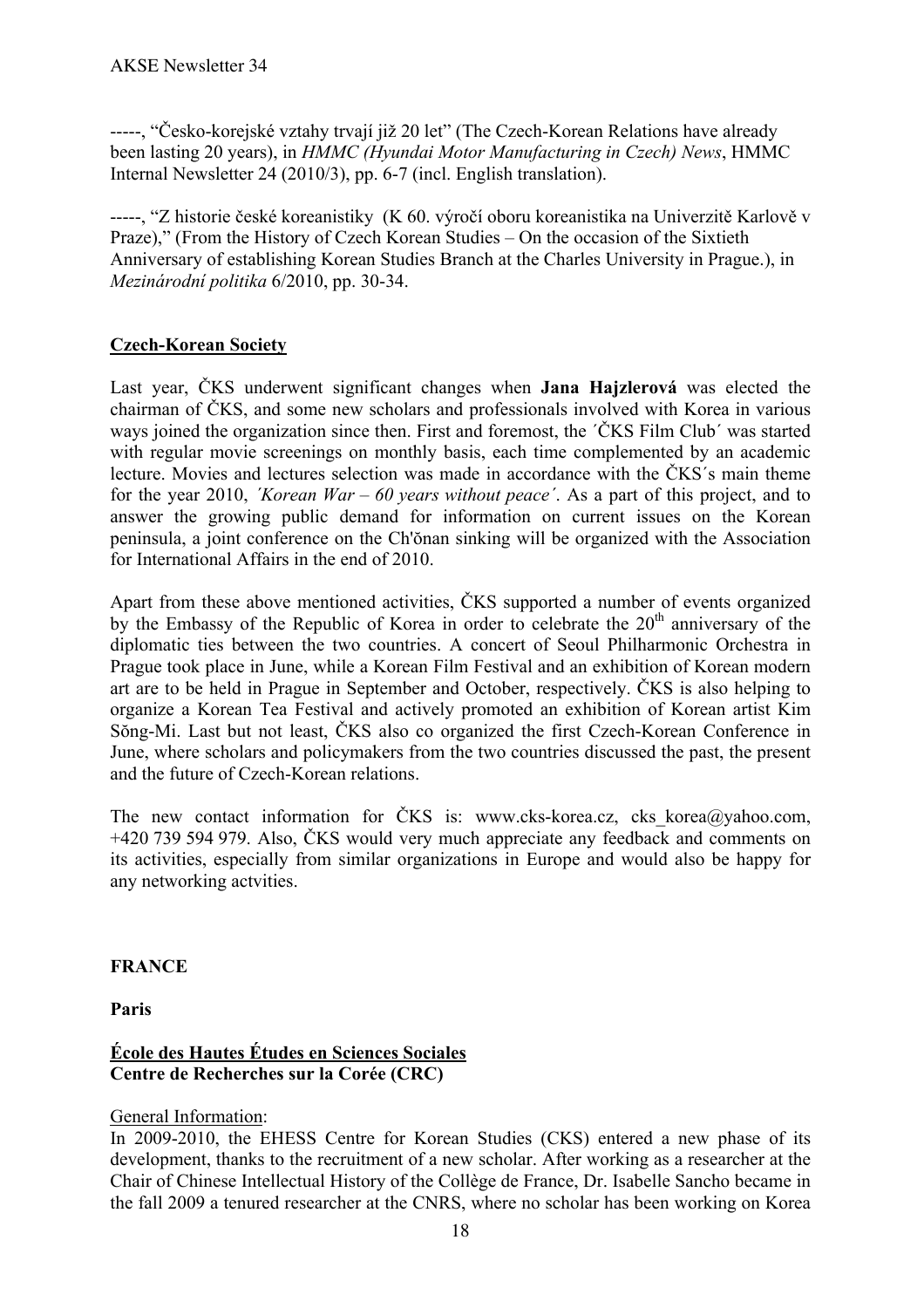-----, "Česko-korejské vztahy trvají již 20 let" (The Czech-Korean Relations have already been lasting 20 years), in *HMMC (Hyundai Motor Manufacturing in Czech) News*, HMMC Internal Newsletter 24 (2010/3), pp. 6-7 (incl. English translation).

-----, "Z historie české koreanistiky (K 60. výročí oboru koreanistika na Univerzitě Karlově v Praze)," (From the History of Czech Korean Studies – On the occasion of the Sixtieth Anniversary of establishing Korean Studies Branch at the Charles University in Prague.), in *Mezinárodní politika* 6/2010, pp. 30-34.

# **Czech-Korean Society**

Last year, ČKS underwent significant changes when **Jana Hajzlerová** was elected the chairman of ČKS, and some new scholars and professionals involved with Korea in various ways joined the organization since then. First and foremost, the ´ČKS Film Club´ was started with regular movie screenings on monthly basis, each time complemented by an academic lecture. Movies and lectures selection was made in accordance with the ČKS´s main theme for the year 2010, *´Korean War – 60 years without peace´*. As a part of this project, and to answer the growing public demand for information on current issues on the Korean peninsula, a joint conference on the Ch'ŏnan sinking will be organized with the Association for International Affairs in the end of 2010.

Apart from these above mentioned activities, ČKS supported a number of events organized by the Embassy of the Republic of Korea in order to celebrate the  $20<sup>th</sup>$  anniversary of the diplomatic ties between the two countries. A concert of Seoul Philharmonic Orchestra in Prague took place in June, while a Korean Film Festival and an exhibition of Korean modern art are to be held in Prague in September and October, respectively. ČKS is also helping to organize a Korean Tea Festival and actively promoted an exhibition of Korean artist Kim Sŏng-Mi. Last but not least, ČKS also co organized the first Czech-Korean Conference in June, where scholars and policymakers from the two countries discussed the past, the present and the future of Czech-Korean relations.

The new contact information for ČKS is: www.cks-korea.cz, cks korea@yahoo.com, +420 739 594 979. Also, ČKS would very much appreciate any feedback and comments on its activities, especially from similar organizations in Europe and would also be happy for any networking actvities.

**FRANCE**

**Paris**

# **École des Hautes Études en Sciences Sociales Centre de Recherches sur la Corée (CRC)**

## General Information:

In 2009-2010, the EHESS Centre for Korean Studies (CKS) entered a new phase of its development, thanks to the recruitment of a new scholar. After working as a researcher at the Chair of Chinese Intellectual History of the Collège de France, Dr. Isabelle Sancho became in the fall 2009 a tenured researcher at the CNRS, where no scholar has been working on Korea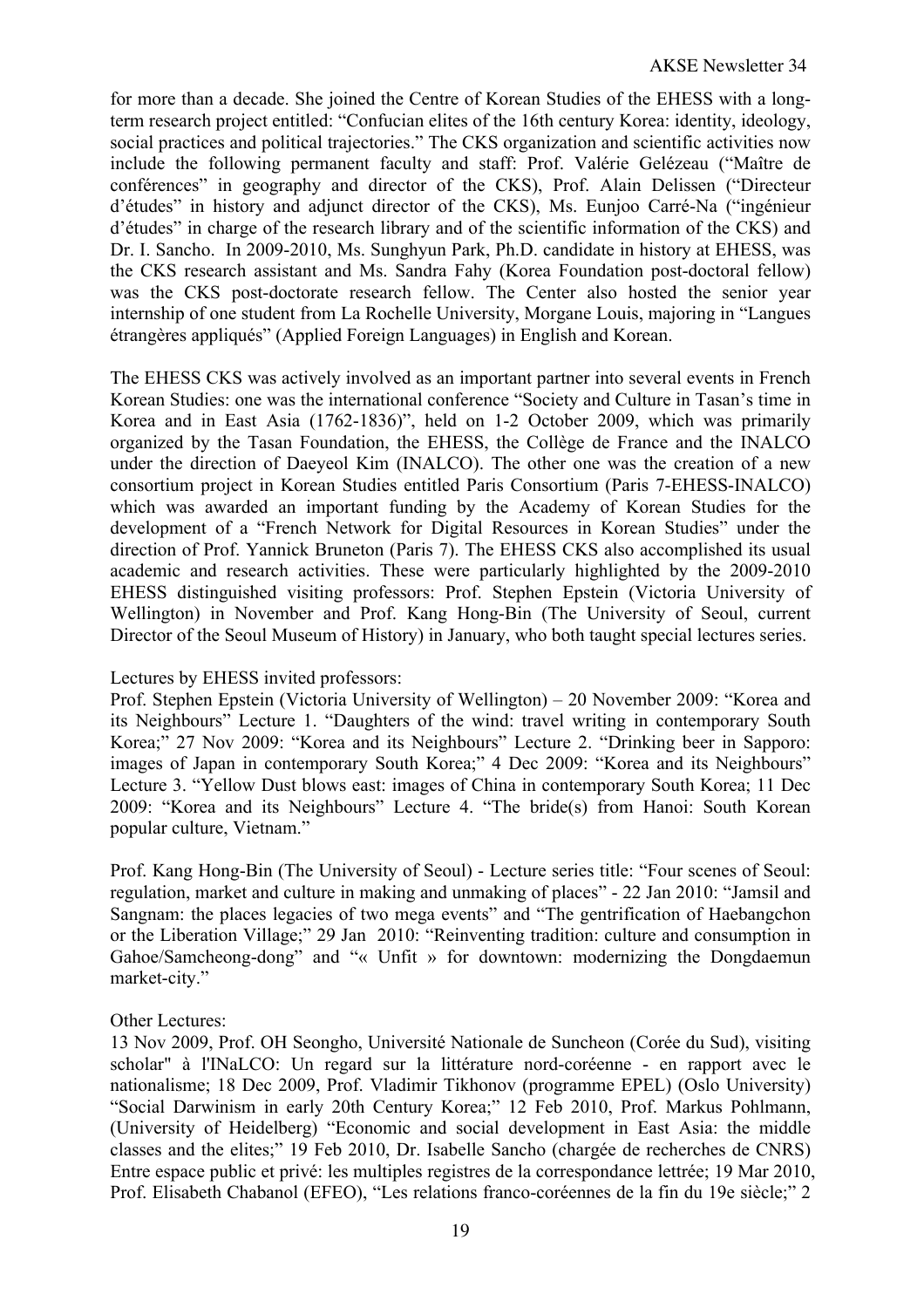for more than a decade. She joined the Centre of Korean Studies of the EHESS with a longterm research project entitled: "Confucian elites of the 16th century Korea: identity, ideology, social practices and political trajectories." The CKS organization and scientific activities now include the following permanent faculty and staff: Prof. Valérie Gelézeau ("Maître de conférences" in geography and director of the CKS), Prof. Alain Delissen ("Directeur d'études" in history and adjunct director of the CKS), Ms. Eunjoo Carré-Na ("ingénieur d'études" in charge of the research library and of the scientific information of the CKS) and Dr. I. Sancho. In 2009-2010, Ms. Sunghyun Park, Ph.D. candidate in history at EHESS, was the CKS research assistant and Ms. Sandra Fahy (Korea Foundation post-doctoral fellow) was the CKS post-doctorate research fellow. The Center also hosted the senior year internship of one student from La Rochelle University, Morgane Louis, majoring in "Langues étrangères appliqués" (Applied Foreign Languages) in English and Korean.

The EHESS CKS was actively involved as an important partner into several events in French Korean Studies: one was the international conference "Society and Culture in Tasan's time in Korea and in East Asia (1762-1836)", held on 1-2 October 2009, which was primarily organized by the Tasan Foundation, the EHESS, the Collège de France and the INALCO under the direction of Daeyeol Kim (INALCO). The other one was the creation of a new consortium project in Korean Studies entitled Paris Consortium (Paris 7-EHESS-INALCO) which was awarded an important funding by the Academy of Korean Studies for the development of a "French Network for Digital Resources in Korean Studies" under the direction of Prof. Yannick Bruneton (Paris 7). The EHESS CKS also accomplished its usual academic and research activities. These were particularly highlighted by the 2009-2010 EHESS distinguished visiting professors: Prof. Stephen Epstein (Victoria University of Wellington) in November and Prof. Kang Hong-Bin (The University of Seoul, current Director of the Seoul Museum of History) in January, who both taught special lectures series.

## Lectures by EHESS invited professors:

Prof. Stephen Epstein (Victoria University of Wellington) – 20 November 2009: "Korea and its Neighbours" Lecture 1. "Daughters of the wind: travel writing in contemporary South Korea;" 27 Nov 2009: "Korea and its Neighbours" Lecture 2. "Drinking beer in Sapporo: images of Japan in contemporary South Korea;" 4 Dec 2009: "Korea and its Neighbours" Lecture 3. "Yellow Dust blows east: images of China in contemporary South Korea; 11 Dec 2009: "Korea and its Neighbours" Lecture 4. "The bride(s) from Hanoi: South Korean popular culture, Vietnam."

Prof. Kang Hong-Bin (The University of Seoul) - Lecture series title: "Four scenes of Seoul: regulation, market and culture in making and unmaking of places" - 22 Jan 2010: "Jamsil and Sangnam: the places legacies of two mega events" and "The gentrification of Haebangchon or the Liberation Village;" 29 Jan 2010: "Reinventing tradition: culture and consumption in Gahoe/Samcheong-dong" and "« Unfit » for downtown: modernizing the Dongdaemun market-city."

#### Other Lectures:

13 Nov 2009, Prof. OH Seongho, Université Nationale de Suncheon (Corée du Sud), visiting scholar" à l'INaLCO: Un regard sur la littérature nord-coréenne - en rapport avec le nationalisme; 18 Dec 2009, Prof. Vladimir Tikhonov (programme EPEL) (Oslo University) "Social Darwinism in early 20th Century Korea;" 12 Feb 2010, Prof. Markus Pohlmann, (University of Heidelberg) "Economic and social development in East Asia: the middle classes and the elites;" 19 Feb 2010, Dr. Isabelle Sancho (chargée de recherches de CNRS) Entre espace public et privé: les multiples registres de la correspondance lettrée; 19 Mar 2010, Prof. Elisabeth Chabanol (EFEO), "Les relations franco-coréennes de la fin du 19e siècle;" 2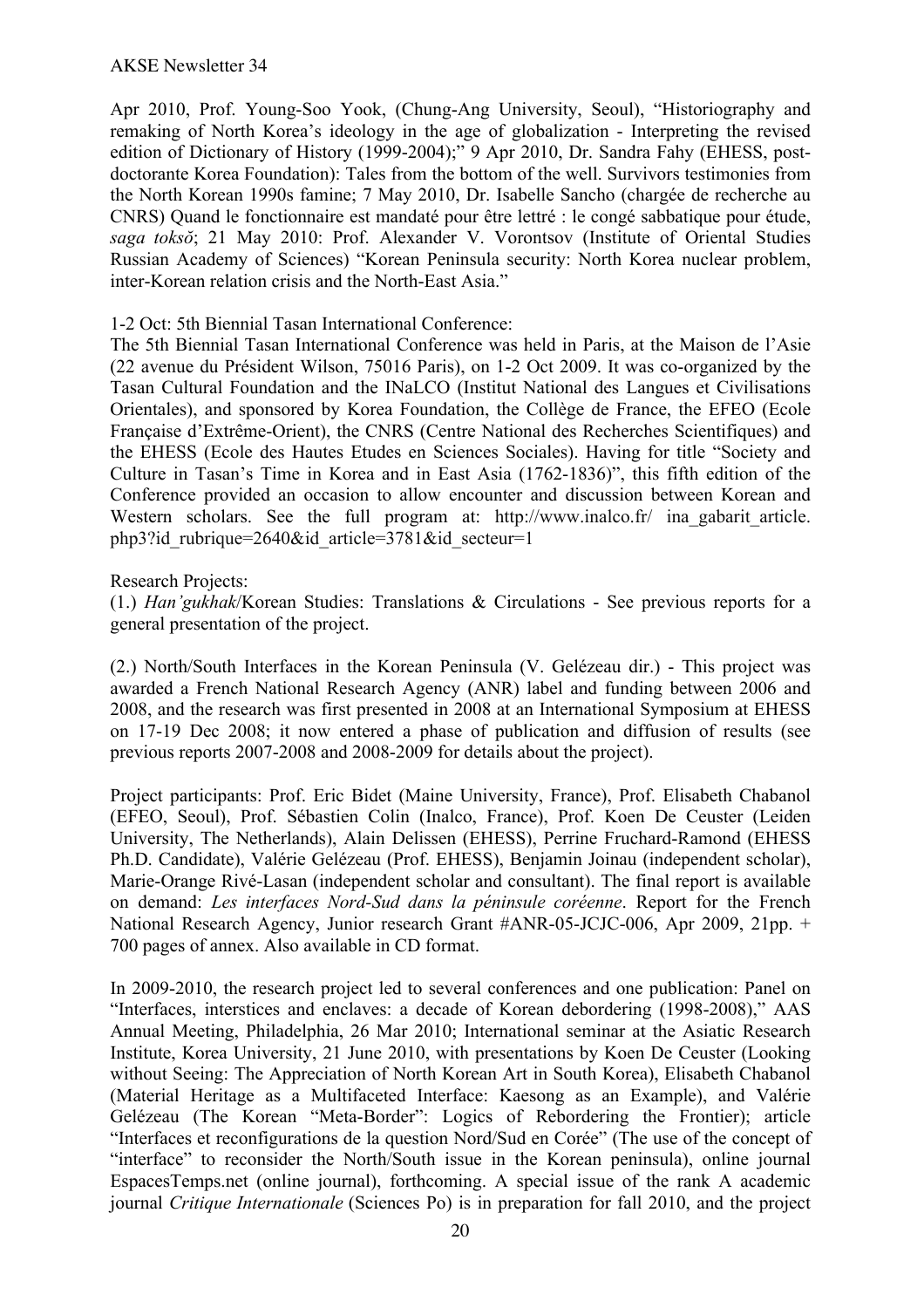#### AKSE Newsletter 34

Apr 2010, Prof. Young-Soo Yook, (Chung-Ang University, Seoul), "Historiography and remaking of North Korea's ideology in the age of globalization - Interpreting the revised edition of Dictionary of History (1999-2004);" 9 Apr 2010, Dr. Sandra Fahy (EHESS, postdoctorante Korea Foundation): Tales from the bottom of the well. Survivors testimonies from the North Korean 1990s famine; 7 May 2010, Dr. Isabelle Sancho (chargée de recherche au CNRS) Quand le fonctionnaire est mandaté pour être lettré : le congé sabbatique pour étude, *saga toksŏ*; 21 May 2010: Prof. Alexander V. Vorontsov (Institute of Oriental Studies Russian Academy of Sciences) "Korean Peninsula security: North Korea nuclear problem, inter-Korean relation crisis and the North-East Asia."

#### 1-2 Oct: 5th Biennial Tasan International Conference:

The 5th Biennial Tasan International Conference was held in Paris, at the Maison de l'Asie (22 avenue du Président Wilson, 75016 Paris), on 1-2 Oct 2009. It was co-organized by the Tasan Cultural Foundation and the INaLCO (Institut National des Langues et Civilisations Orientales), and sponsored by Korea Foundation, the Collège de France, the EFEO (Ecole Française d'Extrême-Orient), the CNRS (Centre National des Recherches Scientifiques) and the EHESS (Ecole des Hautes Etudes en Sciences Sociales). Having for title "Society and Culture in Tasan's Time in Korea and in East Asia (1762-1836)", this fifth edition of the Conference provided an occasion to allow encounter and discussion between Korean and Western scholars. See the full program at: http://www.inalco.fr/ ina gabarit article. php3?id\_rubrique=2640&id\_article=3781&id\_secteur=1

#### Research Projects:

(1.) *Han'gukhak*/Korean Studies: Translations & Circulations - See previous reports for a general presentation of the project.

(2.) North/South Interfaces in the Korean Peninsula (V. Gelézeau dir.) - This project was awarded a French National Research Agency (ANR) label and funding between 2006 and 2008, and the research was first presented in 2008 at an International Symposium at EHESS on 17-19 Dec 2008; it now entered a phase of publication and diffusion of results (see previous reports 2007-2008 and 2008-2009 for details about the project).

Project participants: Prof. Eric Bidet (Maine University, France), Prof. Elisabeth Chabanol (EFEO, Seoul), Prof. Sébastien Colin (Inalco, France), Prof. Koen De Ceuster (Leiden University, The Netherlands), Alain Delissen (EHESS), Perrine Fruchard-Ramond (EHESS Ph.D. Candidate), Valérie Gelézeau (Prof. EHESS), Benjamin Joinau (independent scholar), Marie-Orange Rivé-Lasan (independent scholar and consultant). The final report is available on demand: *Les interfaces Nord-Sud dans la péninsule coréenne*. Report for the French National Research Agency, Junior research Grant #ANR-05-JCJC-006, Apr 2009, 21pp. + 700 pages of annex. Also available in CD format.

In 2009-2010, the research project led to several conferences and one publication: Panel on "Interfaces, interstices and enclaves: a decade of Korean debordering (1998-2008)," AAS Annual Meeting, Philadelphia, 26 Mar 2010; International seminar at the Asiatic Research Institute, Korea University, 21 June 2010, with presentations by Koen De Ceuster (Looking without Seeing: The Appreciation of North Korean Art in South Korea), Elisabeth Chabanol (Material Heritage as a Multifaceted Interface: Kaesong as an Example), and Valérie Gelézeau (The Korean "Meta-Border": Logics of Rebordering the Frontier); article "Interfaces et reconfigurations de la question Nord/Sud en Corée" (The use of the concept of "interface" to reconsider the North/South issue in the Korean peninsula), online journal EspacesTemps.net (online journal), forthcoming. A special issue of the rank A academic journal *Critique Internationale* (Sciences Po) is in preparation for fall 2010, and the project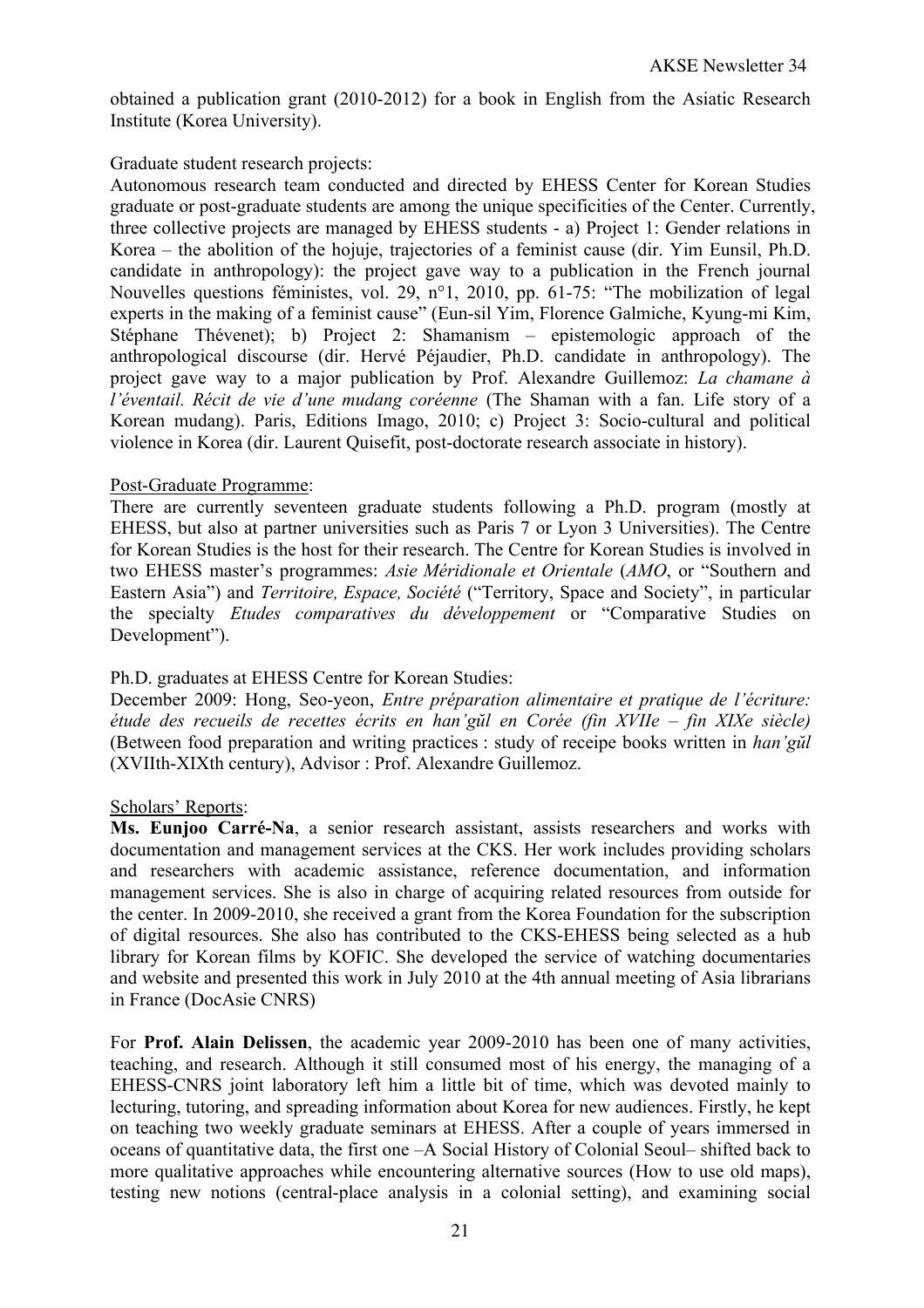obtained a publication grant (2010-2012) for a book in English from the Asiatic Research Institute (Korea University).

## Graduate student research projects:

Autonomous research team conducted and directed by EHESS Center for Korean Studies graduate or post-graduate students are among the unique specificities of the Center. Currently, three collective projects are managed by EHESS students - a) Project 1: Gender relations in Korea – the abolition of the hojuje, trajectories of a feminist cause (dir. Yim Eunsil, Ph.D. candidate in anthropology): the project gave way to a publication in the French journal Nouvelles questions féministes, vol. 29, n°1, 2010, pp. 61-75: "The mobilization of legal experts in the making of a feminist cause" (Eun-sil Yim, Florence Galmiche, Kyung-mi Kim, Stéphane Thévenet); b) Project 2: Shamanism – epistemologic approach of the anthropological discourse (dir. Hervé Péjaudier, Ph.D. candidate in anthropology). The project gave way to a major publication by Prof. Alexandre Guillemoz: *La chamane à l'éventail. Récit de vie d'une mudang coréenne* (The Shaman with a fan. Life story of a Korean mudang). Paris, Editions Imago, 2010; c) Project 3: Socio-cultural and political violence in Korea (dir. Laurent Quisefit, post-doctorate research associate in history).

## Post-Graduate Programme:

There are currently seventeen graduate students following a Ph.D. program (mostly at EHESS, but also at partner universities such as Paris 7 or Lyon 3 Universities). The Centre for Korean Studies is the host for their research. The Centre for Korean Studies is involved in two EHESS master's programmes: *Asie Méridionale et Orientale* (*AMO*, or "Southern and Eastern Asia") and *Territoire, Espace, Société* ("Territory, Space and Society", in particular the specialty *Etudes comparatives du développement* or "Comparative Studies on Development").

## Ph.D. graduates at EHESS Centre for Korean Studies:

December 2009: Hong, Seo-yeon, *Entre préparation alimentaire et pratique de l'écriture: étude des recueils de recettes écrits en han'gŭl en Corée (fin XVIIe – fin XIXe siècle)* (Between food preparation and writing practices : study of receipe books written in *han'gŭl* (XVIIth-XIXth century), Advisor : Prof. Alexandre Guillemoz.

#### Scholars' Reports:

**Ms. Eunjoo Carré-Na**, a senior research assistant, assists researchers and works with documentation and management services at the CKS. Her work includes providing scholars and researchers with academic assistance, reference documentation, and information management services. She is also in charge of acquiring related resources from outside for the center. In 2009-2010, she received a grant from the Korea Foundation for the subscription of digital resources. She also has contributed to the CKS-EHESS being selected as a hub library for Korean films by KOFIC. She developed the service of watching documentaries and website and presented this work in July 2010 at the 4th annual meeting of Asia librarians in France (DocAsie CNRS)

For **Prof. Alain Delissen**, the academic year 2009-2010 has been one of many activities, teaching, and research. Although it still consumed most of his energy, the managing of a EHESS-CNRS joint laboratory left him a little bit of time, which was devoted mainly to lecturing, tutoring, and spreading information about Korea for new audiences. Firstly, he kept on teaching two weekly graduate seminars at EHESS. After a couple of years immersed in oceans of quantitative data, the first one –A Social History of Colonial Seoul– shifted back to more qualitative approaches while encountering alternative sources (How to use old maps), testing new notions (central-place analysis in a colonial setting), and examining social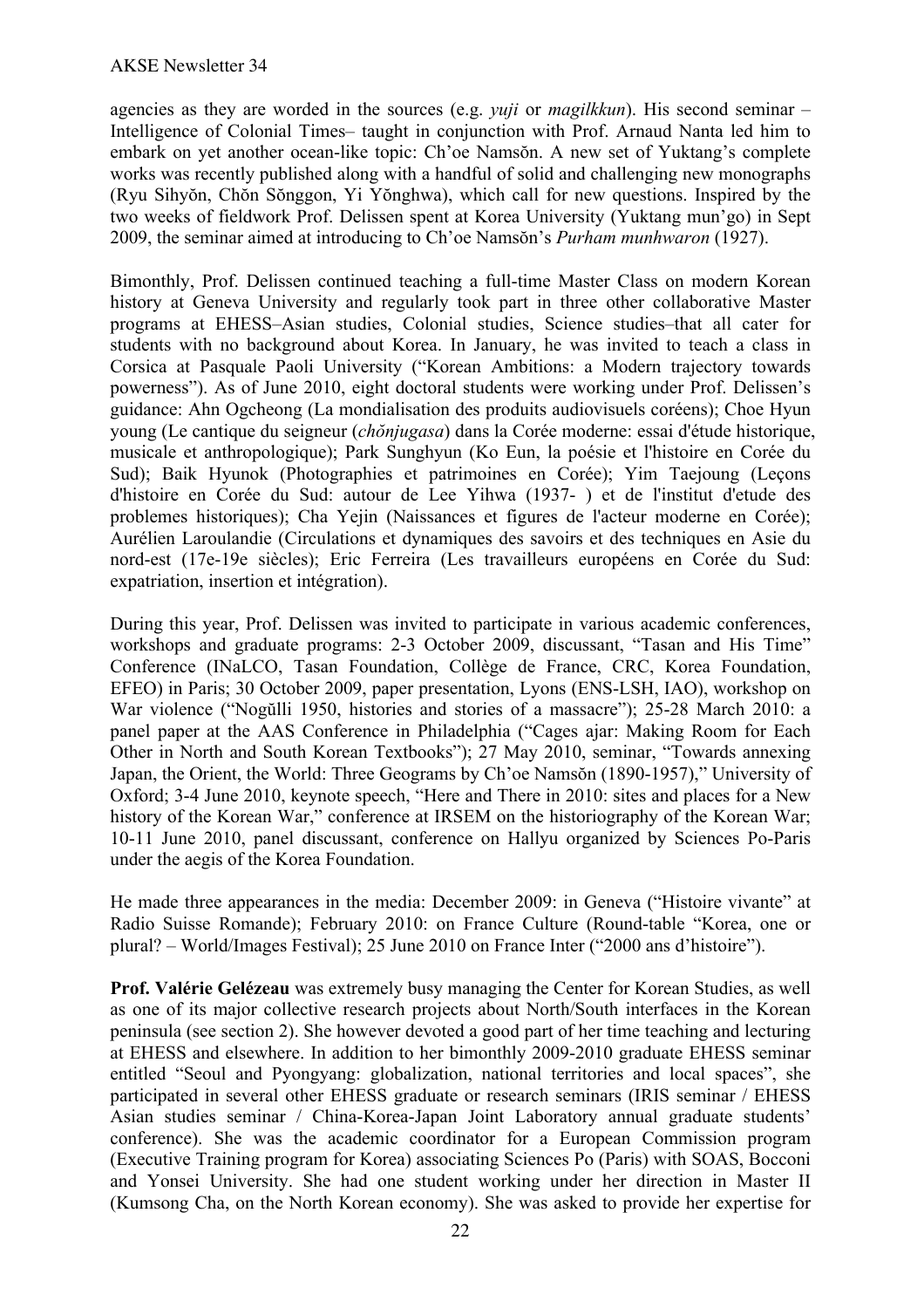agencies as they are worded in the sources (e.g. *yuji* or *magilkkun*). His second seminar – Intelligence of Colonial Times– taught in conjunction with Prof. Arnaud Nanta led him to embark on yet another ocean-like topic: Ch'oe Namsŏn. A new set of Yuktang's complete works was recently published along with a handful of solid and challenging new monographs (Ryu Sihyŏn, Chŏn Sŏnggon, Yi Yŏnghwa), which call for new questions. Inspired by the two weeks of fieldwork Prof. Delissen spent at Korea University (Yuktang mun'go) in Sept 2009, the seminar aimed at introducing to Ch'oe Namsŏn's *Purham munhwaron* (1927).

Bimonthly, Prof. Delissen continued teaching a full-time Master Class on modern Korean history at Geneva University and regularly took part in three other collaborative Master programs at EHESS–Asian studies, Colonial studies, Science studies–that all cater for students with no background about Korea. In January, he was invited to teach a class in Corsica at Pasquale Paoli University ("Korean Ambitions: a Modern trajectory towards powerness"). As of June 2010, eight doctoral students were working under Prof. Delissen's guidance: Ahn Ogcheong (La mondialisation des produits audiovisuels coréens); Choe Hyun young (Le cantique du seigneur (*chŏnjugasa*) dans la Corée moderne: essai d'étude historique, musicale et anthropologique); Park Sunghyun (Ko Eun, la poésie et l'histoire en Corée du Sud); Baik Hyunok (Photographies et patrimoines en Corée); Yim Taejoung (Leçons d'histoire en Corée du Sud: autour de Lee Yihwa (1937- ) et de l'institut d'etude des problemes historiques); Cha Yejin (Naissances et figures de l'acteur moderne en Corée); Aurélien Laroulandie (Circulations et dynamiques des savoirs et des techniques en Asie du nord-est (17e-19e siècles); Eric Ferreira (Les travailleurs européens en Corée du Sud: expatriation, insertion et intégration).

During this year, Prof. Delissen was invited to participate in various academic conferences, workshops and graduate programs: 2-3 October 2009, discussant, "Tasan and His Time" Conference (INaLCO, Tasan Foundation, Collège de France, CRC, Korea Foundation, EFEO) in Paris; 30 October 2009, paper presentation, Lyons (ENS-LSH, IAO), workshop on War violence ("Nogŭlli 1950, histories and stories of a massacre"); 25-28 March 2010: a panel paper at the AAS Conference in Philadelphia ("Cages ajar: Making Room for Each Other in North and South Korean Textbooks"); 27 May 2010, seminar, "Towards annexing Japan, the Orient, the World: Three Geograms by Ch'oe Namsŏn (1890-1957)," University of Oxford; 3-4 June 2010, keynote speech, "Here and There in 2010: sites and places for a New history of the Korean War," conference at IRSEM on the historiography of the Korean War; 10-11 June 2010, panel discussant, conference on Hallyu organized by Sciences Po-Paris under the aegis of the Korea Foundation.

He made three appearances in the media: December 2009: in Geneva ("Histoire vivante" at Radio Suisse Romande); February 2010: on France Culture (Round-table "Korea, one or plural? – World/Images Festival); 25 June 2010 on France Inter ("2000 ans d'histoire").

**Prof. Valérie Gelézeau** was extremely busy managing the Center for Korean Studies, as well as one of its major collective research projects about North/South interfaces in the Korean peninsula (see section 2). She however devoted a good part of her time teaching and lecturing at EHESS and elsewhere. In addition to her bimonthly 2009-2010 graduate EHESS seminar entitled "Seoul and Pyongyang: globalization, national territories and local spaces", she participated in several other EHESS graduate or research seminars (IRIS seminar / EHESS Asian studies seminar / China-Korea-Japan Joint Laboratory annual graduate students' conference). She was the academic coordinator for a European Commission program (Executive Training program for Korea) associating Sciences Po (Paris) with SOAS, Bocconi and Yonsei University. She had one student working under her direction in Master II (Kumsong Cha, on the North Korean economy). She was asked to provide her expertise for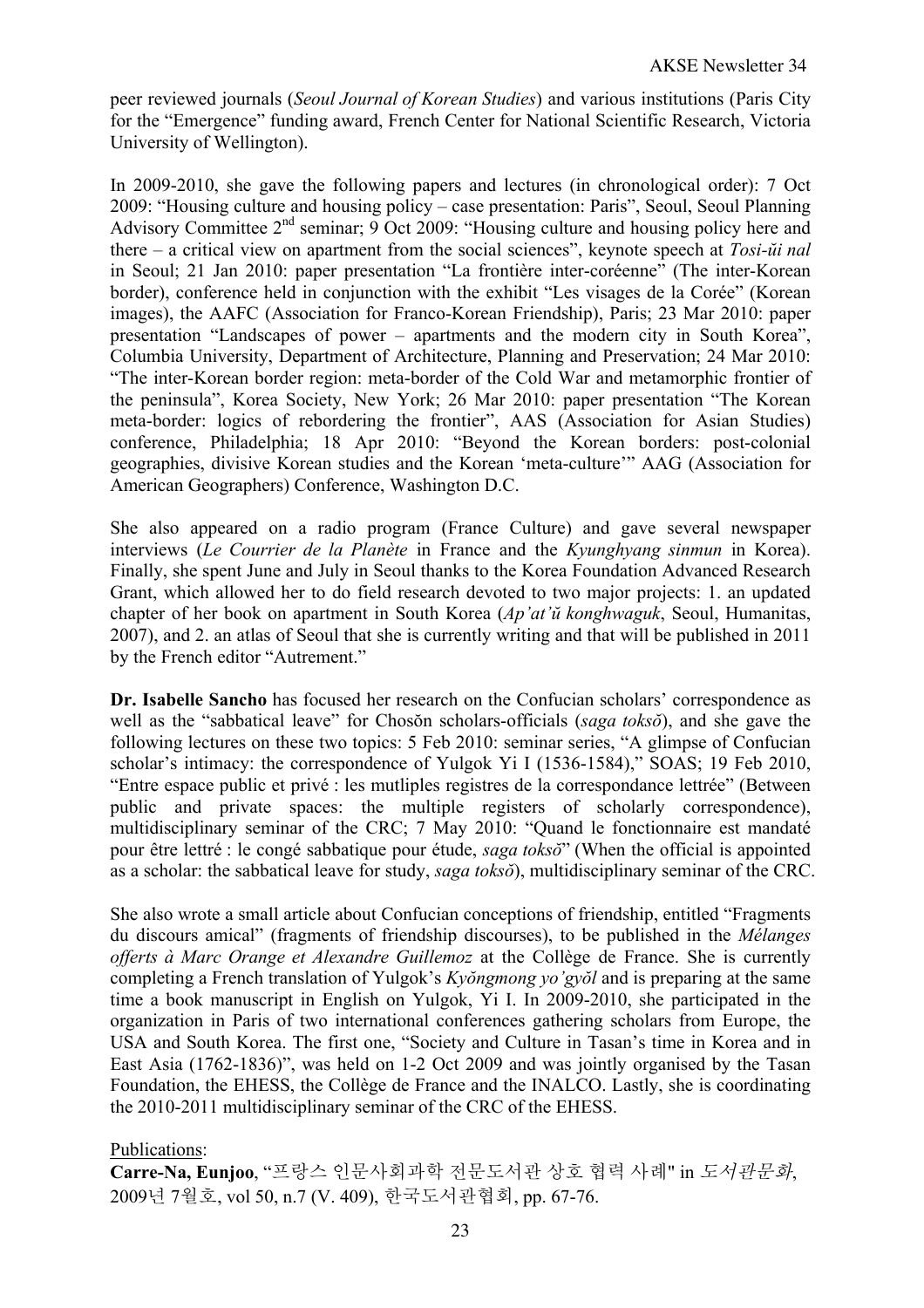peer reviewed journals (*Seoul Journal of Korean Studies*) and various institutions (Paris City for the "Emergence" funding award, French Center for National Scientific Research, Victoria University of Wellington).

In 2009-2010, she gave the following papers and lectures (in chronological order): 7 Oct 2009: "Housing culture and housing policy – case presentation: Paris", Seoul, Seoul Planning Advisory Committee  $2<sup>nd</sup>$  seminar; 9 Oct 2009: "Housing culture and housing policy here and there – a critical view on apartment from the social sciences", keynote speech at *Tosi-ŭi nal* in Seoul; 21 Jan 2010: paper presentation "La frontière inter-coréenne" (The inter-Korean border), conference held in conjunction with the exhibit "Les visages de la Corée" (Korean images), the AAFC (Association for Franco-Korean Friendship), Paris; 23 Mar 2010: paper presentation "Landscapes of power – apartments and the modern city in South Korea", Columbia University, Department of Architecture, Planning and Preservation; 24 Mar 2010: "The inter-Korean border region: meta-border of the Cold War and metamorphic frontier of the peninsula", Korea Society, New York; 26 Mar 2010: paper presentation "The Korean meta-border: logics of rebordering the frontier", AAS (Association for Asian Studies) conference, Philadelphia; 18 Apr 2010: "Beyond the Korean borders: post-colonial geographies, divisive Korean studies and the Korean 'meta-culture'" AAG (Association for American Geographers) Conference, Washington D.C.

She also appeared on a radio program (France Culture) and gave several newspaper interviews (*Le Courrier de la Planète* in France and the *Kyunghyang sinmun* in Korea). Finally, she spent June and July in Seoul thanks to the Korea Foundation Advanced Research Grant, which allowed her to do field research devoted to two major projects: 1. an updated chapter of her book on apartment in South Korea (*Ap'at'ŭ konghwaguk*, Seoul, Humanitas, 2007), and 2. an atlas of Seoul that she is currently writing and that will be published in 2011 by the French editor "Autrement."

**Dr. Isabelle Sancho** has focused her research on the Confucian scholars' correspondence as well as the "sabbatical leave" for Chosŏn scholars-officials (*saga toksŏ*), and she gave the following lectures on these two topics: 5 Feb 2010: seminar series, "A glimpse of Confucian scholar's intimacy: the correspondence of Yulgok Yi I (1536-1584)," SOAS; 19 Feb 2010, "Entre espace public et privé : les mutliples registres de la correspondance lettrée" (Between public and private spaces: the multiple registers of scholarly correspondence), multidisciplinary seminar of the CRC; 7 May 2010: "Quand le fonctionnaire est mandaté pour être lettré : le congé sabbatique pour étude, *saga toksŏ*" (When the official is appointed as a scholar: the sabbatical leave for study, *saga toksŏ*), multidisciplinary seminar of the CRC.

She also wrote a small article about Confucian conceptions of friendship, entitled "Fragments du discours amical" (fragments of friendship discourses), to be published in the *Mélanges offerts à Marc Orange et Alexandre Guillemoz* at the Collège de France. She is currently completing a French translation of Yulgok's *Kyŏngmong yo'gyŏl* and is preparing at the same time a book manuscript in English on Yulgok, Yi I. In 2009-2010, she participated in the organization in Paris of two international conferences gathering scholars from Europe, the USA and South Korea. The first one, "Society and Culture in Tasan's time in Korea and in East Asia (1762-1836)", was held on 1-2 Oct 2009 and was jointly organised by the Tasan Foundation, the EHESS, the Collège de France and the INALCO. Lastly, she is coordinating the 2010-2011 multidisciplinary seminar of the CRC of the EHESS.

## Publications:

**Carre-Na, Eunjoo**, "프랑스 인문사회과학 전문도서관 상호 협력 사례" in 도서관문화, 2009년 7월호, vol 50, n.7 (V. 409), 한국도서관협회, pp. 67-76.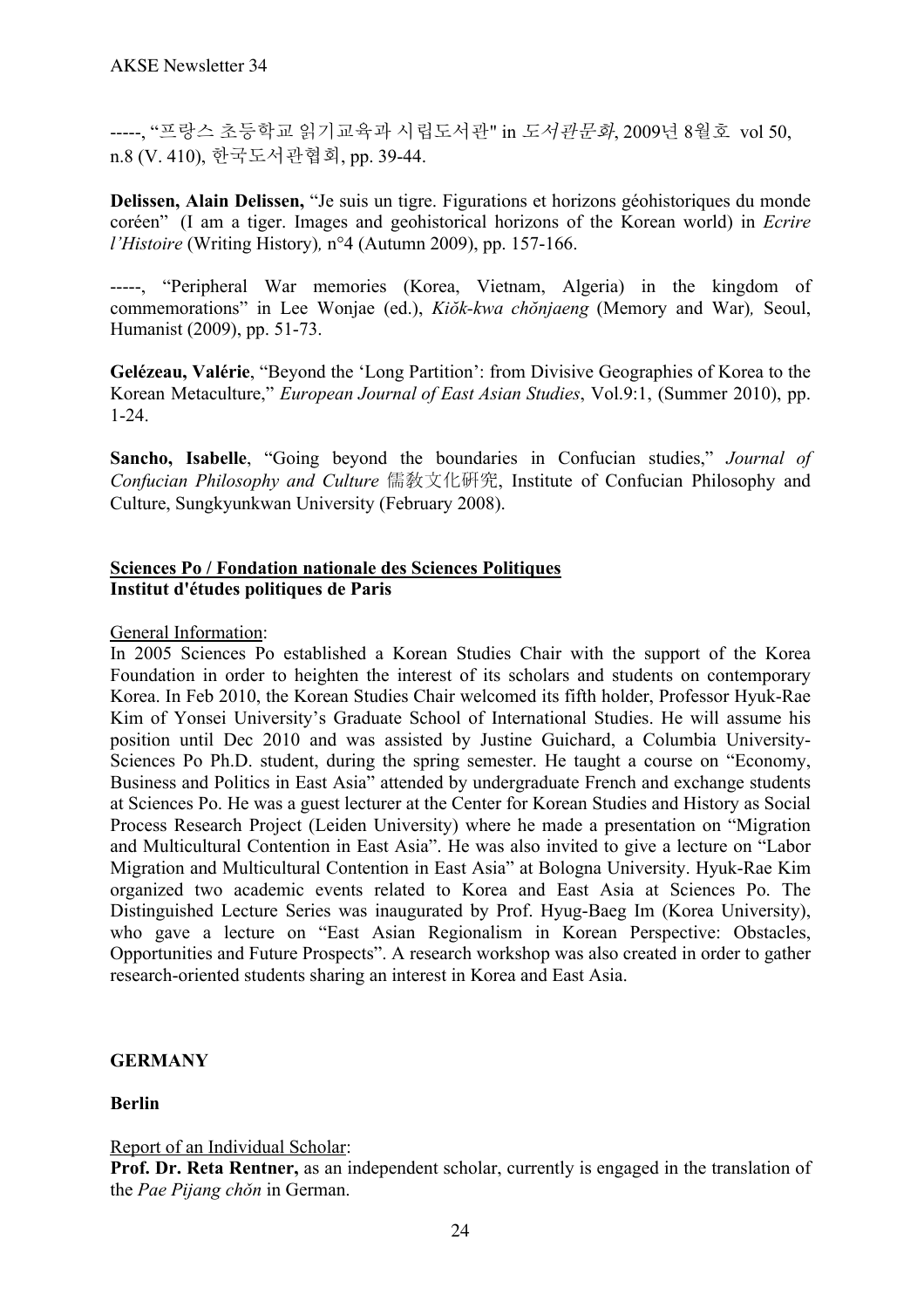-----, "프랑스 초등학교 읽기교육과 시립도서관" in 도서관문화, 2009년 8월호 vol 50, n.8 (V. 410), 한국도서관협회, pp. 39-44.

**Delissen, Alain Delissen,** "Je suis un tigre. Figurations et horizons géohistoriques du monde coréen" (I am a tiger. Images and geohistorical horizons of the Korean world) in *Ecrire l'Histoire* (Writing History)*,* n°4 (Autumn 2009), pp. 157-166.

-----, "Peripheral War memories (Korea, Vietnam, Algeria) in the kingdom of commemorations" in Lee Wonjae (ed.), *Kiŏk-kwa chŏnjaeng* (Memory and War)*,* Seoul, Humanist (2009), pp. 51-73.

**Gelézeau, Valérie**, "Beyond the 'Long Partition': from Divisive Geographies of Korea to the Korean Metaculture," *European Journal of East Asian Studies*, Vol.9:1, (Summer 2010), pp. 1-24.

**Sancho, Isabelle**, "Going beyond the boundaries in Confucian studies," *Journal of Confucian Philosophy and Culture* 儒敎文化硏究, Institute of Confucian Philosophy and Culture, Sungkyunkwan University (February 2008).

## **Sciences Po / Fondation nationale des Sciences Politiques Institut d'études politiques de Paris**

## General Information:

In 2005 Sciences Po established a Korean Studies Chair with the support of the Korea Foundation in order to heighten the interest of its scholars and students on contemporary Korea. In Feb 2010, the Korean Studies Chair welcomed its fifth holder, Professor Hyuk-Rae Kim of Yonsei University's Graduate School of International Studies. He will assume his position until Dec 2010 and was assisted by Justine Guichard, a Columbia University-Sciences Po Ph.D. student, during the spring semester. He taught a course on "Economy, Business and Politics in East Asia" attended by undergraduate French and exchange students at Sciences Po. He was a guest lecturer at the Center for Korean Studies and History as Social Process Research Project (Leiden University) where he made a presentation on "Migration and Multicultural Contention in East Asia". He was also invited to give a lecture on "Labor Migration and Multicultural Contention in East Asia" at Bologna University. Hyuk-Rae Kim organized two academic events related to Korea and East Asia at Sciences Po. The Distinguished Lecture Series was inaugurated by Prof. Hyug-Baeg Im (Korea University), who gave a lecture on "East Asian Regionalism in Korean Perspective: Obstacles, Opportunities and Future Prospects". A research workshop was also created in order to gather research-oriented students sharing an interest in Korea and East Asia.

## **GERMANY**

## **Berlin**

Report of an Individual Scholar:

**Prof. Dr. Reta Rentner,** as an independent scholar, currently is engaged in the translation of the *Pae Pijang chǒn* in German.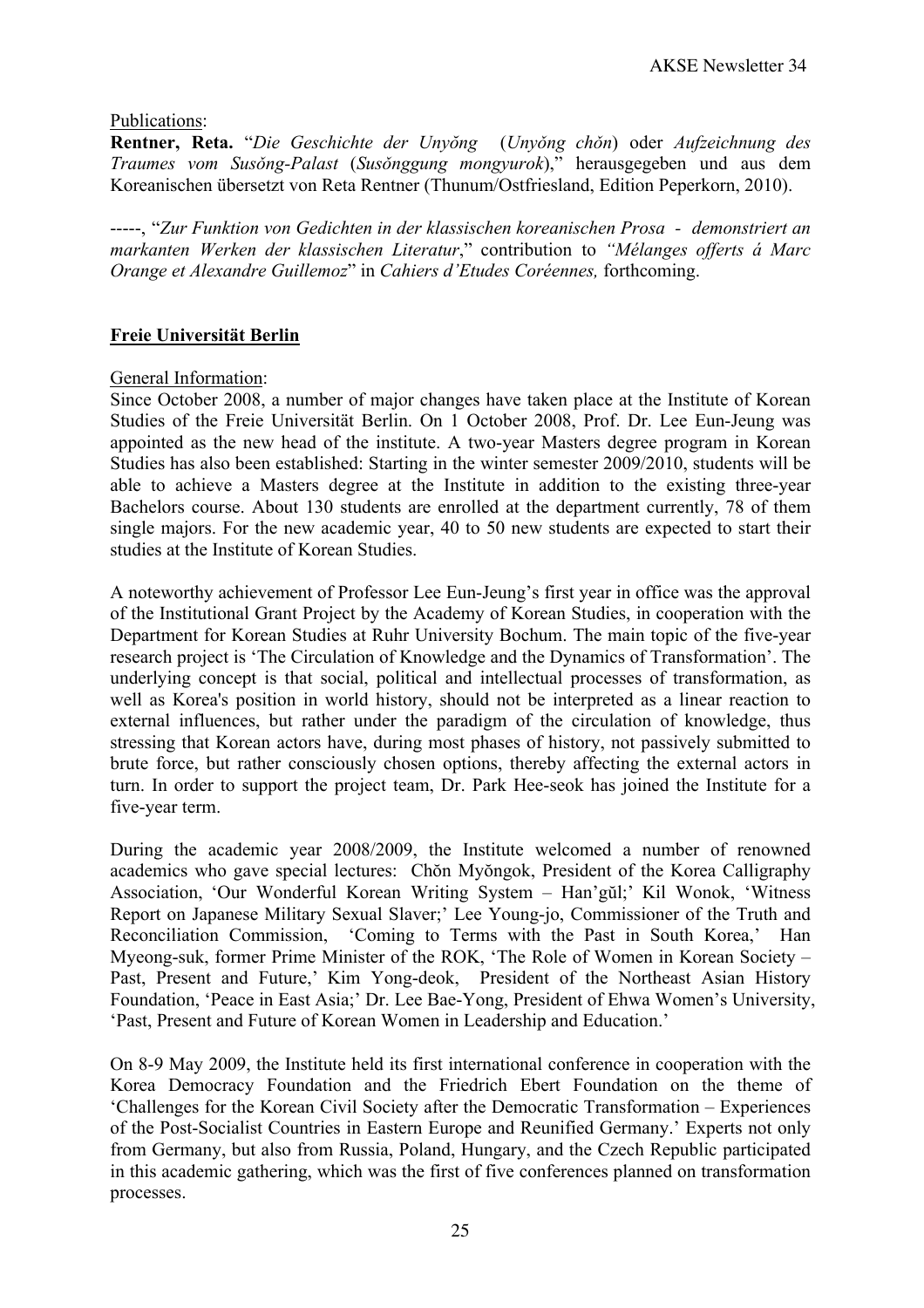## Publications:

**Rentner, Reta.** "*Die Geschichte der Unyŏng* (*Unyǒng chǒn*) oder *Aufzeichnung des Traumes vom Susǒng-Palast* (*Susǒnggung mongyurok*)," herausgegeben und aus dem Koreanischen übersetzt von Reta Rentner (Thunum/Ostfriesland, Edition Peperkorn, 2010).

-----, "*Zur Funktion von Gedichten in der klassischen koreanischen Prosa - demonstriert an markanten Werken der klassischen Literatur*," contribution to *"Mélanges offerts á Marc Orange et Alexandre Guillemoz*" in *Cahiers d'Etudes Coréennes,* forthcoming.

# **Freie Universität Berlin**

## General Information:

Since October 2008, a number of major changes have taken place at the Institute of Korean Studies of the Freie Universität Berlin. On 1 October 2008, Prof. Dr. Lee Eun-Jeung was appointed as the new head of the institute. A two-year Masters degree program in Korean Studies has also been established: Starting in the winter semester 2009/2010, students will be able to achieve a Masters degree at the Institute in addition to the existing three-year Bachelors course. About 130 students are enrolled at the department currently, 78 of them single majors. For the new academic year, 40 to 50 new students are expected to start their studies at the Institute of Korean Studies.

A noteworthy achievement of Professor Lee Eun-Jeung's first year in office was the approval of the Institutional Grant Project by the Academy of Korean Studies, in cooperation with the Department for Korean Studies at Ruhr University Bochum. The main topic of the five-year research project is 'The Circulation of Knowledge and the Dynamics of Transformation'. The underlying concept is that social, political and intellectual processes of transformation, as well as Korea's position in world history, should not be interpreted as a linear reaction to external influences, but rather under the paradigm of the circulation of knowledge, thus stressing that Korean actors have, during most phases of history, not passively submitted to brute force, but rather consciously chosen options, thereby affecting the external actors in turn. In order to support the project team, Dr. Park Hee-seok has joined the Institute for a five-year term.

During the academic year 2008/2009, the Institute welcomed a number of renowned academics who gave special lectures: Chŏn Myŏngok, President of the Korea Calligraphy Association, 'Our Wonderful Korean Writing System – Han'gŭl;' Kil Wonok, 'Witness Report on Japanese Military Sexual Slaver;' Lee Young-jo, Commissioner of the Truth and Reconciliation Commission, 'Coming to Terms with the Past in South Korea,' Han Myeong-suk, former Prime Minister of the ROK, 'The Role of Women in Korean Society – Past, Present and Future,' Kim Yong-deok, President of the Northeast Asian History Foundation, 'Peace in East Asia;' Dr. Lee Bae-Yong, President of Ehwa Women's University, 'Past, Present and Future of Korean Women in Leadership and Education.'

On 8-9 May 2009, the Institute held its first international conference in cooperation with the Korea Democracy Foundation and the Friedrich Ebert Foundation on the theme of 'Challenges for the Korean Civil Society after the Democratic Transformation – Experiences of the Post-Socialist Countries in Eastern Europe and Reunified Germany.' Experts not only from Germany, but also from Russia, Poland, Hungary, and the Czech Republic participated in this academic gathering, which was the first of five conferences planned on transformation processes.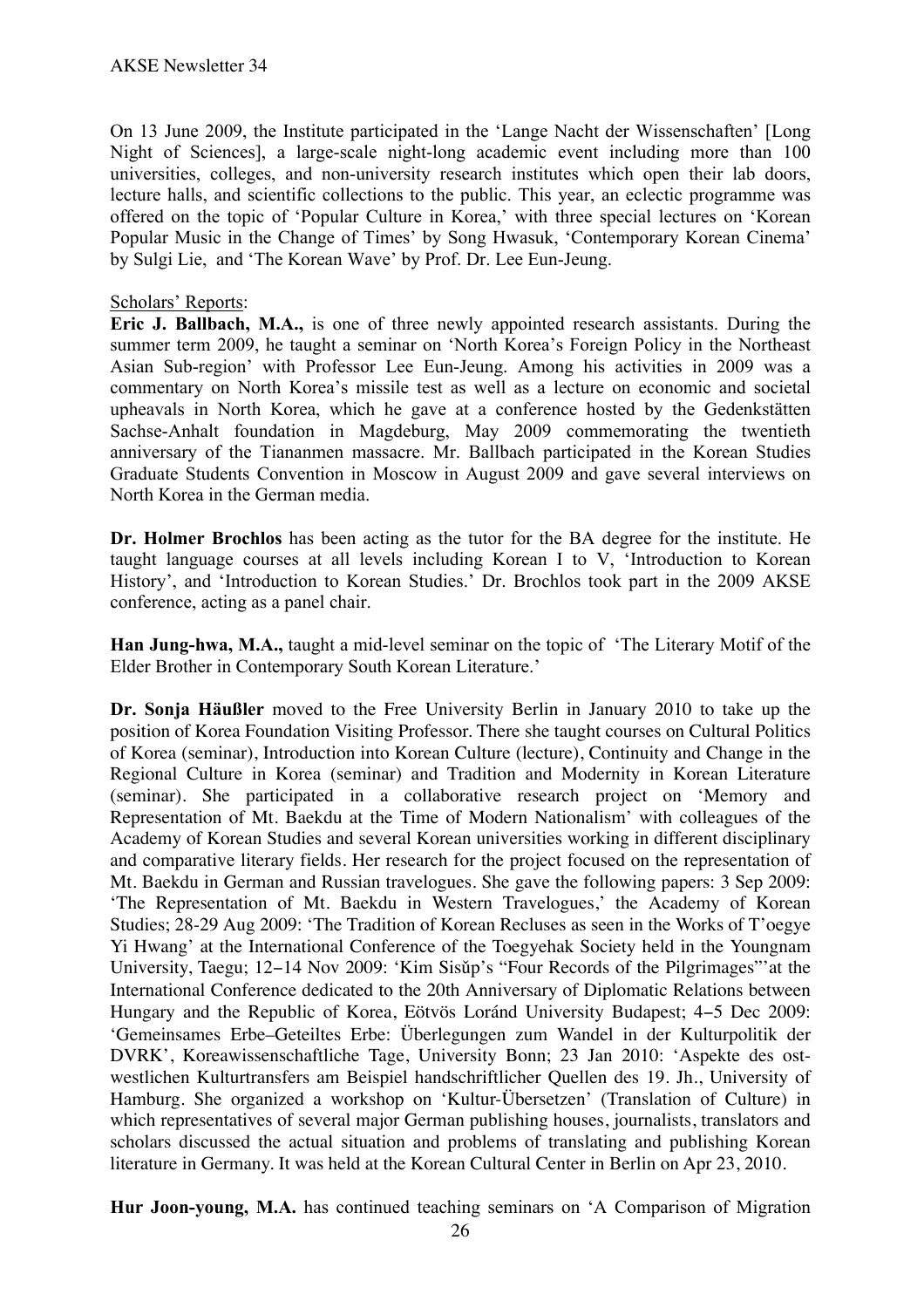On 13 June 2009, the Institute participated in the 'Lange Nacht der Wissenschaften' [Long Night of Sciences], a large-scale night-long academic event including more than 100 universities, colleges, and non-university research institutes which open their lab doors, lecture halls, and scientific collections to the public. This year, an eclectic programme was offered on the topic of 'Popular Culture in Korea,' with three special lectures on 'Korean Popular Music in the Change of Times' by Song Hwasuk, 'Contemporary Korean Cinema' by Sulgi Lie, and 'The Korean Wave' by Prof. Dr. Lee Eun-Jeung.

## Scholars' Reports:

**Eric J. Ballbach, M.A.,** is one of three newly appointed research assistants. During the summer term 2009, he taught a seminar on 'North Korea's Foreign Policy in the Northeast Asian Sub-region' with Professor Lee Eun-Jeung. Among his activities in 2009 was a commentary on North Korea's missile test as well as a lecture on economic and societal upheavals in North Korea, which he gave at a conference hosted by the Gedenkstätten Sachse-Anhalt foundation in Magdeburg, May 2009 commemorating the twentieth anniversary of the Tiananmen massacre. Mr. Ballbach participated in the Korean Studies Graduate Students Convention in Moscow in August 2009 and gave several interviews on North Korea in the German media.

**Dr. Holmer Brochlos** has been acting as the tutor for the BA degree for the institute. He taught language courses at all levels including Korean I to V, 'Introduction to Korean History', and 'Introduction to Korean Studies.' Dr. Brochlos took part in the 2009 AKSE conference, acting as a panel chair.

**Han Jung-hwa, M.A.,** taught a mid-level seminar on the topic of 'The Literary Motif of the Elder Brother in Contemporary South Korean Literature.'

**Dr. Sonja Häußler** moved to the Free University Berlin in January 2010 to take up the position of Korea Foundation Visiting Professor. There she taught courses on Cultural Politics of Korea (seminar), Introduction into Korean Culture (lecture), Continuity and Change in the Regional Culture in Korea (seminar) and Tradition and Modernity in Korean Literature (seminar). She participated in a collaborative research project on 'Memory and Representation of Mt. Baekdu at the Time of Modern Nationalism' with colleagues of the Academy of Korean Studies and several Korean universities working in different disciplinary and comparative literary fields. Her research for the project focused on the representation of Mt. Baekdu in German and Russian travelogues. She gave the following papers: 3 Sep 2009: 'The Representation of Mt. Baekdu in Western Travelogues,' the Academy of Korean Studies; 28-29 Aug 2009: 'The Tradition of Korean Recluses as seen in the Works of T'oegye Yi Hwang' at the International Conference of the Toegyehak Society held in the Youngnam University, Taegu; 12−14 Nov 2009: 'Kim Sisǔp's "Four Records of the Pilgrimages"'at the International Conference dedicated to the 20th Anniversary of Diplomatic Relations between Hungary and the Republic of Korea, Eötvös Loránd University Budapest; 4−5 Dec 2009: 'Gemeinsames Erbe–Geteiltes Erbe: Überlegungen zum Wandel in der Kulturpolitik der DVRK', Koreawissenschaftliche Tage, University Bonn; 23 Jan 2010: 'Aspekte des ostwestlichen Kulturtransfers am Beispiel handschriftlicher Quellen des 19. Jh., University of Hamburg. She organized a workshop on 'Kultur-Übersetzen' (Translation of Culture) in which representatives of several major German publishing houses, journalists, translators and scholars discussed the actual situation and problems of translating and publishing Korean literature in Germany. It was held at the Korean Cultural Center in Berlin on Apr 23, 2010.

**Hur Joon-young, M.A.** has continued teaching seminars on 'A Comparison of Migration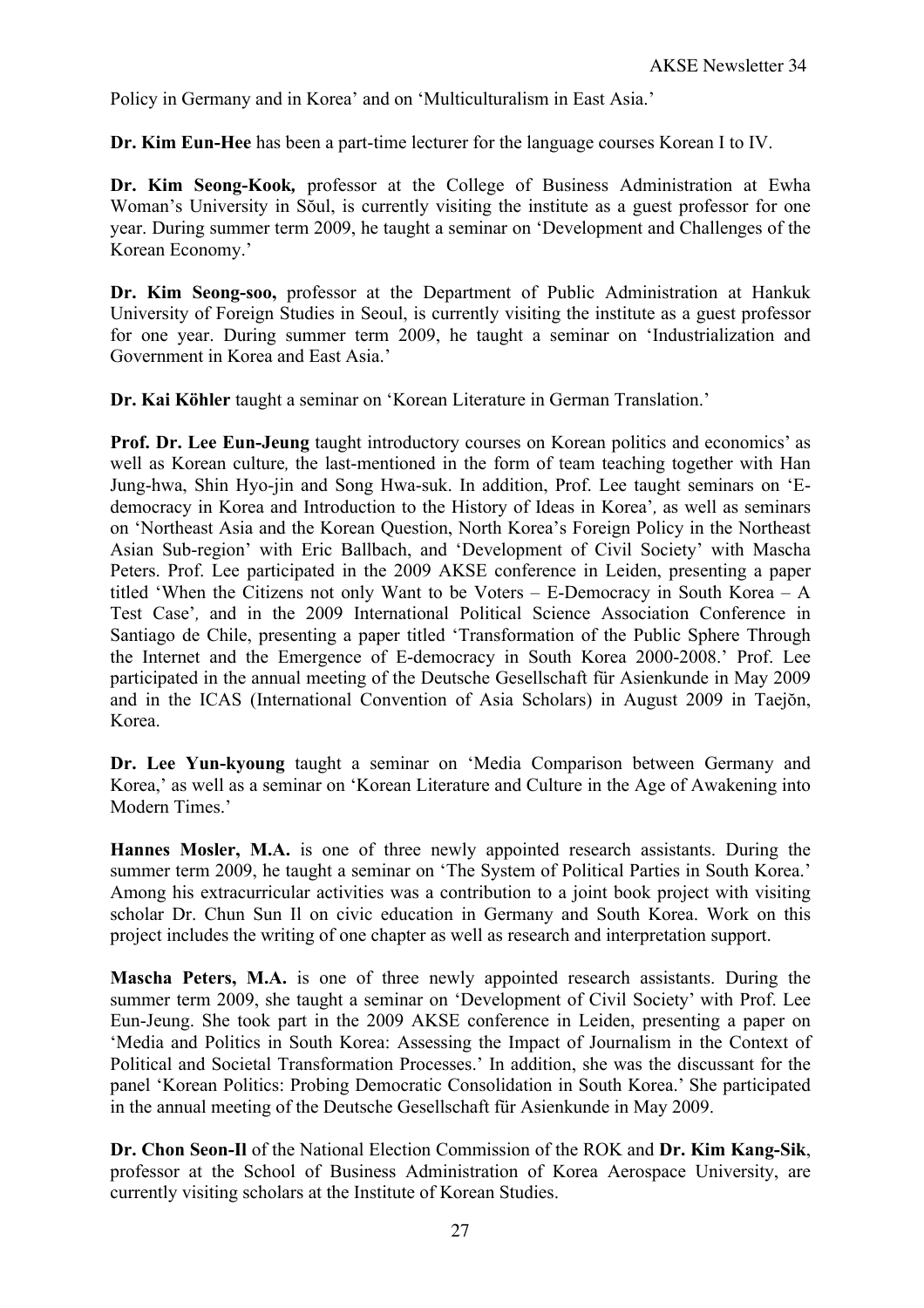Policy in Germany and in Korea' and on 'Multiculturalism in East Asia.'

**Dr. Kim Eun-Hee** has been a part-time lecturer for the language courses Korean I to IV.

**Dr. Kim Seong-Kook***,* professor at the College of Business Administration at Ewha Woman's University in Sŏul, is currently visiting the institute as a guest professor for one year. During summer term 2009, he taught a seminar on 'Development and Challenges of the Korean Economy.'

**Dr. Kim Seong-soo,** professor at the Department of Public Administration at Hankuk University of Foreign Studies in Seoul, is currently visiting the institute as a guest professor for one year. During summer term 2009, he taught a seminar on 'Industrialization and Government in Korea and East Asia.'

**Dr. Kai Köhler** taught a seminar on 'Korean Literature in German Translation.'

**Prof. Dr. Lee Eun-Jeung** taught introductory courses on Korean politics and economics' as well as Korean culture*,* the last-mentioned in the form of team teaching together with Han Jung-hwa, Shin Hyo-jin and Song Hwa-suk. In addition, Prof. Lee taught seminars on 'Edemocracy in Korea and Introduction to the History of Ideas in Korea'*,* as well as seminars on 'Northeast Asia and the Korean Question, North Korea's Foreign Policy in the Northeast Asian Sub-region' with Eric Ballbach, and 'Development of Civil Society' with Mascha Peters. Prof. Lee participated in the 2009 AKSE conference in Leiden, presenting a paper titled 'When the Citizens not only Want to be Voters – E-Democracy in South Korea – A Test Case'*,* and in the 2009 International Political Science Association Conference in Santiago de Chile, presenting a paper titled 'Transformation of the Public Sphere Through the Internet and the Emergence of E-democracy in South Korea 2000-2008.' Prof. Lee participated in the annual meeting of the Deutsche Gesellschaft für Asienkunde in May 2009 and in the ICAS (International Convention of Asia Scholars) in August 2009 in Taejŏn, Korea.

**Dr. Lee Yun-kyoung** taught a seminar on 'Media Comparison between Germany and Korea,' as well as a seminar on 'Korean Literature and Culture in the Age of Awakening into Modern Times.'

**Hannes Mosler, M.A.** is one of three newly appointed research assistants. During the summer term 2009, he taught a seminar on 'The System of Political Parties in South Korea.' Among his extracurricular activities was a contribution to a joint book project with visiting scholar Dr. Chun Sun Il on civic education in Germany and South Korea. Work on this project includes the writing of one chapter as well as research and interpretation support.

**Mascha Peters, M.A.** is one of three newly appointed research assistants. During the summer term 2009, she taught a seminar on 'Development of Civil Society' with Prof. Lee Eun-Jeung. She took part in the 2009 AKSE conference in Leiden, presenting a paper on 'Media and Politics in South Korea: Assessing the Impact of Journalism in the Context of Political and Societal Transformation Processes.' In addition, she was the discussant for the panel 'Korean Politics: Probing Democratic Consolidation in South Korea.' She participated in the annual meeting of the Deutsche Gesellschaft für Asienkunde in May 2009.

**Dr. Chon Seon-Il** of the National Election Commission of the ROK and **Dr. Kim Kang-Sik**, professor at the School of Business Administration of Korea Aerospace University, are currently visiting scholars at the Institute of Korean Studies.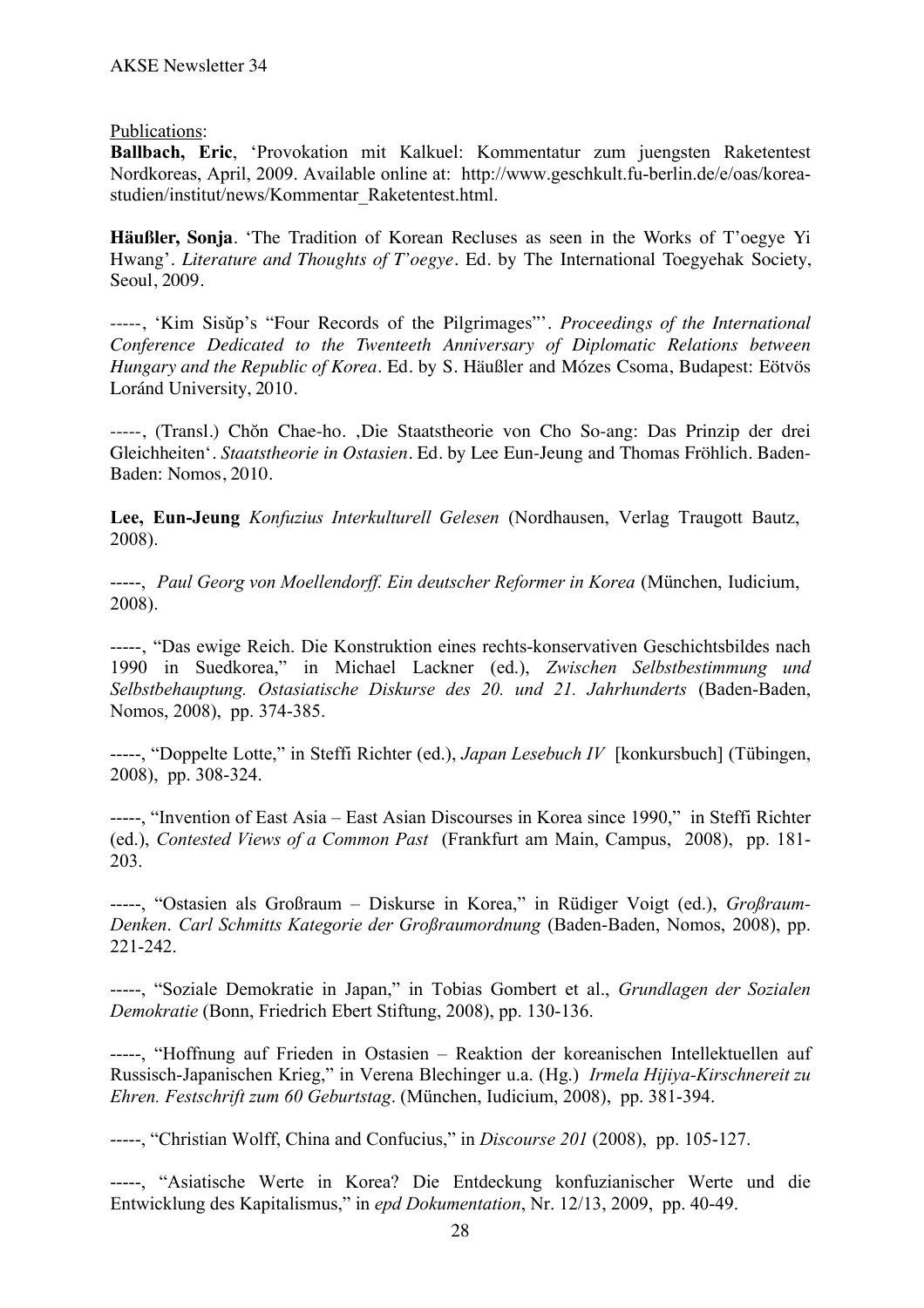## Publications:

**Ballbach, Eric**, 'Provokation mit Kalkuel: Kommentatur zum juengsten Raketentest Nordkoreas, April, 2009. Available online at: http://www.geschkult.fu-berlin.de/e/oas/koreastudien/institut/news/Kommentar\_Raketentest.html.

**Häußler, Sonja**. 'The Tradition of Korean Recluses as seen in the Works of T'oegye Yi Hwang'. *Literature and Thoughts of T'oegye*. Ed. by The International Toegyehak Society, Seoul, 2009.

-----, 'Kim Sisǔp's "Four Records of the Pilgrimages"'. *Proceedings of the International Conference Dedicated to the Twenteeth Anniversary of Diplomatic Relations between Hungary and the Republic of Korea*. Ed. by S. Häußler and Mózes Csoma, Budapest: Eötvös Loránd University, 2010.

-----, (Transl.) Chŏn Chae-ho. ,Die Staatstheorie von Cho So-ang: Das Prinzip der drei Gleichheiten'. *Staatstheorie in Ostasien*. Ed. by Lee Eun-Jeung and Thomas Fröhlich. Baden-Baden: Nomos, 2010.

**Lee, Eun-Jeung** *Konfuzius Interkulturell Gelesen* (Nordhausen, Verlag Traugott Bautz, 2008).

-----, *Paul Georg von Moellendorff. Ein deutscher Reformer in Korea* (München, Iudicium, 2008).

-----, "Das ewige Reich. Die Konstruktion eines rechts-konservativen Geschichtsbildes nach 1990 in Suedkorea," in Michael Lackner (ed.), *Zwischen Selbstbestimmung und Selbstbehauptung. Ostasiatische Diskurse des 20. und 21. Jahrhunderts* (Baden-Baden, Nomos, 2008), pp. 374-385.

-----, "Doppelte Lotte," in Steffi Richter (ed.), *Japan Lesebuch IV* [konkursbuch] (Tübingen, 2008), pp. 308-324.

-----, "Invention of East Asia – East Asian Discourses in Korea since 1990," in Steffi Richter (ed.), *Contested Views of a Common Past* (Frankfurt am Main, Campus, 2008), pp. 181- 203.

-----, "Ostasien als Großraum – Diskurse in Korea," in Rüdiger Voigt (ed.), *Großraum-Denken*. *Carl Schmitts Kategorie der Großraumordnung* (Baden-Baden, Nomos, 2008), pp. 221-242.

-----, "Soziale Demokratie in Japan," in Tobias Gombert et al., *Grundlagen der Sozialen Demokratie* (Bonn, Friedrich Ebert Stiftung, 2008), pp. 130-136.

-----, "Hoffnung auf Frieden in Ostasien – Reaktion der koreanischen Intellektuellen auf Russisch-Japanischen Krieg," in Verena Blechinger u.a. (Hg.) *Irmela Hijiya-Kirschnereit zu Ehren. Festschrift zum 60 Geburtstag*. (München, Iudicium, 2008), pp. 381-394.

-----, "Christian Wolff, China and Confucius," in *Discourse 201* (2008), pp. 105-127.

-----, "Asiatische Werte in Korea? Die Entdeckung konfuzianischer Werte und die Entwicklung des Kapitalismus," in *epd Dokumentation*, Nr. 12/13, 2009, pp. 40-49.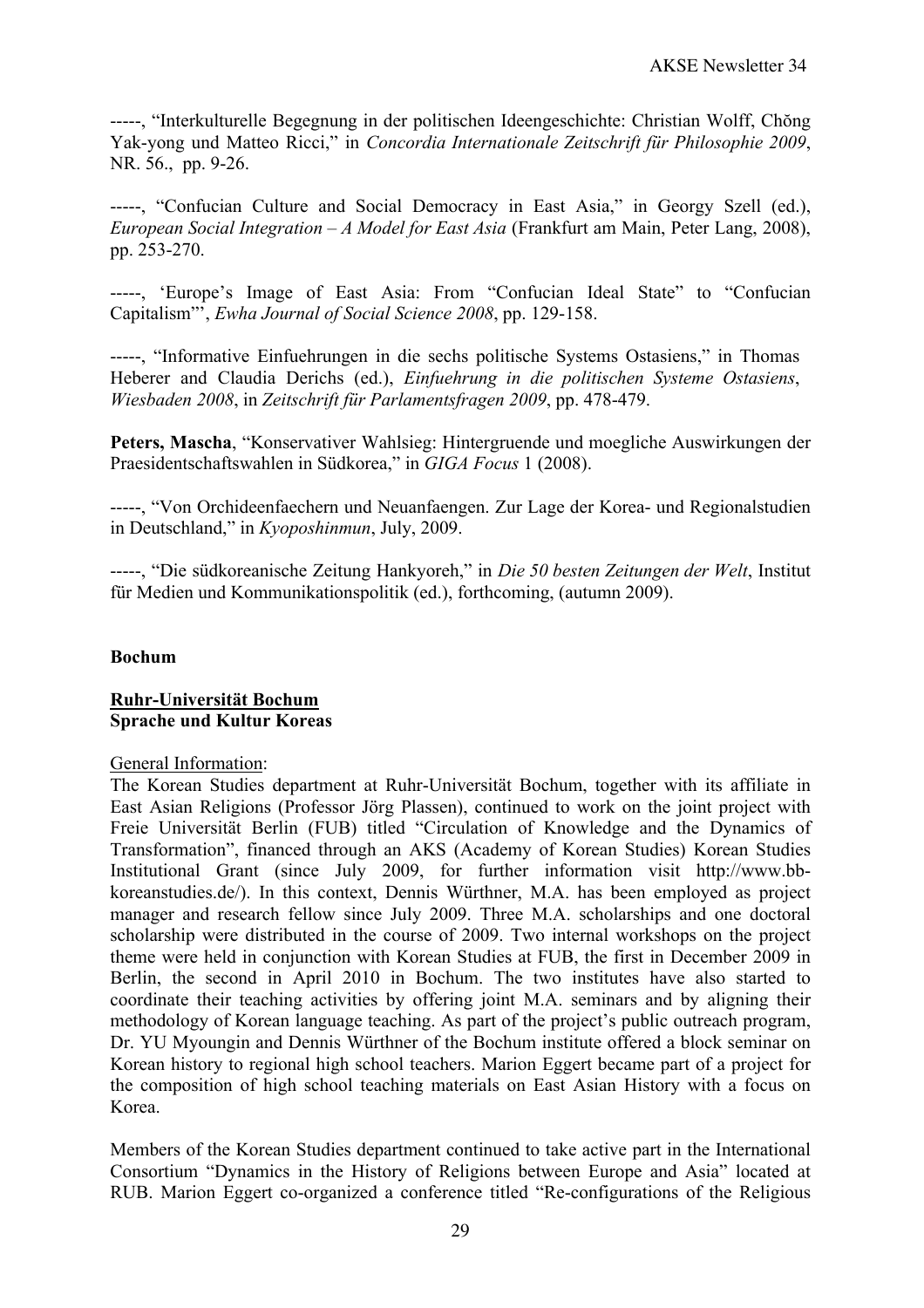-----, "Interkulturelle Begegnung in der politischen Ideengeschichte: Christian Wolff, Chŏng Yak-yong und Matteo Ricci," in *Concordia Internationale Zeitschrift für Philosophie 2009*, NR. 56., pp. 9-26.

-----, "Confucian Culture and Social Democracy in East Asia," in Georgy Szell (ed.), *European Social Integration – A Model for East Asia* (Frankfurt am Main, Peter Lang, 2008), pp. 253-270.

-----, 'Europe's Image of East Asia: From "Confucian Ideal State" to "Confucian Capitalism"', *Ewha Journal of Social Science 2008*, pp. 129-158.

-----, "Informative Einfuehrungen in die sechs politische Systems Ostasiens," in Thomas Heberer and Claudia Derichs (ed.), *Einfuehrung in die politischen Systeme Ostasiens*, *Wiesbaden 2008*, in *Zeitschrift für Parlamentsfragen 2009*, pp. 478-479.

**Peters, Mascha**, "Konservativer Wahlsieg: Hintergruende und moegliche Auswirkungen der Praesidentschaftswahlen in Südkorea," in *GIGA Focus* 1 (2008).

-----, "Von Orchideenfaechern und Neuanfaengen. Zur Lage der Korea- und Regionalstudien in Deutschland," in *Kyoposhinmun*, July, 2009.

-----, "Die südkoreanische Zeitung Hankyoreh," in *Die 50 besten Zeitungen der Welt*, Institut für Medien und Kommunikationspolitik (ed.), forthcoming, (autumn 2009).

## **Bochum**

#### **Ruhr-Universität Bochum Sprache und Kultur Koreas**

#### General Information:

The Korean Studies department at Ruhr-Universität Bochum, together with its affiliate in East Asian Religions (Professor Jörg Plassen), continued to work on the joint project with Freie Universität Berlin (FUB) titled "Circulation of Knowledge and the Dynamics of Transformation", financed through an AKS (Academy of Korean Studies) Korean Studies Institutional Grant (since July 2009, for further information visit http://www.bbkoreanstudies.de/). In this context, Dennis Würthner, M.A. has been employed as project manager and research fellow since July 2009. Three M.A. scholarships and one doctoral scholarship were distributed in the course of 2009. Two internal workshops on the project theme were held in conjunction with Korean Studies at FUB, the first in December 2009 in Berlin, the second in April 2010 in Bochum. The two institutes have also started to coordinate their teaching activities by offering joint M.A. seminars and by aligning their methodology of Korean language teaching. As part of the project's public outreach program, Dr. YU Myoungin and Dennis Würthner of the Bochum institute offered a block seminar on Korean history to regional high school teachers. Marion Eggert became part of a project for the composition of high school teaching materials on East Asian History with a focus on Korea.

Members of the Korean Studies department continued to take active part in the International Consortium "Dynamics in the History of Religions between Europe and Asia" located at RUB. Marion Eggert co-organized a conference titled "Re-configurations of the Religious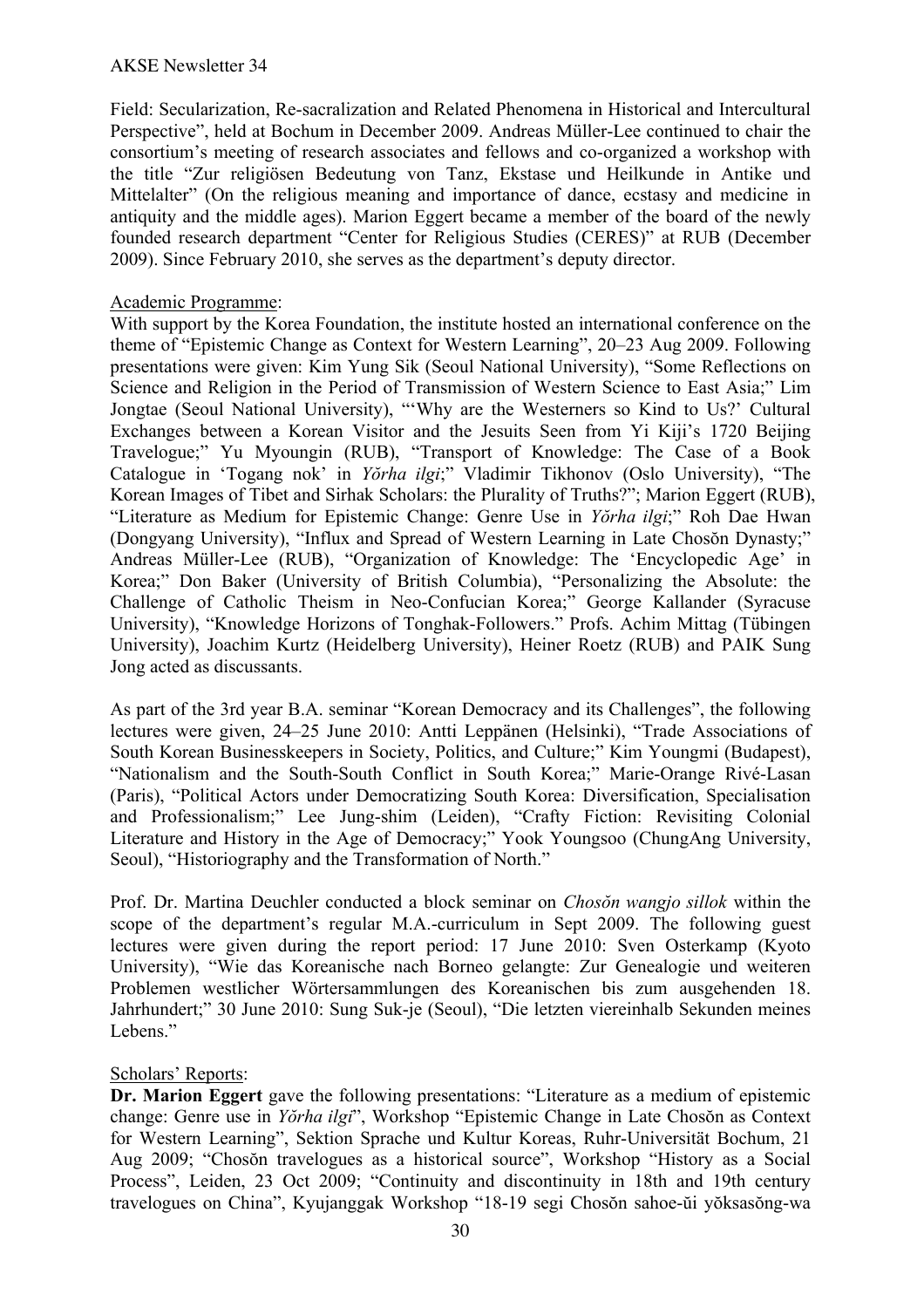Field: Secularization, Re-sacralization and Related Phenomena in Historical and Intercultural Perspective", held at Bochum in December 2009. Andreas Müller-Lee continued to chair the consortium's meeting of research associates and fellows and co-organized a workshop with the title "Zur religiösen Bedeutung von Tanz, Ekstase und Heilkunde in Antike und Mittelalter" (On the religious meaning and importance of dance, ecstasy and medicine in antiquity and the middle ages). Marion Eggert became a member of the board of the newly founded research department "Center for Religious Studies (CERES)" at RUB (December 2009). Since February 2010, she serves as the department's deputy director.

## Academic Programme:

With support by the Korea Foundation, the institute hosted an international conference on the theme of "Epistemic Change as Context for Western Learning", 20–23 Aug 2009. Following presentations were given: Kim Yung Sik (Seoul National University), "Some Reflections on Science and Religion in the Period of Transmission of Western Science to East Asia;" Lim Jongtae (Seoul National University), "'Why are the Westerners so Kind to Us?' Cultural Exchanges between a Korean Visitor and the Jesuits Seen from Yi Kiji's 1720 Beijing Travelogue;" Yu Myoungin (RUB), "Transport of Knowledge: The Case of a Book Catalogue in 'Togang nok' in *Yŏrha ilgi*;" Vladimir Tikhonov (Oslo University), "The Korean Images of Tibet and Sirhak Scholars: the Plurality of Truths?"; Marion Eggert (RUB), "Literature as Medium for Epistemic Change: Genre Use in *Yŏrha ilgi*;" Roh Dae Hwan (Dongyang University), "Influx and Spread of Western Learning in Late Chosŏn Dynasty;" Andreas Müller-Lee (RUB), "Organization of Knowledge: The 'Encyclopedic Age' in Korea;" Don Baker (University of British Columbia), "Personalizing the Absolute: the Challenge of Catholic Theism in Neo-Confucian Korea;" George Kallander (Syracuse University), "Knowledge Horizons of Tonghak-Followers." Profs. Achim Mittag (Tübingen University), Joachim Kurtz (Heidelberg University), Heiner Roetz (RUB) and PAIK Sung Jong acted as discussants.

As part of the 3rd year B.A. seminar "Korean Democracy and its Challenges", the following lectures were given, 24–25 June 2010: Antti Leppänen (Helsinki), "Trade Associations of South Korean Businesskeepers in Society, Politics, and Culture;" Kim Youngmi (Budapest), "Nationalism and the South-South Conflict in South Korea;" Marie-Orange Rivé-Lasan (Paris), "Political Actors under Democratizing South Korea: Diversification, Specialisation and Professionalism;" Lee Jung-shim (Leiden), "Crafty Fiction: Revisiting Colonial Literature and History in the Age of Democracy;" Yook Youngsoo (ChungAng University, Seoul), "Historiography and the Transformation of North."

Prof. Dr. Martina Deuchler conducted a block seminar on *Chosŏn wangjo sillok* within the scope of the department's regular M.A.-curriculum in Sept 2009. The following guest lectures were given during the report period: 17 June 2010: Sven Osterkamp (Kyoto University), "Wie das Koreanische nach Borneo gelangte: Zur Genealogie und weiteren Problemen westlicher Wörtersammlungen des Koreanischen bis zum ausgehenden 18. Jahrhundert;" 30 June 2010: Sung Suk-je (Seoul), "Die letzten viereinhalb Sekunden meines Lebens."

## Scholars' Reports:

**Dr. Marion Eggert** gave the following presentations: "Literature as a medium of epistemic change: Genre use in *Yŏrha ilgi*", Workshop "Epistemic Change in Late Chosŏn as Context for Western Learning", Sektion Sprache und Kultur Koreas, Ruhr-Universität Bochum, 21 Aug 2009; "Chosŏn travelogues as a historical source", Workshop "History as a Social Process", Leiden, 23 Oct 2009; "Continuity and discontinuity in 18th and 19th century travelogues on China", Kyujanggak Workshop "18-19 segi Chosŏn sahoe-ŭi yŏksasŏng-wa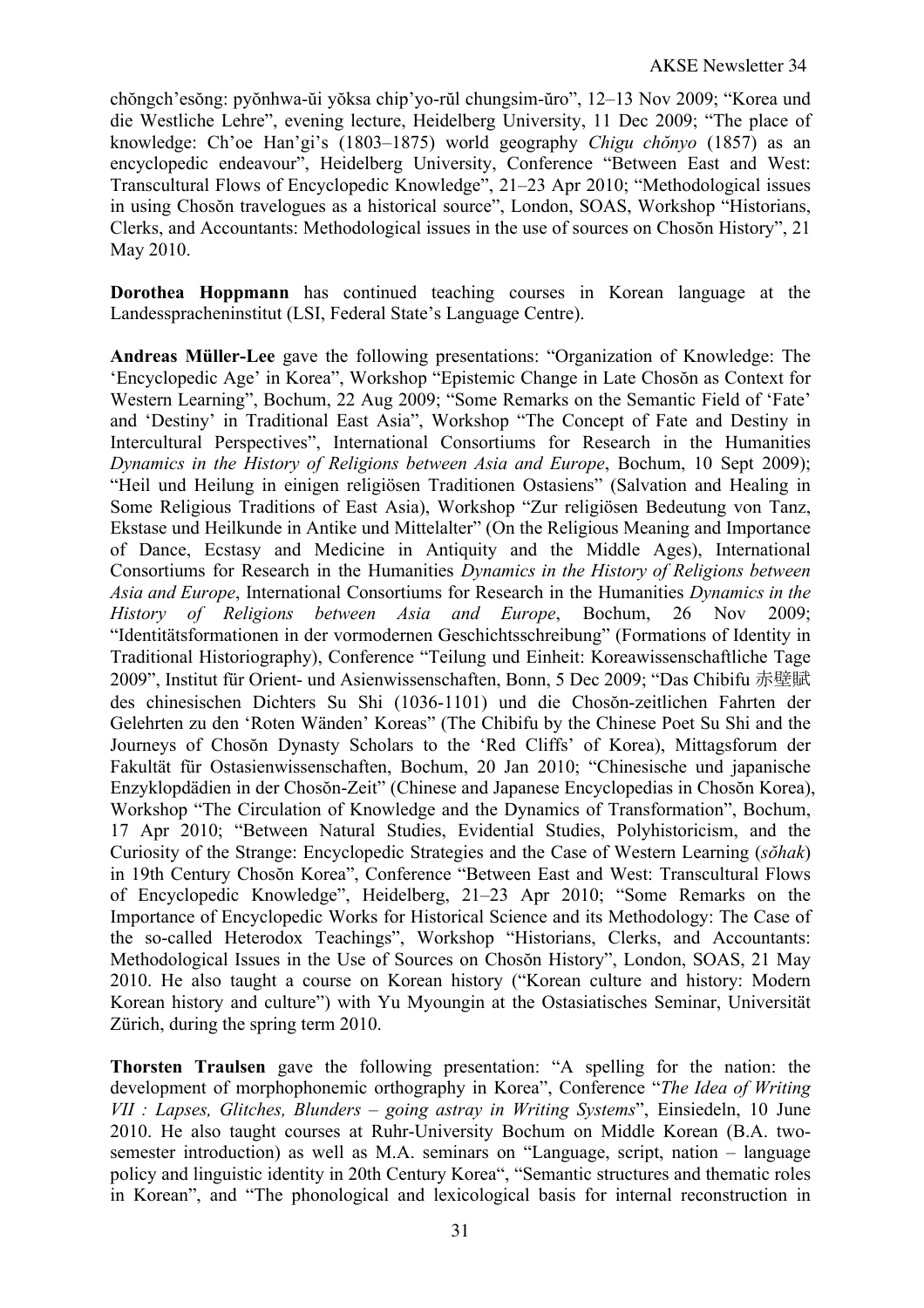chŏngch'esŏng: pyŏnhwa-ŭi yŏksa chip'yo-rŭl chungsim-ŭro", 12–13 Nov 2009; "Korea und die Westliche Lehre", evening lecture, Heidelberg University, 11 Dec 2009; "The place of knowledge: Ch'oe Han'gi's (1803–1875) world geography *Chigu chŏnyo* (1857) as an encyclopedic endeavour", Heidelberg University, Conference "Between East and West: Transcultural Flows of Encyclopedic Knowledge", 21–23 Apr 2010; "Methodological issues in using Chosŏn travelogues as a historical source", London, SOAS, Workshop "Historians, Clerks, and Accountants: Methodological issues in the use of sources on Chosŏn History", 21 May 2010.

**Dorothea Hoppmann** has continued teaching courses in Korean language at the Landesspracheninstitut (LSI, Federal State's Language Centre).

**Andreas Müller-Lee** gave the following presentations: "Organization of Knowledge: The 'Encyclopedic Age' in Korea", Workshop "Epistemic Change in Late Chosŏn as Context for Western Learning", Bochum, 22 Aug 2009; "Some Remarks on the Semantic Field of 'Fate' and 'Destiny' in Traditional East Asia", Workshop "The Concept of Fate and Destiny in Intercultural Perspectives", International Consortiums for Research in the Humanities *Dynamics in the History of Religions between Asia and Europe*, Bochum, 10 Sept 2009); "Heil und Heilung in einigen religiösen Traditionen Ostasiens" (Salvation and Healing in Some Religious Traditions of East Asia), Workshop "Zur religiösen Bedeutung von Tanz, Ekstase und Heilkunde in Antike und Mittelalter" (On the Religious Meaning and Importance of Dance, Ecstasy and Medicine in Antiquity and the Middle Ages), International Consortiums for Research in the Humanities *Dynamics in the History of Religions between Asia and Europe*, International Consortiums for Research in the Humanities *Dynamics in the History of Religions between Asia and Europe*, Bochum, 26 Nov 2009; "Identitätsformationen in der vormodernen Geschichtsschreibung" (Formations of Identity in Traditional Historiography), Conference "Teilung und Einheit: Koreawissenschaftliche Tage 2009", Institut für Orient- und Asienwissenschaften, Bonn, 5 Dec 2009; "Das Chibifu 赤壁賦 des chinesischen Dichters Su Shi (1036-1101) und die Chosŏn-zeitlichen Fahrten der Gelehrten zu den 'Roten Wänden' Koreas" (The Chibifu by the Chinese Poet Su Shi and the Journeys of Chosŏn Dynasty Scholars to the 'Red Cliffs' of Korea), Mittagsforum der Fakultät für Ostasienwissenschaften, Bochum, 20 Jan 2010; "Chinesische und japanische Enzyklopdädien in der Chosŏn-Zeit" (Chinese and Japanese Encyclopedias in Chosŏn Korea), Workshop "The Circulation of Knowledge and the Dynamics of Transformation", Bochum, 17 Apr 2010; "Between Natural Studies, Evidential Studies, Polyhistoricism, and the Curiosity of the Strange: Encyclopedic Strategies and the Case of Western Learning (*sŏhak*) in 19th Century Chosŏn Korea", Conference "Between East and West: Transcultural Flows of Encyclopedic Knowledge", Heidelberg, 21–23 Apr 2010; "Some Remarks on the Importance of Encyclopedic Works for Historical Science and its Methodology: The Case of the so-called Heterodox Teachings", Workshop "Historians, Clerks, and Accountants: Methodological Issues in the Use of Sources on Chosŏn History", London, SOAS, 21 May 2010. He also taught a course on Korean history ("Korean culture and history: Modern Korean history and culture") with Yu Myoungin at the Ostasiatisches Seminar, Universität Zürich, during the spring term 2010.

**Thorsten Traulsen** gave the following presentation: "A spelling for the nation: the development of morphophonemic orthography in Korea", Conference "*The Idea of Writing VII : Lapses, Glitches, Blunders – going astray in Writing Systems*", Einsiedeln, 10 June 2010. He also taught courses at Ruhr-University Bochum on Middle Korean (B.A. twosemester introduction) as well as M.A. seminars on "Language, script, nation – language policy and linguistic identity in 20th Century Korea", "Semantic structures and thematic roles in Korean", and "The phonological and lexicological basis for internal reconstruction in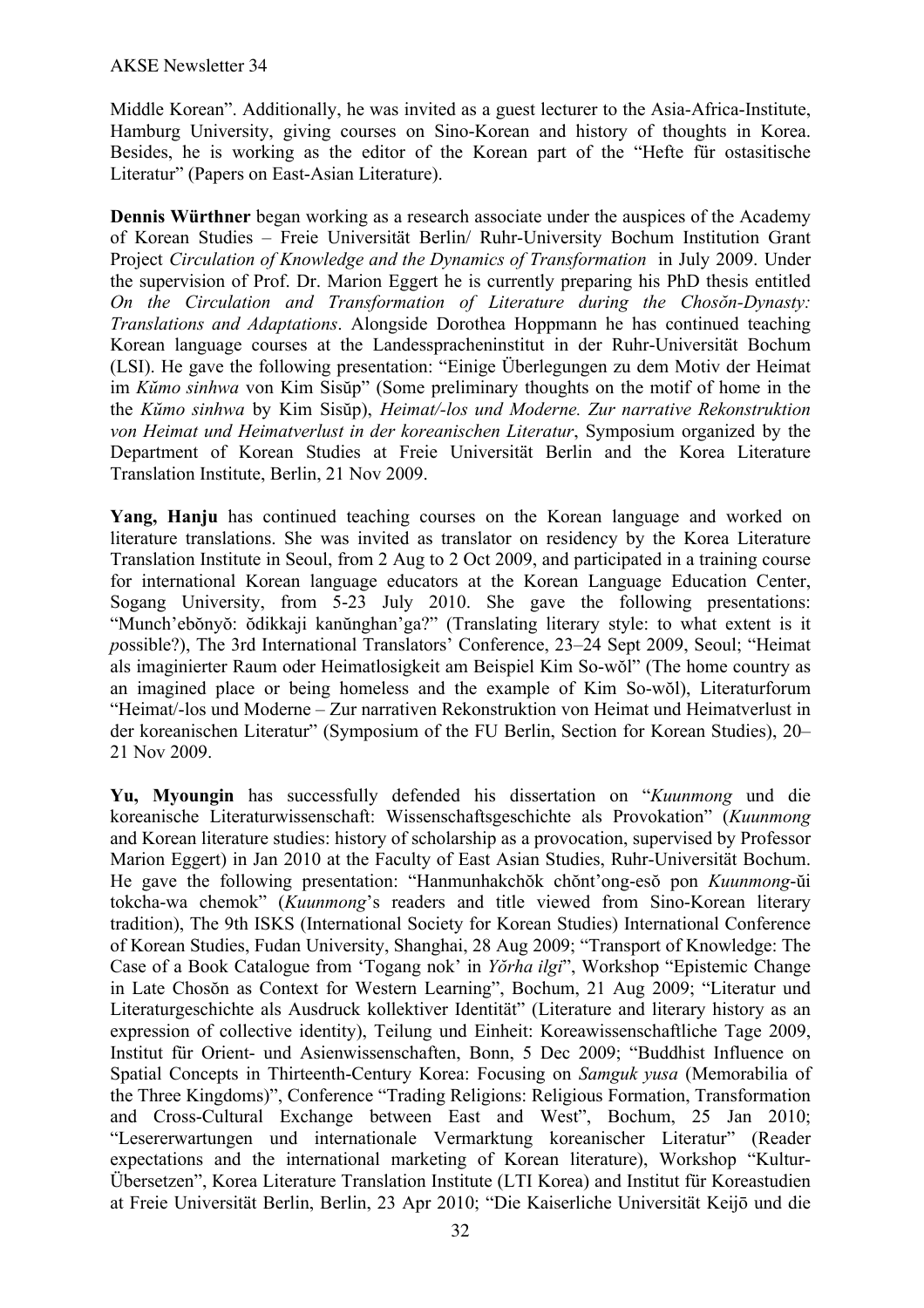Middle Korean". Additionally, he was invited as a guest lecturer to the Asia-Africa-Institute, Hamburg University, giving courses on Sino-Korean and history of thoughts in Korea. Besides, he is working as the editor of the Korean part of the "Hefte für ostasitische Literatur" (Papers on East-Asian Literature).

**Dennis Würthner** began working as a research associate under the auspices of the Academy of Korean Studies – Freie Universität Berlin/ Ruhr-University Bochum Institution Grant Project *Circulation of Knowledge and the Dynamics of Transformation* in July 2009. Under the supervision of Prof. Dr. Marion Eggert he is currently preparing his PhD thesis entitled *On the Circulation and Transformation of Literature during the Chosŏn-Dynasty: Translations and Adaptations*. Alongside Dorothea Hoppmann he has continued teaching Korean language courses at the Landesspracheninstitut in der Ruhr-Universität Bochum (LSI). He gave the following presentation: "Einige Überlegungen zu dem Motiv der Heimat im *Kŭmo sinhwa* von Kim Sisŭp" (Some preliminary thoughts on the motif of home in the the *Kŭmo sinhwa* by Kim Sisŭp), *Heimat/-los und Moderne. Zur narrative Rekonstruktion von Heimat und Heimatverlust in der koreanischen Literatur*, Symposium organized by the Department of Korean Studies at Freie Universität Berlin and the Korea Literature Translation Institute, Berlin, 21 Nov 2009.

**Yang, Hanju** has continued teaching courses on the Korean language and worked on literature translations. She was invited as translator on residency by the Korea Literature Translation Institute in Seoul, from 2 Aug to 2 Oct 2009, and participated in a training course for international Korean language educators at the Korean Language Education Center, Sogang University, from 5-23 July 2010. She gave the following presentations: "Munch'ebŏnyŏ: ŏdikkaji kanŭnghan'ga?" (Translating literary style: to what extent is it *p*ossible?), The 3rd International Translators' Conference, 23–24 Sept 2009, Seoul; "Heimat als imaginierter Raum oder Heimatlosigkeit am Beispiel Kim So-wŏl" (The home country as an imagined place or being homeless and the example of Kim So-wŏl), Literaturforum "Heimat/-los und Moderne – Zur narrativen Rekonstruktion von Heimat und Heimatverlust in der koreanischen Literatur" (Symposium of the FU Berlin, Section for Korean Studies), 20– 21 Nov 2009.

**Yu, Myoungin** has successfully defended his dissertation on "*Kuunmong* und die koreanische Literaturwissenschaft: Wissenschaftsgeschichte als Provokation" (*Kuunmong* and Korean literature studies: history of scholarship as a provocation, supervised by Professor Marion Eggert) in Jan 2010 at the Faculty of East Asian Studies, Ruhr-Universität Bochum. He gave the following presentation: "Hanmunhakchŏk chŏnt'ong-esŏ pon *Kuunmong*-ŭi tokcha-wa chemok" (*Kuunmong*'s readers and title viewed from Sino-Korean literary tradition), The 9th ISKS (International Society for Korean Studies) International Conference of Korean Studies, Fudan University, Shanghai, 28 Aug 2009; "Transport of Knowledge: The Case of a Book Catalogue from 'Togang nok' in *Yŏrha ilgi*", Workshop "Epistemic Change in Late Chosŏn as Context for Western Learning", Bochum, 21 Aug 2009; "Literatur und Literaturgeschichte als Ausdruck kollektiver Identität" (Literature and literary history as an expression of collective identity), Teilung und Einheit: Koreawissenschaftliche Tage 2009, Institut für Orient- und Asienwissenschaften, Bonn, 5 Dec 2009; "Buddhist Influence on Spatial Concepts in Thirteenth-Century Korea: Focusing on *Samguk yusa* (Memorabilia of the Three Kingdoms)", Conference "Trading Religions: Religious Formation, Transformation and Cross-Cultural Exchange between East and West", Bochum, 25 Jan 2010; "Lesererwartungen und internationale Vermarktung koreanischer Literatur" (Reader expectations and the international marketing of Korean literature), Workshop "Kultur-Übersetzen", Korea Literature Translation Institute (LTI Korea) and Institut für Koreastudien at Freie Universität Berlin, Berlin, 23 Apr 2010; "Die Kaiserliche Universität Keijō und die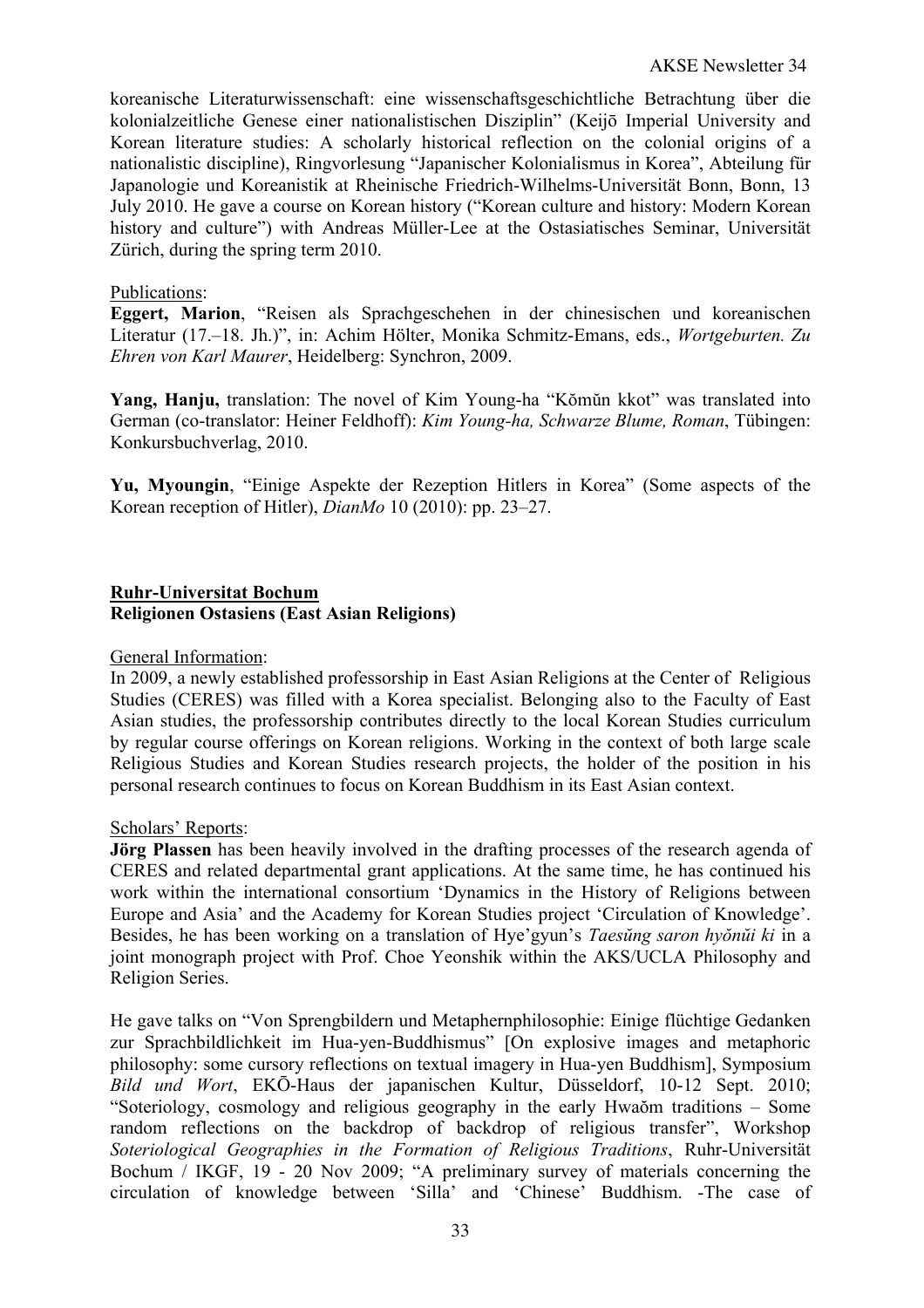koreanische Literaturwissenschaft: eine wissenschaftsgeschichtliche Betrachtung über die kolonialzeitliche Genese einer nationalistischen Disziplin" (Keijō Imperial University and Korean literature studies: A scholarly historical reflection on the colonial origins of a nationalistic discipline), Ringvorlesung "Japanischer Kolonialismus in Korea", Abteilung für Japanologie und Koreanistik at Rheinische Friedrich-Wilhelms-Universität Bonn, Bonn, 13 July 2010. He gave a course on Korean history ("Korean culture and history: Modern Korean history and culture") with Andreas Müller-Lee at the Ostasiatisches Seminar, Universität Zürich, during the spring term 2010.

## Publications:

**Eggert, Marion**, "Reisen als Sprachgeschehen in der chinesischen und koreanischen Literatur (17.–18. Jh.)", in: Achim Hölter, Monika Schmitz-Emans, eds., *Wortgeburten. Zu Ehren von Karl Maurer*, Heidelberg: Synchron, 2009.

**Yang, Hanju,** translation: The novel of Kim Young-ha "Kŏmŭn kkot" was translated into German (co-translator: Heiner Feldhoff): *Kim Young-ha, Schwarze Blume, Roman*, Tübingen: Konkursbuchverlag, 2010.

**Yu, Myoungin**, "Einige Aspekte der Rezeption Hitlers in Korea" (Some aspects of the Korean reception of Hitler), *DianMo* 10 (2010): pp. 23–27.

#### **Ruhr-Universitat Bochum Religionen Ostasiens (East Asian Religions)**

#### General Information:

In 2009, a newly established professorship in East Asian Religions at the Center of Religious Studies (CERES) was filled with a Korea specialist. Belonging also to the Faculty of East Asian studies, the professorship contributes directly to the local Korean Studies curriculum by regular course offerings on Korean religions. Working in the context of both large scale Religious Studies and Korean Studies research projects, the holder of the position in his personal research continues to focus on Korean Buddhism in its East Asian context.

#### Scholars' Reports:

**Jörg Plassen** has been heavily involved in the drafting processes of the research agenda of CERES and related departmental grant applications. At the same time, he has continued his work within the international consortium 'Dynamics in the History of Religions between Europe and Asia' and the Academy for Korean Studies project 'Circulation of Knowledge'. Besides, he has been working on a translation of Hye'gyun's *Taesŭng saron hyŏnŭi ki* in a joint monograph project with Prof. Choe Yeonshik within the AKS/UCLA Philosophy and Religion Series.

He gave talks on "Von Sprengbildern und Metaphernphilosophie: Einige flüchtige Gedanken zur Sprachbildlichkeit im Hua-yen-Buddhismus" [On explosive images and metaphoric philosophy: some cursory reflections on textual imagery in Hua-yen Buddhism], Symposium *Bild und Wort*, EKŌ-Haus der japanischen Kultur, Düsseldorf, 10-12 Sept. 2010; "Soteriology, cosmology and religious geography in the early Hwaŏm traditions – Some random reflections on the backdrop of backdrop of religious transfer", Workshop *Soteriological Geographies in the Formation of Religious Traditions*, Ruhr-Universität Bochum / IKGF, 19 - 20 Nov 2009; "A preliminary survey of materials concerning the circulation of knowledge between 'Silla' and 'Chinese' Buddhism. -The case of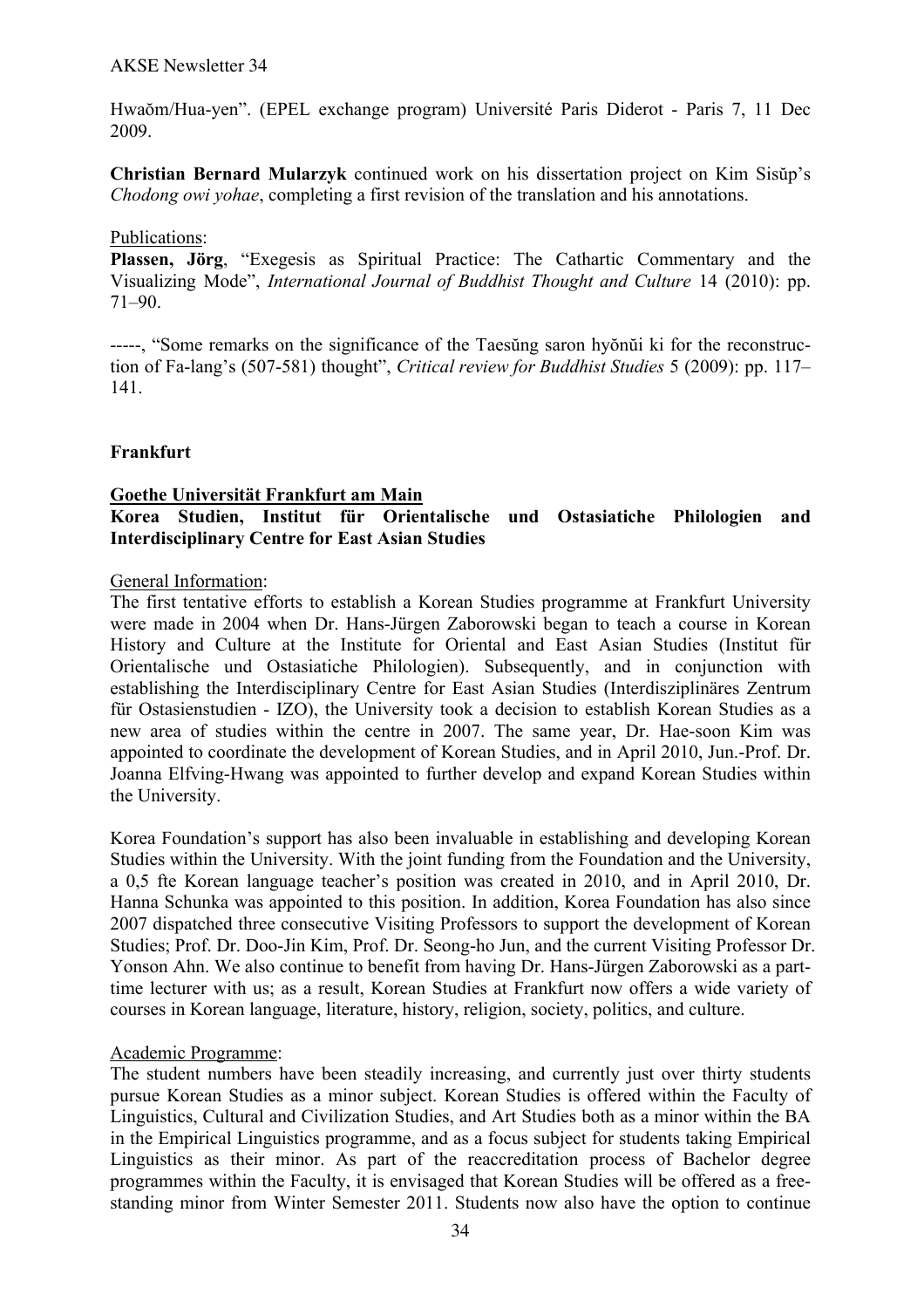Hwaŏm/Hua-yen". (EPEL exchange program) Université Paris Diderot - Paris 7, 11 Dec 2009.

**Christian Bernard Mularzyk** continued work on his dissertation project on Kim Sisŭp's *Chodong owi yohae*, completing a first revision of the translation and his annotations.

#### Publications:

**Plassen, Jörg**, "Exegesis as Spiritual Practice: The Cathartic Commentary and the Visualizing Mode", *International Journal of Buddhist Thought and Culture* 14 (2010): pp. 71–90.

-----, "Some remarks on the significance of the Taesŭng saron hyŏnŭi ki for the reconstruction of Fa-lang's (507-581) thought", *Critical review for Buddhist Studies* 5 (2009): pp. 117– 141.

## **Frankfurt**

#### **Goethe Universität Frankfurt am Main**

## **Korea Studien, Institut für Orientalische und Ostasiatiche Philologien and Interdisciplinary Centre for East Asian Studies**

#### General Information:

The first tentative efforts to establish a Korean Studies programme at Frankfurt University were made in 2004 when Dr. Hans-Jürgen Zaborowski began to teach a course in Korean History and Culture at the Institute for Oriental and East Asian Studies (Institut für Orientalische und Ostasiatiche Philologien). Subsequently, and in conjunction with establishing the Interdisciplinary Centre for East Asian Studies (Interdisziplinäres Zentrum für Ostasienstudien - IZO), the University took a decision to establish Korean Studies as a new area of studies within the centre in 2007. The same year, Dr. Hae-soon Kim was appointed to coordinate the development of Korean Studies, and in April 2010, Jun.-Prof. Dr. Joanna Elfving-Hwang was appointed to further develop and expand Korean Studies within the University.

Korea Foundation's support has also been invaluable in establishing and developing Korean Studies within the University. With the joint funding from the Foundation and the University, a 0,5 fte Korean language teacher's position was created in 2010, and in April 2010, Dr. Hanna Schunka was appointed to this position. In addition, Korea Foundation has also since 2007 dispatched three consecutive Visiting Professors to support the development of Korean Studies; Prof. Dr. Doo-Jin Kim, Prof. Dr. Seong-ho Jun, and the current Visiting Professor Dr. Yonson Ahn. We also continue to benefit from having Dr. Hans-Jürgen Zaborowski as a parttime lecturer with us; as a result, Korean Studies at Frankfurt now offers a wide variety of courses in Korean language, literature, history, religion, society, politics, and culture.

#### Academic Programme:

The student numbers have been steadily increasing, and currently just over thirty students pursue Korean Studies as a minor subject. Korean Studies is offered within the Faculty of Linguistics, Cultural and Civilization Studies, and Art Studies both as a minor within the BA in the Empirical Linguistics programme, and as a focus subject for students taking Empirical Linguistics as their minor. As part of the reaccreditation process of Bachelor degree programmes within the Faculty, it is envisaged that Korean Studies will be offered as a freestanding minor from Winter Semester 2011. Students now also have the option to continue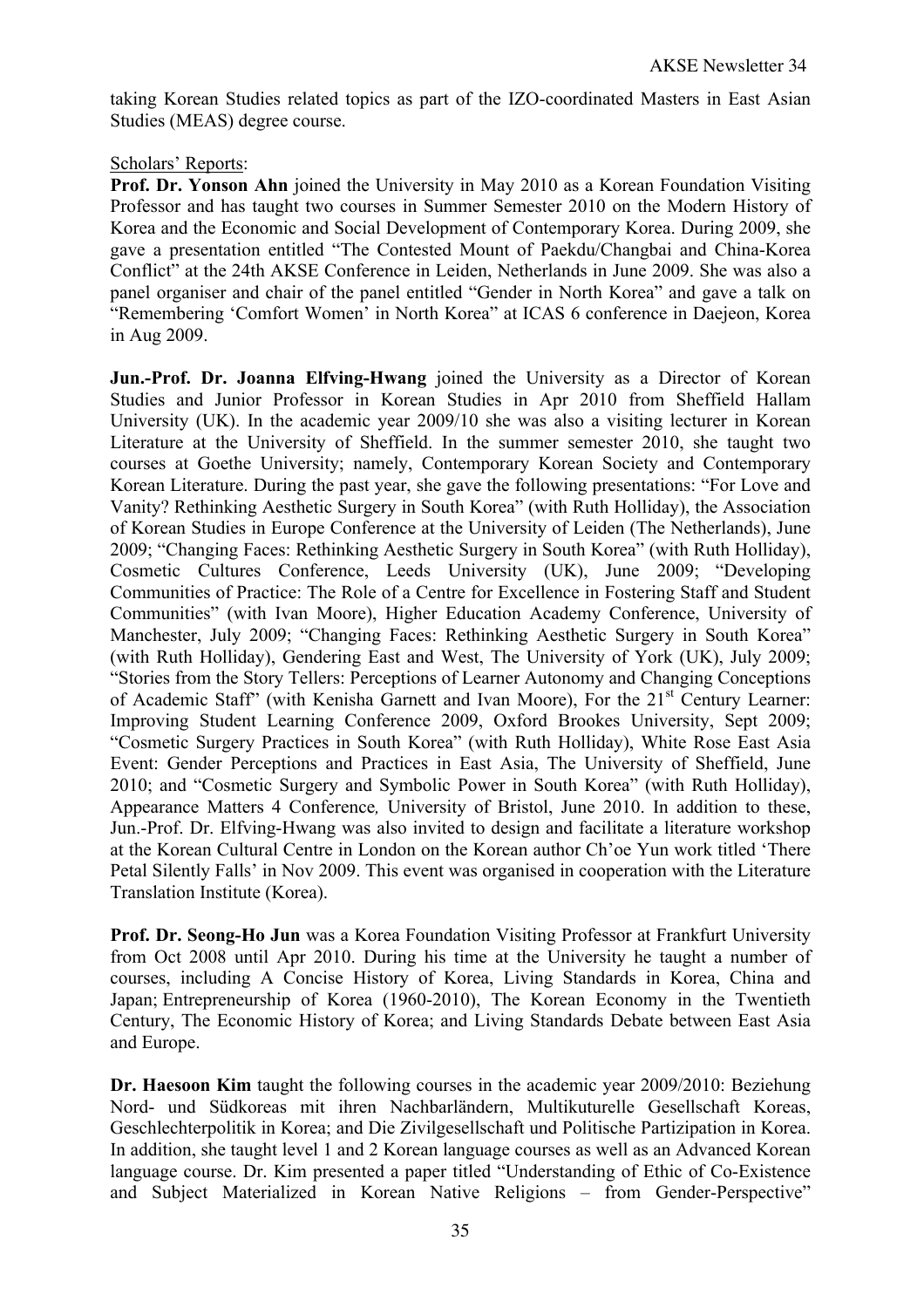taking Korean Studies related topics as part of the IZO-coordinated Masters in East Asian Studies (MEAS) degree course.

## Scholars' Reports:

**Prof. Dr. Yonson Ahn** joined the University in May 2010 as a Korean Foundation Visiting Professor and has taught two courses in Summer Semester 2010 on the Modern History of Korea and the Economic and Social Development of Contemporary Korea. During 2009, she gave a presentation entitled "The Contested Mount of Paekdu/Changbai and China-Korea Conflict" at the 24th AKSE Conference in Leiden, Netherlands in June 2009. She was also a panel organiser and chair of the panel entitled "Gender in North Korea" and gave a talk on "Remembering 'Comfort Women' in North Korea" at ICAS 6 conference in Daejeon, Korea in Aug 2009.

**Jun.-Prof. Dr. Joanna Elfving-Hwang** joined the University as a Director of Korean Studies and Junior Professor in Korean Studies in Apr 2010 from Sheffield Hallam University (UK). In the academic year 2009/10 she was also a visiting lecturer in Korean Literature at the University of Sheffield. In the summer semester 2010, she taught two courses at Goethe University; namely, Contemporary Korean Society and Contemporary Korean Literature. During the past year, she gave the following presentations: "For Love and Vanity? Rethinking Aesthetic Surgery in South Korea" (with Ruth Holliday), the Association of Korean Studies in Europe Conference at the University of Leiden (The Netherlands), June 2009; "Changing Faces: Rethinking Aesthetic Surgery in South Korea" (with Ruth Holliday), Cosmetic Cultures Conference, Leeds University (UK), June 2009; "Developing Communities of Practice: The Role of a Centre for Excellence in Fostering Staff and Student Communities" (with Ivan Moore), Higher Education Academy Conference, University of Manchester, July 2009; "Changing Faces: Rethinking Aesthetic Surgery in South Korea" (with Ruth Holliday), Gendering East and West, The University of York (UK), July 2009; "Stories from the Story Tellers: Perceptions of Learner Autonomy and Changing Conceptions of Academic Staff" (with Kenisha Garnett and Ivan Moore), For the 21<sup>st</sup> Century Learner: Improving Student Learning Conference 2009, Oxford Brookes University, Sept 2009; "Cosmetic Surgery Practices in South Korea" (with Ruth Holliday), White Rose East Asia Event: Gender Perceptions and Practices in East Asia, The University of Sheffield, June 2010; and "Cosmetic Surgery and Symbolic Power in South Korea" (with Ruth Holliday), Appearance Matters 4 Conference*,* University of Bristol, June 2010. In addition to these, Jun.-Prof. Dr. Elfving-Hwang was also invited to design and facilitate a literature workshop at the Korean Cultural Centre in London on the Korean author Ch'oe Yun work titled 'There Petal Silently Falls' in Nov 2009. This event was organised in cooperation with the Literature Translation Institute (Korea).

**Prof. Dr. Seong-Ho Jun** was a Korea Foundation Visiting Professor at Frankfurt University from Oct 2008 until Apr 2010. During his time at the University he taught a number of courses, including A Concise History of Korea, Living Standards in Korea, China and Japan; Entrepreneurship of Korea (1960-2010), The Korean Economy in the Twentieth Century, The Economic History of Korea; and Living Standards Debate between East Asia and Europe.

**Dr. Haesoon Kim** taught the following courses in the academic year 2009/2010: Beziehung Nord- und Südkoreas mit ihren Nachbarländern, Multikuturelle Gesellschaft Koreas, Geschlechterpolitik in Korea; and Die Zivilgesellschaft und Politische Partizipation in Korea. In addition, she taught level 1 and 2 Korean language courses as well as an Advanced Korean language course. Dr. Kim presented a paper titled "Understanding of Ethic of Co-Existence and Subject Materialized in Korean Native Religions – from Gender-Perspective"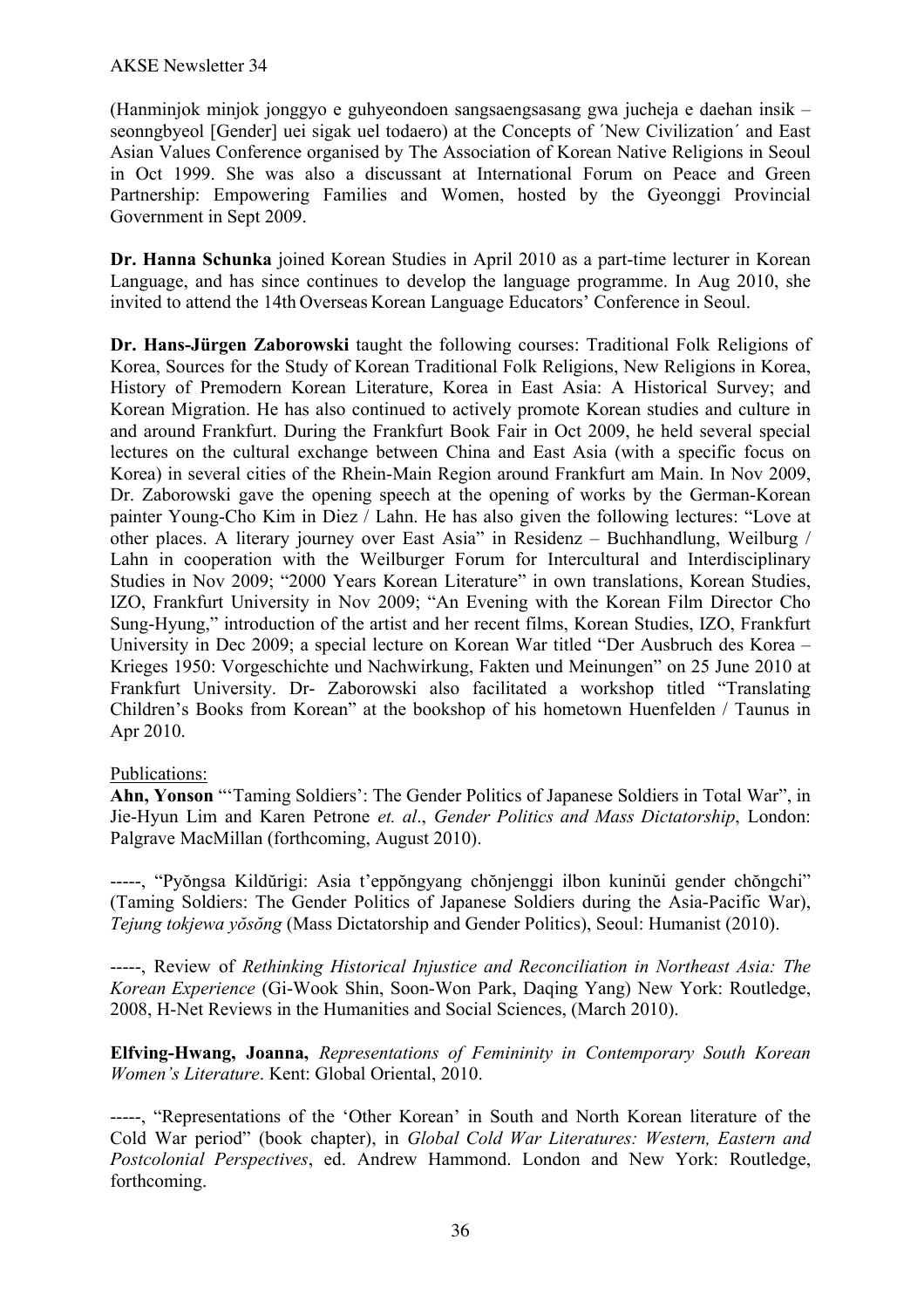(Hanminjok minjok jonggyo e guhyeondoen sangsaengsasang gwa jucheja e daehan insik – seonngbyeol [Gender] uei sigak uel todaero) at the Concepts of 'New Civilization' and East Asian Values Conference organised by The Association of Korean Native Religions in Seoul in Oct 1999. She was also a discussant at International Forum on Peace and Green Partnership: Empowering Families and Women, hosted by the Gyeonggi Provincial Government in Sept 2009.

**Dr. Hanna Schunka** joined Korean Studies in April 2010 as a part-time lecturer in Korean Language, and has since continues to develop the language programme. In Aug 2010, she invited to attend the 14th Overseas Korean Language Educators' Conference in Seoul.

**Dr. Hans-Jürgen Zaborowski** taught the following courses: Traditional Folk Religions of Korea, Sources for the Study of Korean Traditional Folk Religions, New Religions in Korea, History of Premodern Korean Literature, Korea in East Asia: A Historical Survey; and Korean Migration. He has also continued to actively promote Korean studies and culture in and around Frankfurt. During the Frankfurt Book Fair in Oct 2009, he held several special lectures on the cultural exchange between China and East Asia (with a specific focus on Korea) in several cities of the Rhein-Main Region around Frankfurt am Main. In Nov 2009, Dr. Zaborowski gave the opening speech at the opening of works by the German-Korean painter Young-Cho Kim in Diez / Lahn. He has also given the following lectures: "Love at other places. A literary journey over East Asia" in Residenz – Buchhandlung, Weilburg / Lahn in cooperation with the Weilburger Forum for Intercultural and Interdisciplinary Studies in Nov 2009; "2000 Years Korean Literature" in own translations, Korean Studies, IZO, Frankfurt University in Nov 2009; "An Evening with the Korean Film Director Cho Sung-Hyung," introduction of the artist and her recent films, Korean Studies, IZO, Frankfurt University in Dec 2009; a special lecture on Korean War titled "Der Ausbruch des Korea – Krieges 1950: Vorgeschichte und Nachwirkung, Fakten und Meinungen" on 25 June 2010 at Frankfurt University. Dr- Zaborowski also facilitated a workshop titled "Translating Children's Books from Korean" at the bookshop of his hometown Huenfelden / Taunus in Apr 2010.

# Publications:

**Ahn, Yonson** "'Taming Soldiers': The Gender Politics of Japanese Soldiers in Total War", in Jie-Hyun Lim and Karen Petrone *et. al*., *Gender Politics and Mass Dictatorship*, London: Palgrave MacMillan (forthcoming, August 2010).

-----, "Pyŏngsa Kildŭrigi: Asia t'eppŏngyang chŏnjenggi ilbon kuninŭi gender chŏngchi" (Taming Soldiers: The Gender Politics of Japanese Soldiers during the Asia-Pacific War), *Tejung tokjewa yŏsŏng* (Mass Dictatorship and Gender Politics), Seoul: Humanist (2010).

-----, Review of *Rethinking Historical Injustice and Reconciliation in Northeast Asia: The Korean Experience* (Gi-Wook Shin, Soon-Won Park, Daqing Yang) New York: Routledge, 2008, H-Net Reviews in the Humanities and Social Sciences, (March 2010).

**Elfving-Hwang, Joanna,** *Representations of Femininity in Contemporary South Korean Women's Literature*. Kent: Global Oriental, 2010.

-----, "Representations of the 'Other Korean' in South and North Korean literature of the Cold War period" (book chapter), in *Global Cold War Literatures: Western, Eastern and Postcolonial Perspectives*, ed. Andrew Hammond. London and New York: Routledge, forthcoming.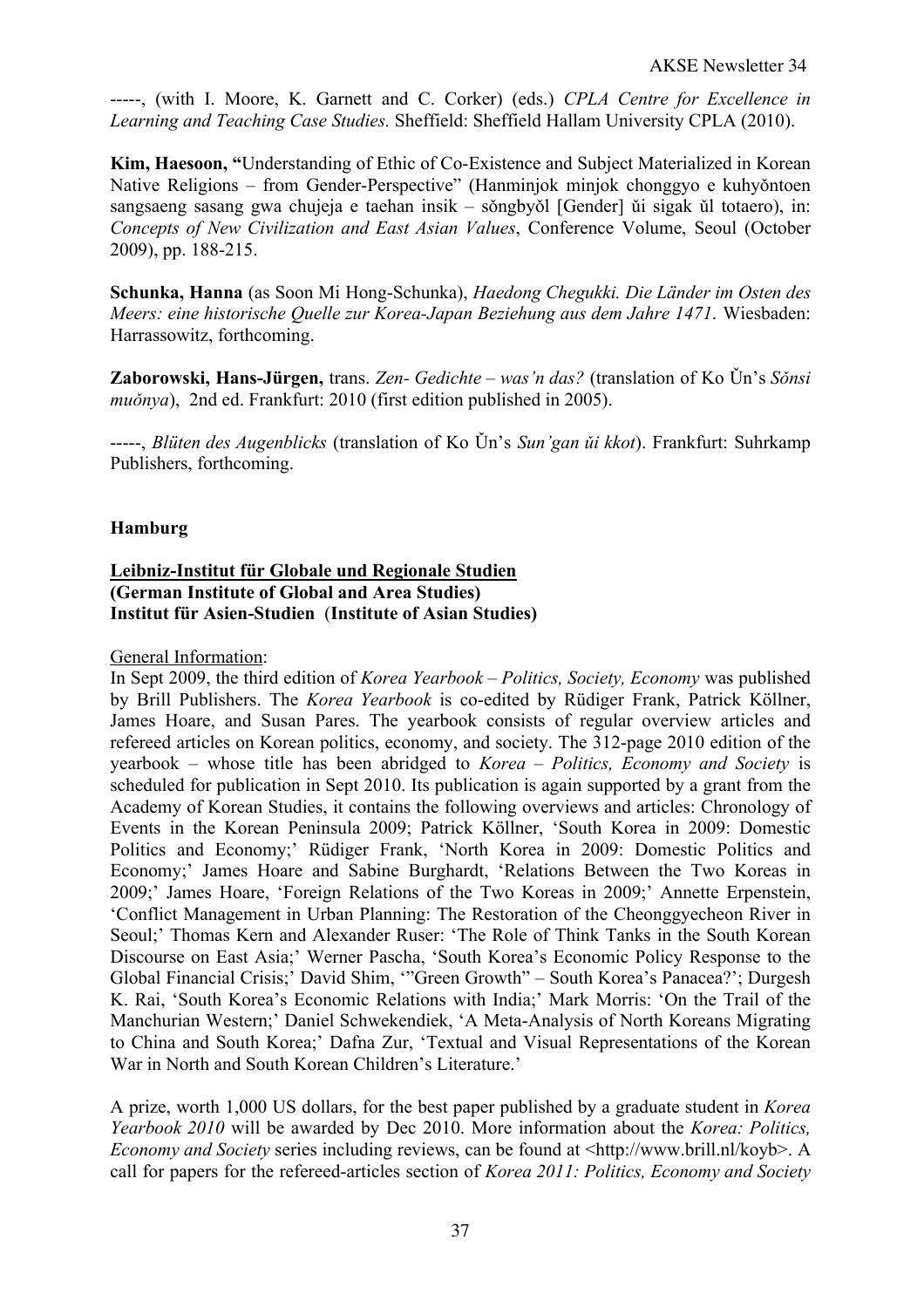-----, (with I. Moore, K. Garnett and C. Corker) (eds.) *CPLA Centre for Excellence in Learning and Teaching Case Studies.* Sheffield: Sheffield Hallam University CPLA (2010).

**Kim, Haesoon, "**Understanding of Ethic of Co-Existence and Subject Materialized in Korean Native Religions – from Gender-Perspective" (Hanminjok minjok chonggyo e kuhyǒntoen sangsaeng sasang gwa chujeja e taehan insik – sǒngbyǒl [Gender] ǔi sigak ǔl totaero), in: *Concepts of New Civilization and East Asian Values*, Conference Volume, Seoul (October 2009), pp. 188-215.

**Schunka, Hanna** (as Soon Mi Hong-Schunka), *Haedong Chegukki. Die Länder im Osten des Meers: eine historische Quelle zur Korea-Japan Beziehung aus dem Jahre 1471*. Wiesbaden: Harrassowitz, forthcoming.

**Zaborowski, Hans-Jürgen,** trans. *Zen- Gedichte – was'n das?* (translation of Ko Ǔn's *Sǒnsi muǒnya*), 2nd ed. Frankfurt: 2010 (first edition published in 2005).

-----, *Blüten des Augenblicks* (translation of Ko Ǔn's *Sun'gan ǔi kkot*). Frankfurt: Suhrkamp Publishers, forthcoming.

# **Hamburg**

## **Leibniz-Institut für Globale und Regionale Studien (German Institute of Global and Area Studies) Institut für Asien-Studien** (**Institute of Asian Studies)**

General Information:

In Sept 2009, the third edition of *Korea Yearbook – Politics, Society, Economy* was published by Brill Publishers. The *Korea Yearbook* is co-edited by Rüdiger Frank, Patrick Köllner, James Hoare, and Susan Pares. The yearbook consists of regular overview articles and refereed articles on Korean politics, economy, and society. The 312-page 2010 edition of the yearbook – whose title has been abridged to *Korea – Politics, Economy and Society* is scheduled for publication in Sept 2010. Its publication is again supported by a grant from the Academy of Korean Studies, it contains the following overviews and articles: Chronology of Events in the Korean Peninsula 2009; Patrick Köllner, 'South Korea in 2009: Domestic Politics and Economy;' Rüdiger Frank, 'North Korea in 2009: Domestic Politics and Economy;' James Hoare and Sabine Burghardt, 'Relations Between the Two Koreas in 2009;' James Hoare, 'Foreign Relations of the Two Koreas in 2009;' Annette Erpenstein, 'Conflict Management in Urban Planning: The Restoration of the Cheonggyecheon River in Seoul;' Thomas Kern and Alexander Ruser: 'The Role of Think Tanks in the South Korean Discourse on East Asia;' Werner Pascha, 'South Korea's Economic Policy Response to the Global Financial Crisis;' David Shim, '"Green Growth" – South Korea's Panacea?'; Durgesh K. Rai, 'South Korea's Economic Relations with India;' Mark Morris: 'On the Trail of the Manchurian Western;' Daniel Schwekendiek, 'A Meta-Analysis of North Koreans Migrating to China and South Korea;' Dafna Zur, 'Textual and Visual Representations of the Korean War in North and South Korean Children's Literature.'

A prize, worth 1,000 US dollars, for the best paper published by a graduate student in *Korea Yearbook 2010* will be awarded by Dec 2010. More information about the *Korea: Politics, Economy and Society* series including reviews, can be found at <http://www.brill.nl/koyb>. A call for papers for the refereed-articles section of *Korea 2011: Politics, Economy and Society*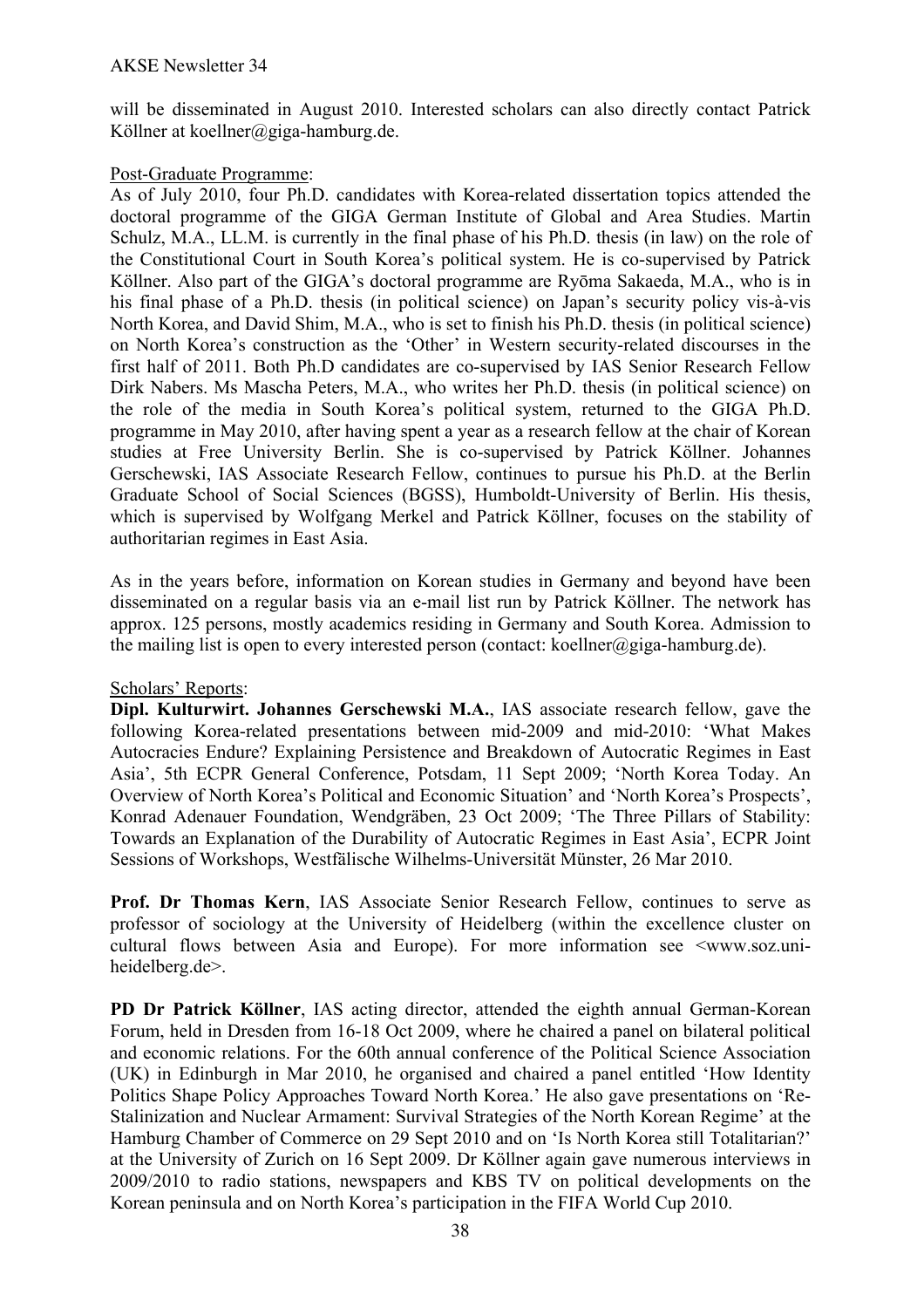will be disseminated in August 2010. Interested scholars can also directly contact Patrick Köllner at koellner@giga-hamburg.de.

# Post-Graduate Programme:

As of July 2010, four Ph.D. candidates with Korea-related dissertation topics attended the doctoral programme of the GIGA German Institute of Global and Area Studies. Martin Schulz, M.A., LL.M. is currently in the final phase of his Ph.D. thesis (in law) on the role of the Constitutional Court in South Korea's political system. He is co-supervised by Patrick Köllner. Also part of the GIGA's doctoral programme are Ryōma Sakaeda, M.A., who is in his final phase of a Ph.D. thesis (in political science) on Japan's security policy vis-à-vis North Korea, and David Shim, M.A., who is set to finish his Ph.D. thesis (in political science) on North Korea's construction as the 'Other' in Western security-related discourses in the first half of 2011. Both Ph.D candidates are co-supervised by IAS Senior Research Fellow Dirk Nabers. Ms Mascha Peters, M.A., who writes her Ph.D. thesis (in political science) on the role of the media in South Korea's political system, returned to the GIGA Ph.D. programme in May 2010, after having spent a year as a research fellow at the chair of Korean studies at Free University Berlin. She is co-supervised by Patrick Köllner. Johannes Gerschewski, IAS Associate Research Fellow, continues to pursue his Ph.D. at the Berlin Graduate School of Social Sciences (BGSS), Humboldt-University of Berlin. His thesis, which is supervised by Wolfgang Merkel and Patrick Köllner, focuses on the stability of authoritarian regimes in East Asia.

As in the years before, information on Korean studies in Germany and beyond have been disseminated on a regular basis via an e-mail list run by Patrick Köllner. The network has approx. 125 persons, mostly academics residing in Germany and South Korea. Admission to the mailing list is open to every interested person (contact: koellner@giga-hamburg.de).

## Scholars' Reports:

**Dipl. Kulturwirt. Johannes Gerschewski M.A.**, IAS associate research fellow, gave the following Korea-related presentations between mid-2009 and mid-2010: 'What Makes Autocracies Endure? Explaining Persistence and Breakdown of Autocratic Regimes in East Asia', 5th ECPR General Conference, Potsdam, 11 Sept 2009; 'North Korea Today. An Overview of North Korea's Political and Economic Situation' and 'North Korea's Prospects', Konrad Adenauer Foundation, Wendgräben, 23 Oct 2009; 'The Three Pillars of Stability: Towards an Explanation of the Durability of Autocratic Regimes in East Asia', ECPR Joint Sessions of Workshops, Westfälische Wilhelms-Universität Münster, 26 Mar 2010.

**Prof. Dr Thomas Kern**, IAS Associate Senior Research Fellow, continues to serve as professor of sociology at the University of Heidelberg (within the excellence cluster on cultural flows between Asia and Europe). For more information see  $\leq$ www.soz.uniheidelberg.de>.

**PD Dr Patrick Köllner**, IAS acting director, attended the eighth annual German-Korean Forum, held in Dresden from 16-18 Oct 2009, where he chaired a panel on bilateral political and economic relations. For the 60th annual conference of the Political Science Association (UK) in Edinburgh in Mar 2010, he organised and chaired a panel entitled 'How Identity Politics Shape Policy Approaches Toward North Korea.' He also gave presentations on 'Re-Stalinization and Nuclear Armament: Survival Strategies of the North Korean Regime' at the Hamburg Chamber of Commerce on 29 Sept 2010 and on 'Is North Korea still Totalitarian?' at the University of Zurich on 16 Sept 2009. Dr Köllner again gave numerous interviews in 2009/2010 to radio stations, newspapers and KBS TV on political developments on the Korean peninsula and on North Korea's participation in the FIFA World Cup 2010.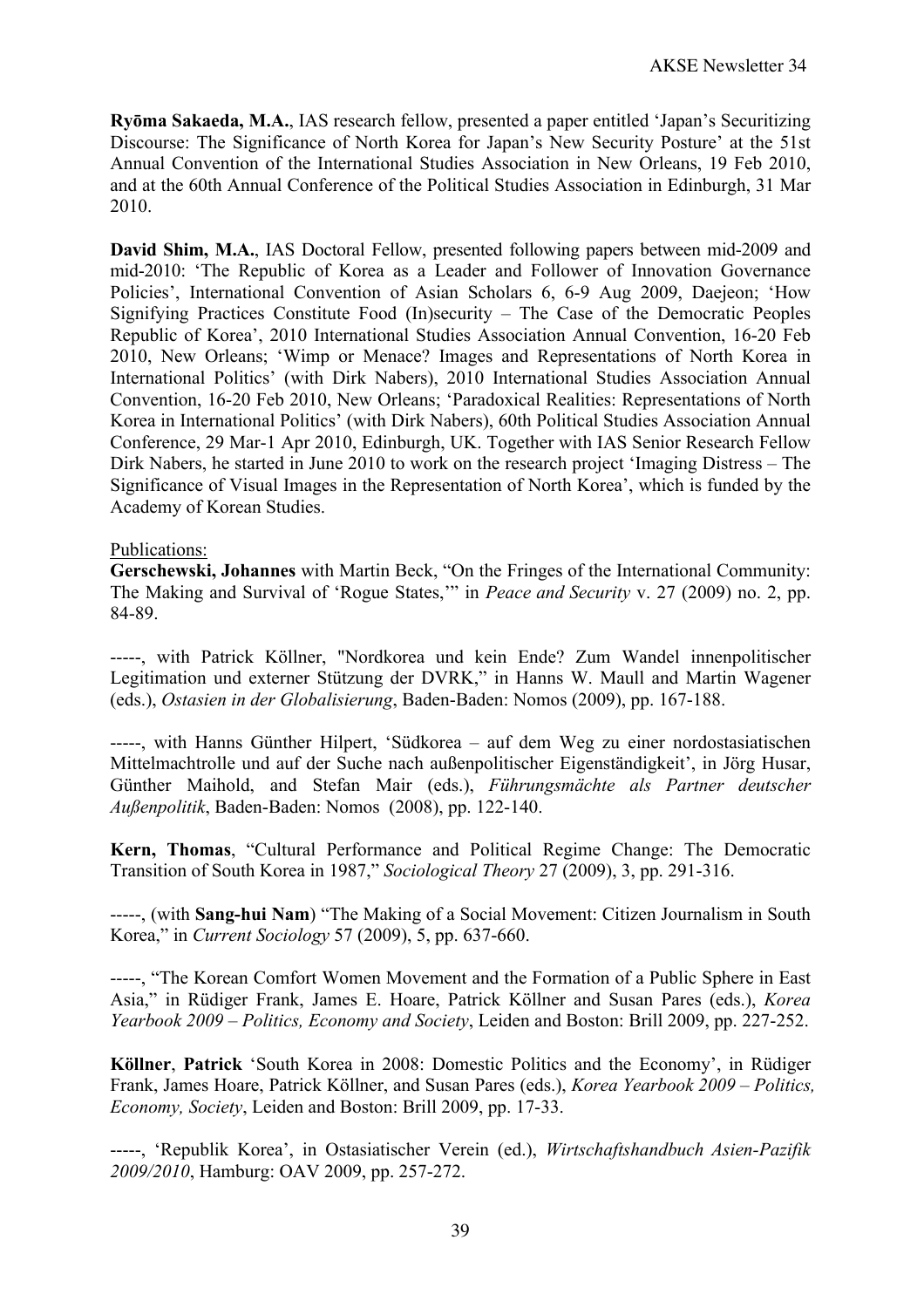**Ryōma Sakaeda, M.A.**, IAS research fellow, presented a paper entitled 'Japan's Securitizing Discourse: The Significance of North Korea for Japan's New Security Posture' at the 51st Annual Convention of the International Studies Association in New Orleans, 19 Feb 2010, and at the 60th Annual Conference of the Political Studies Association in Edinburgh, 31 Mar 2010.

**David Shim, M.A.**, IAS Doctoral Fellow, presented following papers between mid-2009 and mid-2010: 'The Republic of Korea as a Leader and Follower of Innovation Governance Policies', International Convention of Asian Scholars 6, 6-9 Aug 2009, Daejeon; 'How Signifying Practices Constitute Food (In)security – The Case of the Democratic Peoples Republic of Korea', 2010 International Studies Association Annual Convention, 16-20 Feb 2010, New Orleans; 'Wimp or Menace? Images and Representations of North Korea in International Politics' (with Dirk Nabers), 2010 International Studies Association Annual Convention, 16-20 Feb 2010, New Orleans; 'Paradoxical Realities: Representations of North Korea in International Politics' (with Dirk Nabers), 60th Political Studies Association Annual Conference, 29 Mar-1 Apr 2010, Edinburgh, UK. Together with IAS Senior Research Fellow Dirk Nabers, he started in June 2010 to work on the research project 'Imaging Distress – The Significance of Visual Images in the Representation of North Korea', which is funded by the Academy of Korean Studies.

## Publications:

**Gerschewski, Johannes** with Martin Beck, "On the Fringes of the International Community: The Making and Survival of 'Rogue States,'" in *Peace and Security* v. 27 (2009) no. 2, pp. 84-89.

-----, with Patrick Köllner, "Nordkorea und kein Ende? Zum Wandel innenpolitischer Legitimation und externer Stützung der DVRK," in Hanns W. Maull and Martin Wagener (eds.), *Ostasien in der Globalisierung*, Baden-Baden: Nomos (2009), pp. 167-188.

-----, with Hanns Günther Hilpert, 'Südkorea – auf dem Weg zu einer nordostasiatischen Mittelmachtrolle und auf der Suche nach außenpolitischer Eigenständigkeit', in Jörg Husar, Günther Maihold, and Stefan Mair (eds.), *Führungsmächte als Partner deutscher Außenpolitik*, Baden-Baden: Nomos (2008), pp. 122-140.

**Kern, Thomas**, "Cultural Performance and Political Regime Change: The Democratic Transition of South Korea in 1987," *Sociological Theory* 27 (2009), 3, pp. 291-316.

-----, (with **Sang-hui Nam**) "The Making of a Social Movement: Citizen Journalism in South Korea," in *Current Sociology* 57 (2009), 5, pp. 637-660.

-----, "The Korean Comfort Women Movement and the Formation of a Public Sphere in East Asia," in Rüdiger Frank, James E. Hoare, Patrick Köllner and Susan Pares (eds.), *Korea Yearbook 2009 – Politics, Economy and Society*, Leiden and Boston: Brill 2009, pp. 227-252.

**Köllner**, **Patrick** 'South Korea in 2008: Domestic Politics and the Economy', in Rüdiger Frank, James Hoare, Patrick Köllner, and Susan Pares (eds.), *Korea Yearbook 2009 – Politics, Economy, Society*, Leiden and Boston: Brill 2009, pp. 17-33.

-----, 'Republik Korea', in Ostasiatischer Verein (ed.), *Wirtschaftshandbuch Asien-Pazifik 2009/2010*, Hamburg: OAV 2009, pp. 257-272.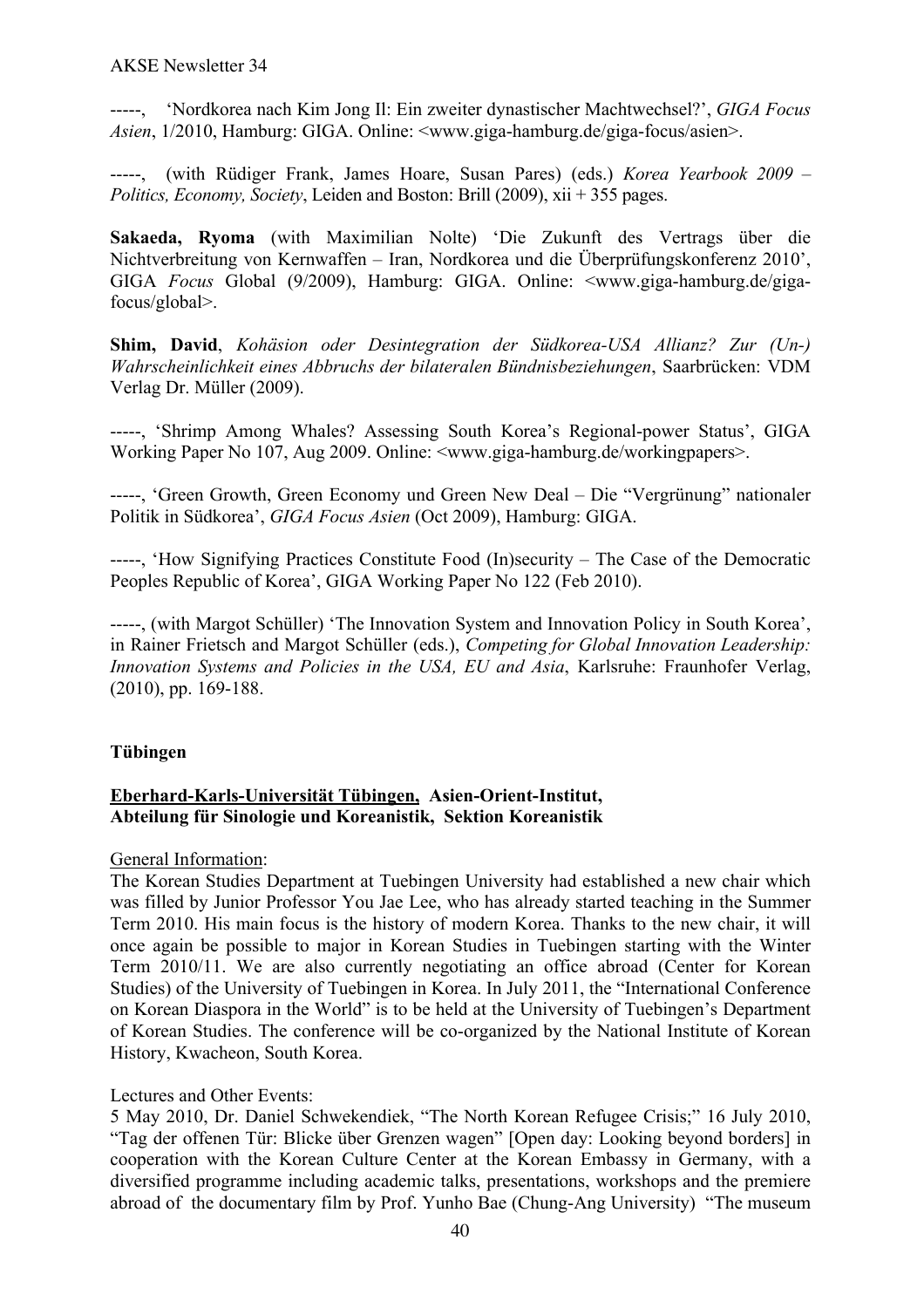-----, 'Nordkorea nach Kim Jong Il: Ein zweiter dynastischer Machtwechsel?', *GIGA Focus Asien*, 1/2010, Hamburg: GIGA. Online: <www.giga-hamburg.de/giga-focus/asien>.

-----, (with Rüdiger Frank, James Hoare, Susan Pares) (eds.) *Korea Yearbook 2009 – Politics, Economy, Society*, Leiden and Boston: Brill (2009), xii + 355 pages.

**Sakaeda, Ryoma** (with Maximilian Nolte) 'Die Zukunft des Vertrags über die Nichtverbreitung von Kernwaffen – Iran, Nordkorea und die Überprüfungskonferenz 2010', GIGA *Focus* Global (9/2009), Hamburg: GIGA. Online: <www.giga-hamburg.de/gigafocus/global>.

**Shim, David**, *Kohäsion oder Desintegration der Südkorea-USA Allianz? Zur (Un-) Wahrscheinlichkeit eines Abbruchs der bilateralen Bündnisbeziehungen*, Saarbrücken: VDM Verlag Dr. Müller (2009).

-----, 'Shrimp Among Whales? Assessing South Korea's Regional-power Status', GIGA Working Paper No 107, Aug 2009. Online: <www.giga-hamburg.de/workingpapers>.

-----, 'Green Growth, Green Economy und Green New Deal – Die "Vergrünung" nationaler Politik in Südkorea', *GIGA Focus Asien* (Oct 2009), Hamburg: GIGA.

-----, 'How Signifying Practices Constitute Food (In)security – The Case of the Democratic Peoples Republic of Korea', GIGA Working Paper No 122 (Feb 2010).

-----, (with Margot Schüller) 'The Innovation System and Innovation Policy in South Korea', in Rainer Frietsch and Margot Schüller (eds.), *Competing for Global Innovation Leadership: Innovation Systems and Policies in the USA, EU and Asia*, Karlsruhe: Fraunhofer Verlag, (2010), pp. 169-188.

## **Tübingen**

## **Eberhard-Karls-Universität Tübingen, Asien-Orient-Institut, Abteilung für Sinologie und Koreanistik, Sektion Koreanistik**

#### General Information:

The Korean Studies Department at Tuebingen University had established a new chair which was filled by Junior Professor You Jae Lee, who has already started teaching in the Summer Term 2010. His main focus is the history of modern Korea. Thanks to the new chair, it will once again be possible to major in Korean Studies in Tuebingen starting with the Winter Term 2010/11. We are also currently negotiating an office abroad (Center for Korean Studies) of the University of Tuebingen in Korea. In July 2011, the "International Conference on Korean Diaspora in the World" is to be held at the University of Tuebingen's Department of Korean Studies. The conference will be co-organized by the National Institute of Korean History, Kwacheon, South Korea.

#### Lectures and Other Events:

5 May 2010, Dr. Daniel Schwekendiek, "The North Korean Refugee Crisis;" 16 July 2010, "Tag der offenen Tür: Blicke über Grenzen wagen" [Open day: Looking beyond borders] in cooperation with the Korean Culture Center at the Korean Embassy in Germany, with a diversified programme including academic talks, presentations, workshops and the premiere abroad of the documentary film by Prof. Yunho Bae (Chung-Ang University) "The museum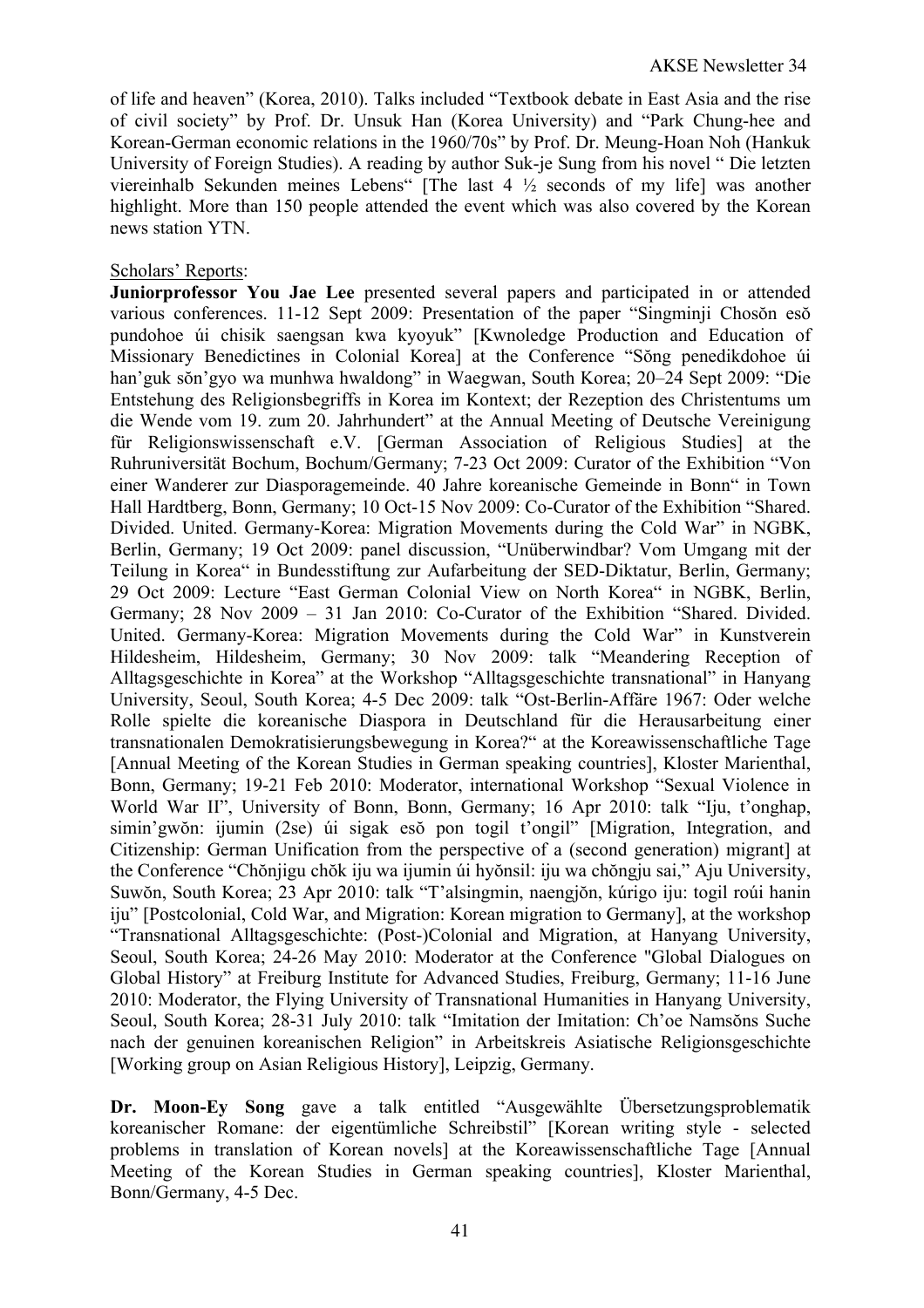of life and heaven" (Korea, 2010). Talks included "Textbook debate in East Asia and the rise of civil society" by Prof. Dr. Unsuk Han (Korea University) and "Park Chung-hee and Korean-German economic relations in the 1960/70s" by Prof. Dr. Meung-Hoan Noh (Hankuk University of Foreign Studies). A reading by author Suk-je Sung from his novel " Die letzten viereinhalb Sekunden meines Lebens" [The last 4 ½ seconds of my life] was another highlight. More than 150 people attended the event which was also covered by the Korean news station YTN.

## Scholars' Reports:

**Juniorprofessor You Jae Lee** presented several papers and participated in or attended various conferences. 11-12 Sept 2009: Presentation of the paper "Singminji Chosŏn esŏ pundohoe úi chisik saengsan kwa kyoyuk" [Kwnoledge Production and Education of Missionary Benedictines in Colonial Korea] at the Conference "Sŏng penedikdohoe úi han'guk sŏn'gyo wa munhwa hwaldong" in Waegwan, South Korea; 20–24 Sept 2009: "Die Entstehung des Religionsbegriffs in Korea im Kontext; der Rezeption des Christentums um die Wende vom 19. zum 20. Jahrhundert" at the Annual Meeting of Deutsche Vereinigung für Religionswissenschaft e.V. [German Association of Religious Studies] at the Ruhruniversität Bochum, Bochum/Germany; 7-23 Oct 2009: Curator of the Exhibition "Von einer Wanderer zur Diasporagemeinde. 40 Jahre koreanische Gemeinde in Bonn" in Town Hall Hardtberg, Bonn, Germany; 10 Oct-15 Nov 2009: Co-Curator of the Exhibition "Shared. Divided. United. Germany-Korea: Migration Movements during the Cold War" in NGBK, Berlin, Germany; 19 Oct 2009: panel discussion, "Unüberwindbar? Vom Umgang mit der Teilung in Korea" in Bundesstiftung zur Aufarbeitung der SED-Diktatur, Berlin, Germany; 29 Oct 2009: Lecture "East German Colonial View on North Korea" in NGBK, Berlin, Germany; 28 Nov 2009 – 31 Jan 2010: Co-Curator of the Exhibition "Shared. Divided. United. Germany-Korea: Migration Movements during the Cold War" in Kunstverein Hildesheim, Hildesheim, Germany; 30 Nov 2009: talk "Meandering Reception of Alltagsgeschichte in Korea" at the Workshop "Alltagsgeschichte transnational" in Hanyang University, Seoul, South Korea; 4-5 Dec 2009: talk "Ost-Berlin-Affäre 1967: Oder welche Rolle spielte die koreanische Diaspora in Deutschland für die Herausarbeitung einer transnationalen Demokratisierungsbewegung in Korea?" at the Koreawissenschaftliche Tage [Annual Meeting of the Korean Studies in German speaking countries], Kloster Marienthal, Bonn, Germany; 19-21 Feb 2010: Moderator, international Workshop "Sexual Violence in World War II", University of Bonn, Bonn, Germany; 16 Apr 2010: talk "Iju, t'onghap, simin'gwŏn: ijumin (2se) úi sigak esŏ pon togil t'ongil" [Migration, Integration, and Citizenship: German Unification from the perspective of a (second generation) migrant] at the Conference "Chŏnjigu chŏk iju wa ijumin úi hyŏnsil: iju wa chŏngju sai," Aju University, Suwŏn, South Korea; 23 Apr 2010: talk "T'alsingmin, naengjŏn, kúrigo iju: togil roúi hanin iju" [Postcolonial, Cold War, and Migration: Korean migration to Germany], at the workshop "Transnational Alltagsgeschichte: (Post-)Colonial and Migration, at Hanyang University, Seoul, South Korea; 24-26 May 2010: Moderator at the Conference "Global Dialogues on Global History" at Freiburg Institute for Advanced Studies, Freiburg, Germany; 11-16 June 2010: Moderator, the Flying University of Transnational Humanities in Hanyang University, Seoul, South Korea; 28-31 July 2010: talk "Imitation der Imitation: Ch'oe Namsŏns Suche nach der genuinen koreanischen Religion" in Arbeitskreis Asiatische Religionsgeschichte [Working group on Asian Religious History], Leipzig, Germany.

**Dr. Moon-Ey Song** gave a talk entitled "Ausgewählte Übersetzungsproblematik koreanischer Romane: der eigentümliche Schreibstil" [Korean writing style - selected problems in translation of Korean novels] at the Koreawissenschaftliche Tage [Annual Meeting of the Korean Studies in German speaking countries], Kloster Marienthal, Bonn/Germany, 4-5 Dec.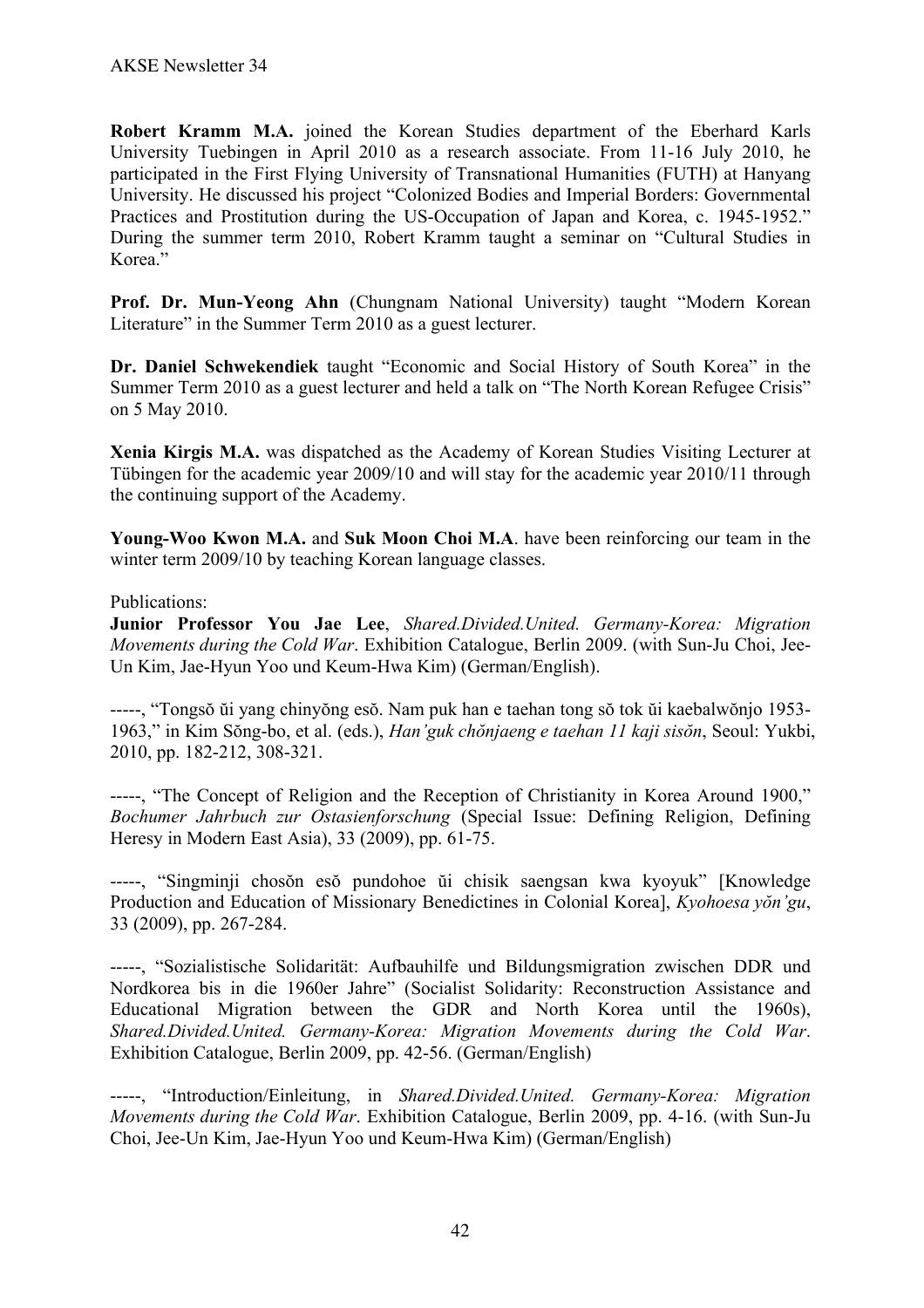**Robert Kramm M.A.** joined the Korean Studies department of the Eberhard Karls University Tuebingen in April 2010 as a research associate. From 11-16 July 2010, he participated in the First Flying University of Transnational Humanities (FUTH) at Hanyang University. He discussed his project "Colonized Bodies and Imperial Borders: Governmental Practices and Prostitution during the US-Occupation of Japan and Korea, c. 1945-1952." During the summer term 2010, Robert Kramm taught a seminar on "Cultural Studies in Korea."

**Prof. Dr. Mun-Yeong Ahn** (Chungnam National University) taught "Modern Korean Literature" in the Summer Term 2010 as a guest lecturer.

**Dr. Daniel Schwekendiek** taught "Economic and Social History of South Korea" in the Summer Term 2010 as a guest lecturer and held a talk on "The North Korean Refugee Crisis" on 5 May 2010.

**Xenia Kirgis M.A.** was dispatched as the Academy of Korean Studies Visiting Lecturer at Tübingen for the academic year 2009/10 and will stay for the academic year 2010/11 through the continuing support of the Academy.

**Young-Woo Kwon M.A.** and **Suk Moon Choi M.A**. have been reinforcing our team in the winter term 2009/10 by teaching Korean language classes.

## Publications:

**Junior Professor You Jae Lee**, *Shared.Divided.United. Germany-Korea: Migration Movements during the Cold War*. Exhibition Catalogue, Berlin 2009. (with Sun-Ju Choi, Jee-Un Kim, Jae-Hyun Yoo und Keum-Hwa Kim) (German/English).

-----, "Tongsŏ ŭi yang chinyŏng esŏ. Nam puk han e taehan tong sŏ tok ŭi kaebalwŏnjo 1953- 1963," in Kim Sŏng-bo, et al. (eds.), *Han'guk chŏnjaeng e taehan 11 kaji sisŏn*, Seoul: Yukbi, 2010, pp. 182-212, 308-321.

-----, "The Concept of Religion and the Reception of Christianity in Korea Around 1900," *Bochumer Jahrbuch zur Ostasienforschung* (Special Issue: Defining Religion, Defining Heresy in Modern East Asia), 33 (2009), pp. 61-75.

-----, "Singminji chosŏn esŏ pundohoe ŭi chisik saengsan kwa kyoyuk" [Knowledge Production and Education of Missionary Benedictines in Colonial Korea], *Kyohoesa yŏn'gu*, 33 (2009), pp. 267-284.

-----, "Sozialistische Solidarität: Aufbauhilfe und Bildungsmigration zwischen DDR und Nordkorea bis in die 1960er Jahre" (Socialist Solidarity: Reconstruction Assistance and Educational Migration between the GDR and North Korea until the 1960s), *Shared.Divided.United. Germany-Korea: Migration Movements during the Cold War*. Exhibition Catalogue, Berlin 2009, pp. 42-56. (German/English)

-----, "Introduction/Einleitung, in *Shared.Divided.United. Germany-Korea: Migration Movements during the Cold War*. Exhibition Catalogue, Berlin 2009, pp. 4-16. (with Sun-Ju Choi, Jee-Un Kim, Jae-Hyun Yoo und Keum-Hwa Kim) (German/English)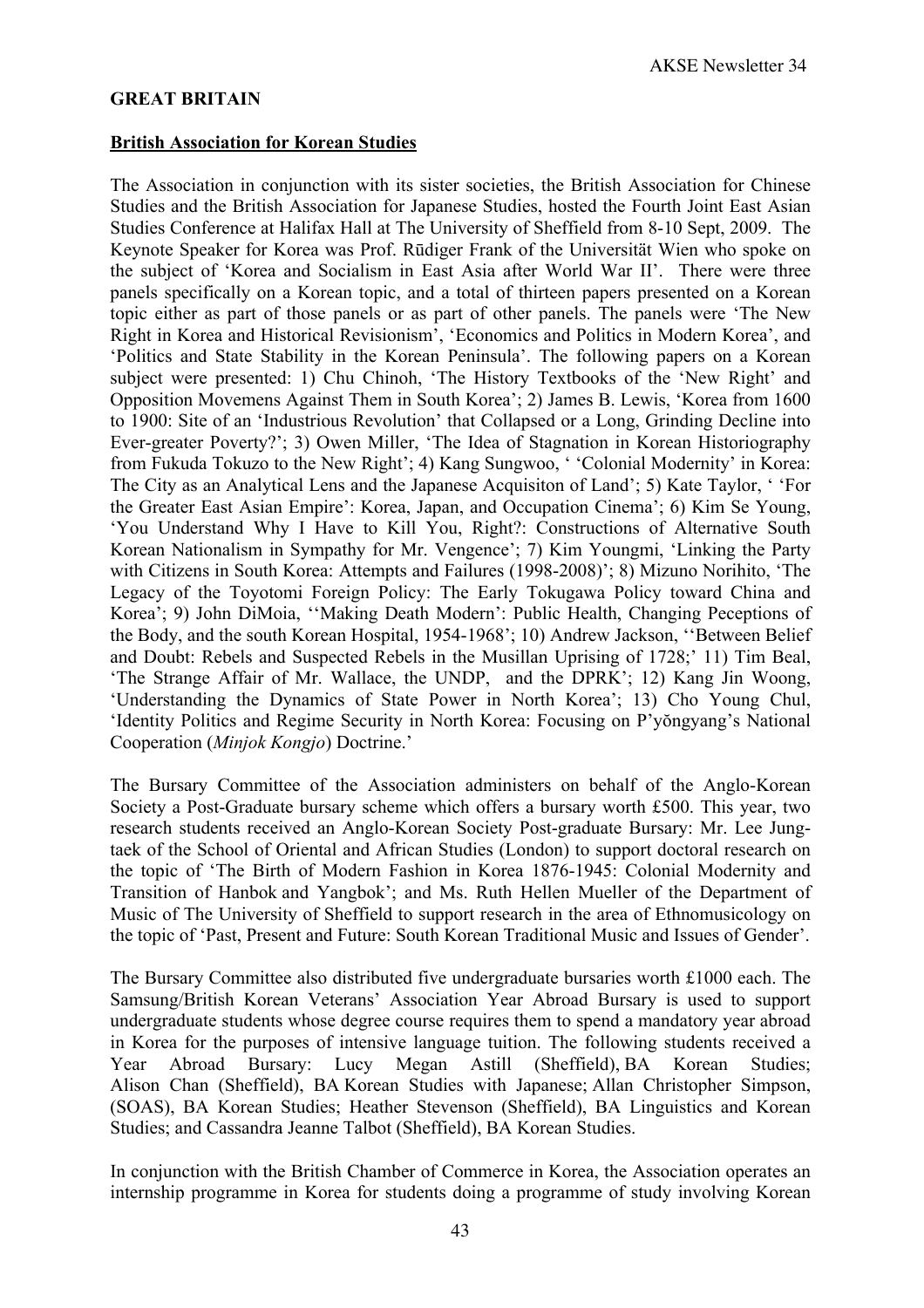#### **GREAT BRITAIN**

#### **British Association for Korean Studies**

The Association in conjunction with its sister societies, the British Association for Chinese Studies and the British Association for Japanese Studies, hosted the Fourth Joint East Asian Studies Conference at Halifax Hall at The University of Sheffield from 8-10 Sept, 2009. The Keynote Speaker for Korea was Prof. Rūdiger Frank of the Universität Wien who spoke on the subject of 'Korea and Socialism in East Asia after World War II'. There were three panels specifically on a Korean topic, and a total of thirteen papers presented on a Korean topic either as part of those panels or as part of other panels. The panels were 'The New Right in Korea and Historical Revisionism', 'Economics and Politics in Modern Korea', and 'Politics and State Stability in the Korean Peninsula'. The following papers on a Korean subject were presented: 1) Chu Chinoh, 'The History Textbooks of the 'New Right' and Opposition Movemens Against Them in South Korea'; 2) James B. Lewis, 'Korea from 1600 to 1900: Site of an 'Industrious Revolution' that Collapsed or a Long, Grinding Decline into Ever-greater Poverty?'; 3) Owen Miller, 'The Idea of Stagnation in Korean Historiography from Fukuda Tokuzo to the New Right'; 4) Kang Sungwoo, ' 'Colonial Modernity' in Korea: The City as an Analytical Lens and the Japanese Acquisiton of Land'; 5) Kate Taylor, ' 'For the Greater East Asian Empire': Korea, Japan, and Occupation Cinema'; 6) Kim Se Young, 'You Understand Why I Have to Kill You, Right?: Constructions of Alternative South Korean Nationalism in Sympathy for Mr. Vengence'; 7) Kim Youngmi, 'Linking the Party with Citizens in South Korea: Attempts and Failures (1998-2008)'; 8) Mizuno Norihito, 'The Legacy of the Toyotomi Foreign Policy: The Early Tokugawa Policy toward China and Korea'; 9) John DiMoia, ''Making Death Modern': Public Health, Changing Peceptions of the Body, and the south Korean Hospital, 1954-1968'; 10) Andrew Jackson, ''Between Belief and Doubt: Rebels and Suspected Rebels in the Musillan Uprising of 1728;' 11) Tim Beal, 'The Strange Affair of Mr. Wallace, the UNDP, and the DPRK'; 12) Kang Jin Woong, 'Understanding the Dynamics of State Power in North Korea'; 13) Cho Young Chul, 'Identity Politics and Regime Security in North Korea: Focusing on P'yŏngyang's National Cooperation (*Minjok Kongjo*) Doctrine.'

The Bursary Committee of the Association administers on behalf of the Anglo-Korean Society a Post-Graduate bursary scheme which offers a bursary worth £500. This year, two research students received an Anglo-Korean Society Post-graduate Bursary: Mr. Lee Jungtaek of the School of Oriental and African Studies (London) to support doctoral research on the topic of 'The Birth of Modern Fashion in Korea 1876-1945: Colonial Modernity and Transition of Hanbok and Yangbok'; and Ms. Ruth Hellen Mueller of the Department of Music of The University of Sheffield to support research in the area of Ethnomusicology on the topic of 'Past, Present and Future: South Korean Traditional Music and Issues of Gender'.

The Bursary Committee also distributed five undergraduate bursaries worth £1000 each. The Samsung/British Korean Veterans' Association Year Abroad Bursary is used to support undergraduate students whose degree course requires them to spend a mandatory year abroad in Korea for the purposes of intensive language tuition. The following students received a Year Abroad Bursary: Lucy Megan Astill (Sheffield), BA Korean Studies; Alison Chan (Sheffield), BA Korean Studies with Japanese; Allan Christopher Simpson, (SOAS), BA Korean Studies; Heather Stevenson (Sheffield), BA Linguistics and Korean Studies; and Cassandra Jeanne Talbot (Sheffield), BA Korean Studies.

In conjunction with the British Chamber of Commerce in Korea, the Association operates an internship programme in Korea for students doing a programme of study involving Korean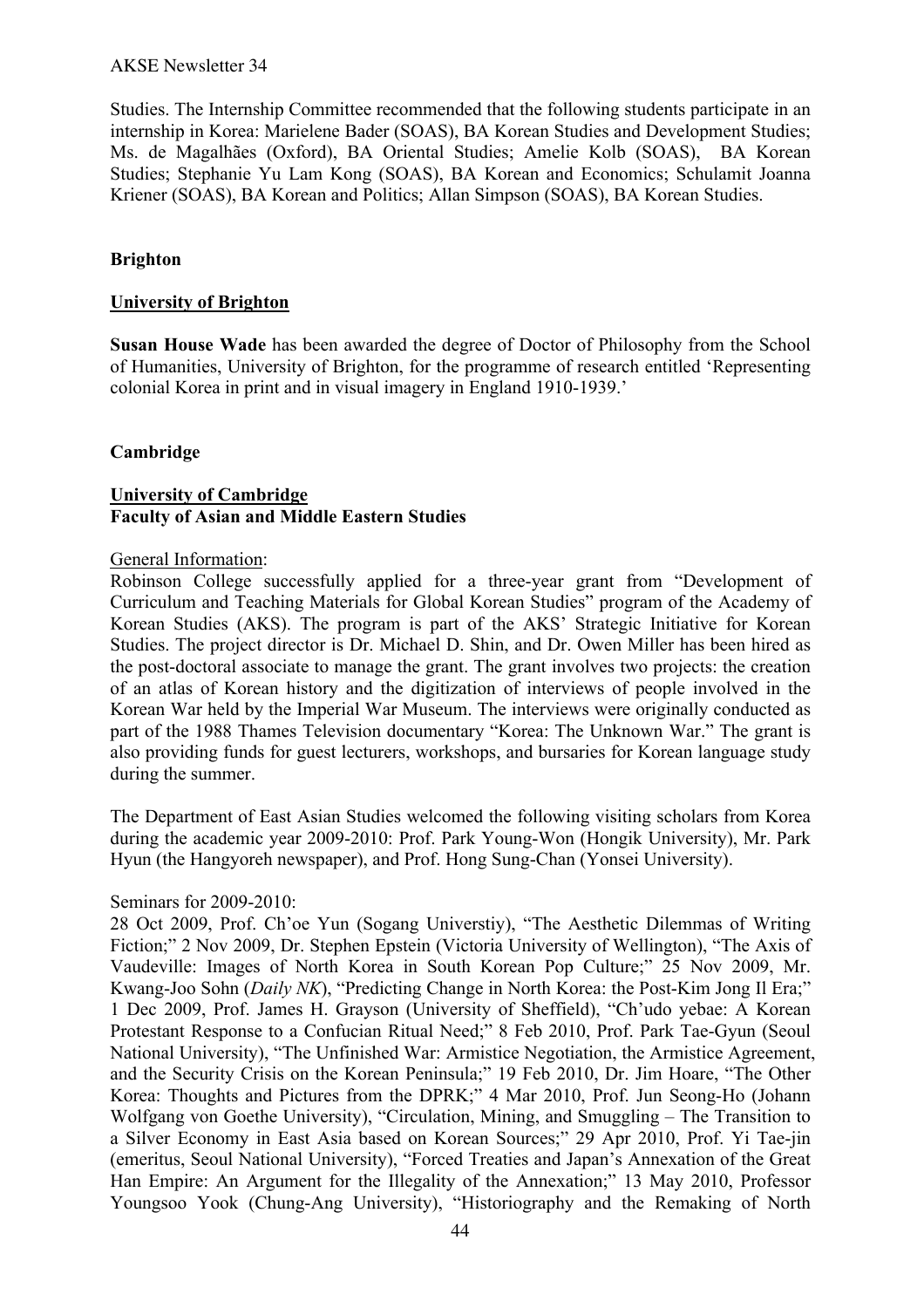#### AKSE Newsletter 34

Studies. The Internship Committee recommended that the following students participate in an internship in Korea: Marielene Bader (SOAS), BA Korean Studies and Development Studies; Ms. de Magalhães (Oxford), BA Oriental Studies; Amelie Kolb (SOAS), BA Korean Studies; Stephanie Yu Lam Kong (SOAS), BA Korean and Economics; Schulamit Joanna Kriener (SOAS), BA Korean and Politics; Allan Simpson (SOAS), BA Korean Studies.

## **Brighton**

#### **University of Brighton**

**Susan House Wade** has been awarded the degree of Doctor of Philosophy from the School of Humanities, University of Brighton, for the programme of research entitled 'Representing colonial Korea in print and in visual imagery in England 1910-1939.'

## **Cambridge**

## **University of Cambridge Faculty of Asian and Middle Eastern Studies**

#### General Information:

Robinson College successfully applied for a three-year grant from "Development of Curriculum and Teaching Materials for Global Korean Studies" program of the Academy of Korean Studies (AKS). The program is part of the AKS' Strategic Initiative for Korean Studies. The project director is Dr. Michael D. Shin, and Dr. Owen Miller has been hired as the post-doctoral associate to manage the grant. The grant involves two projects: the creation of an atlas of Korean history and the digitization of interviews of people involved in the Korean War held by the Imperial War Museum. The interviews were originally conducted as part of the 1988 Thames Television documentary "Korea: The Unknown War." The grant is also providing funds for guest lecturers, workshops, and bursaries for Korean language study during the summer.

The Department of East Asian Studies welcomed the following visiting scholars from Korea during the academic year 2009-2010: Prof. Park Young-Won (Hongik University), Mr. Park Hyun (the Hangyoreh newspaper), and Prof. Hong Sung-Chan (Yonsei University).

#### Seminars for 2009-2010:

28 Oct 2009, Prof. Ch'oe Yun (Sogang Universtiy), "The Aesthetic Dilemmas of Writing Fiction;" 2 Nov 2009, Dr. Stephen Epstein (Victoria University of Wellington), "The Axis of Vaudeville: Images of North Korea in South Korean Pop Culture;" 25 Nov 2009, Mr. Kwang-Joo Sohn (*Daily NK*), "Predicting Change in North Korea: the Post-Kim Jong Il Era;" 1 Dec 2009, Prof. James H. Grayson (University of Sheffield), "Ch'udo yebae: A Korean Protestant Response to a Confucian Ritual Need;" 8 Feb 2010, Prof. Park Tae-Gyun (Seoul National University), "The Unfinished War: Armistice Negotiation, the Armistice Agreement, and the Security Crisis on the Korean Peninsula;" 19 Feb 2010, Dr. Jim Hoare, "The Other Korea: Thoughts and Pictures from the DPRK;" 4 Mar 2010, Prof. Jun Seong-Ho (Johann Wolfgang von Goethe University), "Circulation, Mining, and Smuggling – The Transition to a Silver Economy in East Asia based on Korean Sources;" 29 Apr 2010, Prof. Yi Tae-jin (emeritus, Seoul National University), "Forced Treaties and Japan's Annexation of the Great Han Empire: An Argument for the Illegality of the Annexation;" 13 May 2010, Professor Youngsoo Yook (Chung-Ang University), "Historiography and the Remaking of North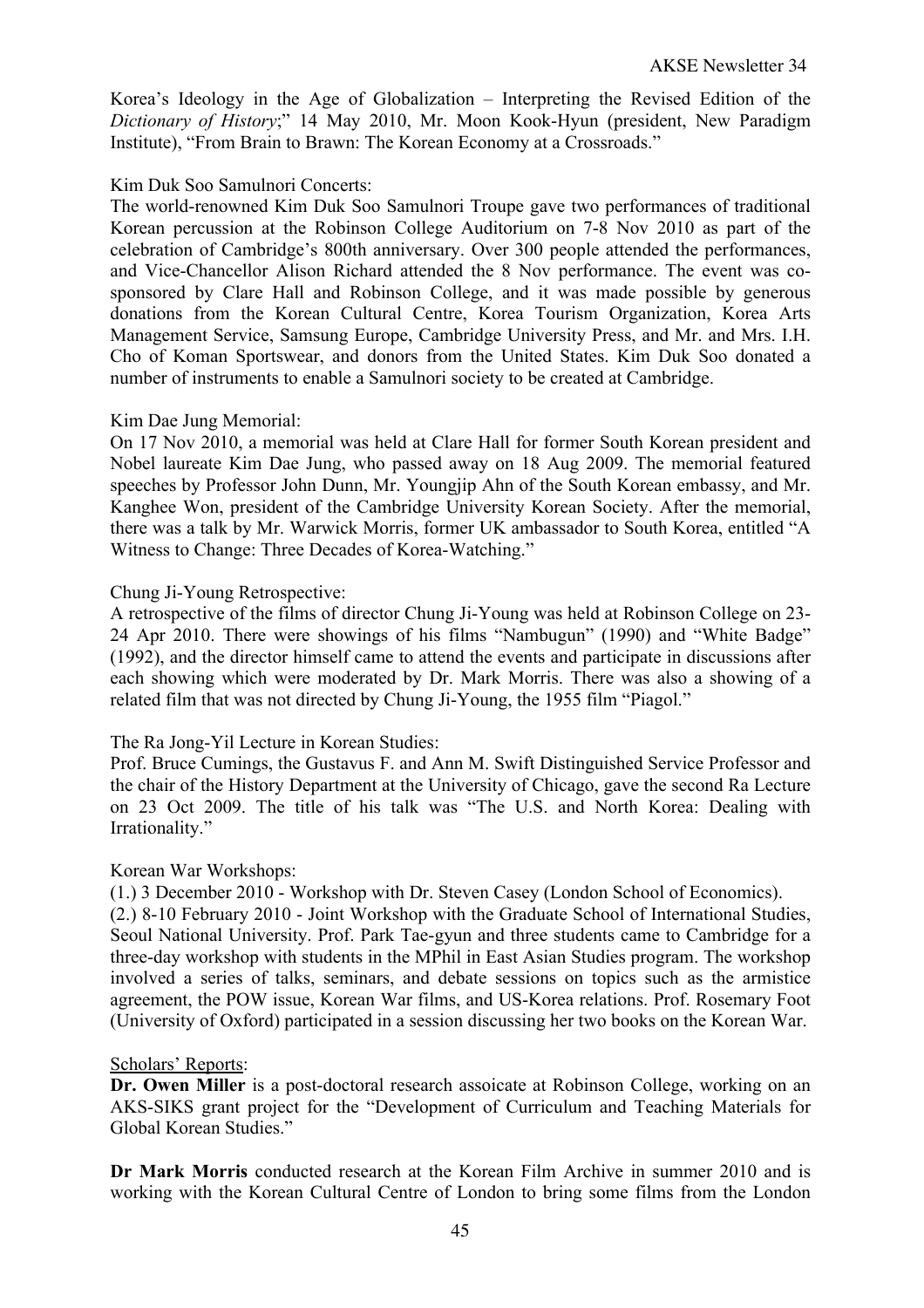Korea's Ideology in the Age of Globalization – Interpreting the Revised Edition of the *Dictionary of History*;" 14 May 2010, Mr. Moon Kook-Hyun (president, New Paradigm Institute), "From Brain to Brawn: The Korean Economy at a Crossroads."

## Kim Duk Soo Samulnori Concerts:

The world-renowned Kim Duk Soo Samulnori Troupe gave two performances of traditional Korean percussion at the Robinson College Auditorium on 7-8 Nov 2010 as part of the celebration of Cambridge's 800th anniversary. Over 300 people attended the performances, and Vice-Chancellor Alison Richard attended the 8 Nov performance. The event was cosponsored by Clare Hall and Robinson College, and it was made possible by generous donations from the Korean Cultural Centre, Korea Tourism Organization, Korea Arts Management Service, Samsung Europe, Cambridge University Press, and Mr. and Mrs. I.H. Cho of Koman Sportswear, and donors from the United States. Kim Duk Soo donated a number of instruments to enable a Samulnori society to be created at Cambridge.

## Kim Dae Jung Memorial:

On 17 Nov 2010, a memorial was held at Clare Hall for former South Korean president and Nobel laureate Kim Dae Jung, who passed away on 18 Aug 2009. The memorial featured speeches by Professor John Dunn, Mr. Youngjip Ahn of the South Korean embassy, and Mr. Kanghee Won, president of the Cambridge University Korean Society. After the memorial, there was a talk by Mr. Warwick Morris, former UK ambassador to South Korea, entitled "A Witness to Change: Three Decades of Korea-Watching."

## Chung Ji-Young Retrospective:

A retrospective of the films of director Chung Ji-Young was held at Robinson College on 23- 24 Apr 2010. There were showings of his films "Nambugun" (1990) and "White Badge" (1992), and the director himself came to attend the events and participate in discussions after each showing which were moderated by Dr. Mark Morris. There was also a showing of a related film that was not directed by Chung Ji-Young, the 1955 film "Piagol."

## The Ra Jong-Yil Lecture in Korean Studies:

Prof. Bruce Cumings, the Gustavus F. and Ann M. Swift Distinguished Service Professor and the chair of the History Department at the University of Chicago, gave the second Ra Lecture on 23 Oct 2009. The title of his talk was "The U.S. and North Korea: Dealing with Irrationality."

#### Korean War Workshops:

(1.) 3 December 2010 - Workshop with Dr. Steven Casey (London School of Economics).

(2.) 8-10 February 2010 - Joint Workshop with the Graduate School of International Studies, Seoul National University. Prof. Park Tae-gyun and three students came to Cambridge for a three-day workshop with students in the MPhil in East Asian Studies program. The workshop involved a series of talks, seminars, and debate sessions on topics such as the armistice agreement, the POW issue, Korean War films, and US-Korea relations. Prof. Rosemary Foot (University of Oxford) participated in a session discussing her two books on the Korean War.

#### Scholars' Reports:

**Dr. Owen Miller** is a post-doctoral research assoicate at Robinson College, working on an AKS-SIKS grant project for the "Development of Curriculum and Teaching Materials for Global Korean Studies."

**Dr Mark Morris** conducted research at the Korean Film Archive in summer 2010 and is working with the Korean Cultural Centre of London to bring some films from the London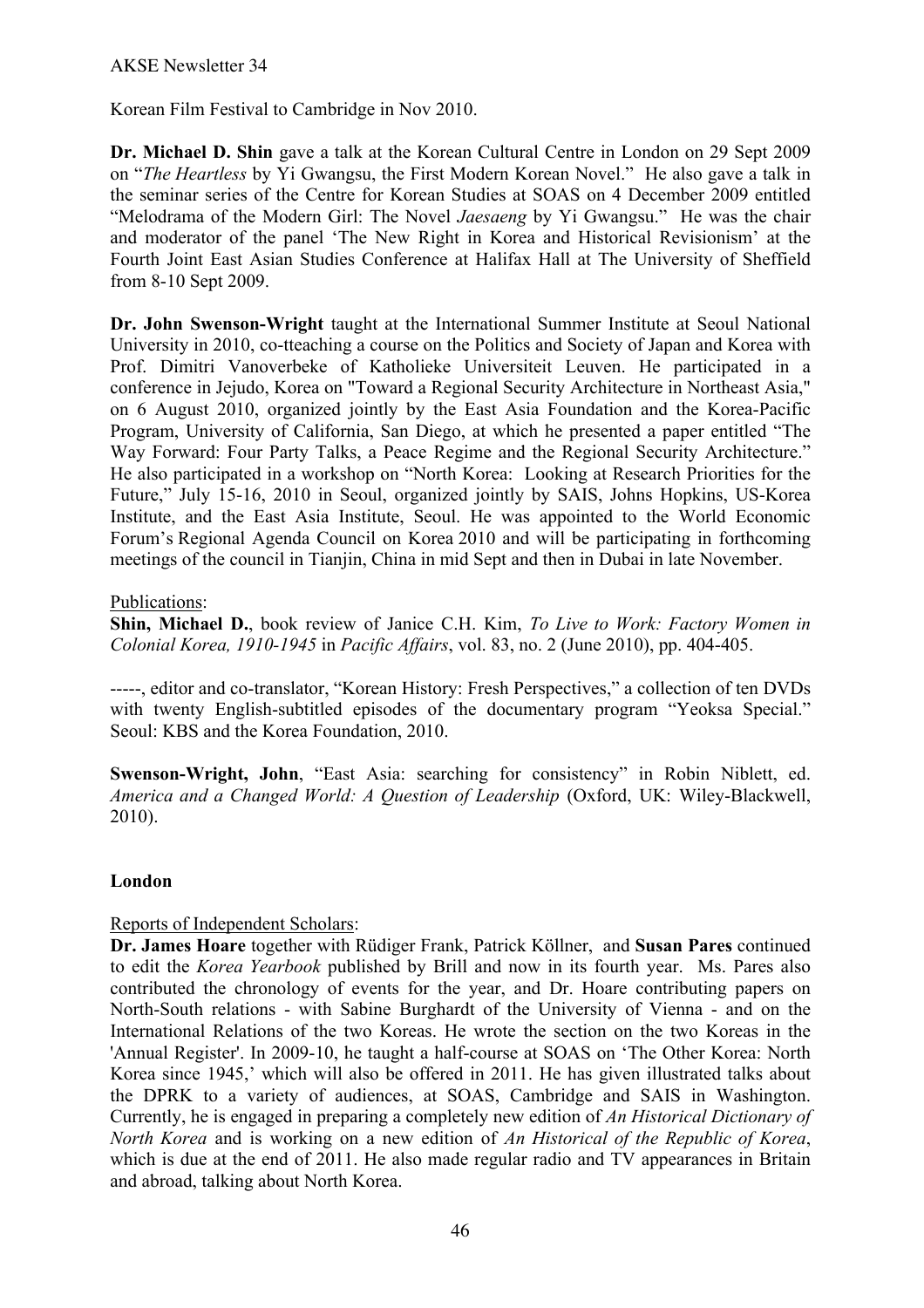Korean Film Festival to Cambridge in Nov 2010.

**Dr. Michael D. Shin** gave a talk at the Korean Cultural Centre in London on 29 Sept 2009 on "*The Heartless* by Yi Gwangsu, the First Modern Korean Novel." He also gave a talk in the seminar series of the Centre for Korean Studies at SOAS on 4 December 2009 entitled "Melodrama of the Modern Girl: The Novel *Jaesaeng* by Yi Gwangsu." He was the chair and moderator of the panel 'The New Right in Korea and Historical Revisionism' at the Fourth Joint East Asian Studies Conference at Halifax Hall at The University of Sheffield from 8-10 Sept 2009.

**Dr. John Swenson-Wright** taught at the International Summer Institute at Seoul National University in 2010, co-tteaching a course on the Politics and Society of Japan and Korea with Prof. Dimitri Vanoverbeke of Katholieke Universiteit Leuven. He participated in a conference in Jejudo, Korea on "Toward a Regional Security Architecture in Northeast Asia," on 6 August 2010, organized jointly by the East Asia Foundation and the Korea-Pacific Program, University of California, San Diego, at which he presented a paper entitled "The Way Forward: Four Party Talks, a Peace Regime and the Regional Security Architecture." He also participated in a workshop on "North Korea: Looking at Research Priorities for the Future," July 15-16, 2010 in Seoul, organized jointly by SAIS, Johns Hopkins, US-Korea Institute, and the East Asia Institute, Seoul. He was appointed to the World Economic Forum's Regional Agenda Council on Korea 2010 and will be participating in forthcoming meetings of the council in Tianjin, China in mid Sept and then in Dubai in late November.

## Publications:

**Shin, Michael D.**, book review of Janice C.H. Kim, *To Live to Work: Factory Women in Colonial Korea, 1910-1945* in *Pacific Affairs*, vol. 83, no. 2 (June 2010), pp. 404-405.

-----, editor and co-translator, "Korean History: Fresh Perspectives," a collection of ten DVDs with twenty English-subtitled episodes of the documentary program "Yeoksa Special." Seoul: KBS and the Korea Foundation, 2010.

**Swenson-Wright, John**, "East Asia: searching for consistency" in Robin Niblett, ed. *America and a Changed World: A Question of Leadership* (Oxford, UK: Wiley-Blackwell, 2010).

## **London**

# Reports of Independent Scholars:

**Dr. James Hoare** together with Rüdiger Frank, Patrick Köllner, and **Susan Pares** continued to edit the *Korea Yearbook* published by Brill and now in its fourth year. Ms. Pares also contributed the chronology of events for the year, and Dr. Hoare contributing papers on North-South relations - with Sabine Burghardt of the University of Vienna - and on the International Relations of the two Koreas. He wrote the section on the two Koreas in the 'Annual Register'. In 2009-10, he taught a half-course at SOAS on 'The Other Korea: North Korea since 1945,' which will also be offered in 2011. He has given illustrated talks about the DPRK to a variety of audiences, at SOAS, Cambridge and SAIS in Washington. Currently, he is engaged in preparing a completely new edition of *An Historical Dictionary of North Korea* and is working on a new edition of *An Historical of the Republic of Korea*, which is due at the end of 2011. He also made regular radio and TV appearances in Britain and abroad, talking about North Korea.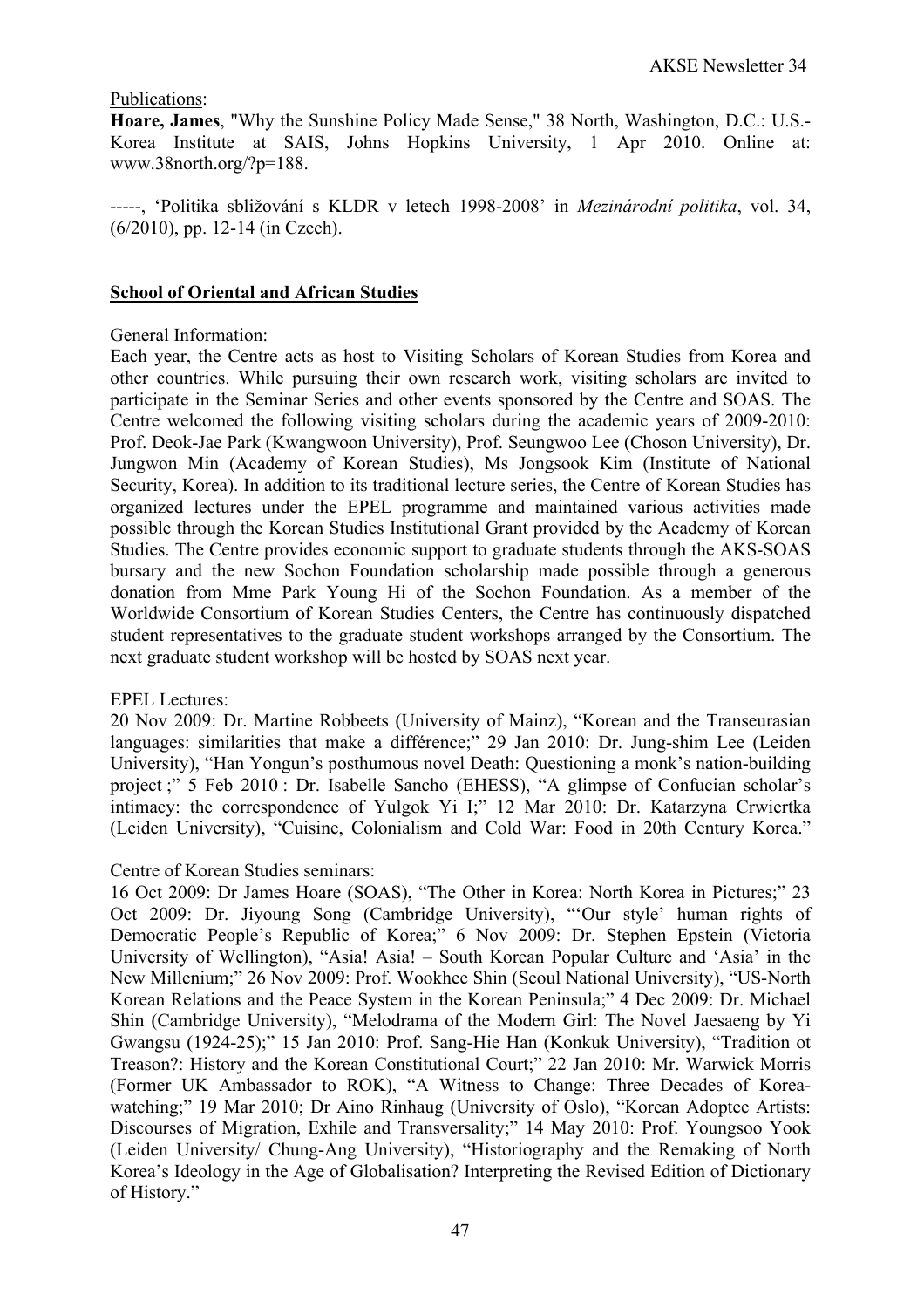## Publications:

**Hoare, James**, "Why the Sunshine Policy Made Sense," 38 North, Washington, D.C.: U.S.- Korea Institute at SAIS, Johns Hopkins University, 1 Apr 2010. Online at: www.38north.org/?p=188.

-----, 'Politika sbližování s KLDR v letech 1998-2008' in *Mezinárodní politika*, vol. 34, (6/2010), pp. 12-14 (in Czech).

## **School of Oriental and African Studies**

#### General Information:

Each year, the Centre acts as host to Visiting Scholars of Korean Studies from Korea and other countries. While pursuing their own research work, visiting scholars are invited to participate in the Seminar Series and other events sponsored by the Centre and SOAS. The Centre welcomed the following visiting scholars during the academic years of 2009-2010: Prof. Deok-Jae Park (Kwangwoon University), Prof. Seungwoo Lee (Choson University), Dr. Jungwon Min (Academy of Korean Studies), Ms Jongsook Kim (Institute of National Security, Korea). In addition to its traditional lecture series, the Centre of Korean Studies has organized lectures under the EPEL programme and maintained various activities made possible through the Korean Studies Institutional Grant provided by the Academy of Korean Studies. The Centre provides economic support to graduate students through the AKS-SOAS bursary and the new Sochon Foundation scholarship made possible through a generous donation from Mme Park Young Hi of the Sochon Foundation. As a member of the Worldwide Consortium of Korean Studies Centers, the Centre has continuously dispatched student representatives to the graduate student workshops arranged by the Consortium. The next graduate student workshop will be hosted by SOAS next year.

#### EPEL Lectures:

20 Nov 2009: Dr. Martine Robbeets (University of Mainz), "Korean and the Transeurasian languages: similarities that make a différence;" 29 Jan 2010: Dr. Jung-shim Lee (Leiden University), "Han Yongun's posthumous novel Death: Questioning a monk's nation-building project ;" 5 Feb 2010 : Dr. Isabelle Sancho (EHESS), "A glimpse of Confucian scholar's intimacy: the correspondence of Yulgok Yi I;" 12 Mar 2010: Dr. Katarzyna Crwiertka (Leiden University), "Cuisine, Colonialism and Cold War: Food in 20th Century Korea."

#### Centre of Korean Studies seminars:

16 Oct 2009: Dr James Hoare (SOAS), "The Other in Korea: North Korea in Pictures;" 23 Oct 2009: Dr. Jiyoung Song (Cambridge University), "'Our style' human rights of Democratic People's Republic of Korea;" 6 Nov 2009: Dr. Stephen Epstein (Victoria University of Wellington), "Asia! Asia! – South Korean Popular Culture and 'Asia' in the New Millenium;" 26 Nov 2009: Prof. Wookhee Shin (Seoul National University), "US-North Korean Relations and the Peace System in the Korean Peninsula;" 4 Dec 2009: Dr. Michael Shin (Cambridge University), "Melodrama of the Modern Girl: The Novel Jaesaeng by Yi Gwangsu (1924-25);" 15 Jan 2010: Prof. Sang-Hie Han (Konkuk University), "Tradition ot Treason?: History and the Korean Constitutional Court;" 22 Jan 2010: Mr. Warwick Morris (Former UK Ambassador to ROK), "A Witness to Change: Three Decades of Koreawatching;" 19 Mar 2010; Dr Aino Rinhaug (University of Oslo), "Korean Adoptee Artists: Discourses of Migration, Exhile and Transversality;" 14 May 2010: Prof. Youngsoo Yook (Leiden University/ Chung-Ang University), "Historiography and the Remaking of North Korea's Ideology in the Age of Globalisation? Interpreting the Revised Edition of Dictionary of History."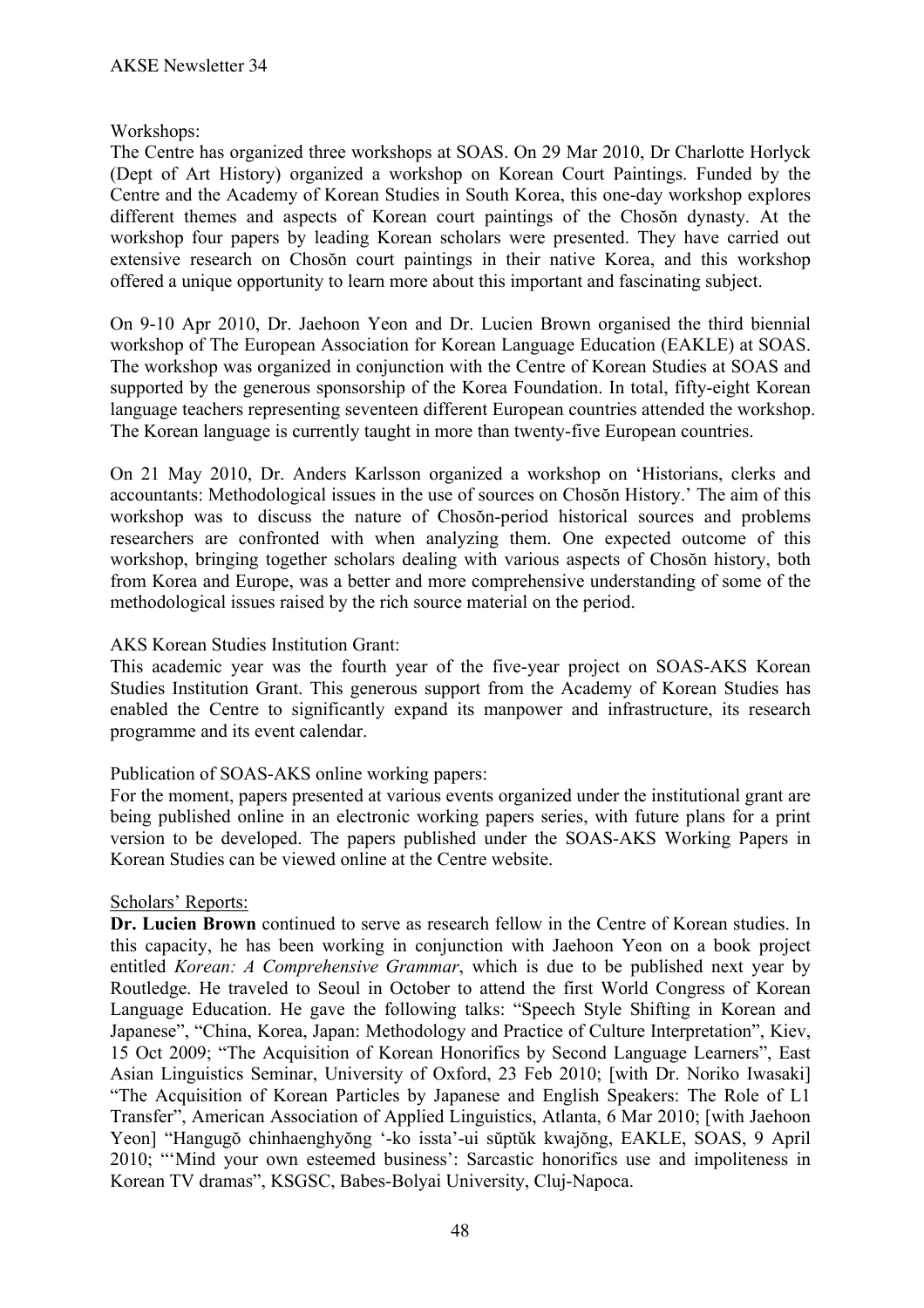# Workshops:

The Centre has organized three workshops at SOAS. On 29 Mar 2010, Dr Charlotte Horlyck (Dept of Art History) organized a workshop on Korean Court Paintings. Funded by the Centre and the Academy of Korean Studies in South Korea, this one-day workshop explores different themes and aspects of Korean court paintings of the Chosŏn dynasty. At the workshop four papers by leading Korean scholars were presented. They have carried out extensive research on Chosŏn court paintings in their native Korea, and this workshop offered a unique opportunity to learn more about this important and fascinating subject.

On 9-10 Apr 2010, Dr. Jaehoon Yeon and Dr. Lucien Brown organised the third biennial workshop of The European Association for Korean Language Education (EAKLE) at SOAS. The workshop was organized in conjunction with the Centre of Korean Studies at SOAS and supported by the generous sponsorship of the Korea Foundation. In total, fifty-eight Korean language teachers representing seventeen different European countries attended the workshop. The Korean language is currently taught in more than twenty-five European countries.

On 21 May 2010, Dr. Anders Karlsson organized a workshop on 'Historians, clerks and accountants: Methodological issues in the use of sources on Chosŏn History.' The aim of this workshop was to discuss the nature of Chosŏn-period historical sources and problems researchers are confronted with when analyzing them. One expected outcome of this workshop, bringing together scholars dealing with various aspects of Chosŏn history, both from Korea and Europe, was a better and more comprehensive understanding of some of the methodological issues raised by the rich source material on the period.

## AKS Korean Studies Institution Grant:

This academic year was the fourth year of the five-year project on SOAS-AKS Korean Studies Institution Grant. This generous support from the Academy of Korean Studies has enabled the Centre to significantly expand its manpower and infrastructure, its research programme and its event calendar.

## Publication of SOAS-AKS online working papers:

For the moment, papers presented at various events organized under the institutional grant are being published online in an electronic working papers series, with future plans for a print version to be developed. The papers published under the SOAS-AKS Working Papers in Korean Studies can be viewed online at the Centre website.

## Scholars' Reports:

**Dr. Lucien Brown** continued to serve as research fellow in the Centre of Korean studies. In this capacity, he has been working in conjunction with Jaehoon Yeon on a book project entitled *Korean: A Comprehensive Grammar*, which is due to be published next year by Routledge. He traveled to Seoul in October to attend the first World Congress of Korean Language Education. He gave the following talks: "Speech Style Shifting in Korean and Japanese", "China, Korea, Japan: Methodology and Practice of Culture Interpretation", Kiev, 15 Oct 2009; "The Acquisition of Korean Honorifics by Second Language Learners", East Asian Linguistics Seminar, University of Oxford, 23 Feb 2010; [with Dr. Noriko Iwasaki] "The Acquisition of Korean Particles by Japanese and English Speakers: The Role of L1 Transfer", American Association of Applied Linguistics, Atlanta, 6 Mar 2010; [with Jaehoon Yeon] "Hangugŏ chinhaenghyŏng '-ko issta'-ui sŭptŭk kwajŏng, EAKLE, SOAS, 9 April 2010; "'Mind your own esteemed business': Sarcastic honorifics use and impoliteness in Korean TV dramas", KSGSC, Babes-Bolyai University, Cluj-Napoca.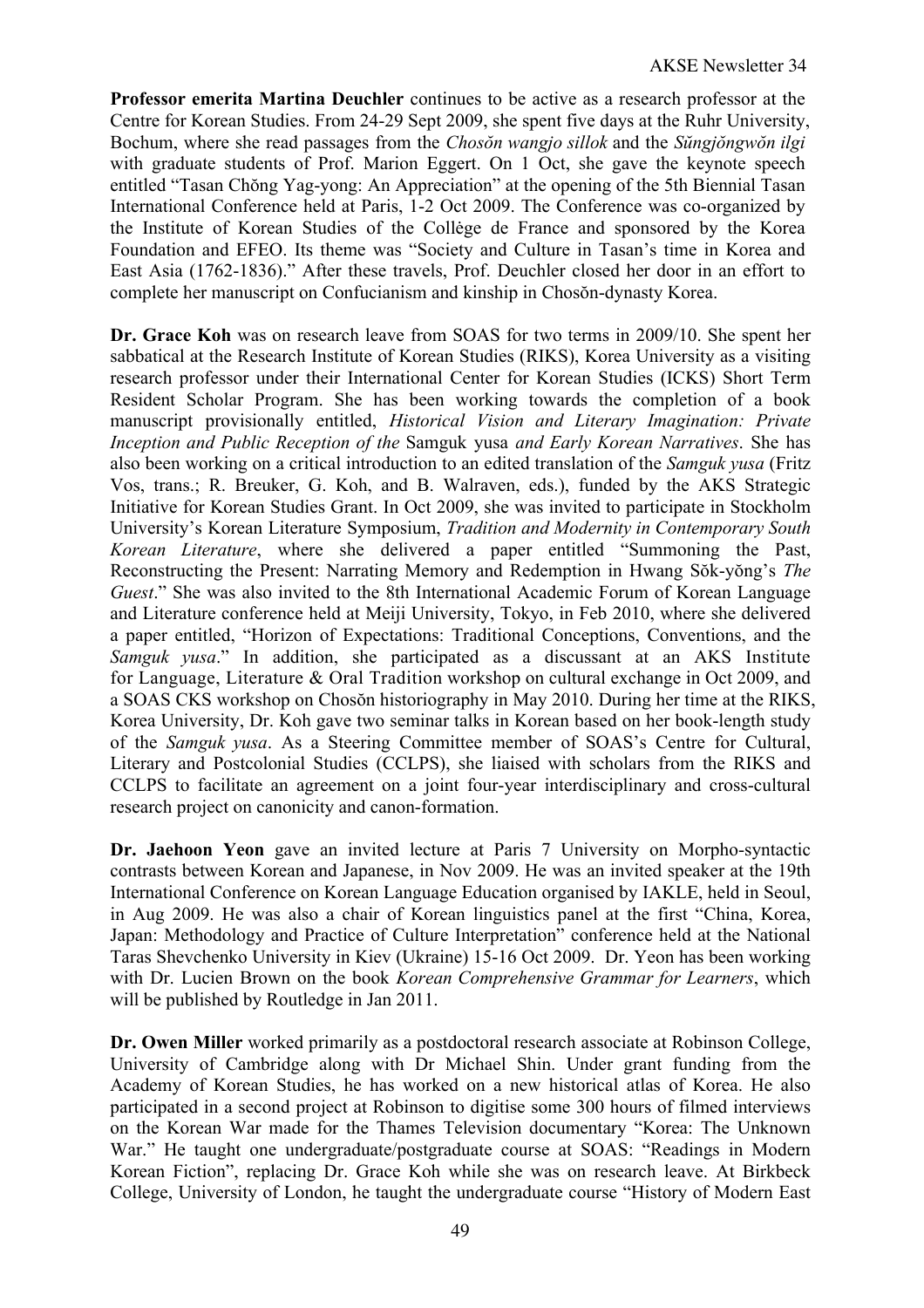**Professor emerita Martina Deuchler** continues to be active as a research professor at the Centre for Korean Studies. From 24-29 Sept 2009, she spent five days at the Ruhr University, Bochum, where she read passages from the *Chosŏn wangjo sillok* and the *Sŭngjŏngwŏn ilgi* with graduate students of Prof. Marion Eggert. On 1 Oct, she gave the keynote speech entitled "Tasan Chŏng Yag-yong: An Appreciation" at the opening of the 5th Biennial Tasan International Conference held at Paris, 1-2 Oct 2009. The Conference was co-organized by the Institute of Korean Studies of the Collėge de France and sponsored by the Korea Foundation and EFEO. Its theme was "Society and Culture in Tasan's time in Korea and East Asia (1762-1836)." After these travels, Prof. Deuchler closed her door in an effort to complete her manuscript on Confucianism and kinship in Chosŏn-dynasty Korea.

**Dr. Grace Koh** was on research leave from SOAS for two terms in 2009/10. She spent her sabbatical at the Research Institute of Korean Studies (RIKS), Korea University as a visiting research professor under their International Center for Korean Studies (ICKS) Short Term Resident Scholar Program. She has been working towards the completion of a book manuscript provisionally entitled, *Historical Vision and Literary Imagination: Private Inception and Public Reception of the* Samguk yusa *and Early Korean Narratives*. She has also been working on a critical introduction to an edited translation of the *Samguk yusa* (Fritz Vos, trans.; R. Breuker, G. Koh, and B. Walraven, eds.), funded by the AKS Strategic Initiative for Korean Studies Grant. In Oct 2009, she was invited to participate in Stockholm University's Korean Literature Symposium, *Tradition and Modernity in Contemporary South Korean Literature*, where she delivered a paper entitled "Summoning the Past, Reconstructing the Present: Narrating Memory and Redemption in Hwang Sŏk-yŏng's *The Guest*." She was also invited to the 8th International Academic Forum of Korean Language and Literature conference held at Meiji University, Tokyo, in Feb 2010, where she delivered a paper entitled, "Horizon of Expectations: Traditional Conceptions, Conventions, and the *Samguk yusa*." In addition, she participated as a discussant at an AKS Institute for Language, Literature & Oral Tradition workshop on cultural exchange in Oct 2009, and a SOAS CKS workshop on Chosŏn historiography in May 2010. During her time at the RIKS, Korea University, Dr. Koh gave two seminar talks in Korean based on her book-length study of the *Samguk yusa*. As a Steering Committee member of SOAS's Centre for Cultural, Literary and Postcolonial Studies (CCLPS), she liaised with scholars from the RIKS and CCLPS to facilitate an agreement on a joint four-year interdisciplinary and cross-cultural research project on canonicity and canon-formation.

**Dr. Jaehoon Yeon** gave an invited lecture at Paris 7 University on Morpho-syntactic contrasts between Korean and Japanese, in Nov 2009. He was an invited speaker at the 19th International Conference on Korean Language Education organised by IAKLE, held in Seoul, in Aug 2009. He was also a chair of Korean linguistics panel at the first "China, Korea, Japan: Methodology and Practice of Culture Interpretation" conference held at the National Taras Shevchenko University in Kiev (Ukraine) 15-16 Oct 2009. Dr. Yeon has been working with Dr. Lucien Brown on the book *Korean Comprehensive Grammar for Learners*, which will be published by Routledge in Jan 2011.

**Dr. Owen Miller** worked primarily as a postdoctoral research associate at Robinson College, University of Cambridge along with Dr Michael Shin. Under grant funding from the Academy of Korean Studies, he has worked on a new historical atlas of Korea. He also participated in a second project at Robinson to digitise some 300 hours of filmed interviews on the Korean War made for the Thames Television documentary "Korea: The Unknown War." He taught one undergraduate/postgraduate course at SOAS: "Readings in Modern Korean Fiction", replacing Dr. Grace Koh while she was on research leave. At Birkbeck College, University of London, he taught the undergraduate course "History of Modern East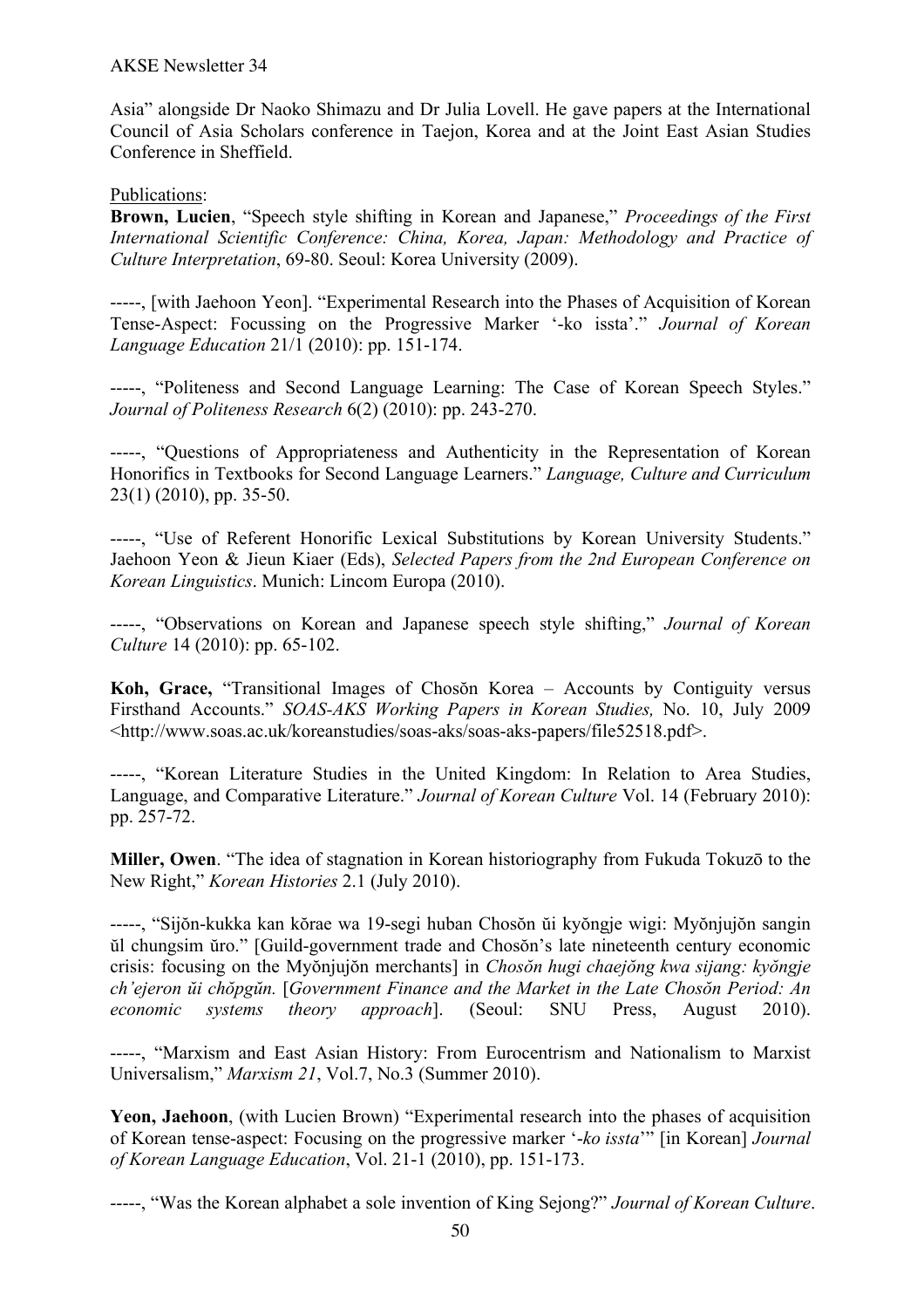#### AKSE Newsletter 34

Asia" alongside Dr Naoko Shimazu and Dr Julia Lovell. He gave papers at the International Council of Asia Scholars conference in Taejon, Korea and at the Joint East Asian Studies Conference in Sheffield.

Publications:

**Brown, Lucien**, "Speech style shifting in Korean and Japanese," *Proceedings of the First International Scientific Conference: China, Korea, Japan: Methodology and Practice of Culture Interpretation*, 69-80. Seoul: Korea University (2009).

-----, [with Jaehoon Yeon]. "Experimental Research into the Phases of Acquisition of Korean Tense-Aspect: Focussing on the Progressive Marker '-ko issta'." *Journal of Korean Language Education* 21/1 (2010): pp. 151-174.

-----, "Politeness and Second Language Learning: The Case of Korean Speech Styles." *Journal of Politeness Research* 6(2) (2010): pp. 243-270.

-----, "Questions of Appropriateness and Authenticity in the Representation of Korean Honorifics in Textbooks for Second Language Learners." *Language, Culture and Curriculum*  23(1) (2010), pp. 35-50.

-----, "Use of Referent Honorific Lexical Substitutions by Korean University Students." Jaehoon Yeon & Jieun Kiaer (Eds), *Selected Papers from the 2nd European Conference on Korean Linguistics*. Munich: Lincom Europa (2010).

-----, "Observations on Korean and Japanese speech style shifting," *Journal of Korean Culture* 14 (2010): pp. 65-102.

**Koh, Grace,** "Transitional Images of Chosŏn Korea – Accounts by Contiguity versus Firsthand Accounts." *SOAS-AKS Working Papers in Korean Studies,* No. 10, July 2009 <http://www.soas.ac.uk/koreanstudies/soas-aks/soas-aks-papers/file52518.pdf>.

-----, "Korean Literature Studies in the United Kingdom: In Relation to Area Studies, Language, and Comparative Literature." *Journal of Korean Culture* Vol. 14 (February 2010): pp. 257-72.

**Miller, Owen**. "The idea of stagnation in Korean historiography from Fukuda Tokuzō to the New Right," *Korean Histories* 2.1 (July 2010).

-----, "Sijŏn-kukka kan kŏrae wa 19-segi huban Chosŏn ŭi kyŏngje wigi: Myŏnjujŏn sangin ŭl chungsim ŭro." [Guild-government trade and Chosŏn's late nineteenth century economic crisis: focusing on the Myŏnjujŏn merchants] in *Chosŏn hugi chaejŏng kwa sijang: kyŏngje ch'ejeron ŭi chŏpgŭn.* [*Government Finance and the Market in the Late Chosŏn Period: An economic systems theory approach*]. (Seoul: SNU Press, August 2010).

-----, "Marxism and East Asian History: From Eurocentrism and Nationalism to Marxist Universalism," *Marxism 21*, Vol.7, No.3 (Summer 2010).

**Yeon, Jaehoon**, (with Lucien Brown) "Experimental research into the phases of acquisition of Korean tense-aspect: Focusing on the progressive marker '-*ko issta*'" [in Korean] *Journal of Korean Language Education*, Vol. 21-1 (2010), pp. 151-173.

-----, "Was the Korean alphabet a sole invention of King Sejong?" *Journal of Korean Culture*.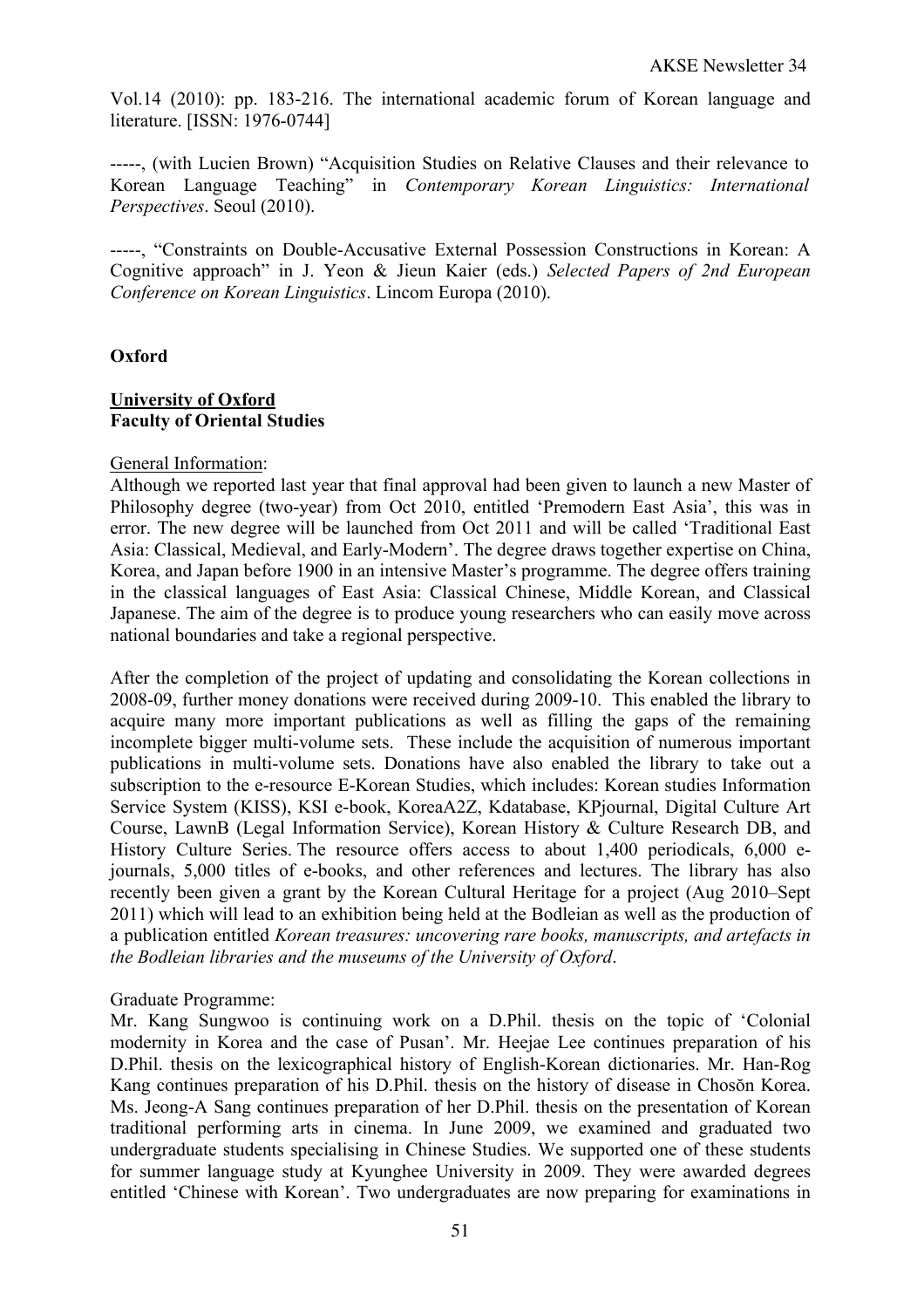Vol.14 (2010): pp. 183-216. The international academic forum of Korean language and literature. [ISSN: 1976-0744]

-----, (with Lucien Brown) "Acquisition Studies on Relative Clauses and their relevance to Korean Language Teaching" in *Contemporary Korean Linguistics: International Perspectives*. Seoul (2010).

-----, "Constraints on Double-Accusative External Possession Constructions in Korean: A Cognitive approach" in J. Yeon & Jieun Kaier (eds.) *Selected Papers of 2nd European Conference on Korean Linguistics*. Lincom Europa (2010).

# **Oxford**

#### **University of Oxford Faculty of Oriental Studies**

## General Information:

Although we reported last year that final approval had been given to launch a new Master of Philosophy degree (two-year) from Oct 2010, entitled 'Premodern East Asia', this was in error. The new degree will be launched from Oct 2011 and will be called 'Traditional East Asia: Classical, Medieval, and Early-Modern'. The degree draws together expertise on China, Korea, and Japan before 1900 in an intensive Master's programme. The degree offers training in the classical languages of East Asia: Classical Chinese, Middle Korean, and Classical Japanese. The aim of the degree is to produce young researchers who can easily move across national boundaries and take a regional perspective.

After the completion of the project of updating and consolidating the Korean collections in 2008-09, further money donations were received during 2009-10. This enabled the library to acquire many more important publications as well as filling the gaps of the remaining incomplete bigger multi-volume sets. These include the acquisition of numerous important publications in multi-volume sets. Donations have also enabled the library to take out a subscription to the e-resource E-Korean Studies, which includes: Korean studies Information Service System (KISS), KSI e-book, KoreaA2Z, Kdatabase, KPjournal, Digital Culture Art Course, LawnB (Legal Information Service), Korean History & Culture Research DB, and History Culture Series. The resource offers access to about 1,400 periodicals, 6,000 ejournals, 5,000 titles of e-books, and other references and lectures. The library has also recently been given a grant by the Korean Cultural Heritage for a project (Aug 2010–Sept 2011) which will lead to an exhibition being held at the Bodleian as well as the production of a publication entitled *Korean treasures: uncovering rare books, manuscripts, and artefacts in the Bodleian libraries and the museums of the University of Oxford*.

## Graduate Programme:

Mr. Kang Sungwoo is continuing work on a D.Phil. thesis on the topic of 'Colonial modernity in Korea and the case of Pusan'. Mr. Heejae Lee continues preparation of his D.Phil. thesis on the lexicographical history of English-Korean dictionaries. Mr. Han-Rog Kang continues preparation of his D.Phil. thesis on the history of disease in Chosŏn Korea. Ms. Jeong-A Sang continues preparation of her D.Phil. thesis on the presentation of Korean traditional performing arts in cinema. In June 2009, we examined and graduated two undergraduate students specialising in Chinese Studies. We supported one of these students for summer language study at Kyunghee University in 2009. They were awarded degrees entitled 'Chinese with Korean'. Two undergraduates are now preparing for examinations in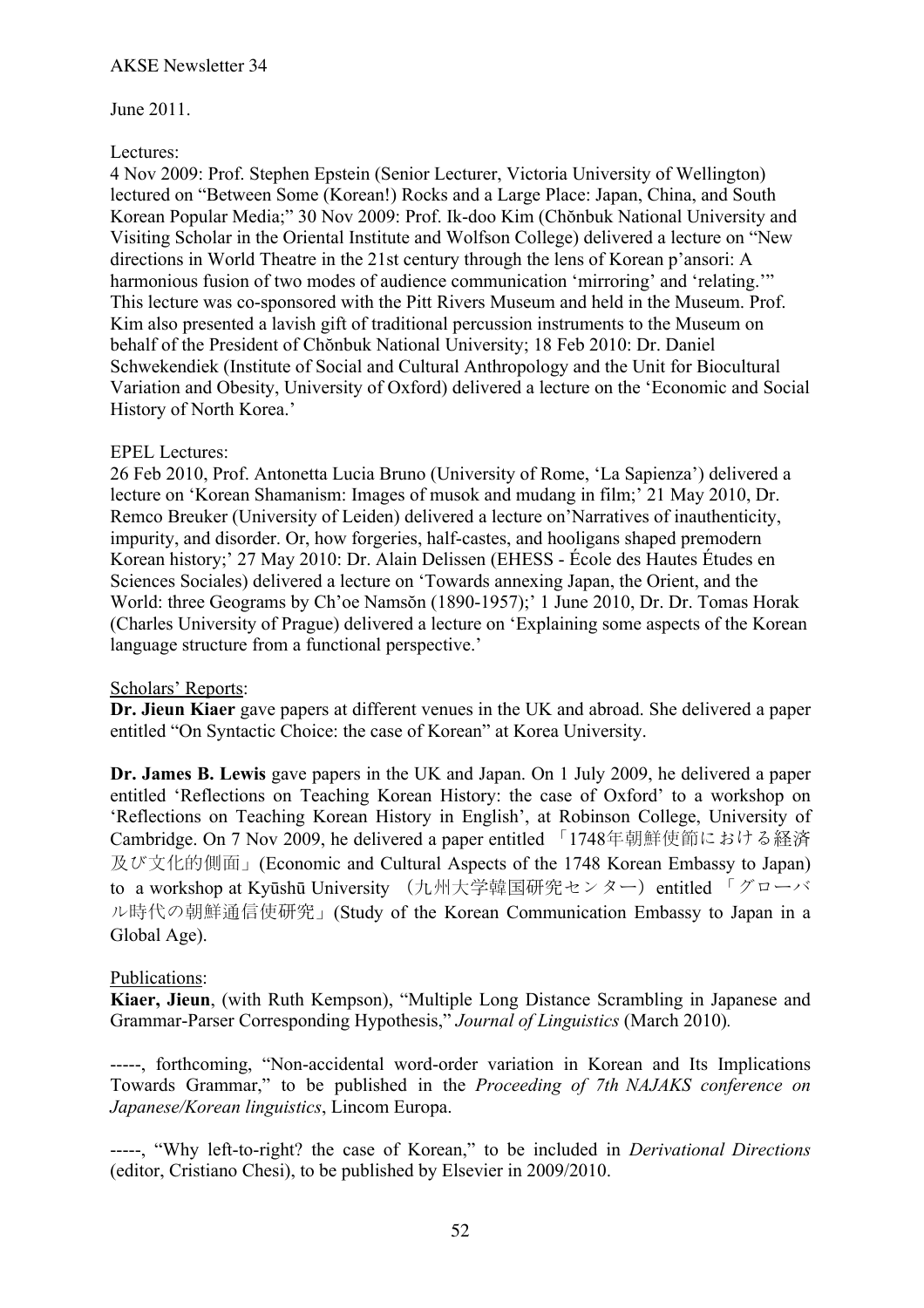## June 2011.

## Lectures:

4 Nov 2009: Prof. Stephen Epstein (Senior Lecturer, Victoria University of Wellington) lectured on "Between Some (Korean!) Rocks and a Large Place: Japan, China, and South Korean Popular Media;" 30 Nov 2009: Prof. Ik-doo Kim (Chŏnbuk National University and Visiting Scholar in the Oriental Institute and Wolfson College) delivered a lecture on "New directions in World Theatre in the 21st century through the lens of Korean p'ansori: A harmonious fusion of two modes of audience communication 'mirroring' and 'relating.'" This lecture was co-sponsored with the Pitt Rivers Museum and held in the Museum. Prof. Kim also presented a lavish gift of traditional percussion instruments to the Museum on behalf of the President of Chŏnbuk National University; 18 Feb 2010: Dr. Daniel Schwekendiek (Institute of Social and Cultural Anthropology and the Unit for Biocultural Variation and Obesity, University of Oxford) delivered a lecture on the 'Economic and Social History of North Korea.'

## EPEL Lectures:

26 Feb 2010, Prof. Antonetta Lucia Bruno (University of Rome, 'La Sapienza') delivered a lecture on 'Korean Shamanism: Images of musok and mudang in film;' 21 May 2010, Dr. Remco Breuker (University of Leiden) delivered a lecture on'Narratives of inauthenticity, impurity, and disorder. Or, how forgeries, half-castes, and hooligans shaped premodern Korean history;' 27 May 2010: Dr. Alain Delissen (EHESS - École des Hautes Études en Sciences Sociales) delivered a lecture on 'Towards annexing Japan, the Orient, and the World: three Geograms by Ch'oe Namsŏn (1890-1957);' 1 June 2010, Dr. Dr. Tomas Horak (Charles University of Prague) delivered a lecture on 'Explaining some aspects of the Korean language structure from a functional perspective.'

## Scholars' Reports:

**Dr. Jieun Kiaer** gave papers at different venues in the UK and abroad. She delivered a paper entitled "On Syntactic Choice: the case of Korean" at Korea University.

**Dr. James B. Lewis** gave papers in the UK and Japan. On 1 July 2009, he delivered a paper entitled 'Reflections on Teaching Korean History: the case of Oxford' to a workshop on 'Reflections on Teaching Korean History in English', at Robinson College, University of Cambridge. On 7 Nov 2009, he delivered a paper entitled 「1748年朝鮮使節における経済 及び文化的側面」(Economic and Cultural Aspects of the 1748 Korean Embassy to Japan) to a workshop at Kyūshū University (九州大学韓国研究センター) entitled 「グローバ ル時代の朝鮮通信使研究」(Study of the Korean Communication Embassy to Japan in a Global Age).

## Publications:

**Kiaer, Jieun**, (with Ruth Kempson), "Multiple Long Distance Scrambling in Japanese and Grammar-Parser Corresponding Hypothesis," *Journal of Linguistics* (March 2010)*.*

-----, forthcoming, "Non-accidental word-order variation in Korean and Its Implications Towards Grammar," to be published in the *Proceeding of 7th NAJAKS conference on Japanese/Korean linguistics*, Lincom Europa.

-----, "Why left-to-right? the case of Korean," to be included in *Derivational Directions*  (editor, Cristiano Chesi), to be published by Elsevier in 2009/2010.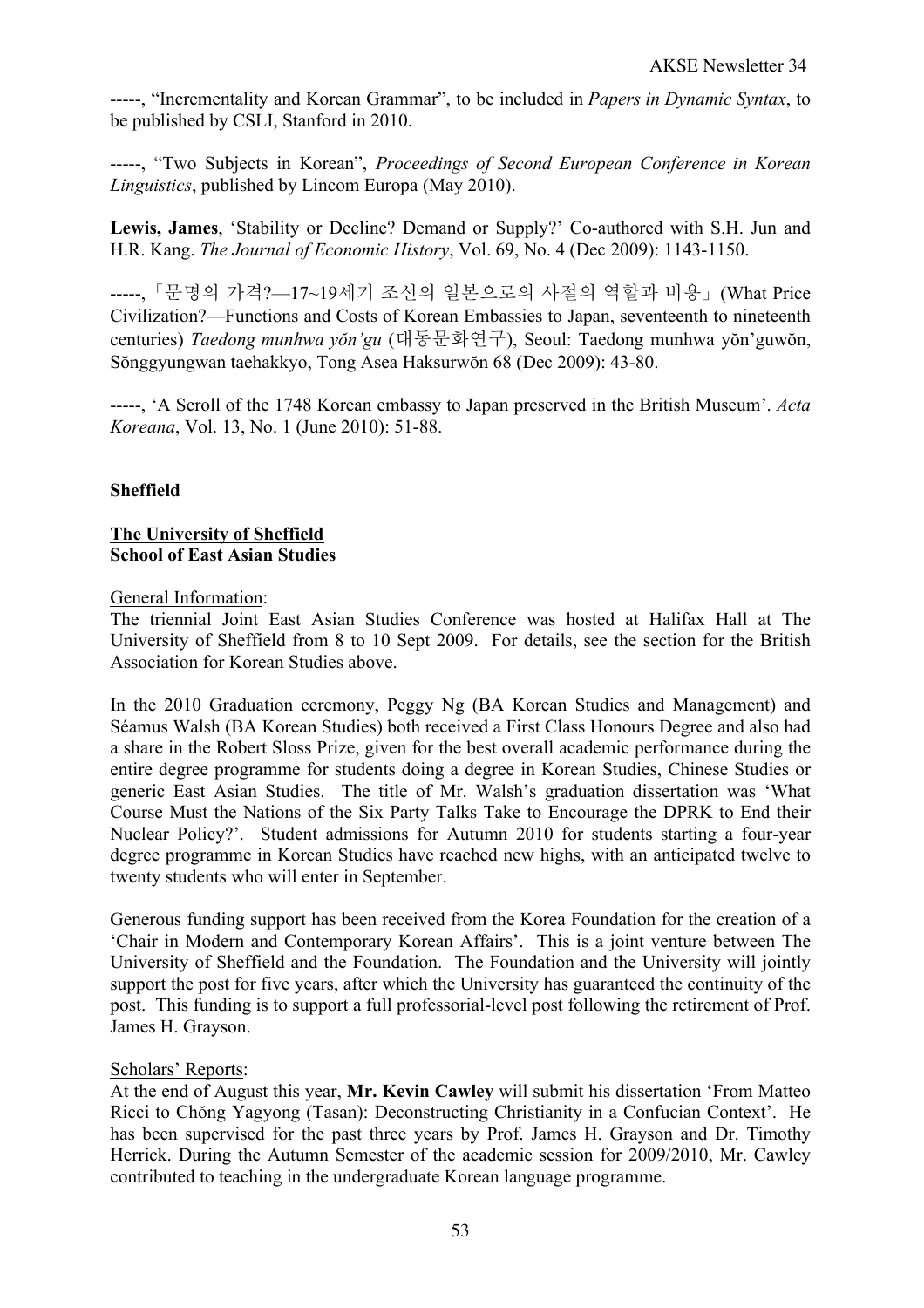-----, "Incrementality and Korean Grammar", to be included in *Papers in Dynamic Syntax*, to be published by CSLI, Stanford in 2010.

-----, "Two Subjects in Korean", *Proceedings of Second European Conference in Korean Linguistics*, published by Lincom Europa (May 2010).

**Lewis, James**, 'Stability or Decline? Demand or Supply?' Co-authored with S.H. Jun and H.R. Kang. *The Journal of Economic History*, Vol. 69, No. 4 (Dec 2009): 1143-1150.

-----,「문명의 가격?—17~19세기 조선의 일본으로의 사절의 역할과 비용」(What Price Civilization?—Functions and Costs of Korean Embassies to Japan, seventeenth to nineteenth centuries) *Taedong munhwa yŏn'gu* (대동문화연구), Seoul: Taedong munhwa yŏn'guwŏn, Sŏnggyungwan taehakkyo, Tong Asea Haksurwŏn 68 (Dec 2009): 43-80.

-----, 'A Scroll of the 1748 Korean embassy to Japan preserved in the British Museum'. *Acta Koreana*, Vol. 13, No. 1 (June 2010): 51-88.

## **Sheffield**

## **The University of Sheffield School of East Asian Studies**

## General Information:

The triennial Joint East Asian Studies Conference was hosted at Halifax Hall at The University of Sheffield from 8 to 10 Sept 2009. For details, see the section for the British Association for Korean Studies above.

In the 2010 Graduation ceremony, Peggy Ng (BA Korean Studies and Management) and Séamus Walsh (BA Korean Studies) both received a First Class Honours Degree and also had a share in the Robert Sloss Prize, given for the best overall academic performance during the entire degree programme for students doing a degree in Korean Studies, Chinese Studies or generic East Asian Studies. The title of Mr. Walsh's graduation dissertation was 'What Course Must the Nations of the Six Party Talks Take to Encourage the DPRK to End their Nuclear Policy?'. Student admissions for Autumn 2010 for students starting a four-year degree programme in Korean Studies have reached new highs, with an anticipated twelve to twenty students who will enter in September.

Generous funding support has been received from the Korea Foundation for the creation of a 'Chair in Modern and Contemporary Korean Affairs'. This is a joint venture between The University of Sheffield and the Foundation. The Foundation and the University will jointly support the post for five years, after which the University has guaranteed the continuity of the post. This funding is to support a full professorial-level post following the retirement of Prof. James H. Grayson.

## Scholars' Reports:

At the end of August this year, **Mr. Kevin Cawley** will submit his dissertation 'From Matteo Ricci to Chŏng Yagyong (Tasan): Deconstructing Christianity in a Confucian Context'. He has been supervised for the past three years by Prof. James H. Grayson and Dr. Timothy Herrick. During the Autumn Semester of the academic session for 2009/2010, Mr. Cawley contributed to teaching in the undergraduate Korean language programme.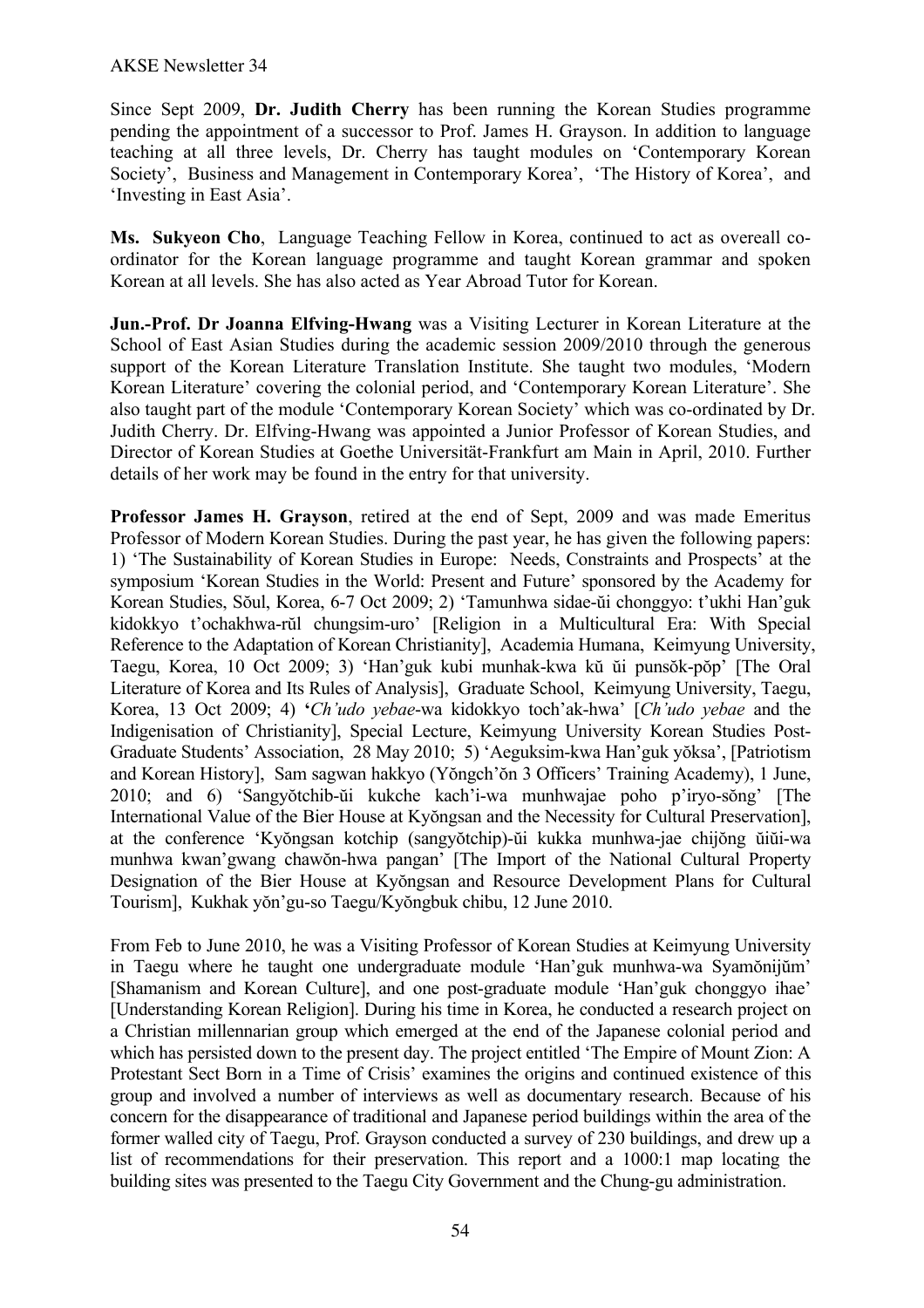#### AKSE Newsletter 34

Since Sept 2009, **Dr. Judith Cherry** has been running the Korean Studies programme pending the appointment of a successor to Prof. James H. Grayson. In addition to language teaching at all three levels, Dr. Cherry has taught modules on 'Contemporary Korean Society', Business and Management in Contemporary Korea', 'The History of Korea', and 'Investing in East Asia'.

**Ms. Sukyeon Cho**, Language Teaching Fellow in Korea, continued to act as overeall coordinator for the Korean language programme and taught Korean grammar and spoken Korean at all levels. She has also acted as Year Abroad Tutor for Korean.

**Jun.-Prof. Dr Joanna Elfving-Hwang** was a Visiting Lecturer in Korean Literature at the School of East Asian Studies during the academic session 2009/2010 through the generous support of the Korean Literature Translation Institute. She taught two modules, 'Modern Korean Literature' covering the colonial period, and 'Contemporary Korean Literature'. She also taught part of the module 'Contemporary Korean Society' which was co-ordinated by Dr. Judith Cherry. Dr. Elfving-Hwang was appointed a Junior Professor of Korean Studies, and Director of Korean Studies at Goethe Universität-Frankfurt am Main in April, 2010. Further details of her work may be found in the entry for that university.

**Professor James H. Grayson**, retired at the end of Sept, 2009 and was made Emeritus Professor of Modern Korean Studies. During the past year, he has given the following papers: 1) 'The Sustainability of Korean Studies in Europe: Needs, Constraints and Prospects' at the symposium 'Korean Studies in the World: Present and Future' sponsored by the Academy for Korean Studies, Sŏul, Korea, 6-7 Oct 2009; 2) 'Tamunhwa sidae-ŭi chonggyo: t'ukhi Han'guk kidokkyo t'ochakhwa-rŭl chungsim-uro' [Religion in a Multicultural Era: With Special Reference to the Adaptation of Korean Christianity], Academia Humana, Keimyung University, Taegu, Korea, 10 Oct 2009; 3) 'Han'guk kubi munhak-kwa kŭ ŭi punsŏk-pŏp' [The Oral Literature of Korea and Its Rules of Analysis], Graduate School, Keimyung University, Taegu, Korea, 13 Oct 2009; 4) **'***Ch'udo yebae*-wa kidokkyo toch'ak-hwa' [*Ch'udo yebae* and the Indigenisation of Christianity], Special Lecture, Keimyung University Korean Studies Post-Graduate Students' Association, 28 May 2010; 5) 'Aeguksim-kwa Han'guk yŏksa', [Patriotism and Korean History], Sam sagwan hakkyo (Yŏngch'ŏn 3 Officers' Training Academy), 1 June, 2010; and 6) 'Sangyŏtchib-ŭi kukche kach'i-wa munhwajae poho p'iryo-sŏng' [The International Value of the Bier House at Kyŏngsan and the Necessity for Cultural Preservation], at the conference 'Kyŏngsan kotchip (sangyŏtchip)-ŭi kukka munhwa-jae chijŏng ŭiŭi-wa munhwa kwan'gwang chawŏn-hwa pangan' [The Import of the National Cultural Property Designation of the Bier House at Kyŏngsan and Resource Development Plans for Cultural Tourism], Kukhak yŏn'gu-so Taegu/Kyŏngbuk chibu, 12 June 2010.

From Feb to June 2010, he was a Visiting Professor of Korean Studies at Keimyung University in Taegu where he taught one undergraduate module 'Han'guk munhwa-wa Syamŏnijŭm' [Shamanism and Korean Culture], and one post-graduate module 'Han'guk chonggyo ihae' [Understanding Korean Religion]. During his time in Korea, he conducted a research project on a Christian millennarian group which emerged at the end of the Japanese colonial period and which has persisted down to the present day. The project entitled 'The Empire of Mount Zion: A Protestant Sect Born in a Time of Crisis' examines the origins and continued existence of this group and involved a number of interviews as well as documentary research. Because of his concern for the disappearance of traditional and Japanese period buildings within the area of the former walled city of Taegu, Prof. Grayson conducted a survey of 230 buildings, and drew up a list of recommendations for their preservation. This report and a 1000:1 map locating the building sites was presented to the Taegu City Government and the Chung-gu administration.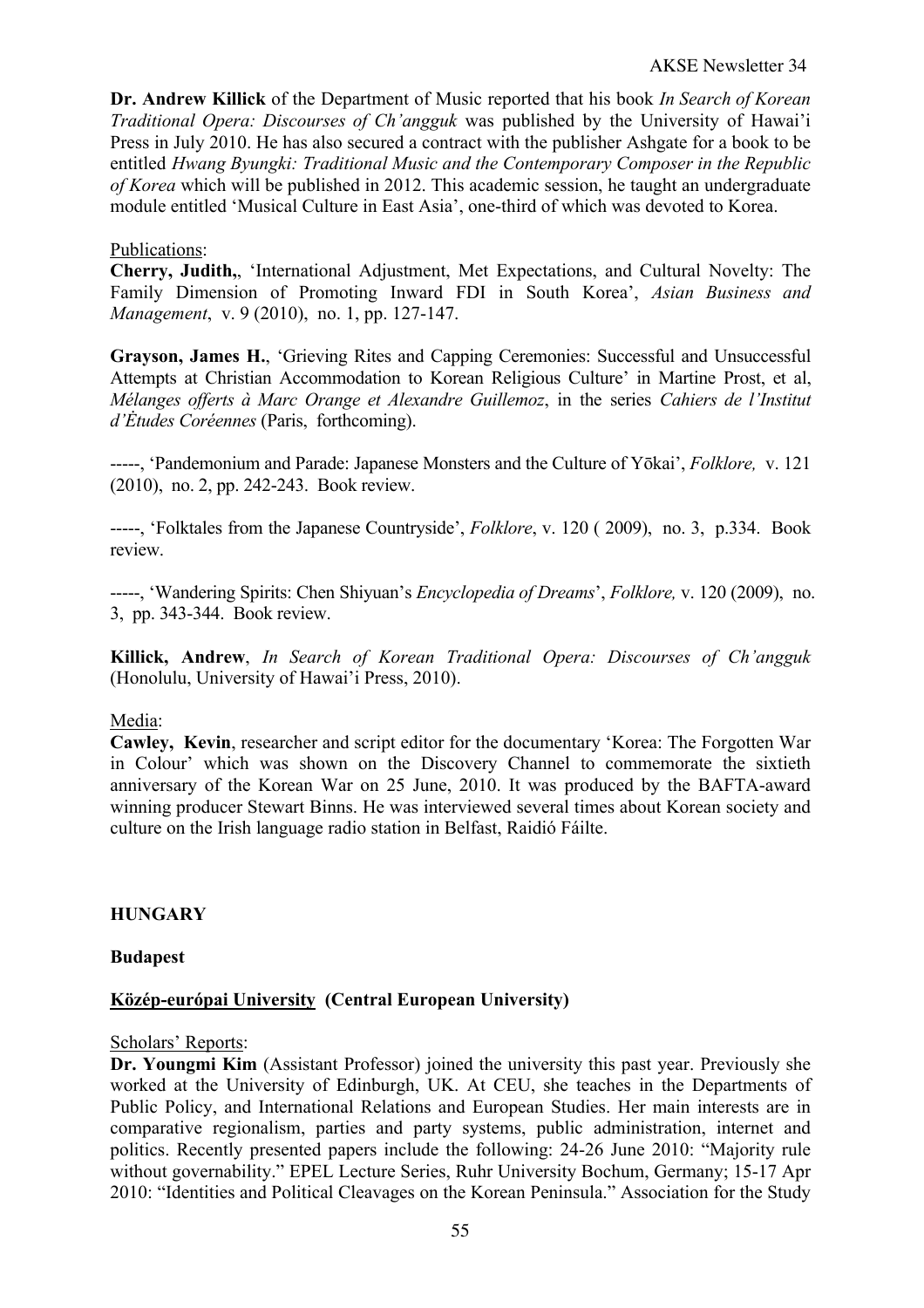**Dr. Andrew Killick** of the Department of Music reported that his book *In Search of Korean Traditional Opera: Discourses of Ch'angguk* was published by the University of Hawai'i Press in July 2010. He has also secured a contract with the publisher Ashgate for a book to be entitled *Hwang Byungki: Traditional Music and the Contemporary Composer in the Republic of Korea* which will be published in 2012. This academic session, he taught an undergraduate module entitled 'Musical Culture in East Asia', one-third of which was devoted to Korea.

## Publications:

**Cherry, Judith,**, 'International Adjustment, Met Expectations, and Cultural Novelty: The Family Dimension of Promoting Inward FDI in South Korea', *Asian Business and Management*, v. 9 (2010), no. 1, pp. 127-147.

**Grayson, James H.**, 'Grieving Rites and Capping Ceremonies: Successful and Unsuccessful Attempts at Christian Accommodation to Korean Religious Culture' in Martine Prost, et al, *Mélanges offerts à Marc Orange et Alexandre Guillemoz*, in the series *Cahiers de l'Institut d'Ėtudes Coréennes* (Paris, forthcoming).

-----, 'Pandemonium and Parade: Japanese Monsters and the Culture of Yōkai', *Folklore,* v. 121 (2010), no. 2, pp. 242-243. Book review.

-----, 'Folktales from the Japanese Countryside', *Folklore*, v. 120 ( 2009), no. 3, p.334. Book review.

-----, 'Wandering Spirits: Chen Shiyuan's *Encyclopedia of Dreams*', *Folklore,* v. 120 (2009), no. 3, pp. 343-344. Book review.

**Killick, Andrew**, *In Search of Korean Traditional Opera: Discourses of Ch'angguk* (Honolulu, University of Hawai'i Press, 2010).

## Media:

**Cawley, Kevin**, researcher and script editor for the documentary 'Korea: The Forgotten War in Colour' which was shown on the Discovery Channel to commemorate the sixtieth anniversary of the Korean War on 25 June, 2010. It was produced by the BAFTA-award winning producer Stewart Binns. He was interviewed several times about Korean society and culture on the Irish language radio station in Belfast, Raidió Fáilte.

## **HUNGARY**

## **Budapest**

## **Közép-európai University (Central European University)**

#### Scholars' Reports:

**Dr. Youngmi Kim** (Assistant Professor) joined the university this past year. Previously she worked at the University of Edinburgh, UK. At CEU, she teaches in the Departments of Public Policy, and International Relations and European Studies. Her main interests are in comparative regionalism, parties and party systems, public administration, internet and politics. Recently presented papers include the following: 24-26 June 2010: "Majority rule without governability." EPEL Lecture Series, Ruhr University Bochum, Germany; 15-17 Apr 2010: "Identities and Political Cleavages on the Korean Peninsula." Association for the Study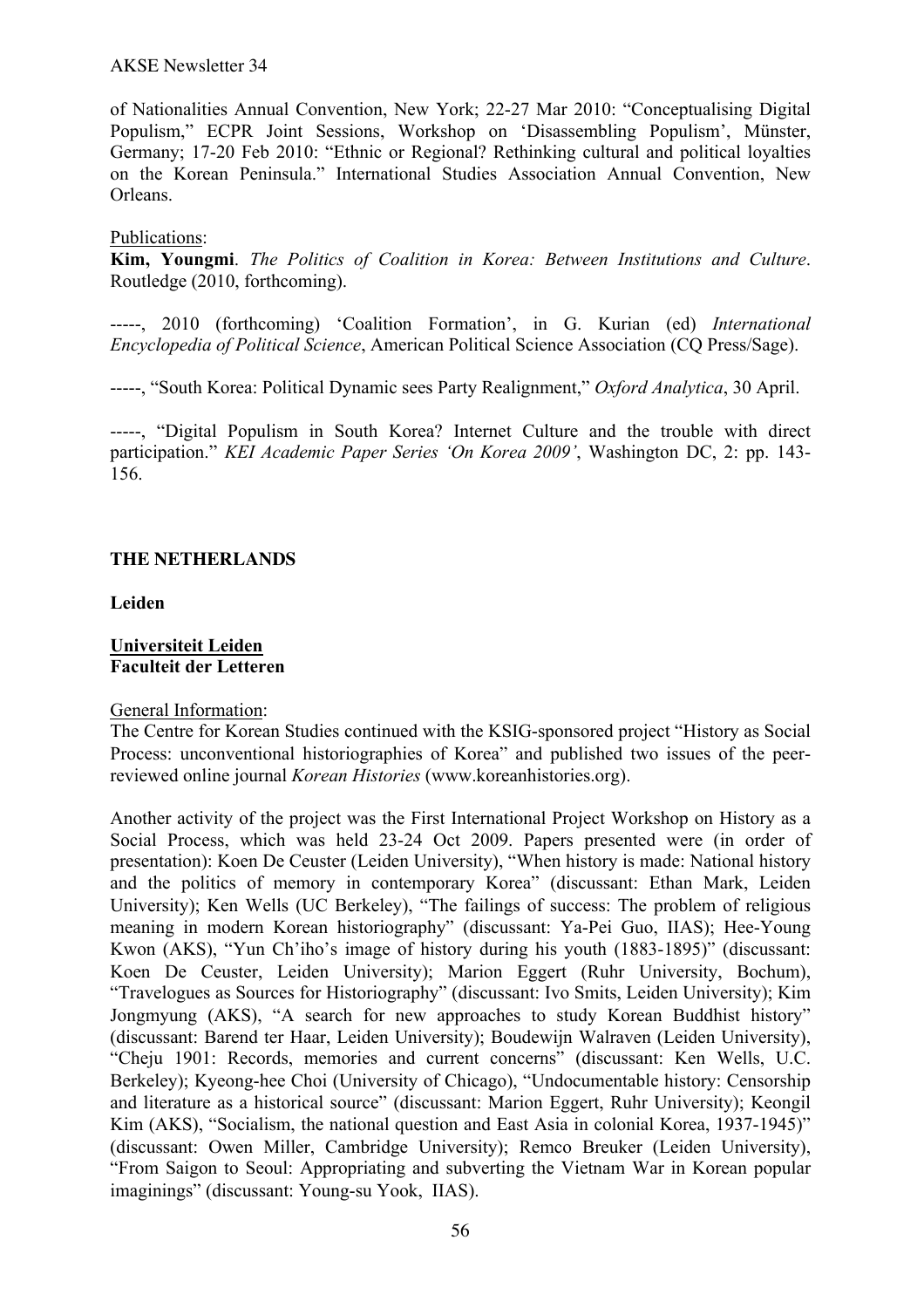#### AKSE Newsletter 34

of Nationalities Annual Convention, New York; 22-27 Mar 2010: "Conceptualising Digital Populism," ECPR Joint Sessions, Workshop on 'Disassembling Populism', Münster, Germany; 17-20 Feb 2010: "Ethnic or Regional? Rethinking cultural and political loyalties on the Korean Peninsula." International Studies Association Annual Convention, New Orleans.

#### Publications:

**Kim, Youngmi**. *The Politics of Coalition in Korea: Between Institutions and Culture*. Routledge (2010, forthcoming).

-----, 2010 (forthcoming) 'Coalition Formation', in G. Kurian (ed) *International Encyclopedia of Political Science*, American Political Science Association (CQ Press/Sage).

-----, "South Korea: Political Dynamic sees Party Realignment," *Oxford Analytica*, 30 April.

-----, "Digital Populism in South Korea? Internet Culture and the trouble with direct participation." *KEI Academic Paper Series 'On Korea 2009'*, Washington DC, 2: pp. 143- 156.

## **THE NETHERLANDS**

#### **Leiden**

#### **Universiteit Leiden Faculteit der Letteren**

#### General Information:

The Centre for Korean Studies continued with the KSIG-sponsored project "History as Social Process: unconventional historiographies of Korea" and published two issues of the peerreviewed online journal *Korean Histories* (www.koreanhistories.org).

Another activity of the project was the First International Project Workshop on History as a Social Process, which was held 23-24 Oct 2009. Papers presented were (in order of presentation): Koen De Ceuster (Leiden University), "When history is made: National history and the politics of memory in contemporary Korea" (discussant: Ethan Mark, Leiden University); Ken Wells (UC Berkeley), "The failings of success: The problem of religious meaning in modern Korean historiography" (discussant: Ya-Pei Guo, IIAS); Hee-Young Kwon (AKS), "Yun Ch'iho's image of history during his youth (1883-1895)" (discussant: Koen De Ceuster, Leiden University); Marion Eggert (Ruhr University, Bochum), "Travelogues as Sources for Historiography" (discussant: Ivo Smits, Leiden University); Kim Jongmyung (AKS), "A search for new approaches to study Korean Buddhist history" (discussant: Barend ter Haar, Leiden University); Boudewijn Walraven (Leiden University), "Cheju 1901: Records, memories and current concerns" (discussant: Ken Wells, U.C. Berkeley); Kyeong-hee Choi (University of Chicago), "Undocumentable history: Censorship and literature as a historical source" (discussant: Marion Eggert, Ruhr University); Keongil Kim (AKS), "Socialism, the national question and East Asia in colonial Korea, 1937-1945)" (discussant: Owen Miller, Cambridge University); Remco Breuker (Leiden University), "From Saigon to Seoul: Appropriating and subverting the Vietnam War in Korean popular imaginings" (discussant: Young-su Yook, IIAS).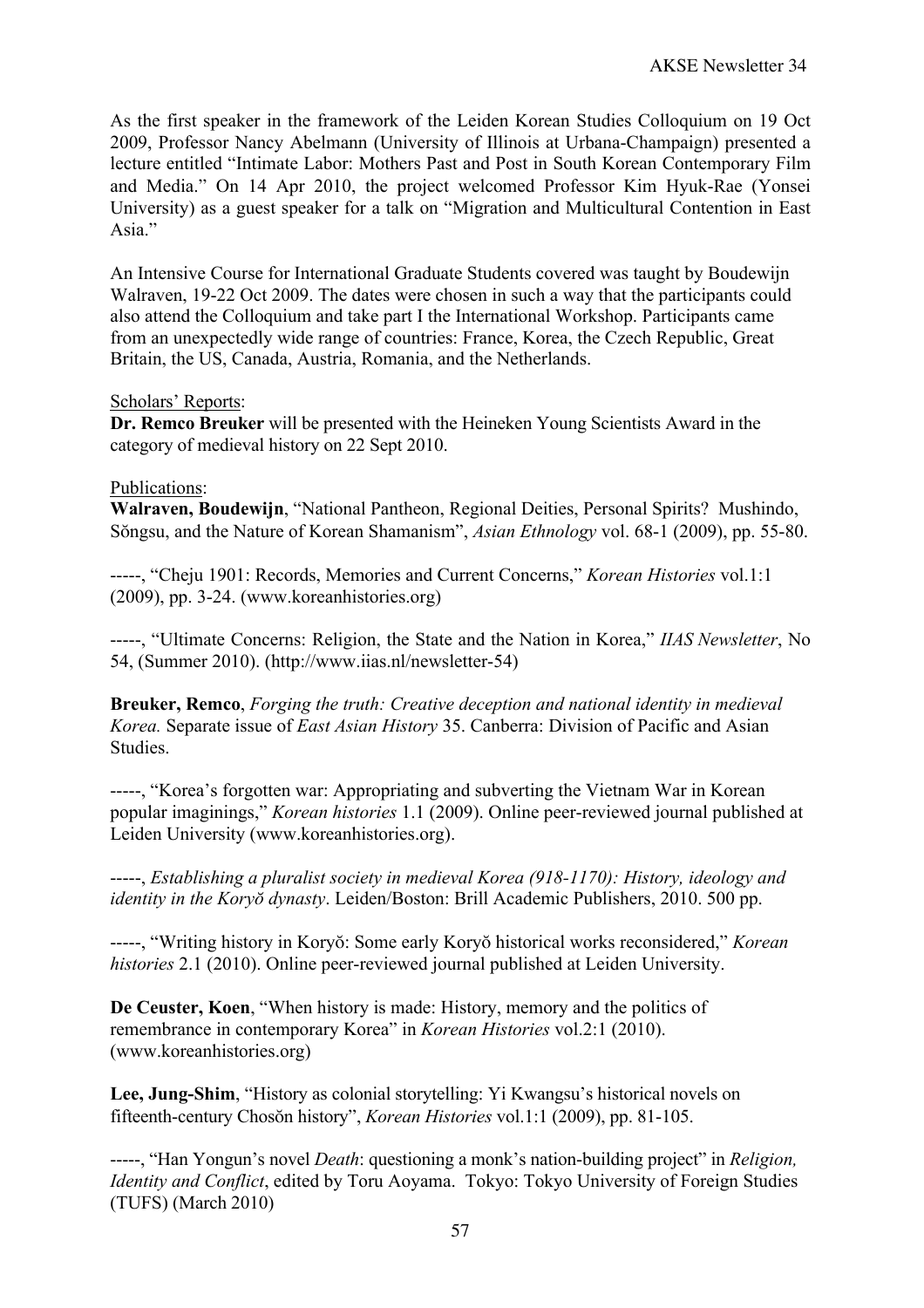As the first speaker in the framework of the Leiden Korean Studies Colloquium on 19 Oct 2009, Professor Nancy Abelmann (University of Illinois at Urbana-Champaign) presented a lecture entitled "Intimate Labor: Mothers Past and Post in South Korean Contemporary Film and Media." On 14 Apr 2010, the project welcomed Professor Kim Hyuk-Rae (Yonsei University) as a guest speaker for a talk on "Migration and Multicultural Contention in East Asia."

An Intensive Course for International Graduate Students covered was taught by Boudewijn Walraven, 19-22 Oct 2009. The dates were chosen in such a way that the participants could also attend the Colloquium and take part I the International Workshop. Participants came from an unexpectedly wide range of countries: France, Korea, the Czech Republic, Great Britain, the US, Canada, Austria, Romania, and the Netherlands.

## Scholars' Reports:

**Dr. Remco Breuker** will be presented with the Heineken Young Scientists Award in the category of medieval history on 22 Sept 2010.

## Publications:

**Walraven, Boudewijn**, "National Pantheon, Regional Deities, Personal Spirits? Mushindo, Sŏngsu, and the Nature of Korean Shamanism", *Asian Ethnology* vol. 68-1 (2009), pp. 55-80.

-----, "Cheju 1901: Records, Memories and Current Concerns," *Korean Histories* vol.1:1 (2009), pp. 3-24. (www.koreanhistories.org)

-----, "Ultimate Concerns: Religion, the State and the Nation in Korea," *IIAS Newsletter*, No 54, (Summer 2010). (http://www.iias.nl/newsletter-54)

**Breuker, Remco**, *Forging the truth: Creative deception and national identity in medieval Korea.* Separate issue of *East Asian History* 35. Canberra: Division of Pacific and Asian Studies.

-----, "Korea's forgotten war: Appropriating and subverting the Vietnam War in Korean popular imaginings," *Korean histories* 1.1 (2009). Online peer-reviewed journal published at Leiden University (www.koreanhistories.org).

-----, *Establishing a pluralist society in medieval Korea (918-1170): History, ideology and identity in the Koryŏ dynasty*. Leiden/Boston: Brill Academic Publishers, 2010. 500 pp.

-----, "Writing history in Koryŏ: Some early Koryŏ historical works reconsidered," *Korean histories* 2.1 (2010). Online peer-reviewed journal published at Leiden University.

**De Ceuster, Koen**, "When history is made: History, memory and the politics of remembrance in contemporary Korea" in *Korean Histories* vol.2:1 (2010). (www.koreanhistories.org)

**Lee, Jung-Shim**, "History as colonial storytelling: Yi Kwangsu's historical novels on fifteenth-century Chosŏn history", *Korean Histories* vol.1:1 (2009), pp. 81-105.

-----, "Han Yongun's novel *Death*: questioning a monk's nation-building project" in *Religion, Identity and Conflict*, edited by Toru Aoyama. Tokyo: Tokyo University of Foreign Studies (TUFS) (March 2010)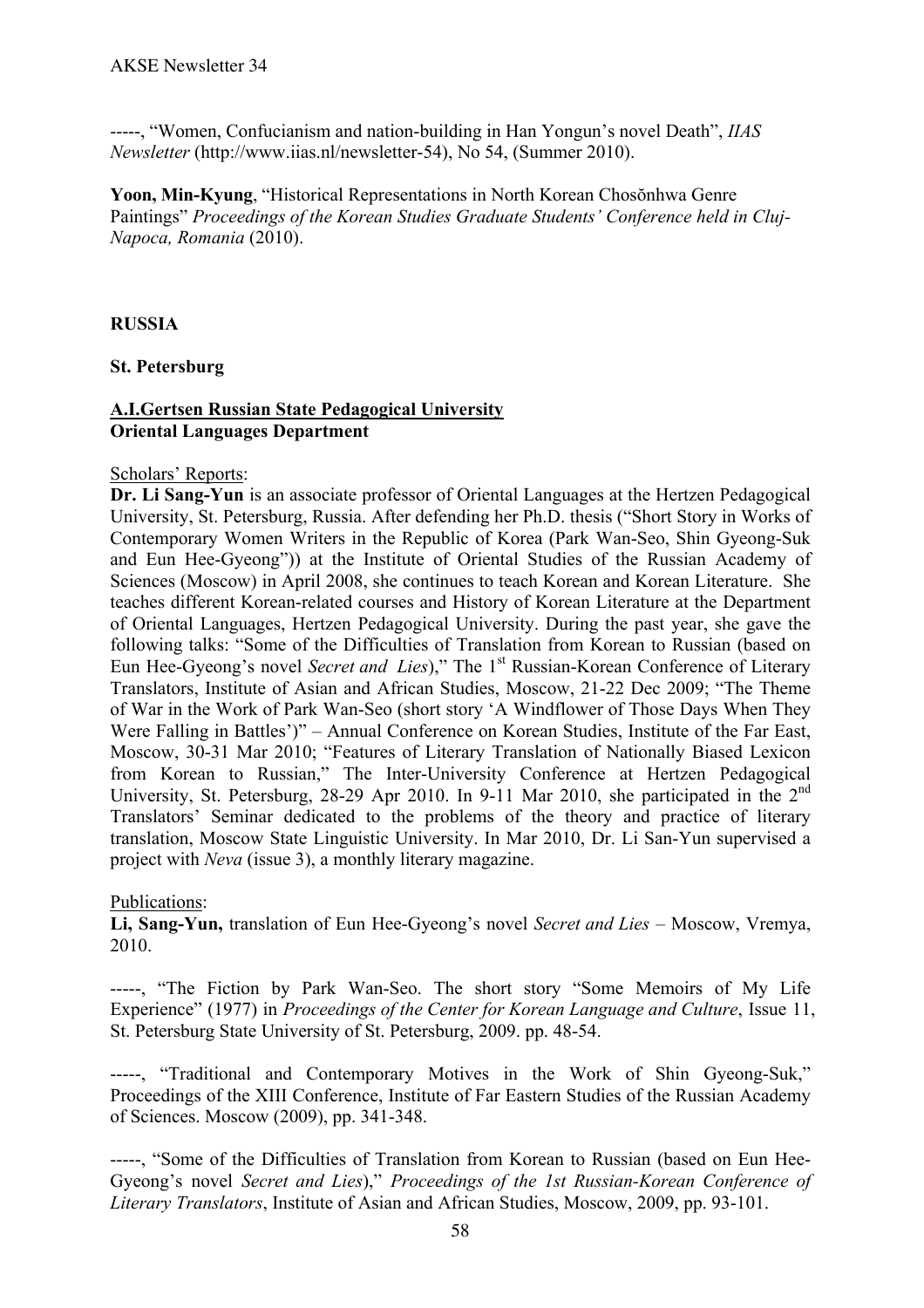-----, "Women, Confucianism and nation-building in Han Yongun's novel Death", *IIAS Newsletter* (http://www.iias.nl/newsletter-54), No 54, (Summer 2010).

**Yoon, Min-Kyung**, "Historical Representations in North Korean Chosŏnhwa Genre Paintings" *Proceedings of the Korean Studies Graduate Students' Conference held in Cluj-Napoca, Romania* (2010).

## **RUSSIA**

## **St. Petersburg**

## **A.I.Gertsen Russian State Pedagogical University Oriental Languages Department**

## Scholars' Reports:

**Dr. Li Sang-Yun** is an associate professor of Oriental Languages at the Hertzen Pedagogical University, St. Petersburg, Russia. After defending her Ph.D. thesis ("Short Story in Works of Contemporary Women Writers in the Republic of Korea (Park Wan-Seo, Shin Gyeong-Suk and Eun Hee-Gyeong")) at the Institute of Oriental Studies of the Russian Academy of Sciences (Moscow) in April 2008, she continues to teach Korean and Korean Literature. She teaches different Korean-related courses and History of Korean Literature at the Department of Oriental Languages, Hertzen Pedagogical University. During the past year, she gave the following talks: "Some of the Difficulties of Translation from Korean to Russian (based on Eun Hee-Gyeong's novel *Secret and Lies*)," The 1<sup>st</sup> Russian-Korean Conference of Literary Translators, Institute of Asian and African Studies, Moscow, 21-22 Dec 2009; "The Theme of War in the Work of Park Wan-Seo (short story 'A Windflower of Those Days When They Were Falling in Battles')" – Annual Conference on Korean Studies, Institute of the Far East, Moscow, 30-31 Mar 2010; "Features of Literary Translation of Nationally Biased Lexicon from Korean to Russian," The Inter-University Conference at Hertzen Pedagogical University, St. Petersburg, 28-29 Apr 2010. In 9-11 Mar 2010, she participated in the 2<sup>nd</sup> Translators' Seminar dedicated to the problems of the theory and practice of literary translation, Moscow State Linguistic University. In Mar 2010, Dr. Li San-Yun supervised a project with *Neva* (issue 3), a monthly literary magazine.

## Publications:

**Li, Sang-Yun,** translation of Eun Hee-Gyeong's novel *Secret and Lies* – Moscow, Vremya, 2010.

-----, "The Fiction by Park Wan-Seo. The short story "Some Memoirs of My Life Experience" (1977) in *Proceedings of the Center for Korean Language and Culture*, Issue 11, St. Petersburg State University of St. Petersburg, 2009. pp. 48-54.

-----, "Traditional and Contemporary Motives in the Work of Shin Gyeong-Suk," Proceedings of the XIII Conference, Institute of Far Eastern Studies of the Russian Academy of Sciences. Moscow (2009), pp. 341-348.

-----, "Some of the Difficulties of Translation from Korean to Russian (based on Eun Hee-Gyeong's novel *Secret and Lies*)," *Proceedings of the 1st Russian-Korean Conference of Literary Translators*, Institute of Asian and African Studies, Moscow, 2009, pp. 93-101.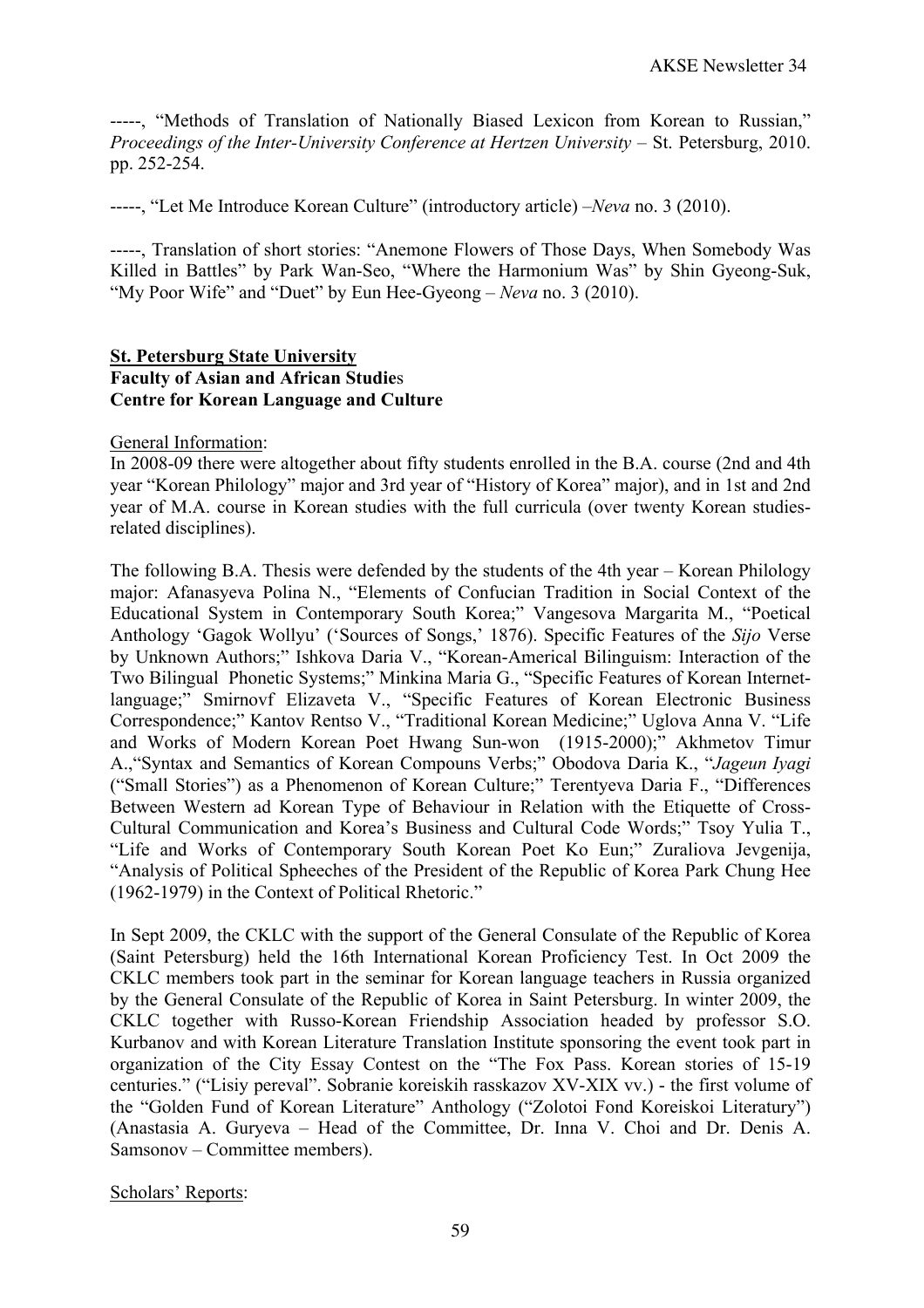-----, "Methods of Translation of Nationally Biased Lexicon from Korean to Russian," *Proceedings of the Inter-University Conference at Hertzen University* – St. Petersburg, 2010. pp. 252-254.

-----, "Let Me Introduce Korean Culture" (introductory article) –*Neva* no. 3 (2010).

-----, Translation of short stories: "Anemone Flowers of Those Days, When Somebody Was Killed in Battles" by Park Wan-Seo, "Where the Harmonium Was" by Shin Gyeong-Suk, "My Poor Wife" and "Duet" by Eun Hee-Gyeong – *Neva* no. 3 (2010).

#### **St. Petersburg State University Faculty of Asian and African Studie**s **Centre for Korean Language and Culture**

General Information:

In 2008-09 there were altogether about fifty students enrolled in the B.A. course (2nd and 4th year "Korean Philology" major and 3rd year of "History of Korea" major), and in 1st and 2nd year of M.A. course in Korean studies with the full curricula (over twenty Korean studiesrelated disciplines).

The following B.A. Thesis were defended by the students of the 4th year – Korean Philology major: Afanasyeva Polina N., "Elements of Confucian Tradition in Social Context of the Educational System in Contemporary South Korea;" Vangesova Margarita M., "Poetical Anthology 'Gagok Wollyu' ('Sources of Songs,' 1876). Specific Features of the *Sijo* Verse by Unknown Authors;" Ishkova Daria V., "Korean-Americal Bilinguism: Interaction of the Two Bilingual Phonetic Systems;" Minkina Maria G., "Specific Features of Korean Internetlanguage;" Smirnovf Elizaveta V., "Specific Features of Korean Electronic Business Correspondence;" Kantov Rentso V., "Traditional Korean Medicine;" Uglova Anna V. "Life and Works of Modern Korean Poet Hwang Sun-won (1915-2000);" Akhmetov Timur A.,"Syntax and Semantics of Korean Compouns Verbs;" Obodova Daria K., "*Jageun Iyagi*  ("Small Stories") as a Phenomenon of Korean Culture;" Terentyeva Daria F., "Differences Between Western ad Korean Type of Behaviour in Relation with the Etiquette of Cross-Cultural Communication and Korea's Business and Cultural Code Words;" Tsoy Yulia T., "Life and Works of Contemporary South Korean Poet Ko Eun;" Zuraliova Jevgenija, "Analysis of Political Spheeches of the President of the Republic of Korea Park Chung Hee (1962-1979) in the Context of Political Rhetoric."

In Sept 2009, the CKLC with the support of the General Consulate of the Republic of Korea (Saint Petersburg) held the 16th International Korean Proficiency Test. In Oct 2009 the CKLC members took part in the seminar for Korean language teachers in Russia organized by the General Consulate of the Republic of Korea in Saint Petersburg. In winter 2009, the CKLC together with Russo-Korean Friendship Association headed by professor S.O. Kurbanov and with Korean Literature Translation Institute sponsoring the event took part in organization of the City Essay Contest on the "The Fox Pass. Korean stories of 15-19 centuries." ("Lisiy pereval". Sobranie koreiskih rasskazov XV-XIX vv.) - the first volume of the "Golden Fund of Korean Literature" Anthology ("Zolotoi Fond Koreiskoi Literatury") (Anastasia A. Guryeva – Head of the Committee, Dr. Inna V. Choi and Dr. Denis A. Samsonov – Committee members).

Scholars' Reports: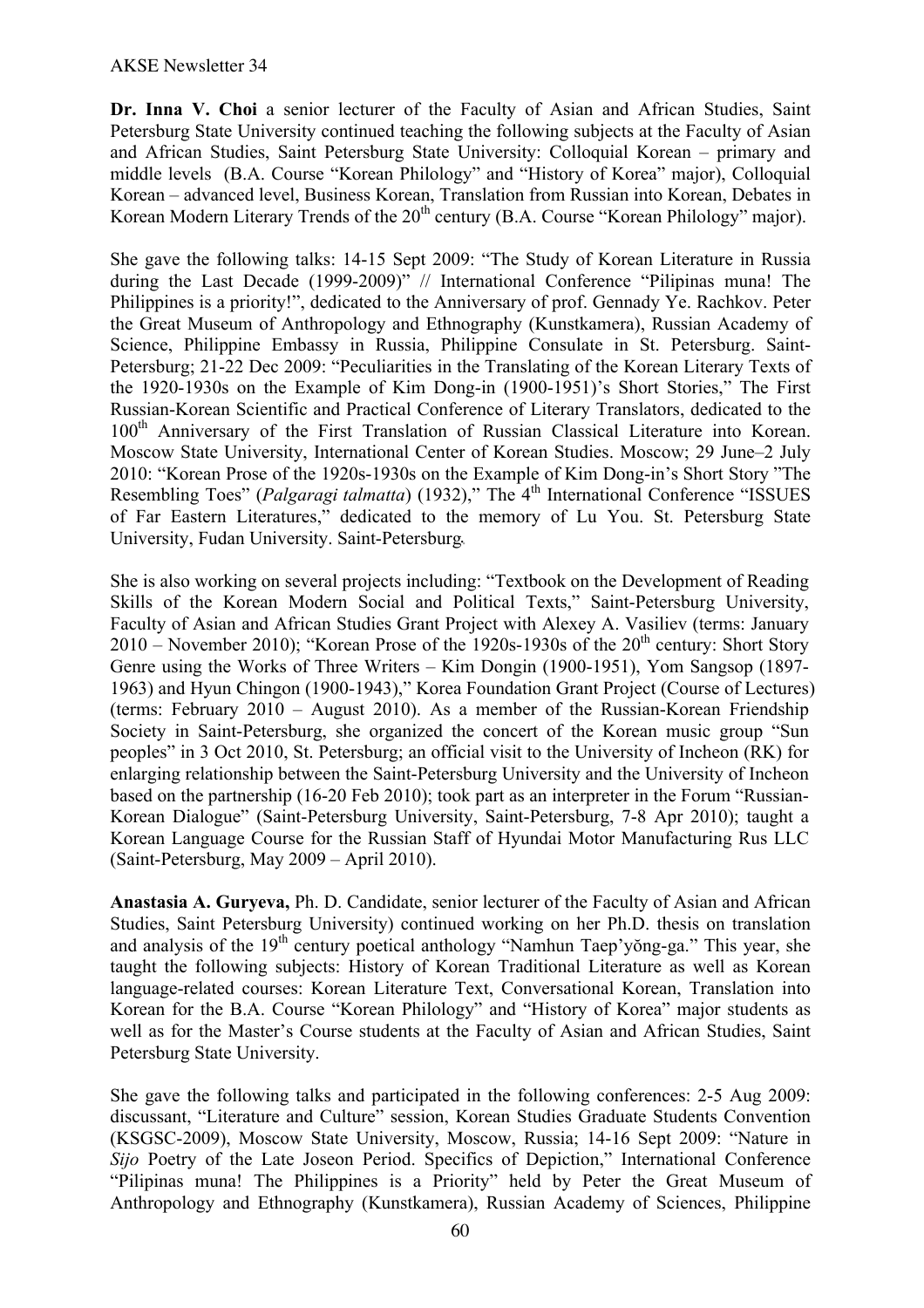**Dr. Inna V. Choi** a senior lecturer of the Faculty of Asian and African Studies, Saint Petersburg State University continued teaching the following subjects at the Faculty of Asian and African Studies, Saint Petersburg State University: Colloquial Korean – primary and middle levels (B.A. Course "Korean Philology" and "History of Korea" major), Colloquial Korean – advanced level, Business Korean, Translation from Russian into Korean, Debates in Korean Modern Literary Trends of the 20<sup>th</sup> century (B.A. Course "Korean Philology" major).

She gave the following talks: 14-15 Sept 2009: "The Study of Korean Literature in Russia during the Last Decade (1999-2009)" // International Conference "Pilipinas muna! The Philippines is a priority!", dedicated to the Anniversary of prof. Gennady Ye. Rachkov. Peter the Great Museum of Anthropology and Ethnography (Kunstkamera), Russian Academy of Science, Philippine Embassy in Russia, Philippine Consulate in St. Petersburg. Saint-Petersburg; 21-22 Dec 2009: "Peculiarities in the Translating of the Korean Literary Texts of the 1920-1930s on the Example of Kim Dong-in (1900-1951)'s Short Stories," The First Russian-Korean Scientific and Practical Conference of Literary Translators, dedicated to the 100<sup>th</sup> Anniversary of the First Translation of Russian Classical Literature into Korean. Moscow State University, International Center of Korean Studies. Moscow; 29 June–2 July 2010: "Korean Prose of the 1920s-1930s on the Example of Kim Dong-in's Short Story "The Resembling Toes" (*Palgaragi talmatta*) (1932)," The 4<sup>th</sup> International Conference "ISSUES of Far Eastern Literatures," dedicated to the memory of Lu You. St. Petersburg State University, Fudan University. Saint-Petersburg. ..

She is also working on several projects including: "Textbook on the Development of Reading Skills of the Korean Modern Social and Political Texts," Saint-Petersburg University, Faculty of Asian and African Studies Grant Project with Alexey A. Vasiliev (terms: January  $2010$  – November 2010); "Korean Prose of the 1920s-1930s of the  $20<sup>th</sup>$  century: Short Story Genre using the Works of Three Writers – Kim Dongin (1900-1951), Yom Sangsop (1897- 1963) and Hyun Chingon (1900-1943)," Korea Foundation Grant Project (Course of Lectures) (terms: February 2010 – August 2010). As a member of the Russian-Korean Friendship Society in Saint-Petersburg, she organized the concert of the Korean music group "Sun peoples" in 3 Oct 2010, St. Petersburg; an official visit to the University of Incheon (RK) for enlarging relationship between the Saint-Petersburg University and the University of Incheon based on the partnership (16-20 Feb 2010); took part as an interpreter in the Forum "Russian-Korean Dialogue" (Saint-Petersburg University, Saint-Petersburg, 7-8 Apr 2010); taught a Korean Language Course for the Russian Staff of Hyundai Motor Manufacturing Rus LLC (Saint-Petersburg, May 2009 – April 2010).

**Anastasia A. Guryeva,** Ph. D. Candidate, senior lecturer of the Faculty of Asian and African Studies, Saint Petersburg University) continued working on her Ph.D. thesis on translation and analysis of the  $19<sup>th</sup>$  century poetical anthology "Namhun Taep'yŏng-ga." This year, she taught the following subjects: History of Korean Traditional Literature as well as Korean language-related courses: Korean Literature Text, Conversational Korean, Translation into Korean for the B.A. Course "Korean Philology" and "History of Korea" major students as well as for the Master's Course students at the Faculty of Asian and African Studies, Saint Petersburg State University.

She gave the following talks and participated in the following conferences: 2-5 Aug 2009: discussant, "Literature and Culture" session, Korean Studies Graduate Students Convention (KSGSC-2009), Moscow State University, Moscow, Russia; 14-16 Sept 2009: "Nature in *Sijo* Poetry of the Late Joseon Period. Specifics of Depiction," International Conference "Pilipinas muna! The Philippines is a Priority" held by Peter the Great Museum of Anthropology and Ethnography (Kunstkamera), Russian Academy of Sciences, Philippine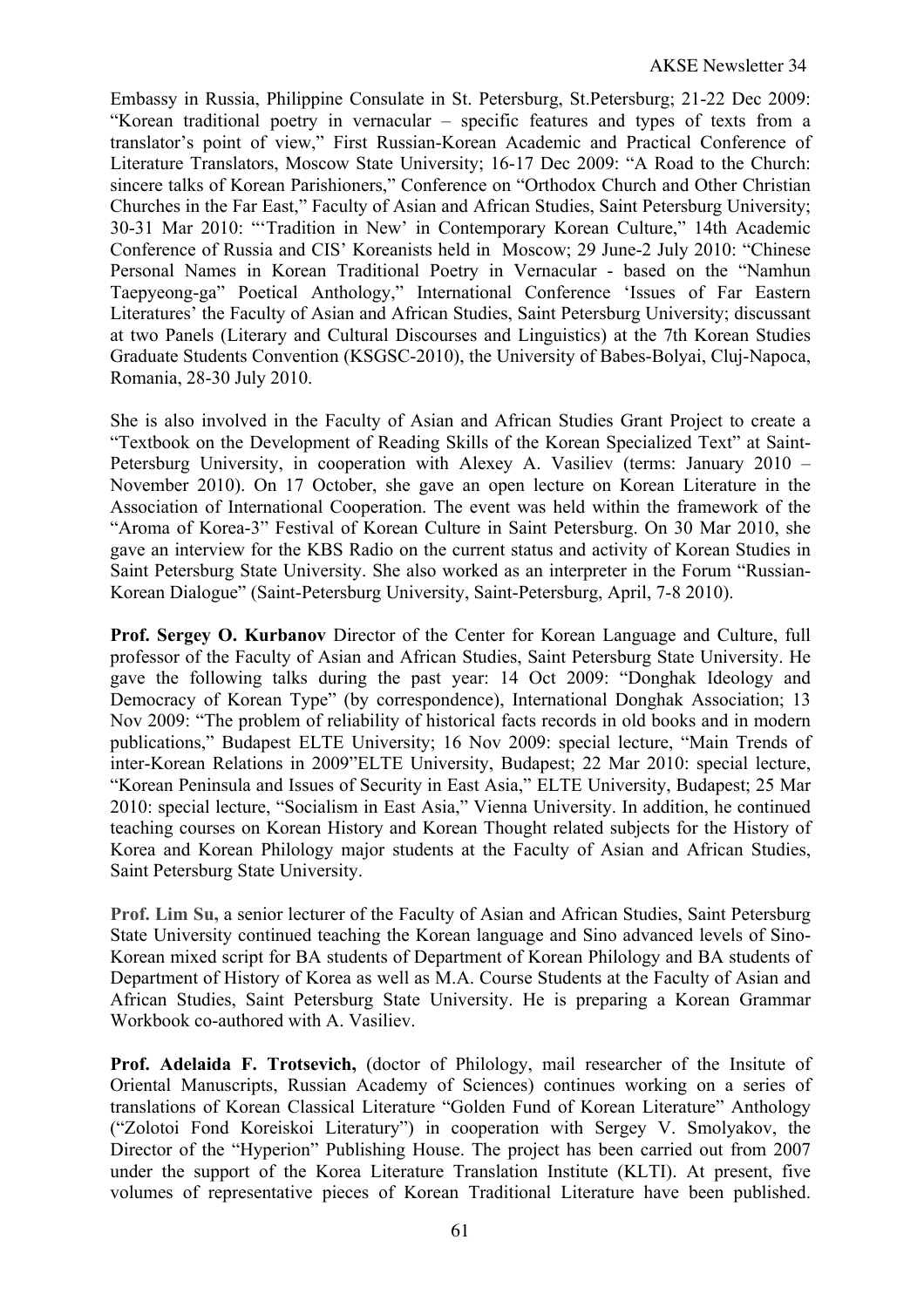Embassy in Russia, Philippine Consulate in St. Petersburg, St.Petersburg; 21-22 Dec 2009: "Korean traditional poetry in vernacular – specific features and types of texts from a translator's point of view," First Russian-Korean Academic and Practical Conference of Literature Translators, Moscow State University; 16-17 Dec 2009: "A Road to the Church: sincere talks of Korean Parishioners," Conference on "Orthodox Church and Other Christian Churches in the Far East," Faculty of Asian and African Studies, Saint Petersburg University; 30-31 Mar 2010: "'Tradition in New' in Contemporary Korean Culture," 14th Academic Conference of Russia and CIS' Koreanists held in Moscow; 29 June-2 July 2010: "Chinese Personal Names in Korean Traditional Poetry in Vernacular - based on the "Namhun Taepyeong-ga" Poetical Anthology," International Conference 'Issues of Far Eastern Literatures' the Faculty of Asian and African Studies, Saint Petersburg University; discussant at two Panels (Literary and Cultural Discourses and Linguistics) at the 7th Korean Studies Graduate Students Convention (KSGSC-2010), the University of Babes-Bolyai, Cluj-Napoca, Romania, 28-30 July 2010.

She is also involved in the Faculty of Asian and African Studies Grant Project to create a "Textbook on the Development of Reading Skills of the Korean Specialized Text" at Saint-Petersburg University, in cooperation with Alexey A. Vasiliev (terms: January 2010 – November 2010). On 17 October, she gave an open lecture on Korean Literature in the Association of International Cooperation. The event was held within the framework of the "Aroma of Korea-3" Festival of Korean Culture in Saint Petersburg. On 30 Mar 2010, she gave an interview for the KBS Radio on the current status and activity of Korean Studies in Saint Petersburg State University. She also worked as an interpreter in the Forum "Russian-Korean Dialogue" (Saint-Petersburg University, Saint-Petersburg, April, 7-8 2010).

**Prof. Sergey O. Kurbanov** Director of the Center for Korean Language and Culture, full professor of the Faculty of Asian and African Studies, Saint Petersburg State University. He gave the following talks during the past year: 14 Oct 2009: "Donghak Ideology and Democracy of Korean Type" (by correspondence), International Donghak Association; 13 Nov 2009: "The problem of reliability of historical facts records in old books and in modern publications," Budapest ELTE University; 16 Nov 2009: special lecture, "Main Trends of inter-Korean Relations in 2009"ELTE University, Budapest; 22 Mar 2010: special lecture, "Korean Peninsula and Issues of Security in East Asia," ELTE University, Budapest; 25 Mar 2010: special lecture, "Socialism in East Asia," Vienna University. In addition, he continued teaching courses on Korean History and Korean Thought related subjects for the History of Korea and Korean Philology major students at the Faculty of Asian and African Studies, Saint Petersburg State University.

**Prof. Lim Su,** a senior lecturer of the Faculty of Asian and African Studies, Saint Petersburg State University continued teaching the Korean language and Sino advanced levels of Sino-Korean mixed script for BA students of Department of Korean Philology and BA students of Department of History of Korea as well as M.A. Course Students at the Faculty of Asian and African Studies, Saint Petersburg State University. He is preparing a Korean Grammar Workbook co-authored with A. Vasiliev.

**Prof. Adelaida F. Trotsevich,** (doctor of Philology, mail researcher of the Insitute of Oriental Manuscripts, Russian Academy of Sciences) continues working on a series of translations of Korean Classical Literature "Golden Fund of Korean Literature" Anthology ("Zolotoi Fond Koreiskoi Literatury") in cooperation with Sergey V. Smolyakov, the Director of the "Hyperion" Publishing House. The project has been carried out from 2007 under the support of the Korea Literature Translation Institute (KLTI). At present, five volumes of representative pieces of Korean Traditional Literature have been published.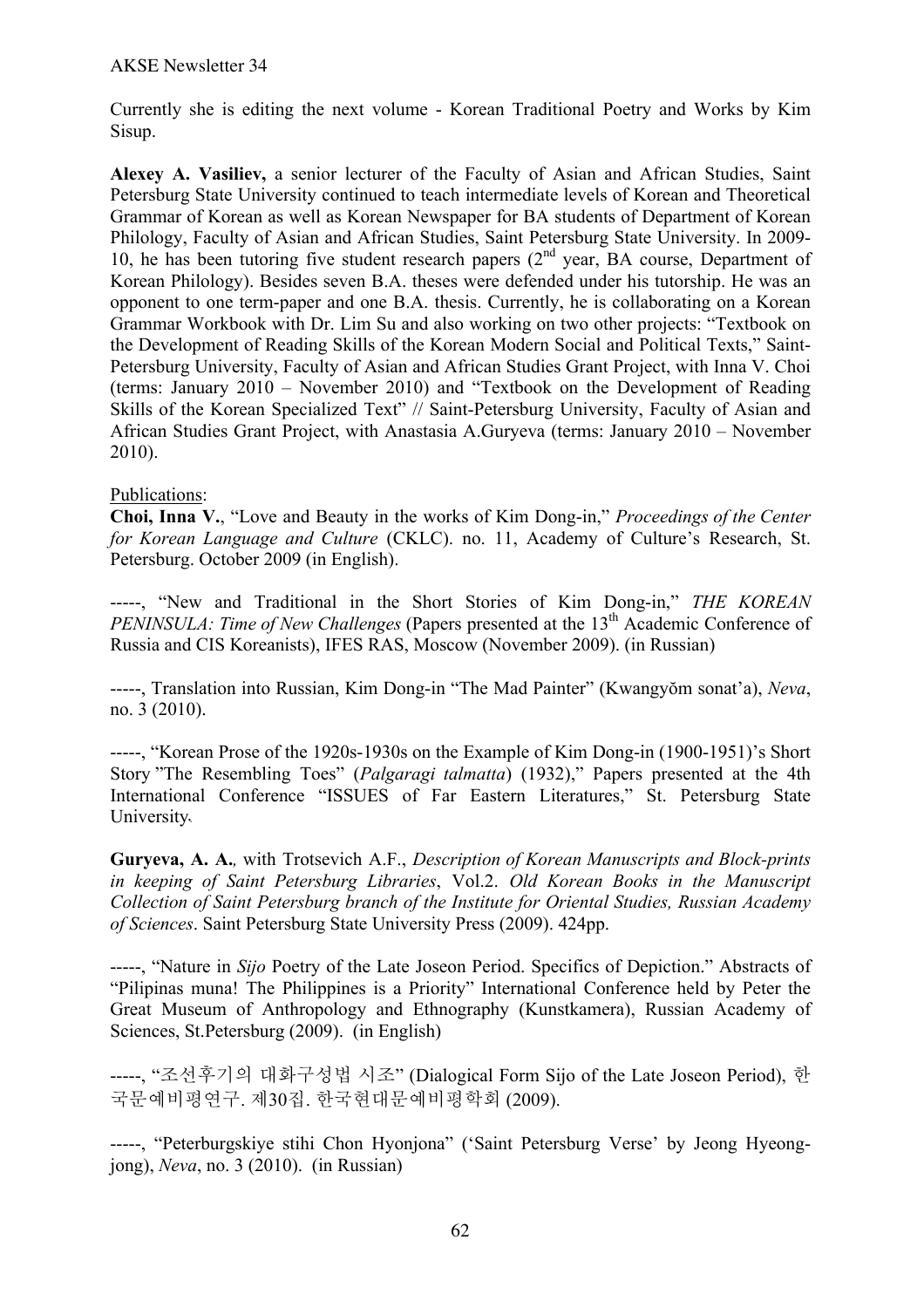Currently she is editing the next volume - Korean Traditional Poetry and Works by Kim Sisup.

**Alexey A. Vasiliev,** a senior lecturer of the Faculty of Asian and African Studies, Saint Petersburg State University continued to teach intermediate levels of Korean and Theoretical Grammar of Korean as well as Korean Newspaper for BA students of Department of Korean Philology, Faculty of Asian and African Studies, Saint Petersburg State University. In 2009- 10, he has been tutoring five student research papers  $(2<sup>nd</sup>$  year, BA course, Department of Korean Philology). Besides seven B.A. theses were defended under his tutorship. He was an opponent to one term-paper and one B.A. thesis. Currently, he is collaborating on a Korean Grammar Workbook with Dr. Lim Su and also working on two other projects: "Textbook on the Development of Reading Skills of the Korean Modern Social and Political Texts," Saint-Petersburg University, Faculty of Asian and African Studies Grant Project, with Inna V. Choi (terms: January 2010 – November 2010) and "Textbook on the Development of Reading Skills of the Korean Specialized Text" // Saint-Petersburg University, Faculty of Asian and African Studies Grant Project, with Anastasia A.Guryeva (terms: January 2010 – November 2010).

# Publications:

**Choi, Inna V.**, "Love and Beauty in the works of Kim Dong-in," *Proceedings of the Center for Korean Language and Culture* (CKLC). no. 11, Academy of Culture's Research, St. Petersburg. October 2009 (in English).

-----, "New and Traditional in the Short Stories of Kim Dong-in," *THE KOREAN PENINSULA: Time of New Challenges* (Papers presented at the 13<sup>th</sup> Academic Conference of Russia and CIS Koreanists), IFES RAS, Moscow (November 2009). (in Russian)

-----, Translation into Russian, Kim Dong-in "The Mad Painter" (Kwangyŏm sonat'a), *Neva*, no. 3 (2010).

-----, "Korean Prose of the 1920s-1930s on the Example of Kim Dong-in (1900-1951)'s Short Story "The Resembling Toes" (*Palgaragi talmatta*) (1932)," Papers presented at the 4th International Conference "ISSUES of Far Eastern Literatures," St. Petersburg State University.

**Guryeva, A. A.***,* with Trotsevich A.F., *Description of Korean Manuscripts and Block-prints in keeping of Saint Petersburg Libraries*, Vol.2. *Old Korean Books in the Manuscript Collection of Saint Petersburg branch of the Institute for Oriental Studies, Russian Academy of Sciences*. Saint Petersburg State University Press (2009). 424pp.

-----, "Nature in *Sijo* Poetry of the Late Joseon Period. Specifics of Depiction." Abstracts of "Pilipinas muna! The Philippines is a Priority" International Conference held by Peter the Great Museum of Anthropology and Ethnography (Kunstkamera), Russian Academy of Sciences, St.Petersburg (2009). (in English)

-----, "조선후기의 대화구성법 시조" (Dialogical Form Sijo of the Late Joseon Period), 한 국문예비평연구. 제30집. 한국현대문예비평학회 (2009).

-----, "Peterburgskiye stihi Chon Hyonjona" ('Saint Petersburg Verse' by Jeong Hyeongjong), *Neva*, no. 3 (2010). (in Russian)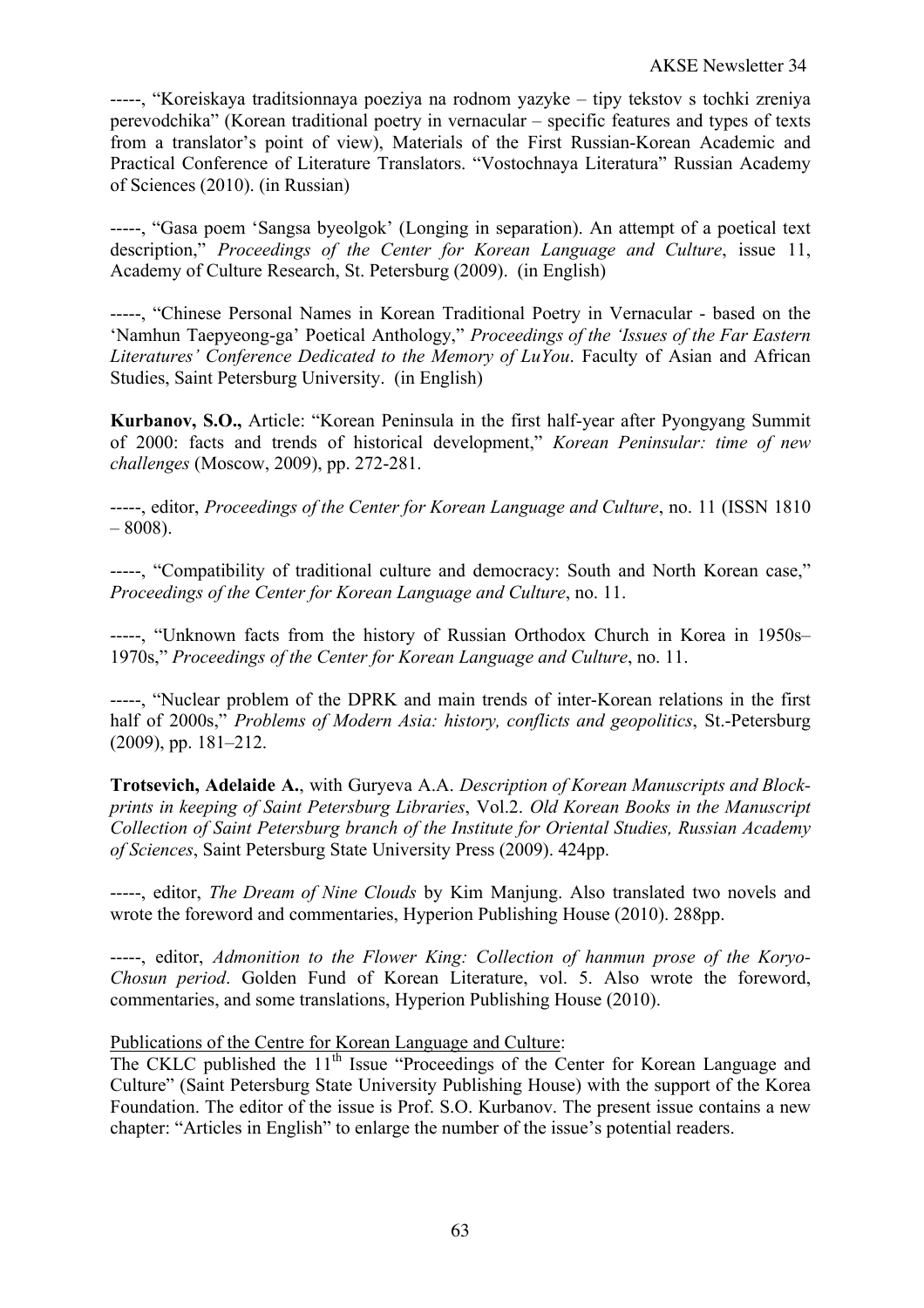-----, "Koreiskaya traditsionnaya poeziya na rodnom yazyke – tipy tekstov s tochki zreniya perevodchika" (Korean traditional poetry in vernacular – specific features and types of texts from a translator's point of view), Materials of the First Russian-Korean Academic and Practical Conference of Literature Translators. "Vostochnaya Literatura" Russian Academy of Sciences (2010). (in Russian)

-----, "Gasa poem 'Sangsa byeolgok' (Longing in separation). An attempt of a poetical text description," *Proceedings of the Center for Korean Language and Culture*, issue 11, Academy of Culture Research, St. Petersburg (2009). (in English)

-----, "Chinese Personal Names in Korean Traditional Poetry in Vernacular - based on the 'Namhun Taepyeong-ga' Poetical Anthology," *Proceedings of the 'Issues of the Far Eastern Literatures' Conference Dedicated to the Memory of LuYou*. Faculty of Asian and African Studies, Saint Petersburg University. (in English)

**Kurbanov, S.O.,** Article: "Korean Peninsula in the first half-year after Pyongyang Summit of 2000: facts and trends of historical development," *Korean Peninsular: time of new challenges* (Moscow, 2009), pp. 272-281.

-----, editor, *Proceedings of the Center for Korean Language and Culture*, no. 11 (ISSN 1810  $-8008$ ).

-----, "Compatibility of traditional culture and democracy: South and North Korean case," *Proceedings of the Center for Korean Language and Culture*, no. 11.

-----, "Unknown facts from the history of Russian Orthodox Church in Korea in 1950s– 1970s," *Proceedings of the Center for Korean Language and Culture*, no. 11.

-----, "Nuclear problem of the DPRK and main trends of inter-Korean relations in the first half of 2000s," *Problems of Modern Asia: history, conflicts and geopolitics*, St.-Petersburg (2009), pp. 181–212.

**Trotsevich, Adelaide A.**, with Guryeva A.A. *Description of Korean Manuscripts and Blockprints in keeping of Saint Petersburg Libraries*, Vol.2. *Old Korean Books in the Manuscript Collection of Saint Petersburg branch of the Institute for Oriental Studies, Russian Academy of Sciences*, Saint Petersburg State University Press (2009). 424pp.

-----, editor, *The Dream of Nine Clouds* by Kim Manjung. Also translated two novels and wrote the foreword and commentaries, Hyperion Publishing House (2010). 288pp.

-----, editor, *Admonition to the Flower King: Collection of hanmun prose of the Koryo-Chosun period*. Golden Fund of Korean Literature, vol. 5. Also wrote the foreword, commentaries, and some translations, Hyperion Publishing House (2010).

## Publications of the Centre for Korean Language and Culture:

The CKLC published the 11<sup>th</sup> Issue "Proceedings of the Center for Korean Language and Culture" (Saint Petersburg State University Publishing House) with the support of the Korea Foundation. The editor of the issue is Prof. S.O. Kurbanov. The present issue contains a new chapter: "Articles in English" to enlarge the number of the issue's potential readers.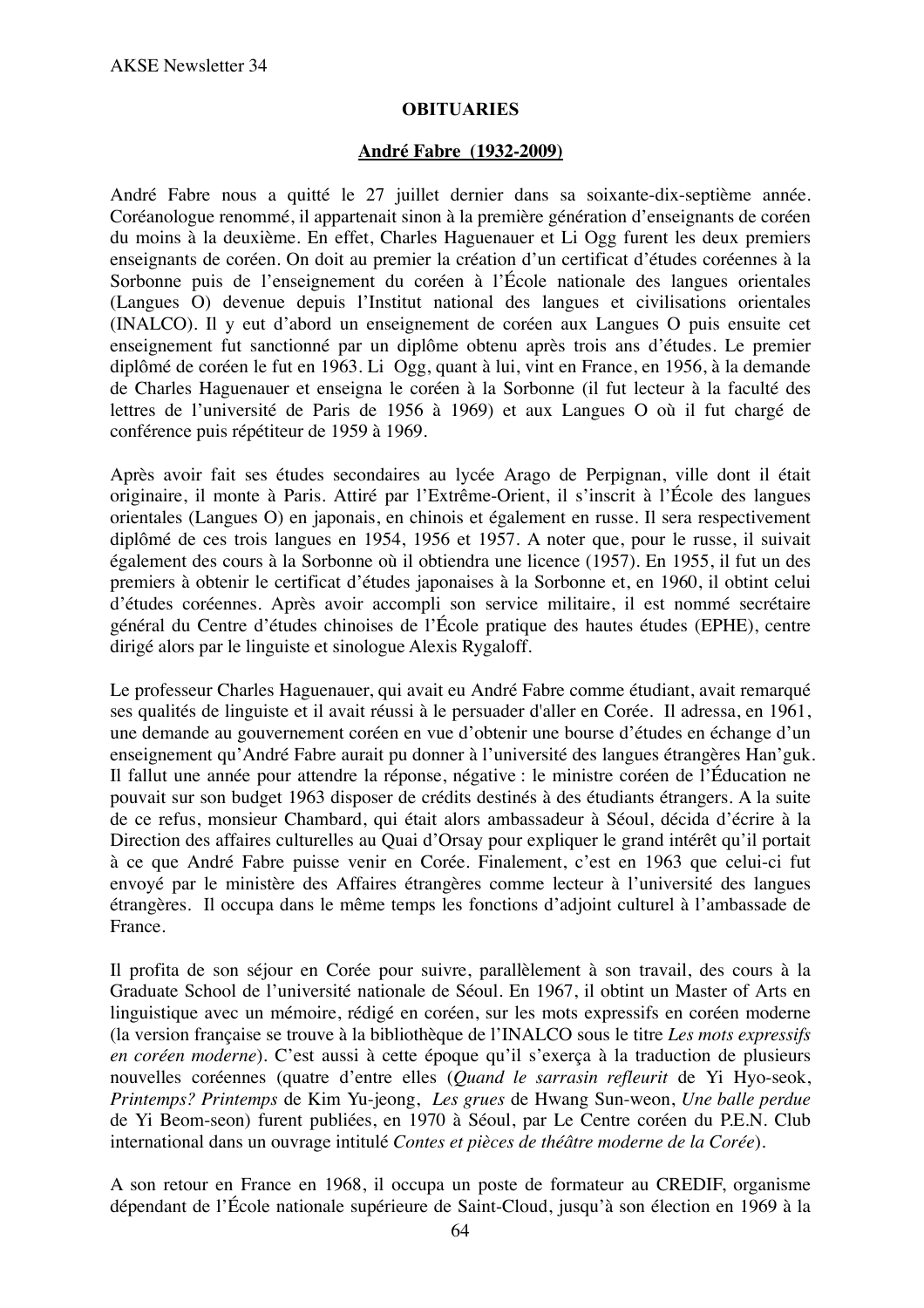#### **OBITUARIES**

#### **André Fabre (1932-2009)**

André Fabre nous a quitté le 27 juillet dernier dans sa soixante-dix-septième année. Coréanologue renommé, il appartenait sinon à la première génération d'enseignants de coréen du moins à la deuxième. En effet, Charles Haguenauer et Li Ogg furent les deux premiers enseignants de coréen. On doit au premier la création d'un certificat d'études coréennes à la Sorbonne puis de l'enseignement du coréen à l'École nationale des langues orientales (Langues O) devenue depuis l'Institut national des langues et civilisations orientales (INALCO). Il y eut d'abord un enseignement de coréen aux Langues O puis ensuite cet enseignement fut sanctionné par un diplôme obtenu après trois ans d'études. Le premier diplômé de coréen le fut en 1963. Li Ogg, quant à lui, vint en France, en 1956, à la demande de Charles Haguenauer et enseigna le coréen à la Sorbonne (il fut lecteur à la faculté des lettres de l'université de Paris de 1956 à 1969) et aux Langues O où il fut chargé de conférence puis répétiteur de 1959 à 1969.

Après avoir fait ses études secondaires au lycée Arago de Perpignan, ville dont il était originaire, il monte à Paris. Attiré par l'Extrême-Orient, il s'inscrit à l'École des langues orientales (Langues O) en japonais, en chinois et également en russe. Il sera respectivement diplômé de ces trois langues en 1954, 1956 et 1957. A noter que, pour le russe, il suivait également des cours à la Sorbonne où il obtiendra une licence (1957). En 1955, il fut un des premiers à obtenir le certificat d'études japonaises à la Sorbonne et, en 1960, il obtint celui d'études coréennes. Après avoir accompli son service militaire, il est nommé secrétaire général du Centre d'études chinoises de l'École pratique des hautes études (EPHE), centre dirigé alors par le linguiste et sinologue Alexis Rygaloff.

Le professeur Charles Haguenauer, qui avait eu André Fabre comme étudiant, avait remarqué ses qualités de linguiste et il avait réussi à le persuader d'aller en Corée. Il adressa, en 1961, une demande au gouvernement coréen en vue d'obtenir une bourse d'études en échange d'un enseignement qu'André Fabre aurait pu donner à l'université des langues étrangères Han'guk. Il fallut une année pour attendre la réponse, négative : le ministre coréen de l'Éducation ne pouvait sur son budget 1963 disposer de crédits destinés à des étudiants étrangers. A la suite de ce refus, monsieur Chambard, qui était alors ambassadeur à Séoul, décida d'écrire à la Direction des affaires culturelles au Quai d'Orsay pour expliquer le grand intérêt qu'il portait à ce que André Fabre puisse venir en Corée. Finalement, c'est en 1963 que celui-ci fut envoyé par le ministère des Affaires étrangères comme lecteur à l'université des langues étrangères. Il occupa dans le même temps les fonctions d'adjoint culturel à l'ambassade de France.

Il profita de son séjour en Corée pour suivre, parallèlement à son travail, des cours à la Graduate School de l'université nationale de Séoul. En 1967, il obtint un Master of Arts en linguistique avec un mémoire, rédigé en coréen, sur les mots expressifs en coréen moderne (la version française se trouve à la bibliothèque de l'INALCO sous le titre *Les mots expressifs en coréen moderne*). C'est aussi à cette époque qu'il s'exerça à la traduction de plusieurs nouvelles coréennes (quatre d'entre elles (*Quand le sarrasin refleurit* de Yi Hyo-seok, *Printemps? Printemps* de Kim Yu-jeong, *Les grues* de Hwang Sun-weon, *Une balle perdue* de Yi Beom-seon) furent publiées, en 1970 à Séoul, par Le Centre coréen du P.E.N. Club international dans un ouvrage intitulé *Contes et pièces de théâtre moderne de la Corée*).

A son retour en France en 1968, il occupa un poste de formateur au CREDIF, organisme dépendant de l'École nationale supérieure de Saint-Cloud, jusqu'à son élection en 1969 à la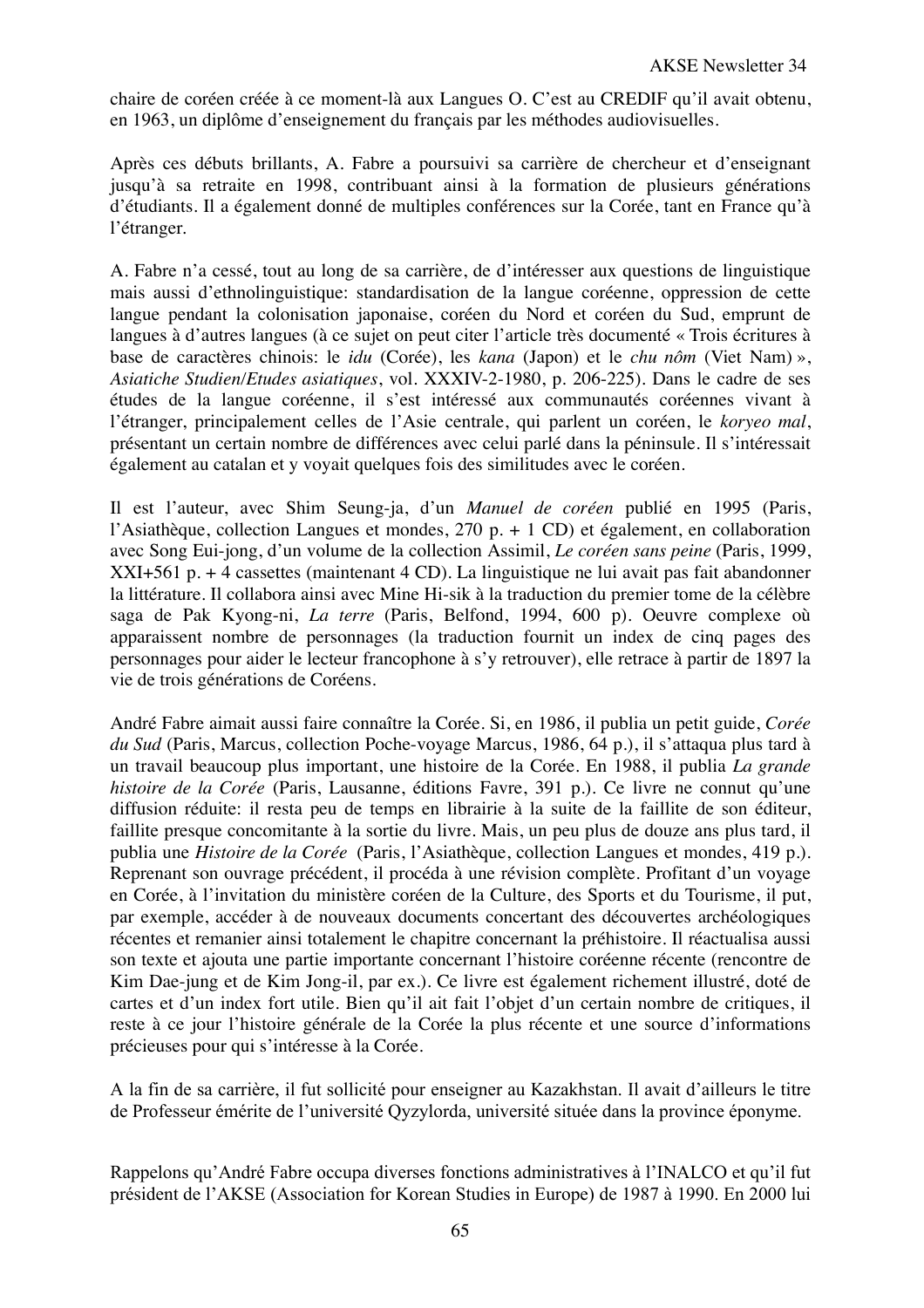chaire de coréen créée à ce moment-là aux Langues O. C'est au CREDIF qu'il avait obtenu, en 1963, un diplôme d'enseignement du français par les méthodes audiovisuelles.

Après ces débuts brillants, A. Fabre a poursuivi sa carrière de chercheur et d'enseignant jusqu'à sa retraite en 1998, contribuant ainsi à la formation de plusieurs générations d'étudiants. Il a également donné de multiples conférences sur la Corée, tant en France qu'à l'étranger.

A. Fabre n'a cessé, tout au long de sa carrière, de d'intéresser aux questions de linguistique mais aussi d'ethnolinguistique: standardisation de la langue coréenne, oppression de cette langue pendant la colonisation japonaise, coréen du Nord et coréen du Sud, emprunt de langues à d'autres langues (à ce sujet on peut citer l'article très documenté « Trois écritures à base de caractères chinois: le *idu* (Corée), les *kana* (Japon) et le *chu nôm* (Viet Nam) », *Asiatiche Studien/Etudes asiatiques*, vol. XXXIV-2-1980, p. 206-225). Dans le cadre de ses études de la langue coréenne, il s'est intéressé aux communautés coréennes vivant à l'étranger, principalement celles de l'Asie centrale, qui parlent un coréen, le *koryeo mal*, présentant un certain nombre de différences avec celui parlé dans la péninsule. Il s'intéressait également au catalan et y voyait quelques fois des similitudes avec le coréen.

Il est l'auteur, avec Shim Seung-ja, d'un *Manuel de coréen* publié en 1995 (Paris, l'Asiathèque, collection Langues et mondes, 270 p. + 1 CD) et également, en collaboration avec Song Eui-jong, d'un volume de la collection Assimil, *Le coréen sans peine* (Paris, 1999, XXI+561 p. + 4 cassettes (maintenant 4 CD). La linguistique ne lui avait pas fait abandonner la littérature. Il collabora ainsi avec Mine Hi-sik à la traduction du premier tome de la célèbre saga de Pak Kyong-ni, *La terre* (Paris, Belfond, 1994, 600 p). Oeuvre complexe où apparaissent nombre de personnages (la traduction fournit un index de cinq pages des personnages pour aider le lecteur francophone à s'y retrouver), elle retrace à partir de 1897 la vie de trois générations de Coréens.

André Fabre aimait aussi faire connaître la Corée. Si, en 1986, il publia un petit guide, *Corée du Sud* (Paris, Marcus, collection Poche-voyage Marcus, 1986, 64 p.), il s'attaqua plus tard à un travail beaucoup plus important, une histoire de la Corée. En 1988, il publia *La grande histoire de la Corée* (Paris, Lausanne, éditions Favre, 391 p.). Ce livre ne connut qu'une diffusion réduite: il resta peu de temps en librairie à la suite de la faillite de son éditeur, faillite presque concomitante à la sortie du livre. Mais, un peu plus de douze ans plus tard, il publia une *Histoire de la Corée* (Paris, l'Asiathèque, collection Langues et mondes, 419 p.). Reprenant son ouvrage précédent, il procéda à une révision complète. Profitant d'un voyage en Corée, à l'invitation du ministère coréen de la Culture, des Sports et du Tourisme, il put, par exemple, accéder à de nouveaux documents concertant des découvertes archéologiques récentes et remanier ainsi totalement le chapitre concernant la préhistoire. Il réactualisa aussi son texte et ajouta une partie importante concernant l'histoire coréenne récente (rencontre de Kim Dae-jung et de Kim Jong-il, par ex.). Ce livre est également richement illustré, doté de cartes et d'un index fort utile. Bien qu'il ait fait l'objet d'un certain nombre de critiques, il reste à ce jour l'histoire générale de la Corée la plus récente et une source d'informations précieuses pour qui s'intéresse à la Corée.

A la fin de sa carrière, il fut sollicité pour enseigner au Kazakhstan. Il avait d'ailleurs le titre de Professeur émérite de l'université Qyzylorda, université située dans la province éponyme.

Rappelons qu'André Fabre occupa diverses fonctions administratives à l'INALCO et qu'il fut président de l'AKSE (Association for Korean Studies in Europe) de 1987 à 1990. En 2000 lui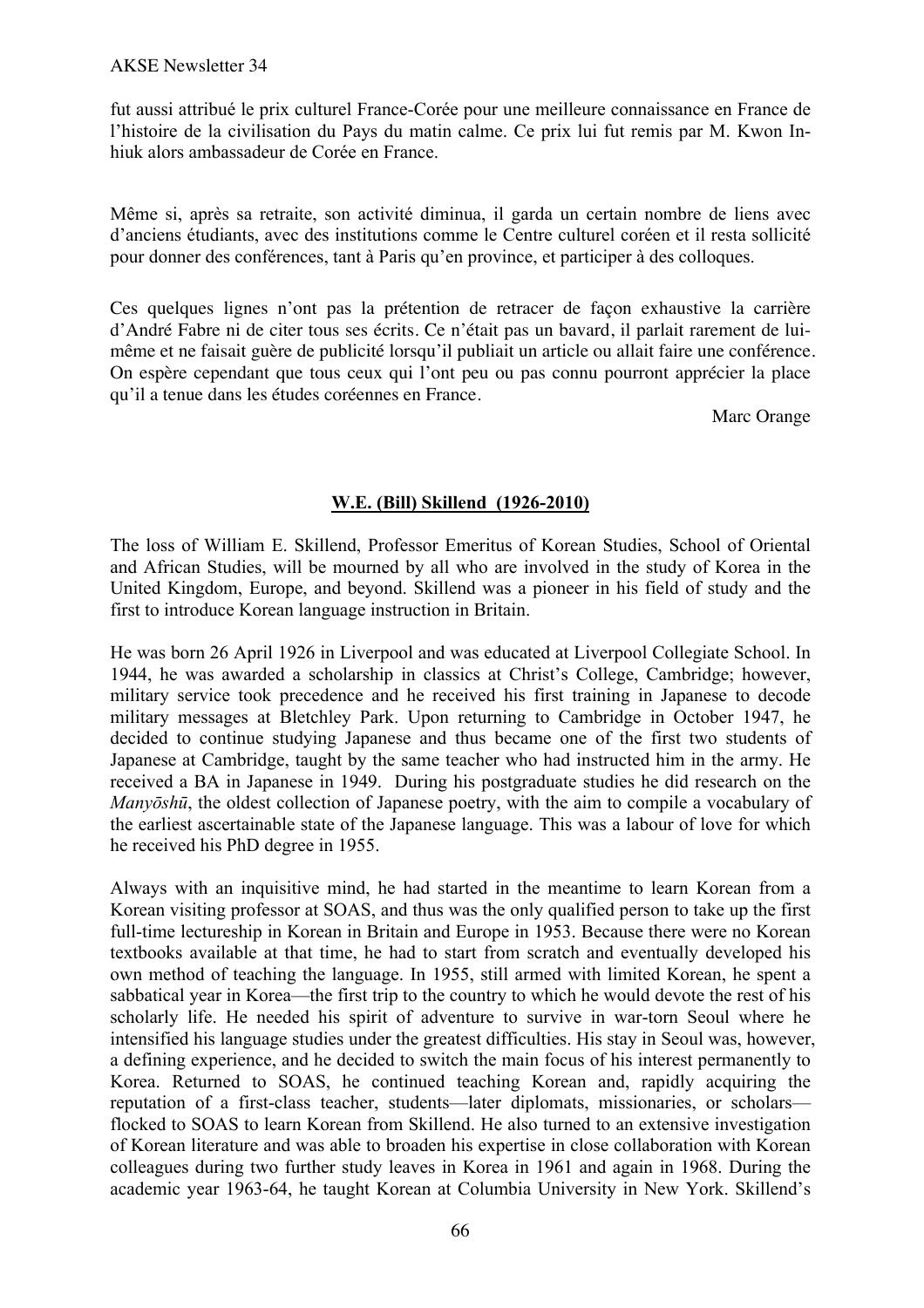fut aussi attribué le prix culturel France-Corée pour une meilleure connaissance en France de l'histoire de la civilisation du Pays du matin calme. Ce prix lui fut remis par M. Kwon Inhiuk alors ambassadeur de Corée en France.

Même si, après sa retraite, son activité diminua, il garda un certain nombre de liens avec d'anciens étudiants, avec des institutions comme le Centre culturel coréen et il resta sollicité pour donner des conférences, tant à Paris qu'en province, et participer à des colloques.

Ces quelques lignes n'ont pas la prétention de retracer de façon exhaustive la carrière d'André Fabre ni de citer tous ses écrits. Ce n'était pas un bavard, il parlait rarement de luimême et ne faisait guère de publicité lorsqu'il publiait un article ou allait faire une conférence. On espère cependant que tous ceux qui l'ont peu ou pas connu pourront apprécier la place qu'il a tenue dans les études coréennes en France.

Marc Orange

# **W.E. (Bill) Skillend (1926-2010)**

The loss of William E. Skillend, Professor Emeritus of Korean Studies, School of Oriental and African Studies, will be mourned by all who are involved in the study of Korea in the United Kingdom, Europe, and beyond. Skillend was a pioneer in his field of study and the first to introduce Korean language instruction in Britain.

He was born 26 April 1926 in Liverpool and was educated at Liverpool Collegiate School. In 1944, he was awarded a scholarship in classics at Christ's College, Cambridge; however, military service took precedence and he received his first training in Japanese to decode military messages at Bletchley Park. Upon returning to Cambridge in October 1947, he decided to continue studying Japanese and thus became one of the first two students of Japanese at Cambridge, taught by the same teacher who had instructed him in the army. He received a BA in Japanese in 1949. During his postgraduate studies he did research on the *Manyōshū*, the oldest collection of Japanese poetry, with the aim to compile a vocabulary of the earliest ascertainable state of the Japanese language. This was a labour of love for which he received his PhD degree in 1955.

Always with an inquisitive mind, he had started in the meantime to learn Korean from a Korean visiting professor at SOAS, and thus was the only qualified person to take up the first full-time lectureship in Korean in Britain and Europe in 1953. Because there were no Korean textbooks available at that time, he had to start from scratch and eventually developed his own method of teaching the language. In 1955, still armed with limited Korean, he spent a sabbatical year in Korea—the first trip to the country to which he would devote the rest of his scholarly life. He needed his spirit of adventure to survive in war-torn Seoul where he intensified his language studies under the greatest difficulties. His stay in Seoul was, however, a defining experience, and he decided to switch the main focus of his interest permanently to Korea. Returned to SOAS, he continued teaching Korean and, rapidly acquiring the reputation of a first-class teacher, students—later diplomats, missionaries, or scholars flocked to SOAS to learn Korean from Skillend. He also turned to an extensive investigation of Korean literature and was able to broaden his expertise in close collaboration with Korean colleagues during two further study leaves in Korea in 1961 and again in 1968. During the academic year 1963-64, he taught Korean at Columbia University in New York. Skillend's